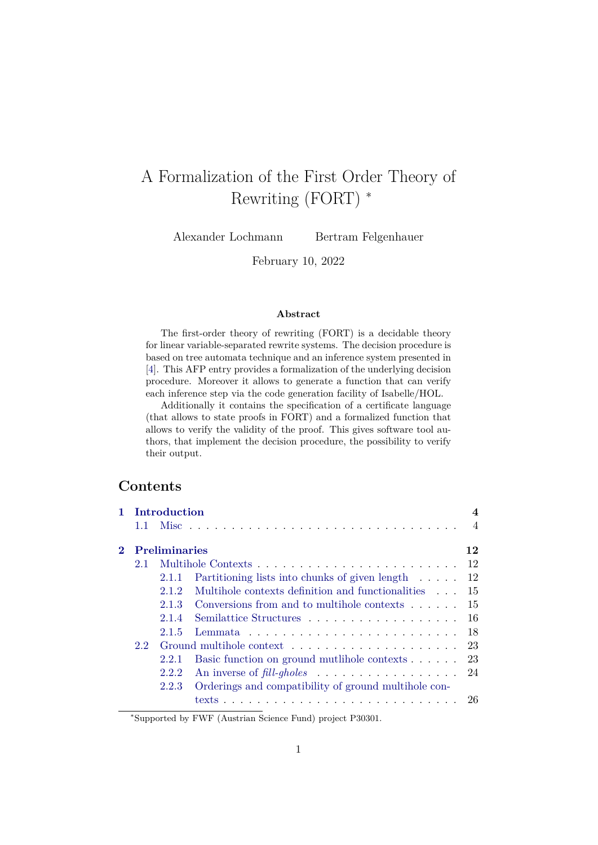# A Formalization of the First Order Theory of Rewriting (FORT) <sup>∗</sup>

Alexander Lochmann Bertram Felgenhauer

February 10, 2022

#### **Abstract**

The first-order theory of rewriting (FORT) is a decidable theory for linear variable-separated rewrite systems. The decision procedure is based on tree automata technique and an inference system presented in [\[4\]](#page-140-0). This AFP entry provides a formalization of the underlying decision procedure. Moreover it allows to generate a function that can verify each inference step via the code generation facility of Isabelle/HOL.

Additionally it contains the specification of a certificate language (that allows to state proofs in FORT) and a formalized function that allows to verify the validity of the proof. This gives software tool authors, that implement the decision procedure, the possibility to verify their output.

# **Contents**

| 1 Introduction  |       |                                                                   | 4              |  |  |  |  |
|-----------------|-------|-------------------------------------------------------------------|----------------|--|--|--|--|
| 1.1.            |       |                                                                   | $\overline{A}$ |  |  |  |  |
| 2 Preliminaries |       |                                                                   |                |  |  |  |  |
| $2.1^{\circ}$   |       |                                                                   | 12             |  |  |  |  |
|                 | 2.1.1 | Partitioning lists into chunks of given length $\ldots$ 12        |                |  |  |  |  |
|                 | 2.12  | Multihole contexts definition and functionalities $\ldots$ 15     |                |  |  |  |  |
|                 | 2.1.3 | Conversions from and to multihole contexts $\dots$ .              | 15             |  |  |  |  |
|                 | 2.1.4 | Semilattice Structures 16                                         |                |  |  |  |  |
|                 | 2.1.5 |                                                                   |                |  |  |  |  |
| $2.2^{\circ}$   |       |                                                                   |                |  |  |  |  |
|                 | 2.2.1 | Basic function on ground mutlihole contexts $\ldots$ . 23         |                |  |  |  |  |
|                 | 2.2.2 | An inverse of fill-gholes $\ldots \ldots \ldots \ldots \ldots 24$ |                |  |  |  |  |
|                 | 2.2.3 | Orderings and compatibility of ground multihole con-              |                |  |  |  |  |
|                 |       |                                                                   | 26             |  |  |  |  |

<sup>∗</sup>Supported by FWF (Austrian Science Fund) project P30301.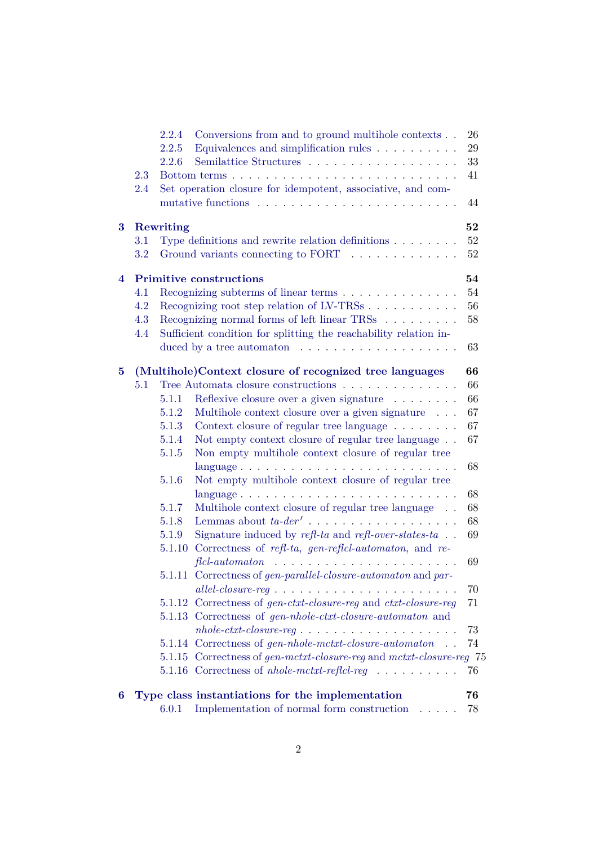|          |            | 6.0.1     | Implementation of normal form construction<br>and a state of                      | 78       |
|----------|------------|-----------|-----------------------------------------------------------------------------------|----------|
| 6        |            |           | Type class instantiations for the implementation                                  | 76       |
|          |            |           | 5.1.16 Correctness of <i>nhole-mctxt-refici-reg</i>                               | 76       |
|          |            |           | 5.1.15 Correctness of gen-mctxt-closure-reg and mctxt-closure-reg 75              |          |
|          |            | 5.1.14    | Correctness of $gen\text{-}hole-mctt\text{-}closure\text{-}automaton$             | 74       |
|          |            |           | $nhole-ctxt-closure-reg \ldots \ldots \ldots \ldots \ldots \ldots$                | 73       |
|          |            |           | 5.1.13 Correctness of gen-nhole-ctxt-closure-automaton and                        |          |
|          |            |           | 5.1.12 Correctness of gen-ctxt-closure-reg and ctxt-closure-reg                   | 71       |
|          |            |           |                                                                                   | 70       |
|          |            | 5.1.11    | Correctness of <i>gen-parallel-closure-automaton</i> and <i>par-</i>              |          |
|          |            |           | $fcl-automaton$                                                                   | 69       |
|          |            | 5.1.10    | Correctness of refl-ta, gen-reflcl-automaton, and re-                             |          |
|          |            | 5.1.9     | Signature induced by $refl$ -ta and $refl$ -over-states-ta $\ldots$               | 69       |
|          |            | 5.1.8     | Lemmas about $ta$ - $der'$                                                        | 68       |
|          |            | 5.1.7     | Multihole context closure of regular tree language                                | 68       |
|          |            |           |                                                                                   | 68       |
|          |            | 5.1.6     | language<br>Not empty multihole context closure of regular tree                   | 68       |
|          |            | 5.1.5     | Non empty multihole context closure of regular tree                               |          |
|          |            | 5.1.4     | Not empty context closure of regular tree language                                | 67       |
|          |            | 5.1.3     | Context closure of regular tree language                                          | 67       |
|          |            | 5.1.2     | Multihole context closure over a given signature                                  | 67       |
|          |            | 5.1.1     | Reflexive closure over a given signature                                          | 66       |
|          | 5.1        |           | Tree Automata closure constructions                                               | 66       |
| $\bf{5}$ |            |           | (Multihole)Context closure of recognized tree languages                           | 66       |
|          |            |           |                                                                                   |          |
|          |            |           | duced by a tree automaton $\dots \dots \dots \dots \dots \dots \dots$             | 63       |
|          | 4.4        |           | Sufficient condition for splitting the reachability relation in-                  |          |
|          | 4.3        |           | Recognizing normal forms of left linear TRSs                                      | 58       |
|          | 4.1<br>4.2 |           | Recognizing subterms of linear terms<br>Recognizing root step relation of LV-TRSs | 54<br>56 |
| 4        |            |           | <b>Primitive constructions</b>                                                    | 54       |
|          |            |           |                                                                                   |          |
|          | 3.2        |           | Ground variants connecting to FORT                                                | $52\,$   |
|          | $3.1\,$    |           | Type definitions and rewrite relation definitions $\ldots \ldots$                 | 52       |
| 3        |            | Rewriting |                                                                                   | 52       |
|          |            |           |                                                                                   | 44       |
|          | 2.4        |           | Set operation closure for idempotent, associative, and com-                       |          |
|          | 2.3        |           |                                                                                   | 41       |
|          |            | 2.2.6     | Semilattice Structures                                                            | 33       |
|          |            | 2.2.5     | Equivalences and simplification rules                                             | 29       |
|          |            | 2.2.4     | Conversions from and to ground multihole contexts                                 | 26       |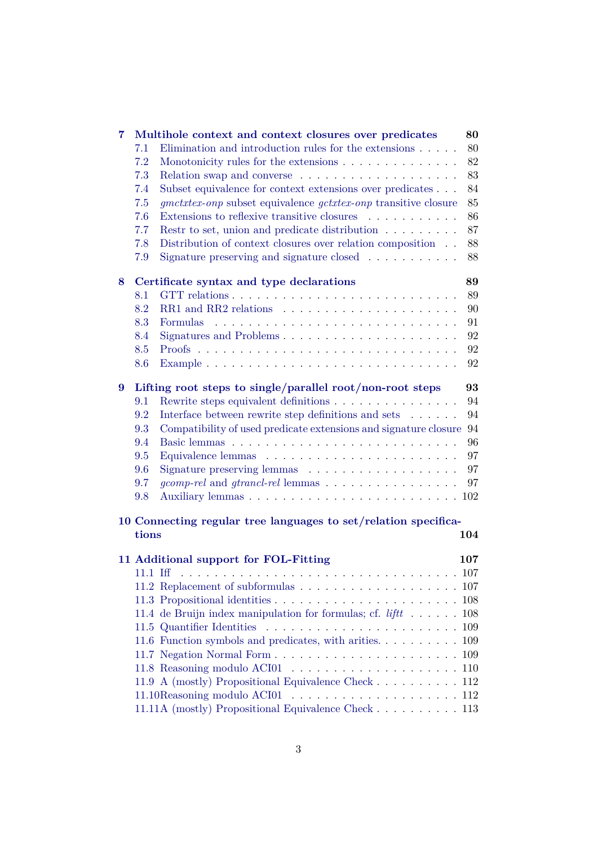| 7 |       | Multihole context and context closures over predicates                                                                      | 80  |  |  |  |  |
|---|-------|-----------------------------------------------------------------------------------------------------------------------------|-----|--|--|--|--|
|   | 7.1   | Elimination and introduction rules for the extensions $\ldots$ .                                                            | 80  |  |  |  |  |
|   | 7.2   | Monotonicity rules for the extensions                                                                                       | 82  |  |  |  |  |
|   | 7.3   | Relation swap and converse $\ldots \ldots \ldots \ldots \ldots \ldots$                                                      | 83  |  |  |  |  |
|   | 7.4   | Subset equivalence for context extensions over predicates                                                                   | 84  |  |  |  |  |
|   | 7.5   |                                                                                                                             | 85  |  |  |  |  |
|   |       | <i>gmctxtex-onp</i> subset equivalence <i>gctxtex-onp</i> transitive closure<br>Extensions to reflexive transitive closures |     |  |  |  |  |
|   | 7.6   |                                                                                                                             | 86  |  |  |  |  |
|   | 7.7   | Restr to set, union and predicate distribution                                                                              | 87  |  |  |  |  |
|   | 7.8   | Distribution of context closures over relation composition                                                                  | 88  |  |  |  |  |
|   | 7.9   | Signature preserving and signature closed $\ldots \ldots \ldots$                                                            | 88  |  |  |  |  |
| 8 |       | Certificate syntax and type declarations                                                                                    | 89  |  |  |  |  |
|   | 8.1   |                                                                                                                             | 89  |  |  |  |  |
|   | 8.2   |                                                                                                                             | 90  |  |  |  |  |
|   | 8.3   | <b>Formulas</b>                                                                                                             | 91  |  |  |  |  |
|   | 8.4   | Signatures and Problems                                                                                                     | 92  |  |  |  |  |
|   | 8.5   |                                                                                                                             | 92  |  |  |  |  |
|   | 8.6   |                                                                                                                             | 92  |  |  |  |  |
| 9 |       | Lifting root steps to single/parallel root/non-root steps<br>93                                                             |     |  |  |  |  |
|   | 9.1   | Rewrite steps equivalent definitions                                                                                        | 94  |  |  |  |  |
|   | 9.2   | Interface between rewrite step definitions and sets<br>$\hfill\ldots$ $\ldots$ .                                            | 94  |  |  |  |  |
|   | 9.3   | Compatibility of used predicate extensions and signature closure                                                            | 94  |  |  |  |  |
|   | 9.4   |                                                                                                                             | 96  |  |  |  |  |
|   | 9.5   |                                                                                                                             | 97  |  |  |  |  |
|   | 9.6   |                                                                                                                             | 97  |  |  |  |  |
|   | 9.7   | <i>gcomp-rel</i> and <i>gtrancl-rel</i> lemmas                                                                              | 97  |  |  |  |  |
|   | 9.8   |                                                                                                                             |     |  |  |  |  |
|   |       |                                                                                                                             |     |  |  |  |  |
|   |       | 10 Connecting regular tree languages to set/relation specifica-                                                             |     |  |  |  |  |
|   | tions |                                                                                                                             | 104 |  |  |  |  |
|   |       | 11 Additional support for FOL-Fitting                                                                                       | 107 |  |  |  |  |
|   |       |                                                                                                                             |     |  |  |  |  |
|   |       |                                                                                                                             |     |  |  |  |  |
|   |       |                                                                                                                             |     |  |  |  |  |
|   |       | 11.4 de Bruijn index manipulation for formulas; cf. $\ell$ ift 108                                                          |     |  |  |  |  |
|   |       |                                                                                                                             |     |  |  |  |  |
|   |       | 11.6 Function symbols and predicates, with arities. $\dots \dots \dots \dots 109$                                           |     |  |  |  |  |
|   |       |                                                                                                                             |     |  |  |  |  |
|   |       |                                                                                                                             |     |  |  |  |  |
|   |       | 11.9 A (mostly) Propositional Equivalence Check 112                                                                         |     |  |  |  |  |
|   |       |                                                                                                                             |     |  |  |  |  |
|   |       | 11.11A (mostly) Propositional Equivalence Check 113                                                                         |     |  |  |  |  |
|   |       |                                                                                                                             |     |  |  |  |  |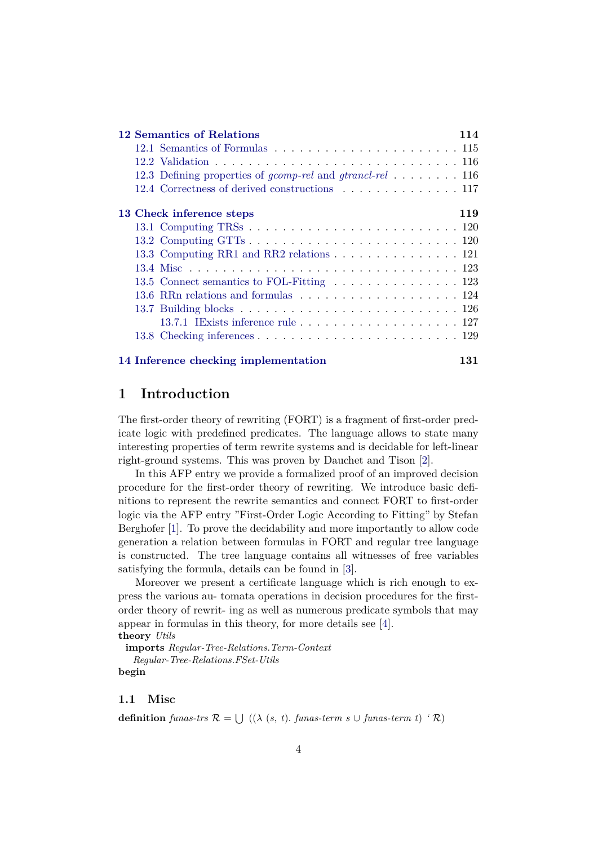| 12 Semantics of Relations<br>114                                                         |     |  |  |  |  |  |  |  |  |
|------------------------------------------------------------------------------------------|-----|--|--|--|--|--|--|--|--|
|                                                                                          |     |  |  |  |  |  |  |  |  |
|                                                                                          |     |  |  |  |  |  |  |  |  |
| 12.3 Defining properties of <i>gcomp-rel</i> and <i>gtrancl-rel</i> 116                  |     |  |  |  |  |  |  |  |  |
| 12.4 Correctness of derived constructions 117                                            |     |  |  |  |  |  |  |  |  |
| 119<br>13 Check inference steps                                                          |     |  |  |  |  |  |  |  |  |
| 13.1 Computing TRSs $\ldots \ldots \ldots \ldots \ldots \ldots \ldots \ldots \ldots 120$ |     |  |  |  |  |  |  |  |  |
|                                                                                          |     |  |  |  |  |  |  |  |  |
| 13.3 Computing RR1 and RR2 relations 121                                                 |     |  |  |  |  |  |  |  |  |
|                                                                                          |     |  |  |  |  |  |  |  |  |
| 13.5 Connect semantics to FOL-Fitting 123                                                |     |  |  |  |  |  |  |  |  |
|                                                                                          |     |  |  |  |  |  |  |  |  |
|                                                                                          |     |  |  |  |  |  |  |  |  |
|                                                                                          |     |  |  |  |  |  |  |  |  |
|                                                                                          |     |  |  |  |  |  |  |  |  |
| 14 Inference checking implementation                                                     | 131 |  |  |  |  |  |  |  |  |

# <span id="page-3-0"></span>**1 Introduction**

The first-order theory of rewriting (FORT) is a fragment of first-order predicate logic with predefined predicates. The language allows to state many interesting properties of term rewrite systems and is decidable for left-linear right-ground systems. This was proven by Dauchet and Tison [\[2\]](#page-140-1).

In this AFP entry we provide a formalized proof of an improved decision procedure for the first-order theory of rewriting. We introduce basic definitions to represent the rewrite semantics and connect FORT to first-order logic via the AFP entry "First-Order Logic According to Fitting" by Stefan Berghofer [\[1\]](#page-140-2). To prove the decidability and more importantly to allow code generation a relation between formulas in FORT and regular tree language is constructed. The tree language contains all witnesses of free variables satisfying the formula, details can be found in [\[3\]](#page-140-3).

Moreover we present a certificate language which is rich enough to express the various au- tomata operations in decision procedures for the firstorder theory of rewrit- ing as well as numerous predicate symbols that may appear in formulas in this theory, for more details see [\[4\]](#page-140-0). **theory** *Utils*

**imports** *Regular-Tree-Relations*.*Term-Context Regular-Tree-Relations*.*FSet-Utils* **begin**

# <span id="page-3-1"></span>**1.1 Misc**

**definition** *funas-trs*  $\mathcal{R} = \bigcup (\lambda(s, t) \cdot \text{funas-term } s \cup \text{funas-term } t)$  ' $\mathcal{R}$ )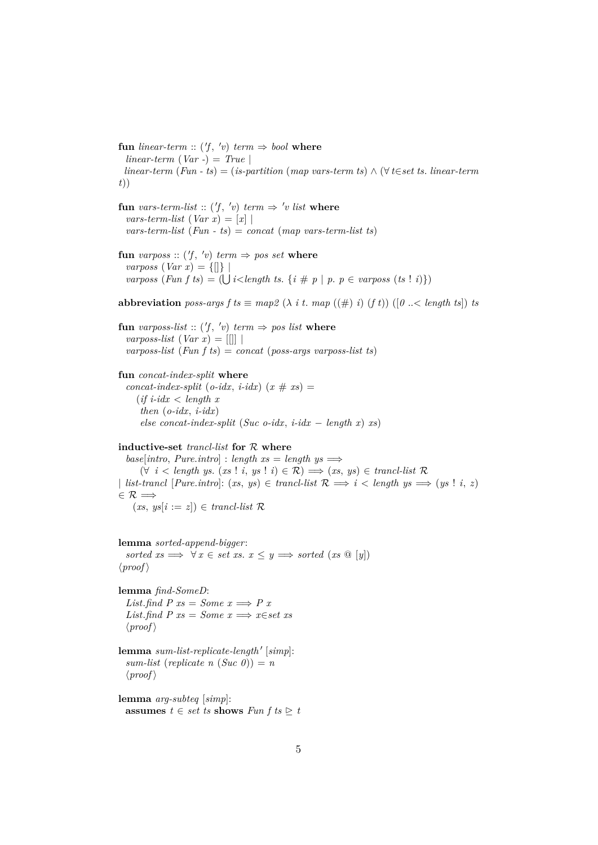${\bf f}$ **un** *linear-term* :: ('f, 'v)  $term \Rightarrow bool$  **where**  $linear-term (Var -) = True$ *linear-term* (*Fun - ts*) = (*is-partition* (*map vars-term ts*) ∧ (∀ *t*∈*set ts*. *linear-term t*))

**fun** vars-term-list ::  $(f, 'v)$  term  $\Rightarrow 'v$  list where  $vars-term-list (Var x) = [x]$ *vars-term-list* (*Fun - ts*) = *concat* (*map vars-term-list ts*)

**fun** *varposs* ::  $(f, 'v)$  *term*  $\Rightarrow$  *pos set* **where** *varposs*  $(Var x) = \{[] \}$  $varposs$  (*Fun f ts*) = ( $\bigcup i$ <*length ts.* { $i \# p | p$ *.*  $p \in varposs$  (*ts* ! *i*)})

**abbreviation** *poss-args*  $f$   $ts \equiv map2$   $(\lambda$   $it$ .  $map$   $((\#) i)$   $(f t))$   $([0 \dots < length t s])$   $ts$ 

**fun** *varposs-list* ::  $(f, 'v)$  *term*  $\Rightarrow$  *pos list* **where**  $varposs-list (Var x) = ||||$ *varposs-list* (*Fun f ts*) = *concat* (*poss-args varposs-list ts*)

#### **fun** *concat-index-split* **where**

 $concat-index-split$  ( $o-idx$ ,  $i-idx$ ) ( $x \# xs$ ) = (*if i-idx* < *length x then* (*o-idx*, *i-idx*) *else concat-index-split* (*Suc o-idx, i-idx* – *length x*) *xs*)

#### **inductive-set** *trancl-list* **for** R **where**

 $base[intro, Pure.introl : length xs = length ys \Longrightarrow$ (∀ *i* < *length ys*. (*xs* ! *i*, *ys* ! *i*) ∈ R) =⇒ (*xs*, *ys*) ∈ *trancl-list* R | *list-trancl* [*Pure.intro*]:  $(xs, ys) \in trancl-list \mathcal{R} \implies i < length \ ys \implies (ys \mid i, z)$  $\in \mathcal{R} \Longrightarrow$  $(xs, ys[i := z]) \in trancl-list \; \mathcal{R}$ 

**lemma** *sorted-append-bigger*:

*sorted*  $xs \implies \forall x \in set \; xs. \; x \leq y \implies sorted \; (xs \; @ [y])$  $\langle proof \rangle$ 

**lemma** *find-SomeD*: *List.find P xs* = *Some x*  $\implies$  *P x List.find*  $P$   $xs = Some$   $x \Longrightarrow x \in set$  xs  $\langle proof \rangle$ 

 $l$ emma *sum-list-replicate-length'* [simp]:  $sum-list (replicate n (Suc 0)) = n$  $\langle proof \rangle$ 

**lemma** *arg-subteq* [*simp*]: **assumes** *t* ∈ *set ts* **shows**  $Fun f$  *ts*  $⊵ t$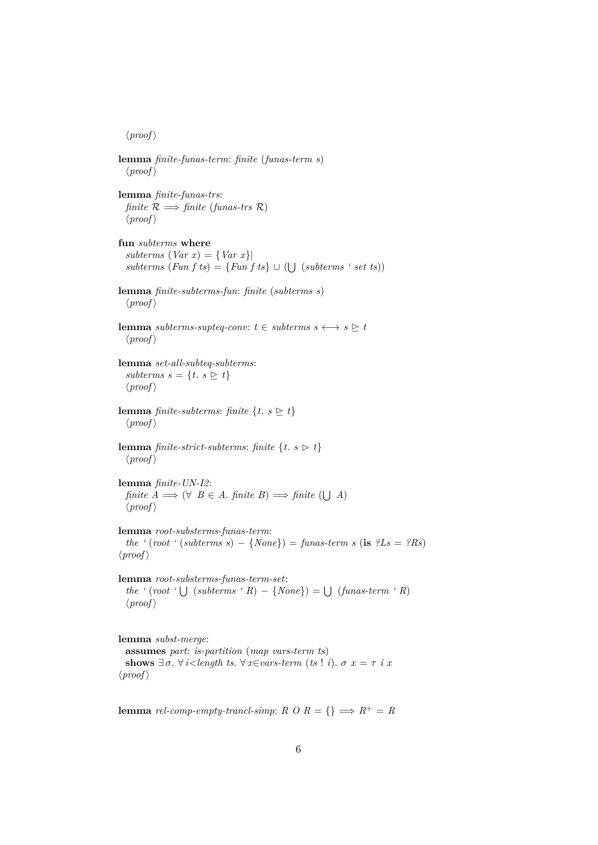$\langle proof \rangle$ 

**lemma** *finite-funas-term*: *finite* (*funas-term s*)  $\langle proof \rangle$ **lemma** *finite-funas-trs*: *finite*  $\mathcal{R} \implies$  *finite* (*funas-trs*  $\mathcal{R}$ )  $\langle proof \rangle$ **fun** *subterms* **where**  $subterms (Var x) = \{Var x\}$  $subterms (Fun fts) = {Fun fts} \cup (\bigcup (subterms 'set ts))$ **lemma** *finite-subterms-fun*: *finite* (*subterms s*)  $\langle proof \rangle$ **lemma** *subterms-supteq-conv:*  $t \in$  *subterms*  $s \leftrightarrow s \triangleright t$  $\langle proof \rangle$ **lemma** *set-all-subteq-subterms*: *subterms s* = {*t*. *s*  $\geq t$ }  $\langle proof \rangle$ **lemma** *finite-subterms*: *finite*  $\{t. s \geq t\}$  $\langle proof \rangle$ **lemma** *finite-strict-subterms*: *finite*  $\{t. s \geq t\}$  $\langle proof \rangle$ **lemma** *finite-UN-I2*: *finite*  $A \implies (\forall \ B \in A \text{. finite } B) \implies \text{finite } (\bigcup A)$  $\langle proof \rangle$ **lemma** *root-substerms-funas-term*: *the* ' $(root$  ' $(subterms s) - \{None\}) = funas-term s$  (**is**  $?Ls = ?Rs$ )  $\langle proof \rangle$ **lemma** *root-substerms-funas-term-set*:  $the ' (root ' \cup (subterms ' R) - {None}) = \cup (funas-term ' R)$  $\langle proof \rangle$ **lemma** *subst-merge*: **assumes** *part*: *is-partition* (*map vars-term ts*) **shows**  $\exists \sigma$ .  $\forall i <$ length ts.  $\forall x \in vars\text{-}term$  (ts! *i*).  $\sigma x = \tau i x$ 

 $\langle proof \rangle$ 

**lemma** *rel-comp-empty-trancl-simp*:  $R \circ R = \{ \} \implies R^+ = R$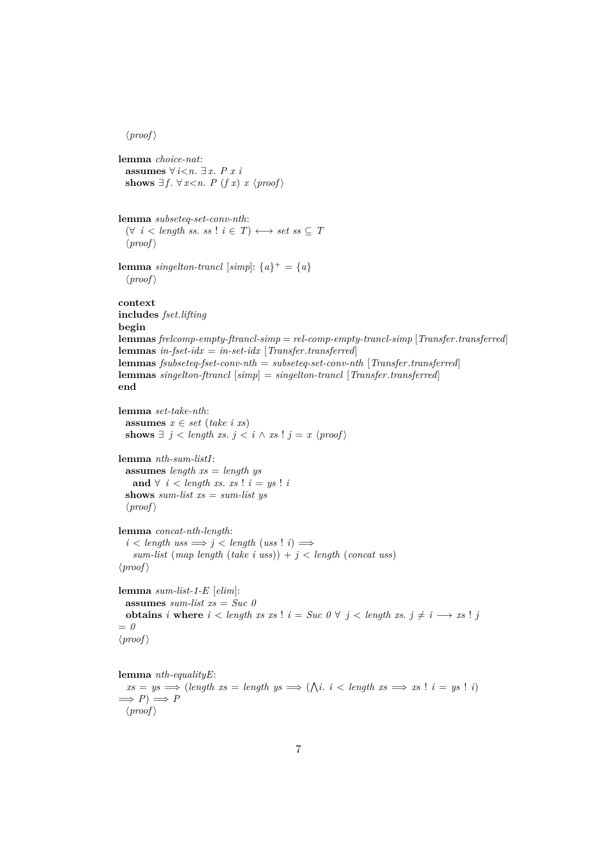```
\langle proof \ranglelemma choice-nat:
 assumes ∀ i<n. ∃ x. P x i
 shows ∃ f. ∀ x<n. P (f x) x \langle proof \ranglelemma subseteq-set-conv-nth:
 (∀ i < length ss. ss ! i ∈ T) ←→ set ss ⊆ T
  \langle proof \ranglelemma singelton-trancl [simp]: {a}^{\dagger} = {a}\langle proof \ranglecontext
includes fset.lifting
begin
lemmas frelcomp-empty-ftrancl-simp = rel-comp-empty-trancl-simp [Transfer.transferred]
lemmas in-fset-idx = in-set-idx [Transfer.transferred]
lemmas fsubseteq-fset-conv-nth = subseteq-set-conv-nth [Transfer.transferred]
lemmas singelton-ftrancl [simp] = singelton-trancl [Transfer.transferred]
end
lemma set-take-nth:
 assumes x \in set (take i xs)
 shows ∃ j < length xs. j < i ∧ xs ! j = x \langle proof \ranglelemma nth-sum-listI:
 assumes length xs = length ys
   and ∀ i < length xs. xs ! i = ys ! ishows sum-list xs = sum-list ys
  \langle proof \ranglelemma concat-nth-length:
  i < length uss \implies j < length (uss! i) \impliessum-list (map length (take i uss)) + j < length (concat uss)
\langle proof \ranglelemma sum-list-1-E [elim]:
 assumes sum-list xs = Suc 0
 obtains i where i < length xs xs ! i = Suc 0 \forall j < length xs. j \neq i \longrightarrow xs ! j
= 0
\langle proof \ranglelemma nth-equalityE:
```
 $xs = ys \implies (length \ xs = length \ ys \implies (\bigwedge i \ i < length \ xs \implies xs \ | \ i = ys \ | \ i)$  $\implies P \implies P$  $\langle proof \rangle$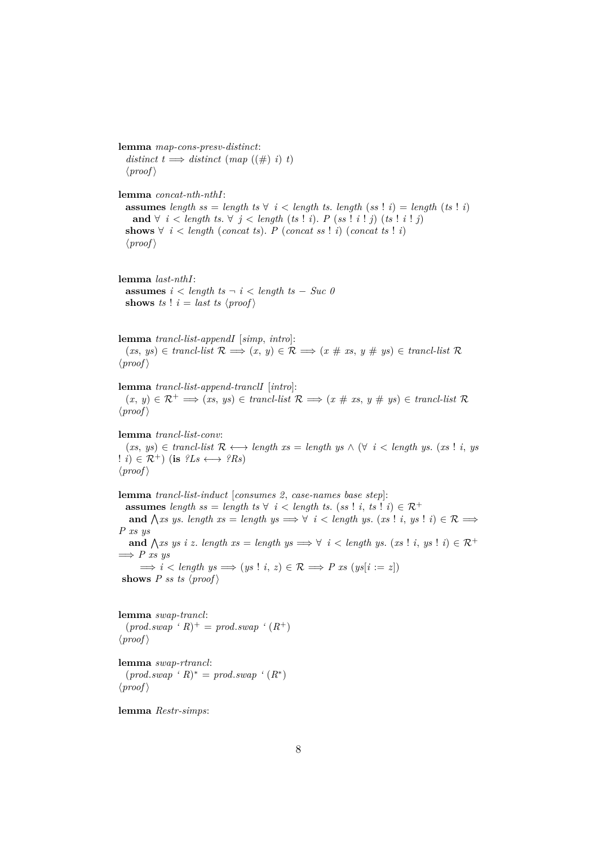**lemma** *map-cons-presv-distinct*:  $distinct t \implies distinct (map ((\#) i) t)$  $\langle proof \rangle$ **lemma** *concat-nth-nthI*: **assumes** length ss = length ts  $\forall i$  < length ts. length (ss! *i*) = length (ts! *i*) **and** ∀ *i* < *length ts*. ∀ *j* < *length* (*ts* ! *i*). *P* (*ss* ! *i* ! *j*) (*ts* ! *i* ! *j*) **shows**  $∀ i < length (concat ts)$ . *P* (*concat ss* ! *i*) (*concat ts* ! *i*)  $\langle proof \rangle$ **lemma** *last-nthI*: **assumes**  $i <$  *length*  $ts - i <$  *length*  $ts - Suc$  *0* **shows** *ts* !  $i =$  *last ts*  $\langle proof \rangle$ **lemma** *trancl-list-appendI* [*simp*, *intro*]:  $(x, y) \in \text{truncl-list} \; \mathcal{R} \Longrightarrow (x, y) \in \mathcal{R} \Longrightarrow (x \# \text{ xs}, y \# \text{ ys}) \in \text{truncl-list} \; \mathcal{R}$  $\langle proof \rangle$ **lemma** *trancl-list-append-tranclI* [*intro*]:  $(x, y) \in \mathcal{R}^+ \implies (xs, ys) \in \text{trancl-list } \mathcal{R} \implies (x \# xs, y \# ys) \in \text{trancl-list } \mathcal{R}$  $\langle proof \rangle$ **lemma** *trancl-list-conv*:  $(x, y) \in \text{trunc-list} \; \mathcal{R} \longleftrightarrow \text{length} \; xs = \text{length} \; ys \land (\forall i < \text{length} \; ys. \; (xs \; ! \; i, ys))$  $\colon i \in \mathcal{R}^+$  (is  $\mathcal{L}s \longleftrightarrow \mathcal{R}s$ )  $\langle proof \rangle$ **lemma** *trancl-list-induct* [*consumes 2*, *case-names base step*]: **assumes** length ss = length ts  $\forall i$  < length ts. (ss! *i*, ts! *i*)  $\in \mathcal{R}^+$ **and**  $\bigwedge$ *xs* ys. *length*  $xs = length$   $ys \implies \forall i < length$   $ys.$   $(xs! i, ys! i) \in \mathcal{R} \implies$ *P xs ys* **and**  $\bigwedge xs\;ys\; i\;z.\; length\;xs = length\;ys \Longrightarrow \forall\; i < length\;ys.\; (xs\; !\; i,\;ys\; !\; i) \in \mathcal{R}^+$  $\implies P$  *xs*  $\psi s$  $\implies i <$  *length ys*  $\implies$   $(ys \mid i, z) \in \mathcal{R} \implies P \text{ xs } (ys[i := z])$ **shows** *P ss ts*  $\langle proof \rangle$ **lemma** *swap-trancl*:  $(pred.sum \cdot R)^{+} = prod.sum \cdot (R^{+})$  $\langle proof \rangle$ 

**lemma** *swap-rtrancl*:  $(pred.sum \cdot R)^* = prod.sum \cdot (R^*)$  $\langle proof \rangle$ 

**lemma** *Restr-simps*: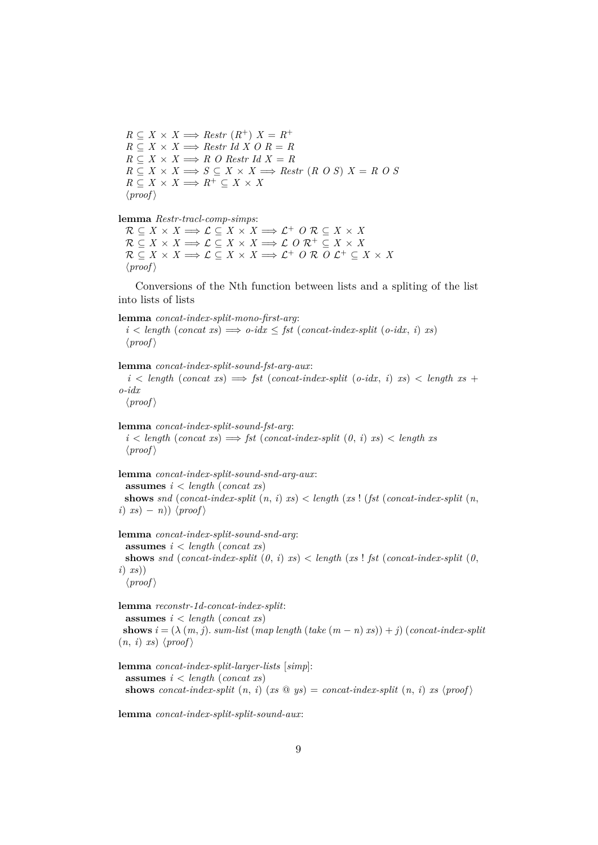$R \subseteq X \times X \Longrightarrow$  *Restr*  $(R^+) X = R^+$  $R \subseteq X \times X \Longrightarrow$  *Restr Id X O R = R*  $R \subseteq X \times X \Longrightarrow R$  *O* Restr Id  $X = R$  $R \subseteq X \times X \Longrightarrow S \subseteq X \times X \Longrightarrow$  *Restr* (*R O S*)  $X = R$  *O S*  $R \subseteq X \times X \Longrightarrow R^+ \subseteq X \times X$  $\langle proof \rangle$ 

#### **lemma** *Restr-tracl-comp-simps*:

 $\mathcal{R} \subseteq X \times X \Longrightarrow \mathcal{L} \subseteq X \times X \Longrightarrow \mathcal{L}^+ \circ \mathcal{R} \subseteq X \times X$  $\mathcal{R} \subseteq X \times X \Longrightarrow \mathcal{L} \subseteq X \times X \Longrightarrow \mathcal{L} \cup \mathcal{R}^+ \subseteq X \times X$  $\mathcal{R} \subseteq X \times X \Longrightarrow \mathcal{L} \subseteq X \times X \Longrightarrow \mathcal{L}^+ \cup \mathcal{R} \cup \mathcal{L}^+ \subseteq X \times X$  $\langle proof \rangle$ 

Conversions of the Nth function between lists and a spliting of the list into lists of lists

**lemma** *concat-index-split-mono-first-arg*:  $i <$  *length* (*concat xs*)  $\implies$  *o-idx*  $\leq$  *fst* (*concat-index-split* (*o-idx, i*) *xs*)  $\langle proof \rangle$ 

**lemma** *concat-index-split-sound-fst-arg-aux*:  $i <$  *length* (*concat xs*)  $\implies$  *fst* (*concat-index-split* (*o-idx, i*) *xs*)  $<$  *length xs* + *o-idx*

 $\langle proof \rangle$ 

```
lemma concat-index-split-sound-fst-arg:
  i < length (concat xs) \implies fst (concat-index-split (0, i) xs) < length xs
  \langle proof \rangle
```

```
lemma concat-index-split-sound-snd-arg-aux:
 assumes i < length (concat xs)
 shows snd (concat-index-split (n, i) xs) \lt length (xs ! (fst (concat-index-split (n, j)i) xs) − n)) \langle proof \rangle
```

```
lemma concat-index-split-sound-snd-arg:
 assumes i < length (concat xs)
 shows snd (concat-index-split (0, i) xs) \lt length (xs ! fst (concat-index-split (0, i)i) xs))
  \langle proof \rangle
```
**lemma** *reconstr-1d-concat-index-split*: **assumes** *i* < *length* (*concat xs*) **shows**  $i = (\lambda(m, j)$ . *sum-list* (*map length* (*take*  $(m - n)x$ )) + *j*) (*concat-index-split*  $(n, i)$  *xs*)  $\langle proof \rangle$ 

**lemma** *concat-index-split-larger-lists* [*simp*]: **assumes** *i* < *length* (*concat xs*) **shows** *concat-index-split*  $(n, i)$   $(xs \otimes ys) = concat-index-split (n, i) xs (proof)$ 

**lemma** *concat-index-split-split-sound-aux*: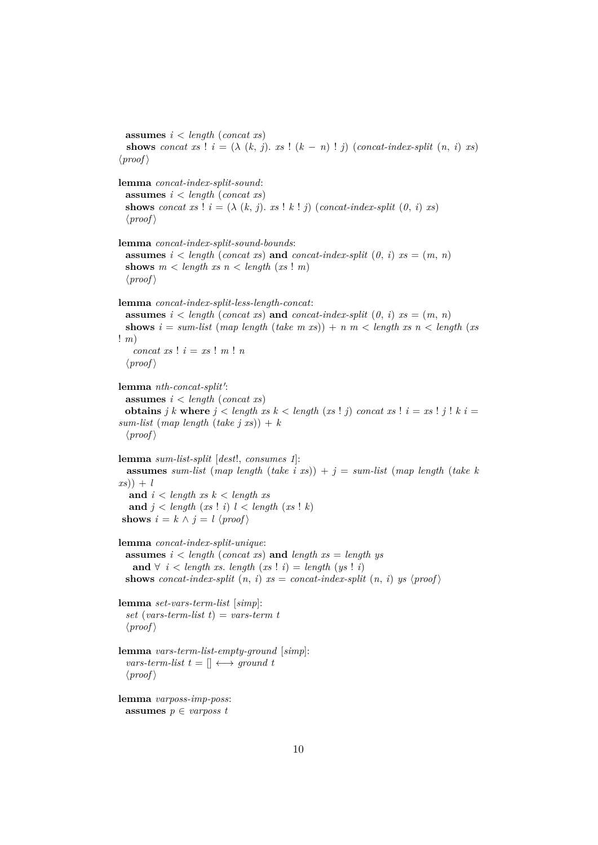**assumes** *i* < *length* (*concat xs*) **shows** *concat xs* !  $i = (\lambda (k, j) \cdot xs \cdot k(n - n)!)$  (*concat-index-split*  $(n, i)$  *xs*)  $\langle proof \rangle$ 

```
lemma concat-index-split-sound:
 assumes i < length (concat xs)
 shows concat xs ! i = (\lambda (k, j) \cdot xs \cdot k!) (concat-index-split (0, i) xs)
  \langle proof \ranglelemma concat-index-split-sound-bounds:
```
**assumes**  $i < length (concat xs)$  **and**  $concat\text{-}index\text{-}split (0, i)$   $xs = (m, n)$ **shows**  $m <$  *length*  $xs$   $n <$  *length*  $(xs! m)$  $\langle proof \rangle$ 

**lemma** *concat-index-split-less-length-concat*:

**assumes**  $i <$  *length* (*concat xs*) **and** *concat-index-split*  $(0, i)$   $xs = (m, n)$ **shows**  $i = sum-list (map length (take m xs)) + n m < length xs n < length (xs)$ ! *m*)  $concat xs$  !  $i = xs$  !  $m$  !  $n$ 

```
\langle proof \rangle
```

```
lemma nth-concat-split':
 assumes i < length (concat xs)
 obtains j k where j < length xs k < length (xs ! j) concat xs ! i = xs ! j ! k i =sum-list \ (map \ length \ (take \ j \ xs)) + k
```

```
\langle proof \rangle
```
**lemma** *sum-list-split* [*dest*!, *consumes 1*]: **assumes** *sum-list* (*map length* (*take i xs*)) +  $j =$  *sum-list* (*map length* (*take k xs*)) + *l* **and** *i* < *length xs k* < *length xs*

```
and j < length (xs ! i) l < length (xs ! k)
shows i = k \land j = l \langle proof \rangle
```

```
lemma concat-index-split-unique:
 assumes i < length (concat xs) and length xs = length ys
   and ∀ i < length xs. length (xs ! i) = length (ys ! i)
 shows concat-index-split (n, i) xs = concat-index-split (n, i) ys \langle proof \rangle
```
**lemma** *set-vars-term-list* [*simp*]: *set* (*vars-term-list t*) = *vars-term t*  $\langle proof \rangle$ 

```
lemma vars-term-list-empty-ground [simp]:
  vars-term-list t = [] \longleftrightarrow ground t
  \langle proof \rangle
```

```
lemma varposs-imp-poss:
 assumes p \in varpost
```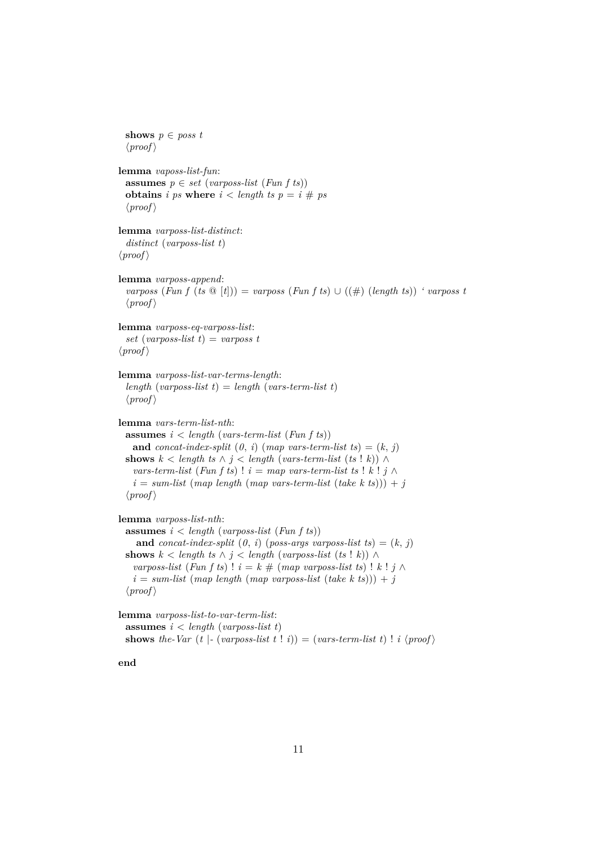```
shows p ∈ poss t
  \langle proof \ranglelemma vaposs-list-fun:
  assumes p \in set \ (varposes-list \ (Fun \ f \ ts))obtains i ps where i < length ts p = i \# ps\langle proof \ranglelemma varposs-list-distinct:
  distinct (varposs-list t)
\langle proof \ranglelemma varposs-append:
  varposs (Fun f (ts \mathcal{Q} [t])) = varposs (Fun f ts) \cup ((#) (length ts)) ' varposs t
  \langle proof \ranglelemma varposs-eq-varposs-list:
  set (varposs-list t) = varposs t
\langle proof \ranglelemma varposs-list-var-terms-length:
  length (varposs-list t) = length (vars-term-list t)
  \langle proof \ranglelemma vars-term-list-nth:
  assumes i < length (vars-term-list (Fun f ts))
   and concat-index-split (0, i) (map vars-term-list ts) = (k, i)shows k \leq \text{length } ts \land i \leq \text{length } (\text{vars-term-list } (ts | k)) \landvars-term-list (Fun f ts) ! i = map \text{ vars-term-list} ts ! k ! j \wedge ji = sum-list (map length (map vars-term-list (take k ts))) + j\langle proof \ranglelemma varposs-list-nth:
  assumes i < length (varposs-list (Fun f ts))
    and concat-index-split (0, i) (poss-args varposs-list ts) = (k, j)shows k < length ts \land j \lt length (varposs-list (ts ! k)) \landvarposs-list (Fun f ts) ! i = k \# (map \ varposs-list \ ts) ! k \mid j \land ji = sum-list (map length (map varposs-list (take k ts))) + j\langle proof \ranglelemma varposs-list-to-var-term-list:
  assumes i < length (varposs-list t)
```
**shows** the-Var  $(t \mid \text{-} (varposs-list t \mid i)) = (vars-term-list t) \mid i \langle proof \rangle$ 

**end**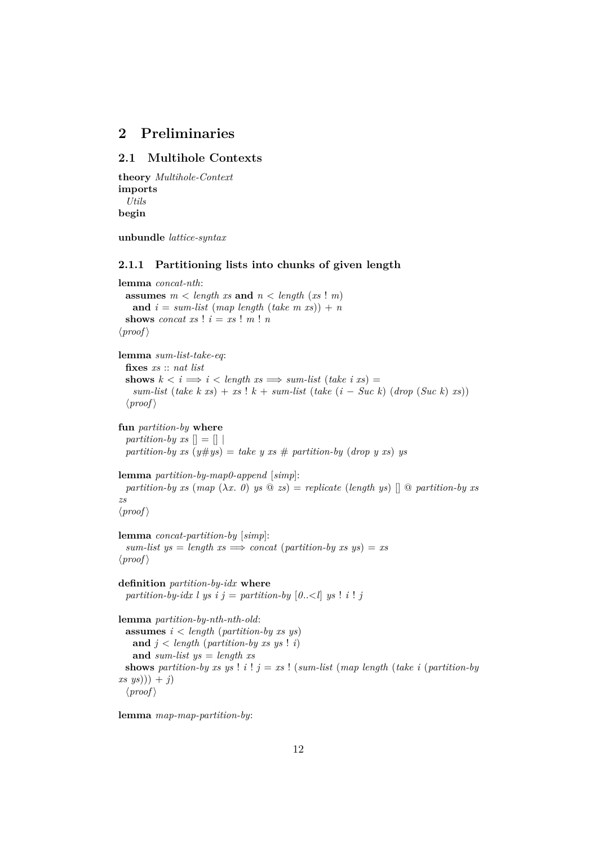# <span id="page-11-0"></span>**2 Preliminaries**

# <span id="page-11-1"></span>**2.1 Multihole Contexts**

```
theory Multihole-Context
imports
 Utils
begin
```
**unbundle** *lattice-syntax*

#### <span id="page-11-2"></span>**2.1.1 Partitioning lists into chunks of given length**

```
lemma concat-nth:
 assumes m < length xs and n < length (xs! m)and i = sum-list (map length (take m xs)) + nshows concat xs ! i = xs ! m ! n\langle proof \ranglelemma sum-list-take-eq:
  fixes xs :: nat list
  shows k \leq i \implies i \leq \text{length} \text{ as } \implies \text{sum-list} (\text{take } i \text{ as}) =sum-list (take k xs) + xs! k + sum-list (take (i - Succ k) (drop (Suc k) xs)\langle proof \ranglefun partition-by where
  partition-by xs \vert \vert = \vert \vertpartition-by xs (y \#ys) = take y \; xs \; \# \; partition-by \; (drop \; y \; xs) \; yslemma partition-by-map0-append [simp]:
 partition-by xs (map (\lambda x. 0) ys \circledcirc zs) = replicate (length ys) \circledcirc \circ partition-by xszs
\langle proof \ranglelemma concat-partition-by [simp]:
  sum-list \, ys = length \, xs \implies concat \, (partition-by \, xs \, ys) = xs\langle proof \rangledefinition partition-by-idx where
  partition-by-idx l ys i j = partition-by [0,-1] ys ! i ! jlemma partition-by-nth-nth-old:
 assumes i < length (partition-by xs ys)
   and j < length (partition-by xs ys ! i)
   and sum-list ys = length xs
 shows partition-by xs ys ! i ! j = xs ! (sum-list (map length (take i (partition-by
(xs \ ys)) + j)
  \langle proof \rangle
```
**lemma** *map-map-partition-by*: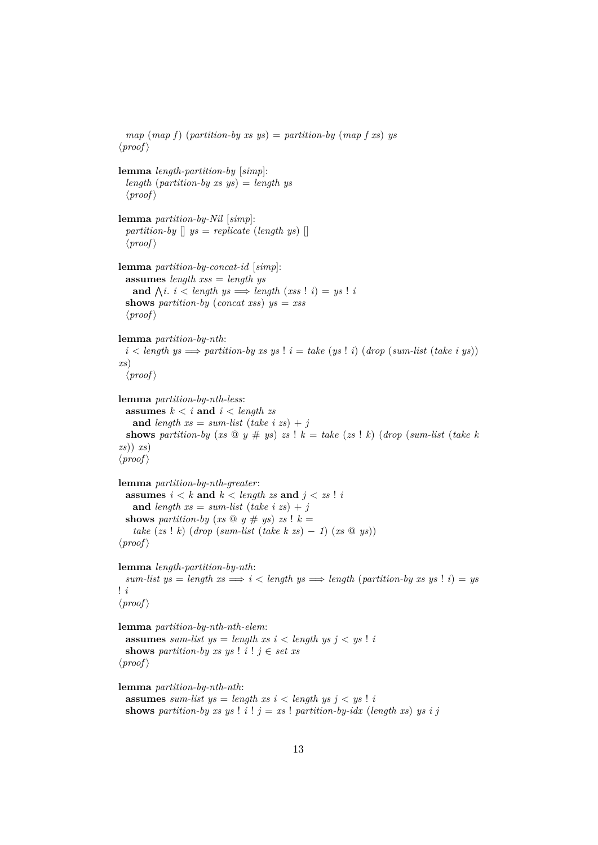```
map (map f) (partition-by xs ys) = partition-by (map f x) ys
\langle proof \ranglelemma length-partition-by [simp]:
 length (partition-by xs ys) = length ys
 \langle proof \ranglelemma partition-by-Nil [simp]:
  partition-by \parallel ys = replicate (length ys) \parallel\langle proof \ranglelemma partition-by-concat-id [simp]:
 assumes length xss = length ys
    and \bigwedge i. i < length ys \implies length (xss \mid i) = ys \mid ishows partition-by (concat xss) ys = xss
  \langle proof \ranglelemma partition-by-nth:
 i < length ys \implies partition-by xs ys ! i = take (ys ! i) (drop (sum-list (take i ys))
xs)
  \langle proof \ranglelemma partition-by-nth-less:
 assumes k < i and i < length zs
   and length xs = sum-list (take i zs) + jshows partition-by (xs \otimes y \neq ys) zs ! k = take (zs \otimes k)(drop (sum-list (take k))zs)) xs)
\langle proof \ranglelemma partition-by-nth-greater:
 assumes i < k and k < length z and j < zs ! i
   and length xs = sum-list (take i zs) + jshows partition-by (xs \tQ y \# ys) zs ! k =take (zs ! k) (drop (sum-list (take k zs) − 1) (xs @ ys))
\langle proof \ranglelemma length-partition-by-nth:
 sum-list \, ys = length \, xs \Longrightarrow i < length \, ys \Longrightarrow length (partition-by \, xs \, ys \, ! \, i) = ys! i
\langle proof \ranglelemma partition-by-nth-nth-elem:
 assumes sum-list ys = length xs i < length ys j < ys !shows partition-by xs ys ! i ! j \in set xs
\langle proof \ranglelemma partition-by-nth-nth:
 assumes sum-list us = length xs i < length ys j < us! ishows partition-by xs ys ! i ! j = xs ! partition-by-idx (length xs) ys i j
```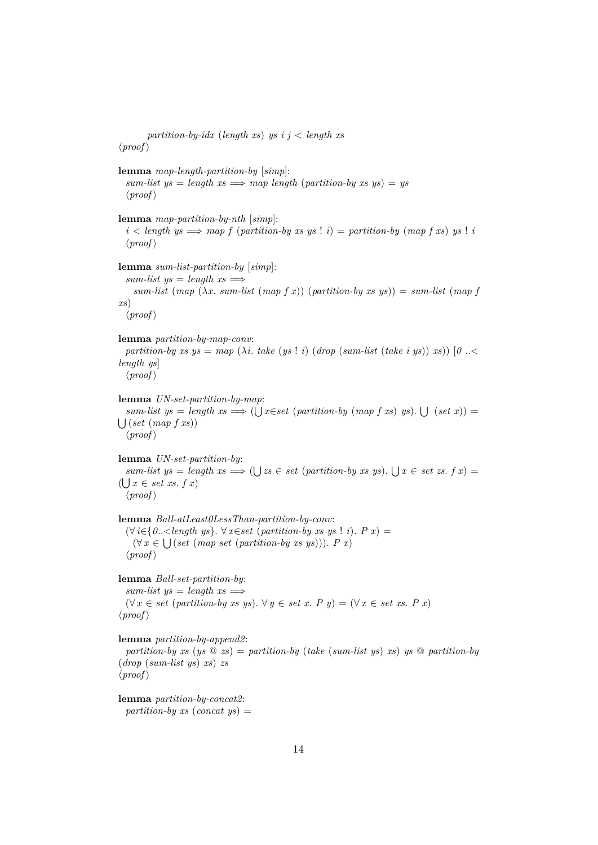*partition-by-idx* (*length xs*) *ys i j* < *length xs*  $\langle proof \rangle$ **lemma** *map-length-partition-by* [*simp*]:  $sum-list \, ys = length \, xs \implies map \, length \, (partition-by \, xs \, ys) = ys$  $\langle proof \rangle$ **lemma** *map-partition-by-nth* [*simp*]:  $i <$  *length*  $ys \implies map f$  (*partition-by xs ys* !  $i$ ) = *partition-by* (*map f xs*)  $ys$  !  $i$  $\langle proof \rangle$ **lemma** *sum-list-partition-by* [*simp*]:  $sum-list \; ys = length \; xs \Longrightarrow$  $sum-list \ (map \ (\lambda x. \ sum-list \ (map f x)) \ (partition-by xs ys)) = sum-list \ (map f x)$ *xs*)  $\langle proof \rangle$ **lemma** *partition-by-map-conv*: *partition-by xs ys = map*  $(\lambda i.$  *take* (*ys* ! *i*) (*drop* (*sum-list* (*take i ys*)) *xs*))  $[0..\le$ *length ys*]  $\langle proof \rangle$ **lemma** *UN-set-partition-by-map*:  $sum-list \ ys = length \ xs \Longrightarrow (\bigcup x \in set \ (partition-by \ (map f \ xs) \ ys). \ \bigcup \ (set \ x)) =$  $\bigcup (set (map f x s))$  $\langle proof \rangle$ **lemma** *UN-set-partition-by*:  $sum-list \ ys = length \ xs \Longrightarrow (\bigcup \ zs \in set \ (partition-by \ xs \ ys). \ \bigcup \ x \in set \ zs. \ f \ x) =$  $(\bigcup x \in set \; xs. \; f \; x)$  $\langle proof \rangle$ **lemma** *Ball-atLeast0LessThan-partition-by-conv*: (∀ *i*∈{*0*..<*length ys*}. ∀ *x*∈*set* (*partition-by xs ys* ! *i*). *P x*) =  $(\forall x \in \bigcup (set (map set (partition-by xs ys))).$  *Px*)  $\langle proof \rangle$ **lemma** *Ball-set-partition-by*:  $sum-list \, ys = length \, xs \Longrightarrow$ (∀ *x* ∈ *set* (*partition-by xs ys*). ∀ *y* ∈ *set x*. *P y*) = (∀ *x* ∈ *set xs*. *P x*)  $\langle proof \rangle$ **lemma** *partition-by-append2*: *partition-by xs* ( $ys \textcircled{a} zs$ ) = *partition-by* (*take* (*sum-list ys*) *xs*) *ys*  $\textcircled{a}$  *partition-by* (*drop* (*sum-list ys*) *xs*) *zs*  $\langle proof \rangle$ **lemma** *partition-by-concat2*: *partition-by xs* (*concat ys*) =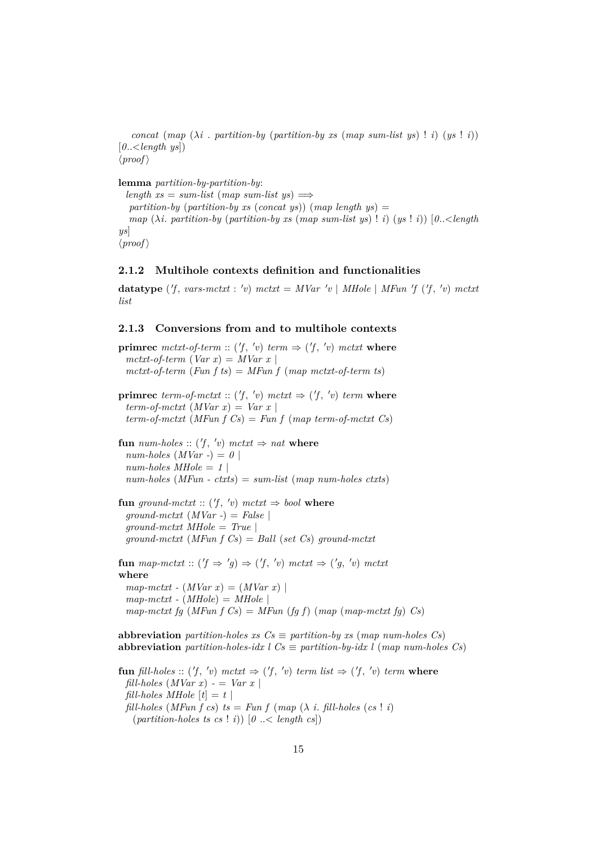*concat* (*map*  $(\lambda i \cdot$  *partition-by* (*partition-by xs* (*map sum-list ys*) ! *i*) (*ys* ! *i*)) [*0*..<*length ys*])  $\langle proof \rangle$ 

**lemma** *partition-by-partition-by*:  $length xs = sum-list (map sum-list vs) \implies$  $partition-by$  (*partition-by xs* (*concat ys*)) (*map length ys*) = *map*  $(\lambda i.$  *partition-by* (*partition-by xs* (*map sum-list ys*) ! *i*)  $(ys \mid i)$   $(0, \leq \leq l$ ength *ys*]  $\langle proof \rangle$ 

### <span id="page-14-0"></span>**2.1.2 Multihole contexts definition and functionalities**

**datatype**  $(f, vars-mctxt : 'v) mctxt = MVar 'v | MHole | MFun 'f (f, 'v) mctxt$ *list*

#### <span id="page-14-1"></span>**2.1.3 Conversions from and to multihole contexts**

**primrec** mctxt-of-term ::  $(f, 'v)$  term  $\Rightarrow$   $(f, 'v)$  mctxt where  $mctxt-of-term (Var x) = MVar x$ *mctxt-of-term* (*Fun f ts*) = *MFun f* (*map mctxt-of-term ts*)

**primrec** *term-of-mctxt* ::  $(f, 'v)$  *mctxt*  $\Rightarrow$   $(f, 'v)$  *term* where  $term-of-mctxt$  (*MVar x*) = *Var x term-of-mctxt* (*MFun f Cs*) = *Fun f* (*map term-of-mctxt Cs*)

 ${\bf f}$ **un**  $num\text{-}holes :: ('f, 'v)$   $mctxt \Rightarrow nat$  **where**  $num\text{-}holes (MVar -) = 0$  $num-holes$   $MHole = 1$ *num-holes* (*MFun - ctxts*) = *sum-list* (*map num-holes ctxts*)

 ${\bf fun}$  ground-mctxt ::  $(f, 'v)$  mctxt  $\Rightarrow$  bool where *ground-mctxt* (*MVar -*) = *False* | *ground-mctxt MHole* = *True* | *ground-mctxt* (*MFun f Cs*) = *Ball* (*set Cs*) *ground-mctxt*

**fun** map-mctxt ::  $(f \Rightarrow 'g) \Rightarrow (f', 'v) \text{ m}ctx t \Rightarrow ('g', 'v) \text{ m}ctx t$ **where**  $map-mctxt$  -  $(MVar x) = (MVar x)$  $map-mctxt$  -  $(MHole) = MHole$  $map-mctxt$  *fg* (*MFun f Cs*) = *MFun* (*fg f*) (*map* (*map-mctxt fg*) *Cs*)

**abbreviation** *partition-holes xs*  $Cs \equiv$  *partition-by xs* (*map num-holes Cs*) **abbreviation** *partition-holes-idx l*  $Cs \equiv$  *partition-by-idx l* (*map num-holes Cs*)

**fun** *fill-holes* :: (*'f*, 'v) *mctxt*  $\Rightarrow$  (*'f*, 'v) *term list*  $\Rightarrow$  (*'f*, 'v) *term* where *fill-holes*  $(MVar x) - Nar x$ *fill-holes MHole*  $[t] = t$ *fill-holes* (*MFun f cs*)  $ts = Fun f (map (\lambda i. \text{ fill-}holes (cs : i))$  $(\text{partition-holes ts cs! i)} \quad [\theta \ldots \leq \text{length cs}]$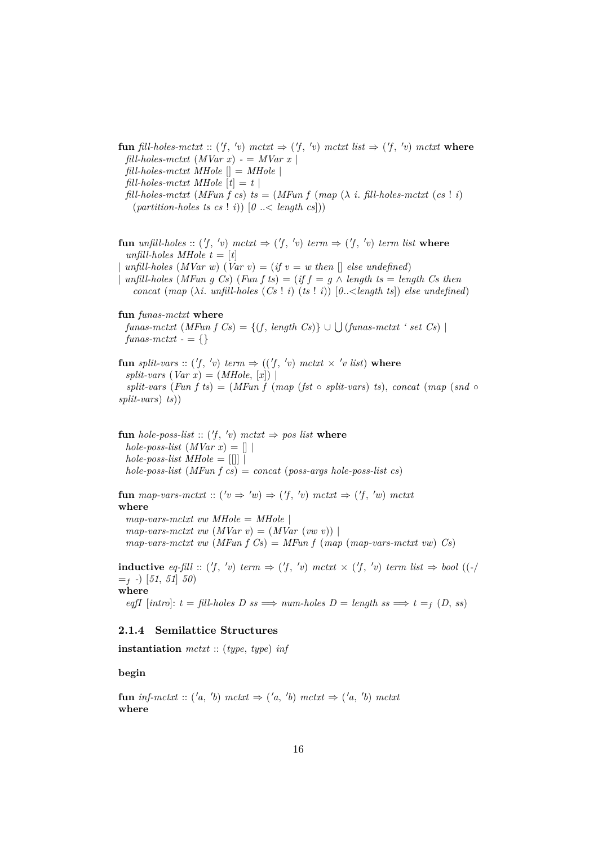**fun** fill-holes-mctxt :: ('f, 'v) mctxt  $\Rightarrow$  ('f, 'v) mctxt list  $\Rightarrow$  ('f, 'v) mctxt where  $\text{full-holes-mctxt} \ (\text{MVar } x) - \text{MVar } x$ *fill-holes-mctxt MHole* [] = *MHole* | *fill-holes-mctxt MHole*  $[t] = t$  $\text{full-holes-mctxt}$  (*MFun f cs*)  $\text{ts} = (M\text{Fun } f \text{ (map } (\lambda \text{ i. fill-holes-mctxt } (cs \mid i))$  $(\text{partition-holes ts cs} \mid i)$   $[0 \mid \leq \text{length cs}$ 

**fun** *unfill-holes* ::  $(f, 'v)$  *mctxt*  $\Rightarrow$   $(f, 'v)$  *term*  $\Rightarrow$   $(f, 'v)$  *term list* **where** *unfill-holes MHole t* =  $[t]$ 

 $unfill-holes (MVar w) (Var v) = (if v = w then [] else undefined)$ 

| *unfill-holes* (*MFun g Cs*) (*Fun f ts*) = (*if f* = *g*  $\land$  *length ts* = *length Cs then concat* (*map* ( $\lambda i$ . *unfill-holes* (*Cs* ! *i*) (*ts* ! *i*)) [0.. < *length ts*]) *else undefined*)

#### **fun** *funas-mctxt* **where**

 $funas-mctxt (MFun f Cs) = \{(f, length Cs)\} \cup \bigcup (funas-mctxt ' set Cs) \mid$  $funas-mctxt - = \{\}$ 

**fun** *split-vars* :: ('f, 'v) *term*  $\Rightarrow$  (('f, 'v) *mctxt*  $\times$  'v *list*) where  $split-vars$  (*Var x*) = (*MHole*, [*x*]) | *split-vars* (*Fun f ts*) = (*MFun f* (*map* (*fst* ◦ *split-vars*) *ts*), *concat* (*map* (*snd* ◦ *split-vars*) *ts*))

**fun** *hole-poss-list* ::  $(f, 'v)$  *mctxt*  $\Rightarrow$  *pos list* **where**  $hole$ -poss-list  $(MVar x) = []$  $hole$ -poss-list  $MHole = \lfloor \lceil \rceil \rceil$ *hole-poss-list* (*MFun f cs*) = *concat* (*poss-args hole-poss-list cs*)

**fun** map-vars-mctxt ::  $(v \Rightarrow 'w) \Rightarrow (f, 'v)$  mctxt  $\Rightarrow (f, 'w)$  mctxt **where**  $map-vars-mctxt$  *vw*  $MHole = MHole$  $map\text{-}vars\text{-}mctxt \, vw \, (MVar \, v) = (MVar \, (vw \, v))$ *map-vars-mctxt vw* (*MFun f Cs*) = *MFun f* (*map* (*map-vars-mctxt vw*) *Cs*)

**inductive** eq-fill :: ('f, 'v) term  $\Rightarrow$  ('f, 'v) mctxt  $\times$  ('f, 'v) term list  $\Rightarrow$  bool ((-)  $=$ f  $\text{-}$ ) [51, 51] 50) **where**

# $eqfI$  [*intro*]:  $t = fill-holes \tD \tss \Rightarrow num-holes \tD = length \tss \Rightarrow t = f(D, ss)$

### <span id="page-15-0"></span>**2.1.4 Semilattice Structures**

**instantiation** *mctxt* :: (*type*, *type*) *inf*

#### **begin**

**fun** inf-mctxt :: ('a, 'b) mctxt  $\Rightarrow$  ('a, 'b) mctxt  $\Rightarrow$  ('a, 'b) mctxt **where**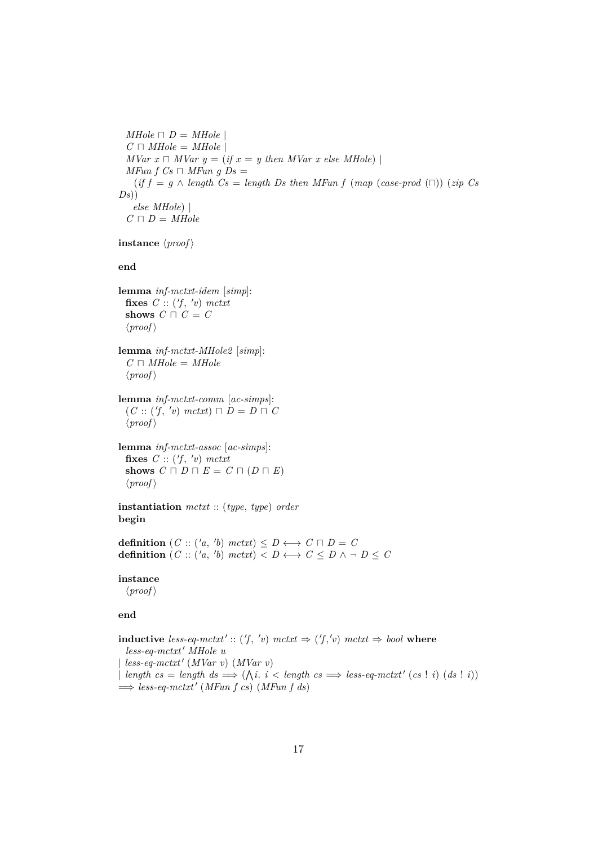```
MHole \sqcap D = MHoleC \sqcap MHole = MHoleMVar x \cap MVar y = (if x = y then MVar x else MHole)MFun f Cs \Box MFun q Ds =
   (if f = g \land length Cs = length Ds then MFun f (map (case-product) (zip Cs)Ds)
   else MHole) |
 C \sqcap D = MHole
```
**instance**  $\langle proof \rangle$ 

**end**

**lemma** *inf-mctxt-idem* [*simp*]: fixes  $C :: ('f, 'v)$  *mctxt* **shows**  $C \sqcap C = C$  $\langle proof \rangle$ 

**lemma** *inf-mctxt-MHole2* [*simp*]:  $C \sqcap MHole = MHole$  $\langle proof \rangle$ 

**lemma** *inf-mctxt-comm* [*ac-simps*]:  $(C:: ('f, 'v) \text{ metxt} ) \sqcap D = D \sqcap C$  $\langle proof \rangle$ 

**lemma** *inf-mctxt-assoc* [*ac-simps*]: fixes  $C :: ('f, 'v)$  *mctxt* **shows**  $C \sqcap D \sqcap E = C \sqcap (D \sqcap E)$  $\langle proof \rangle$ 

**instantiation** *mctxt* :: (*type*, *type*) *order* **begin**

**definition**  $(C:: ('a, 'b) \text{ m}ctxt) \leq D \longleftrightarrow C \sqcap D = C$ **definition**  $(C::('a, 'b) \text{ m}ctxt) < D \leftrightarrow C \leq D \land \neg D \leq C$ 

#### **instance**

 $\langle proof \rangle$ 

#### **end**

**inductive** less-eq-mctxt':: ('f, 'v) mctxt  $\Rightarrow$  ('f,'v) mctxt  $\Rightarrow$  bool where  $less\text{-}eq\text{-}mctxt'$  *MHole u*  $\vert$  *less-eq-mctxt'* (*MVar v*) (*MVar v*)  $\downarrow$  *length cs* = *length ds*  $\implies (\wedge i \cdot i \leq \text{length } cs \implies \text{less-} \text{eq-m} \text{ct} \text{ct}^t \text{ (cs ! i)} (ds ! i))$  $\implies$  *less-eq-mctxt'* (*MFun f cs*) (*MFun f ds*)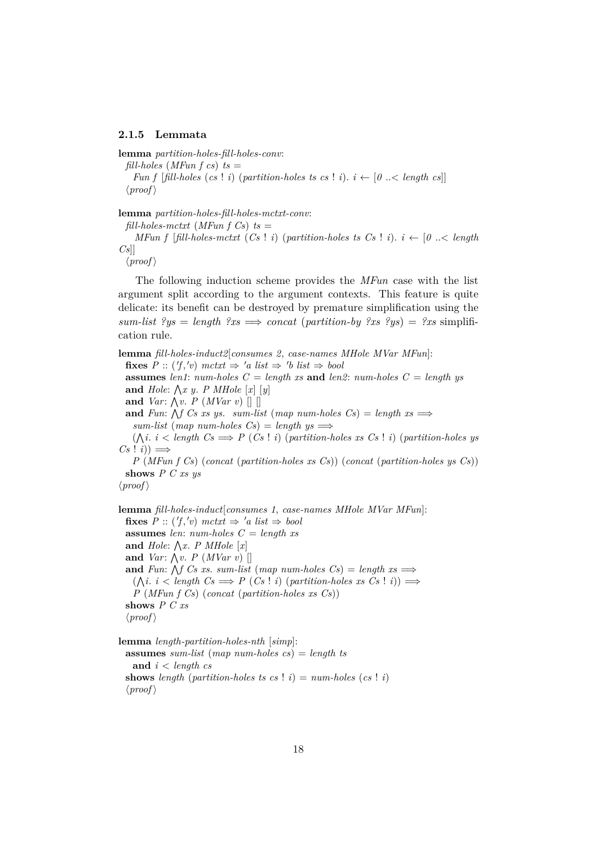#### <span id="page-17-0"></span>**2.1.5 Lemmata**

**lemma** *partition-holes-fill-holes-conv*:

 $\text{full-holes}$  (*MFun*  $f cs$ )  $ts =$ 

*Fun f* [*fill-holes* (*cs* ! *i*) (*partition-holes ts cs* ! *i*).  $i \leftarrow [0 \right] \leq \text{length } c s$ ]  $\langle proof \rangle$ 

**lemma** *partition-holes-fill-holes-mctxt-conv*:

 $\text{full-holes-mctxt}$  (*MFun f Cs*)  $\text{ts} =$ *MFun f* [*fill-holes-mctxt*  $(Cs \mid i)$  (*partition-holes ts*  $Cs \mid i$ ).  $i \leftarrow [0 \right]$ .  $\lt{l}$  *ength Cs*]]

 $\langle proof \rangle$ 

The following induction scheme provides the *MFun* case with the list argument split according to the argument contexts. This feature is quite delicate: its benefit can be destroyed by premature simplification using the  $sum-list$   $?ys = length$   $?xs \implies concat$  (partition-by  $?xs$   $?ys = ?xs$  simplification rule.

**lemma** *fill-holes-induct2*[*consumes 2*, *case-names MHole MVar MFun*]: **fixes**  $P$  :: ('f,'v) mctxt  $\Rightarrow$  'a list  $\Rightarrow$  'b list  $\Rightarrow$  bool **assumes** *len1*:  $num\text{-}holes \ C = length \ xs \ and \ len2: \ num\text{-}holes \ C = length \ ys$ and  $Hole: \bigwedge x \ y$ . *P MHole*  $[x] [y]$ **and** *Var*:  $\bigwedge v$ . *P* (*MVar v*)  $\bigcap$ and *Fun*:  $\bigwedge f$  *Cs xs ys. sum-list* (*map num-holes Cs*) = *length xs*  $\implies$  $sum-list \ (map \ num-holes \ Cs) = length \ vs \Longrightarrow$  $(\bigwedge i \cdot i < \text{length } C \text{s} \Longrightarrow P(C \text{s} \cdot i)$  (*partition-holes xs*  $Cs \cdot i$ ) (*partition-holes ys*  $Cs$  ! *i*))  $\implies$ *P* (*MFun f Cs*) (*concat* (*partition-holes xs Cs*)) (*concat* (*partition-holes ys Cs*)) **shows** *P C xs ys*

 $\langle proof \rangle$ 

**lemma** *fill-holes-induct*[*consumes 1*, *case-names MHole MVar MFun*]: **fixes**  $P :: ('f,'v) \text{ m}ctxt \Rightarrow 'a \text{ list } \Rightarrow \text{ bool}$ **assumes** *len*: *num-holes C* = *length xs* and  $Hole: \bigwedge x$ . *P MHole*  $[x]$ **and** *Var*:  $\bigwedge v$ . *P* (*MVar v*) [] and *Fun*:  $\bigwedge f$  *Cs xs. sum-list* (*map num-holes Cs*) = *length xs*  $\implies$  $(\bigwedge i \in \{length \} \ \mathbb{C}s \implies P \ (Cs \mid i) \ (partition-holes \ xs \ Cs \mid i)) \implies$ *P* (*MFun f Cs*) (*concat* (*partition-holes xs Cs*)) **shows** *P C xs*  $\langle proof \rangle$ 

**lemma** *length-partition-holes-nth* [*simp*]:

**assumes** *sum-list* (*map num-holes cs*) = *length ts* **and** *i* < *length cs* **shows** length (partition-holes ts cs ! *i*) =  $num\text{-}holes$  (*cs* ! *i*)  $\langle proof \rangle$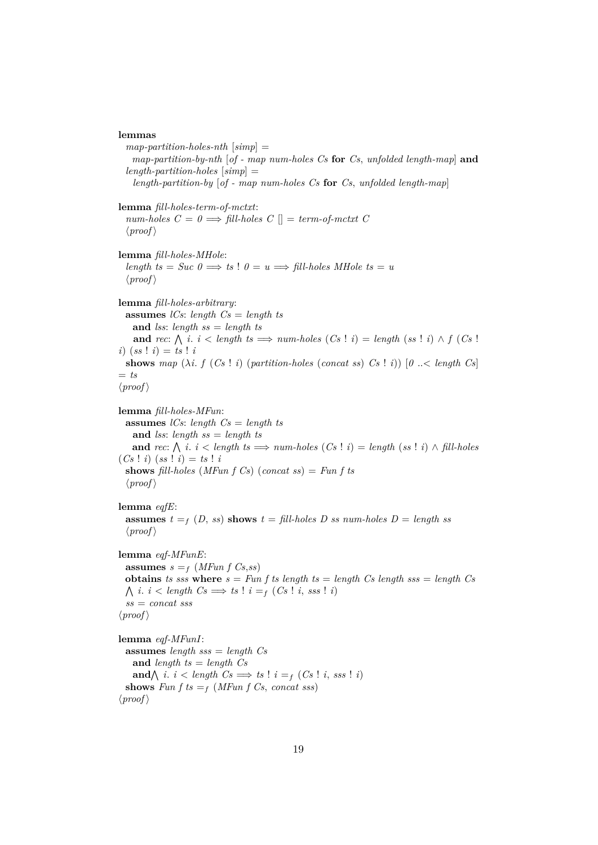#### **lemmas**

```
map-partition-holes-nth [simp] =
   map-partition-by-nth [of - map num-holes Cs for Cs, unfolded length-map] and
  length-partition-holes [simp] =
   length-partition-by [of - map num-holes Cs for Cs, unfolded length-map]
lemma fill-holes-term-of-mctxt:
  num\text{-}holes \, C = 0 \Longrightarrow fill\text{-}holes \, C \, || = term\text{-}of\text{-}mctxt \, C\langle proof \ranglelemma fill-holes-MHole:
  length ts = Suc 0 \implies ts : 0 = u \implies fill-holes MHole ts = u\langle proof \ranglelemma fill-holes-arbitrary:
  assumes lCs: length Cs = length ts
   and lss: length ss = length ts
    and rec: \bigwedge i. i < length ts \implies num-holes (Cs ! i) = length (ss ! i) \wedge f (Cs !
(i) (ss \, | \, i) = ts \, | \, ishows map (\lambda i. f (Cs | i) (partition-holes (concat ss) Cs | i)) [0.11] concatents
= ts
\langle proof \ranglelemma fill-holes-MFun:
  assumes lCs: length Cs = length ts
   and lss: length ss = length ts
    and rec: \bigwedge i. i < length ts \implies num-holes (Cs ! i) = length (ss ! i) ∧ fill-holes
(Cs | i) (ss | i) = ts | ishows fill-holes (MFun f Cs) (concat ss) = Fun f ts
  \langle proof \ranglelemma eqfE:
  assumes t = f(D, ss) shows t = fill-holes \text{ } D \text{ } ss \text{ } num-holes \text{ } D = length \text{ } ss\langle proof \ranglelemma eqf-MFunE:
  assumes s = f (MFun f Cs,ss)
 obtains ts sss where s = Fun f ts length ts = length Cs length sss = length Cs
  \bigwedge i. i < length Cs \Longrightarrow ts ! i = _f (Cs ! i, sss ! i)
  ss = concat sss
\langle proof \ranglelemma eqf-MFunI:
  assumes length sss = length Cs
   and length ts = length Cs
    and\bigwedge i. i < length Cs \Longrightarrow ts ! i = _f (Cs ! i, sss ! i)
  shows Fun f ts =f (MFun f Cs, concat sss)
\langle proof \rangle
```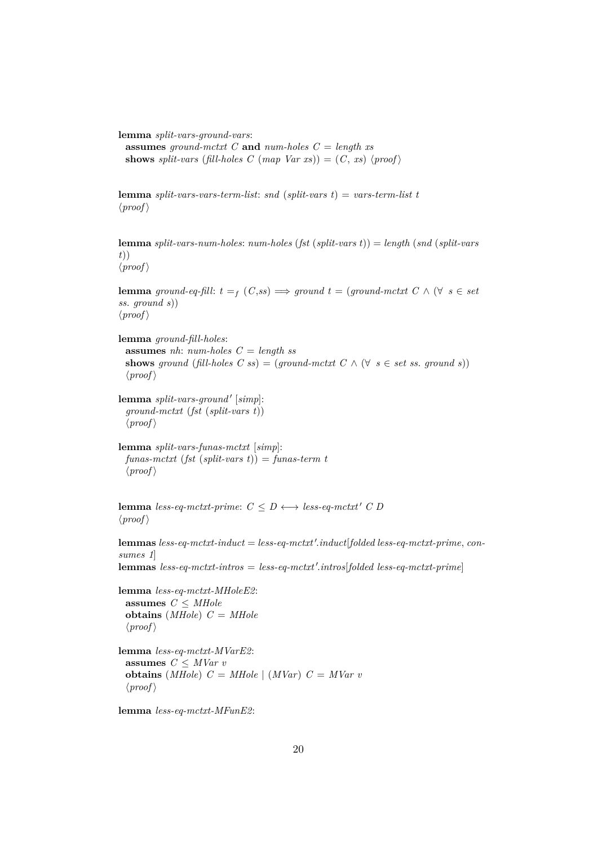**lemma** *split-vars-ground-vars*:

**assumes** *ground-mctxt C* **and** *num-holes C* = *length xs* **shows** *split-vars* (*fill-holes C* (*map*  $Var xs$ )) = (*C*, *xs*)  $\langle proof \rangle$ 

**lemma** *split-vars-vars-term-list*: *snd* (*split-vars t*) = *vars-term-list t*  $\langle proof \rangle$ 

**lemma** *split-vars-num-holes*: *num-holes* (*fst* (*split-vars t*)) = *length* (*snd* (*split-vars t*))  $\langle proof \rangle$ 

**lemma** *ground-eq-fill*:  $t = f$   $(C,ss) \implies$  *ground*  $t = (ground-mctxt C \wedge (\forall s \in set$ *ss*. *ground s*))  $\langle proof \rangle$ 

**lemma** *ground-fill-holes*: **assumes** *nh*: *num-holes C* = *length ss* **shows** ground (*fill-holes*  $C$  *ss*) = (*ground-mctxt*  $C \wedge (\forall s \in set \text{ss. ground s})$ )  $\langle proof \rangle$ 

 $l$ emma *split-vars-ground'* [simp]: *ground-mctxt* (*fst* (*split-vars t*))  $\langle proof \rangle$ 

**lemma** *split-vars-funas-mctxt* [*simp*]: *funas-mctxt* (*fst* (*split-vars t*)) = *funas-term t*  $\langle proof \rangle$ 

**lemma** *less-eq-mctxt-prime*:  $C \leq D \leftrightarrow less\text{-}eq\text{-}mctx$ <sup>*t'*</sup>  $C$ </sub>  $D$  $\langle proof \rangle$ 

 ${\bf lemma}$   $less\text{-} eq\text{-}metxt\text{-}induct = less\text{-} eq\text{-}metxt'.induct[folded less\text{-} eq\text{-}metxt\text{-}prime, con-\text{-}elut$ *sumes 1*]

 ${\bf lemmas}$   $less\text{-}eq\text{-}mctxt\text{-}intros = less\text{-}eq\text{-}mctxt'.intros[folded less\text{-}eq\text{-}mctxt\text{-}prime]$ 

**lemma** *less-eq-mctxt-MHoleE2*: **assumes**  $C \leq MHole$ **obtains** (*MHole*) *C* = *MHole*  $\langle proof \rangle$ 

**lemma** *less-eq-mctxt-MVarE2*: **assumes** *C* ≤ *MVar v* **obtains** (*MHole*)  $C = MHole$  | (*MVar*)  $C = MVar$  *v*  $\langle proof \rangle$ 

**lemma** *less-eq-mctxt-MFunE2*: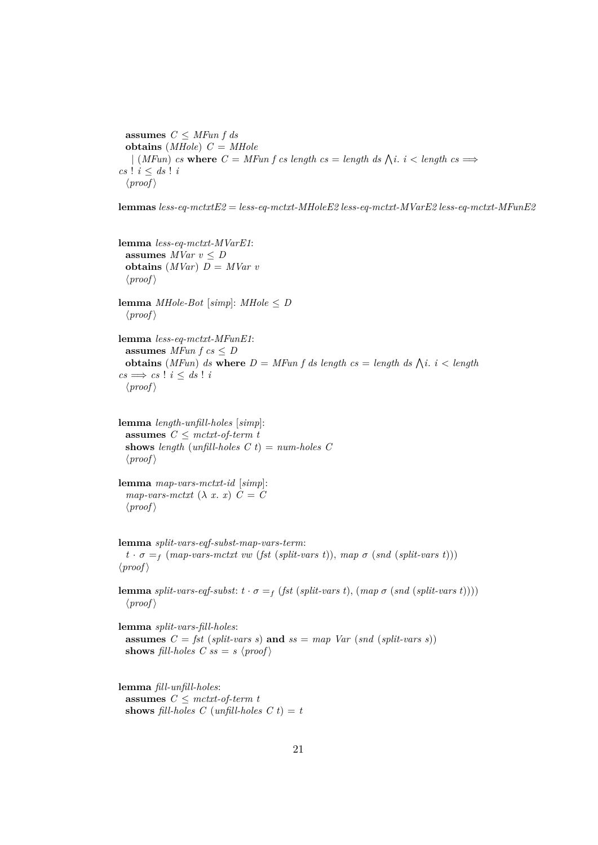**assumes**  $C \leq MFun f ds$ **obtains** (*MHole*) *C* = *MHole*  $\left| \right. (MFun) \text{ is where } C = MFun \text{ is length as } = \text{length } ds \text{ is } i < \text{length } cs \implies$  $cs$  !  $i < ds$  !  $i$  $\langle proof \rangle$ 

**lemmas** *less-eq-mctxtE2* = *less-eq-mctxt-MHoleE2 less-eq-mctxt-MVarE2 less-eq-mctxt-MFunE2*

**lemma** *less-eq-mctxt-MVarE1*: **assumes**  $MVar v \leq D$ **obtains**  $(MVar)$   $D = MVar$  *v*  $\langle proof \rangle$ 

**lemma** *MHole-Bot* [ $simp$ ]: *MHole*  $\leq D$  $\langle proof \rangle$ 

**lemma** *less-eq-mctxt-MFunE1*: **assumes** *MFun*  $f cs \le D$ **obtains** (*MFun*) *ds* where  $D = MFun f ds$  *length cs* = *length ds*  $\bigwedge i$ . *i* < *length*  $cs \implies cs$  !  $i \leq ds$  !  $i$  $\langle proof \rangle$ 

**lemma** *length-unfill-holes* [*simp*]: **assumes** *C* ≤ *mctxt-of-term t* **shows** *length* (*unfill-holes*  $C t$ ) =  $num-holes$   $C$  $\langle proof \rangle$ 

**lemma** *map-vars-mctxt-id* [*simp*]:  $map\text{-}vars\text{-}metxt$   $(\lambda x. x)$   $C = C$  $\langle proof \rangle$ 

**lemma** *split-vars-eqf-subst-map-vars-term*:  $t \cdot \sigma = f$  (*map-vars-mctxt vw* (*fst* (*split-vars t*)), *map*  $\sigma$  (*snd* (*split-vars t*)))  $\langle proof \rangle$ 

**lemma** *split-vars-eqf-subst:*  $t \cdot \sigma = f (fst (split-vars t), (map \sigma (snd (split-vars t))))$  $\langle proof \rangle$ 

**lemma** *split-vars-fill-holes*: **assumes**  $C = \text{fst}$  (*split-vars s*) **and**  $ss = \text{map}$  Var (*snd* (*split-vars s*)) **shows** *fill-holes*  $C$  *ss* = *s*  $\langle proof \rangle$ 

**lemma** *fill-unfill-holes*: **assumes** *C* ≤ *mctxt-of-term t* **shows** *fill-holes*  $C$  (*unfill-holes*  $C$   $t$ ) =  $t$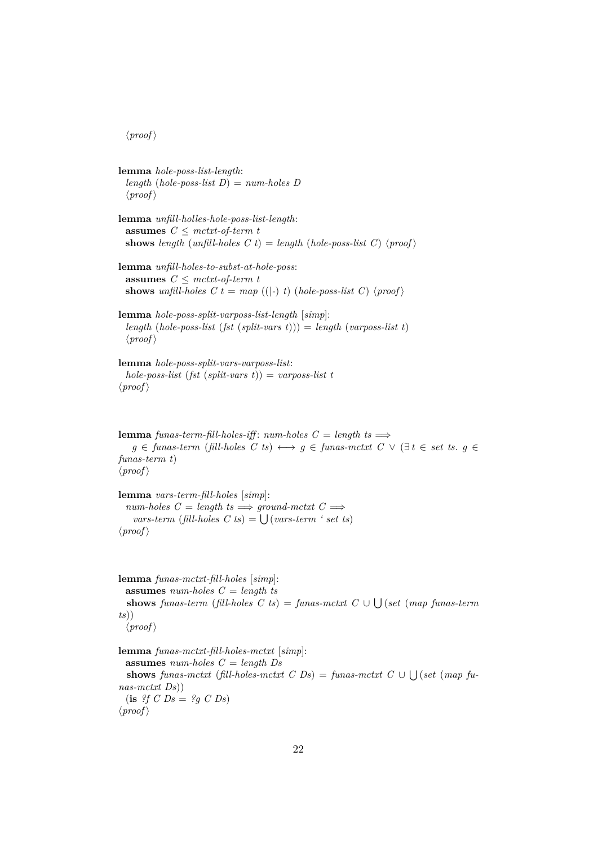$\langle proof \rangle$ 

**lemma** *hole-poss-list-length*: *length* (*hole-poss-list D*) = *num-holes D*  $\langle proof \rangle$ 

**lemma** *unfill-holles-hole-poss-list-length*: **assumes** *C* ≤ *mctxt-of-term t* **shows** *length* (*unfill-holes*  $C$ *t*) = *length* (*hole-poss-list*  $C$ ) (*proof*)

**lemma** *unfill-holes-to-subst-at-hole-poss*: **assumes**  $C \leq mctxt$ -of-term t **shows** *unfill-holes*  $C t = map ((|-) t) (hole-poss-list C) (proof)$ 

**lemma** *hole-poss-split-varposs-list-length* [*simp*]: *length* (*hole-poss-list* (*fst* (*split-vars t*))) = *length* (*varposs-list t*)  $\langle proof \rangle$ 

**lemma** *hole-poss-split-vars-varposs-list*: *hole-poss-list* (*fst* (*split-vars t*)) = *varposs-list t*  $\langle proof \rangle$ 

**lemma** *funas-term-fill-holes-iff*:  $num-holes$  *C* = *length ts*  $\implies$ *g* ∈ *funas-term* (*fill-holes C ts*)  $\longleftrightarrow$  *g* ∈ *funas-mctxt C*  $\vee$  ( $\exists$ *t* ∈ *set ts*. *q* ∈ *funas-term t*)  $\langle proof \rangle$ 

**lemma** *vars-term-fill-holes* [*simp*]:  $num\text{-}holes C = length ts \implies ground\text{-}mctxt C \implies$  $vars-term$  (*fill-holes C ts*) =  $\bigcup (vars-term$  ' set ts)  $\langle proof \rangle$ 

**lemma** *funas-mctxt-fill-holes* [*simp*]: **assumes** *num-holes C* = *length ts* **shows** *funas-term* (*fill-holes*  $C$  *ts*) = *funas-mctxt*  $C \cup \bigcup (set (map \; \text{funas-term})$ *ts*))  $\langle proof \rangle$ 

**lemma** *funas-mctxt-fill-holes-mctxt* [*simp*]: **assumes** *num-holes C* = *length Ds* **shows** *funas-mctxt* (*fill-holes-mctxt*  $C$   $Ds$ ) = *funas-mctxt*  $C \cup \bigcup (set (map fu$ *nas-mctxt Ds*))  $(i\mathbf{s}$  *?f C Ds* = *?g C Ds*)  $\langle proof \rangle$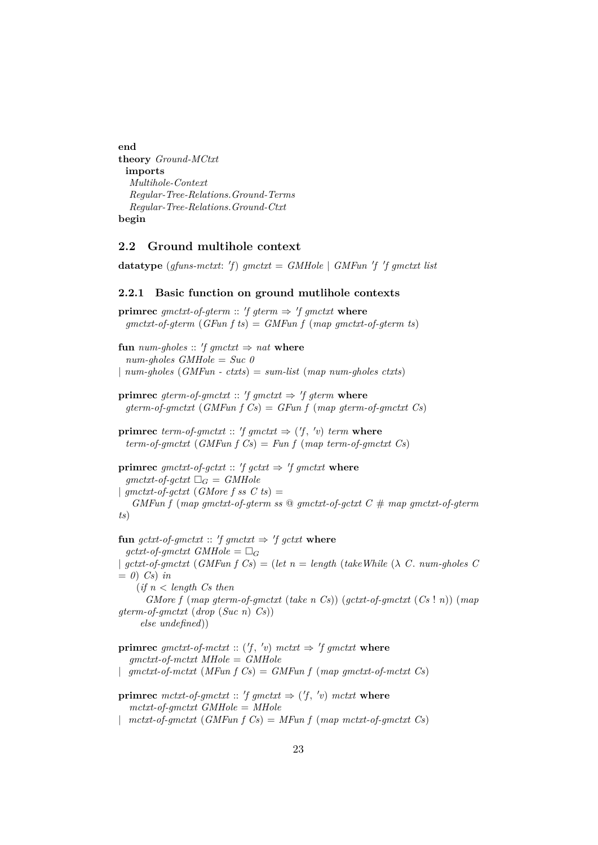**end theory** *Ground-MCtxt* **imports** *Multihole-Context Regular-Tree-Relations*.*Ground-Terms Regular-Tree-Relations*.*Ground-Ctxt* **begin**

#### <span id="page-22-0"></span>**2.2 Ground multihole context**

**datatype** (*gfuns-mctxt:* 'f)  $gmetxt = GMHole$  |  $GMFun$  'f 'f  $gmetxt$  list

#### <span id="page-22-1"></span>**2.2.1 Basic function on ground mutlihole contexts**

**primrec** gmctxt-of-gterm :: 'f gterm  $\Rightarrow$  'f gmctxt where *gmctxt-of-gterm* (*GFun f ts*) = *GMFun f* (*map gmctxt-of-gterm ts*) **fun** *num-gholes* ::  $'f$  *gmctxt*  $\Rightarrow$  *nat* **where** *num-gholes GMHole* = *Suc 0* | *num-gholes* (*GMFun - ctxts*) = *sum-list* (*map num-gholes ctxts*) **primrec** gterm-of-gmctxt :: 'f gmctxt  $\Rightarrow$  'f gterm where *gterm-of-gmctxt* (*GMFun f Cs*) = *GFun f* (*map gterm-of-gmctxt Cs*) **primrec** *term-of-gmctxt* ::  $'f$  *gmctxt*  $\Rightarrow$   $('f, 'v)$  *term* where *term-of-gmctxt* (*GMFun f Cs*) = *Fun f* (*map term-of-gmctxt Cs*) **primrec** gmctxt-of-gctxt :: 'f gctxt  $\Rightarrow$  'f gmctxt where  $gmtxt-of-gctxt$   $\Box_G = \text{GMHole}$ |  $g$ mctxt-of-gctxt (*GMore f ss C ts*) = *GMFun f* (*map gmctxt-of-gterm ss* @ *gmctxt-of-gctxt C* # *map gmctxt-of-gterm ts*) fun gctxt-of-gmctxt ::  $'f$  gmctxt  $\Rightarrow$   $'f$  gctxt where  $qctxt-of-qmctxt$  GMHole =  $\Box_G$  $\int$  *gctxt-of-gmctxt* (*GMFun f Cs*) = (*let n* = *length* (*takeWhile* ( $\lambda$  *C*. *num-gholes C*  $= 0$ ) *Cs*) *in* (*if n* < *length Cs then*

*GMore f* (*map gterm-of-gmctxt* (*take n Cs*)) (*gctxt-of-gmctxt* (*Cs* ! *n*)) (*map gterm-of-gmctxt* (*drop* (*Suc n*) *Cs*)) *else undefined*))

**primrec** gmctxt-of-mctxt ::  $(f, 'v)$  mctxt  $\Rightarrow 'f$  gmctxt where *gmctxt-of-mctxt MHole* = *GMHole* | *gmctxt-of-mctxt* (*MFun f Cs*) = *GMFun f* (*map gmctxt-of-mctxt Cs*)

**primrec** mctxt-of-gmctxt :: 'f gmctxt  $\Rightarrow$  ('f, 'v) mctxt where *mctxt-of-gmctxt GMHole* = *MHole*

| *mctxt-of-gmctxt* (*GMFun f Cs*) = *MFun f* (*map mctxt-of-gmctxt Cs*)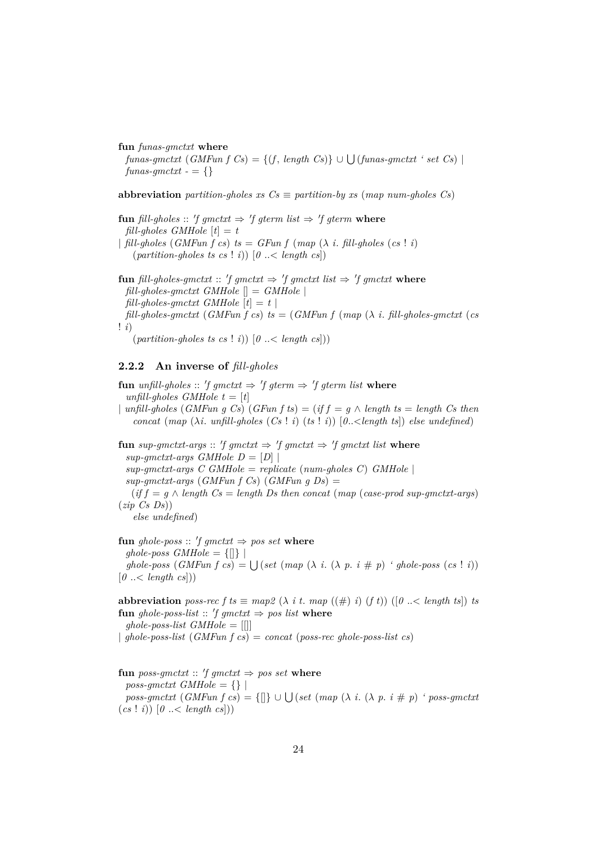#### **fun** *funas-gmctxt* **where**

 $funas-gmctxt$  (*GMFun f Cs*) = {(*f*, *length Cs*)} ∪  $\bigcup$  (*funas-gmctxt ' set Cs*) |  $funas\text{-}qmctxt - = \{\}$ 

**abbreviation** *partition-gholes xs*  $Cs \equiv$  *partition-by xs* (*map num-gholes Cs*)

**fun** *fill-gholes* :: 'f gmctxt  $\Rightarrow$  'f gterm list  $\Rightarrow$  'f gterm where  $fill-choles\ GMHole$   $[t] = t$ |  $\int$ *fill-gholes* (*GMFun f cs*)  $ts = GFun f (map (\lambda i. \text{ fill-*gholes* (cs ! i))$  ${\text{(partition-gholes ts cs ! i)}} \quad [0 \ldots {\text{length cs}}]$ 

**fun** *fill-gholes-gmctxt* :: 'f gmctxt  $\Rightarrow$  'f gmctxt list  $\Rightarrow$  'f gmctxt where *fill-gholes-gmctxt GMHole* [] = *GMHole* | *fill-gholes-gmctxt GMHole*  $[t] = t$  $f\ddot{i}$ *fill-gholes-gmctxt* (*GMFun f cs*)  $t\ddot{s} = (GMFun f (map (\lambda i, \text{fill-}gholes\text{-}gmetxt (cs$ ! *i*)

 $(\text{partition-gholes is cs} : i) \mid 0 \leq \text{length cs}$ 

# <span id="page-23-0"></span>**2.2.2 An inverse of** *fill-gholes*

 ${\bf fun}$  *unfill-gholes* :: 'f gmctxt  $\Rightarrow$  'f gterm  $\Rightarrow$  'f gterm list where *unfill-gholes GMHole t* =  $[t]$ | *unfill-gholes* (*GMFun g Cs*) (*GFun f ts*) = (*if f* = *g* ∧ *length ts* = *length Cs then concat* (*map* ( $\lambda i$ . *unfill-gholes* ( $Cs$ ! *i*) ( $ts$ ! *i*)) [ $0$ .. < *length* ts]) *else undefined*) **fun**  $sup\text{-}gmctxt\text{-}args :: 'f gmctxt \Rightarrow 'f gmctxt \Rightarrow 'f gmctxt list \text{ where }$  $sup\text{-}qmctxt\text{-}args\text{ }GMHole\text{ }D = [D]$ *sup-gmctxt-args C GMHole* = *replicate* (*num-gholes C*) *GMHole* | *sup-gmctxt-args* (*GMFun f Cs*) (*GMFun g Ds*) =  $(if f = g \wedge length \textit{Cs} = length \textit{Ds} then \textit{concat} (\textit{map} (\textit{case-prod} \textit{sup-quant} \textit{at} \textit{args}))$ (*zip Cs Ds*)) *else undefined*)  $\textbf{fun}$  ghole-poss :: 'f gmctxt  $\Rightarrow$  pos set where  $ghole-poss$  *GMHole* =  $\{[] \}$  $ghole-poss$  (*GMFun f cs*) =  $\bigcup (set (map (\lambda i. (\lambda p. i \# p)$  *' ghole-poss* (*cs* ! *i*))

 $[0 \dots < \text{length } \text{cs}])$ 

**abbreviation** *poss-rec f ts*  $\equiv$  *map*2 ( $\lambda$  *i t*. *map* (( $\#$ ) *i*) ( $f$ *t*)) ( $[0 \ldots \leq \text{length } t s]$ ) *ts*  ${\bf fun}$  ghole-poss-list :: 'f gmctxt  $\Rightarrow$  pos list where *ghole-poss-list GMHole* = [[]] | *ghole-poss-list* (*GMFun f cs*) = *concat* (*poss-rec ghole-poss-list cs*)

 ${\bf fun}$  *poss-gmctxt* :: 'f gmctxt  $\Rightarrow$  pos set where  $poss\text{-}gmctxt \text{ } GMHole = \{\} |$  $poss\text{-}gmetxt \ (GMFun\ f\ cs) = \{\text{[]}\}\cup \bigcup (set\ (map\ (\lambda\ i\ \ (\lambda\ p\ i\ \# \ p)\ 'poss\text{-}gmetxt$  $(c s ! i)$   $[0 \dots < length cs])$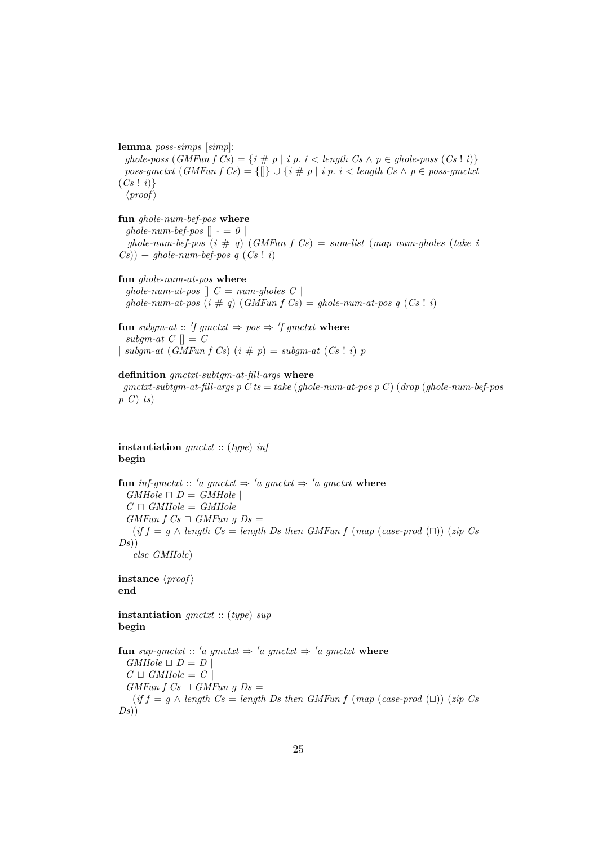**lemma** *poss-simps* [*simp*]:

*ghole-poss*  $(GMFun f Cs) = {i \# p | i p. i < length Cs \land p \in ghole-poss (Cs ! i)}$  $poss\text{-}gmetxt \text{ } (GMFun f\text{ } Cs) = \{[] \} \cup \{i \# p \mid i \ p \text{ } i < length \text{ } Cs \land p \in poss\text{-}gmetxt$  $(Cs | i)$  $\langle proof \rangle$ 

**fun** *ghole-num-bef-pos* **where**

 $ghole-num-bef-pos$   $\vert \vert - = 0 \vert$ *ghole-num-bef-pos* (*i* # *q*) (*GMFun f Cs*) = *sum-list* (*map num-gholes* (*take i*  $(Cs)$ ) +  $ghole-number\text{-}pos q (Cs \mid i)$ 

#### **fun** *ghole-num-at-pos* **where**

*ghole-num-at-pos*  $\left[ \right]$   $C = num\text{-}gholes$   $C$ *ghole-num-at-pos*  $(i \# q)$   $(GMFun f Cs) = ghole-num-at-pos q$   $(Cs \mid i)$ 

**fun** subgm-at :: 'f gmctxt  $\Rightarrow$  pos  $\Rightarrow$  'f gmctxt where *subgm-at*  $C \parallel C$ | *subgm-at*  $(GMFun f Cs)$   $(i \# p) = subgm-at (Cs \mid i) p$ 

#### **definition** *gmctxt-subtgm-at-fill-args* **where**

*gmctxt-subtgm-at-fill-args p C ts* = *take* (*ghole-num-at-pos p C*) (*drop* (*ghole-num-bef-pos p C*) *ts*)

### **instantiation** *gmctxt* :: (*type*) *inf* **begin**

**fun** inf-gmctxt :: 'a gmctxt  $\Rightarrow$  'a gmctxt  $\Rightarrow$  'a gmctxt where  $GMHole \sqcap D = GMHole$  $C \sqcap GMHole = GMHole$  $GMFun f Cs \sqcap GMFun g Ds =$  $(if f = g \wedge length Cs = length Ds then GMFun f (map (case-product \cap)) (zip Cs)$ *Ds*)) *else GMHole*)

**instance**  $\langle proof \rangle$ **end**

**instantiation** *gmctxt* :: (*type*) *sup* **begin**

**fun** *sup-qmctxt* :: '*a qmctxt*  $\Rightarrow$  '*a qmctxt*  $\Rightarrow$  '*a qmctxt* **where**  $GMHole \sqcup D = D$  $C \sqcup \mathit{GMHole} = C$  $GMFun f Cs \sqcup GMFun g Ds =$  $(if f = q \land length Cs = length Ds then GMFun f (map (case-prod (L))) (zip Cs)$ *Ds*))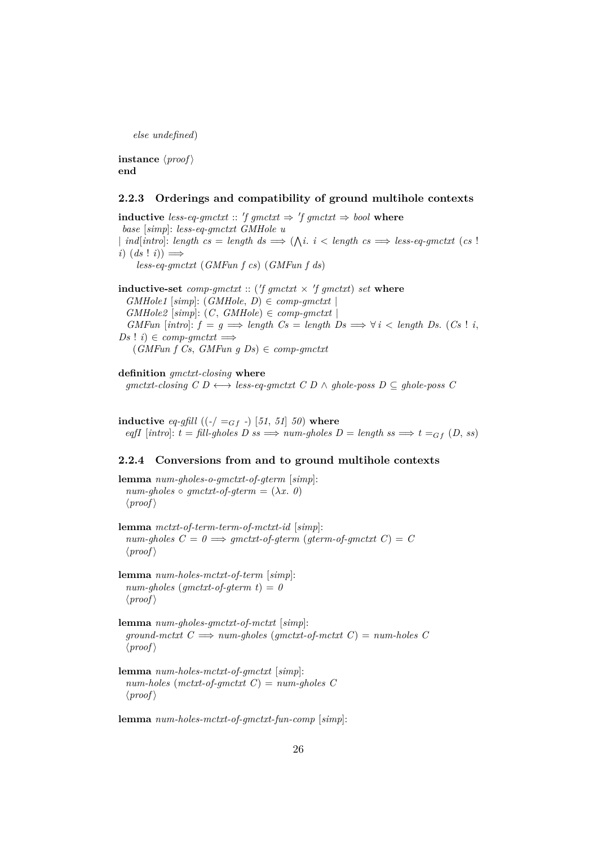*else undefined*)

**instance**  $\langle proof \rangle$ **end**

#### <span id="page-25-0"></span>**2.2.3 Orderings and compatibility of ground multihole contexts**

**inductive** less-eq-gmctxt :: 'f gmctxt  $\Rightarrow$  'f gmctxt  $\Rightarrow$  bool where *base* [*simp*]: *less-eq-gmctxt GMHole u* | *ind*[*intro*]: *length cs* = *length ds*  $\implies (\bigwedge i \cdot i <$  *length cs*  $\implies$  *less-eq-gmctxt* (*cs* !)  $i)$   $(ds$  !  $i)$   $\implies$ *less-eq-gmctxt* (*GMFun f cs*) (*GMFun f ds*)

**inductive-set** comp-gmctxt :: ( $'f$  gmctxt  $\times$   $'f$  gmctxt) set where  $GMHole1$  [ $simp$ ]:  $(GMHole, D) \in comp\text{-}qmctxt$  $GMHole2$  [ $simp$ ]:  $(C, GMHole) \in comp\text{-}qmctxt$ *GMFun*  $inticif = g \implies length Cs = length Ds \implies \forall i < length Ds$ . (*Cs* ! *i*,  $Ds$  ! *i*)  $\in$  *comp-qmctxt*  $\Longrightarrow$ (*GMFun f Cs*, *GMFun g Ds*) ∈ *comp-gmctxt*

**definition** *gmctxt-closing* **where**  $gmetxt-closing C D \longleftrightarrow less-equ-mctxt C D \wedge ghole-poss D \subseteq ghole-poss C$ 

**inductive** *eq-gfill* ((*-*/ =Gf *-*) [*51*, *51*] *50*) **where**  $eqfI$  [*intro*]:  $t = fill$ -gholes  $D$  ss  $\implies$  *num-gholes*  $D = length$  ss  $\implies$   $t =_{Gf} (D, ss)$ 

## <span id="page-25-1"></span>**2.2.4 Conversions from and to ground multihole contexts**

**lemma** *num-gholes-o-gmctxt-of-gterm* [*simp*]:  $num-gholes \circ qmctxt-of-germ = (\lambda x. 0)$  $\langle proof \rangle$ 

**lemma** *mctxt-of-term-term-of-mctxt-id* [*simp*]:  $num-gholes \ C = 0 \Longrightarrow gmctxt-of-gterm (gterm-of-gmctxt C) = C$  $\langle proof \rangle$ 

**lemma** *num-holes-mctxt-of-term* [*simp*]:  $num-gholes$  ( $gmetxt-of-gterm$  t) = 0  $\langle proof \rangle$ 

**lemma** *num-gholes-gmctxt-of-mctxt* [*simp*]:  $ground-mctxt$   $C \implies num-ghosts$  ( $qmetxt-of-mctxt$   $C$ ) =  $num-holes$   $C$  $\langle proof \rangle$ 

**lemma** *num-holes-mctxt-of-gmctxt* [*simp*]: *num-holes* (*mctxt-of-gmctxt C*) = *num-gholes C*  $\langle proof \rangle$ 

**lemma** *num-holes-mctxt-of-gmctxt-fun-comp* [*simp*]: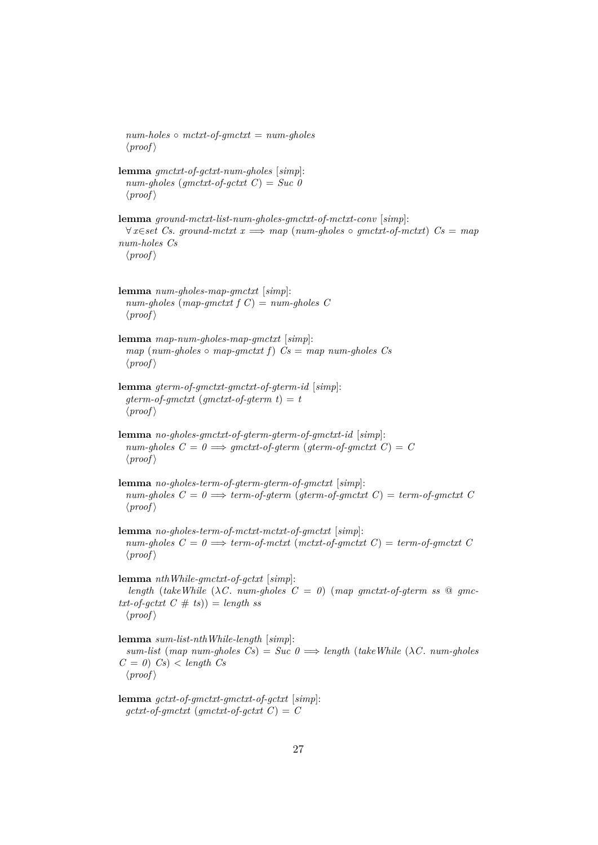*num-holes* ◦ *mctxt-of-gmctxt* = *num-gholes*  $\langle proof \rangle$ **lemma** *gmctxt-of-gctxt-num-gholes* [*simp*]: *num-gholes* (*gmctxt-of-gctxt C*) = *Suc 0*  $\langle proof \rangle$ **lemma** *ground-mctxt-list-num-gholes-gmctxt-of-mctxt-conv* [*simp*]: ∀ *x*∈*set Cs*. *ground-mctxt x* =⇒ *map* (*num-gholes* ◦ *gmctxt-of-mctxt*) *Cs* = *map num-holes Cs*  $\langle proof \rangle$ **lemma** *num-gholes-map-gmctxt* [*simp*]: *num-gholes* (*map-gmctxt f C*) = *num-gholes C*  $\langle proof \rangle$ **lemma** *map-num-gholes-map-gmctxt* [*simp*]:  $map (num-gholes \circ map-gnctxt f)$   $Cs = map num-gholes$   $Cs$  $\langle proof \rangle$ **lemma** *gterm-of-gmctxt-gmctxt-of-gterm-id* [*simp*]:  $gterm-of-gmctxt$  ( $gmetxt-of-gterm$  t) = t  $\langle proof \rangle$ **lemma** *no-gholes-gmctxt-of-gterm-gterm-of-gmctxt-id* [*simp*]:  $num\text{-}gholes \ C = 0 \Longrightarrow qmctxt\text{-}of\text{-}qterm (qterm\text{-}of\text{-}qmctxt \ C) = C$  $\langle proof \rangle$ **lemma** *no-gholes-term-of-gterm-gterm-of-gmctxt* [*simp*]:  $num\text{-}gholes \, C = 0 \Longrightarrow \text{term-of-}gterm \, (gterm\text{-}of\text{-}gmetx \, C) = \text{term-of-}gmetx \, C$  $\langle proof \rangle$ **lemma** *no-gholes-term-of-mctxt-mctxt-of-gmctxt* [*simp*]:  $num\text{-}gholes \, C = 0 \Longrightarrow \text{term-of-mctxt} \, (metxt\text{-}of\text{-}gmetxt \, C) = \text{term-of-gmctxt} \, C$  $\langle proof \rangle$ **lemma** *nthWhile-gmctxt-of-gctxt* [*simp*]: *length* (*takeWhile* ( $\lambda C$ . *num-gholes*  $C = 0$ ) (*map gmctxt-of-gterm ss*  $\mathcal{Q}$  *gmc* $txt-of-gctxt C # ts)) = length ss$  $\langle proof \rangle$ **lemma** *sum-list-nthWhile-length* [*simp*]:  $sum-list$  (*map num-gholes*  $Cs$ ) =  $Suc$   $0 \implies length$  (*takeWhile* ( $\lambda C$ *, num-gholes*  $C = 0$   $Cs$   $\lt$  *length*  $Cs$  $\langle proof \rangle$ **lemma** *gctxt-of-gmctxt-gmctxt-of-gctxt* [*simp*]:

 $gctxt-of-gmctxt$  ( $gmetxt-of-gctxt$   $C$ ) =  $C$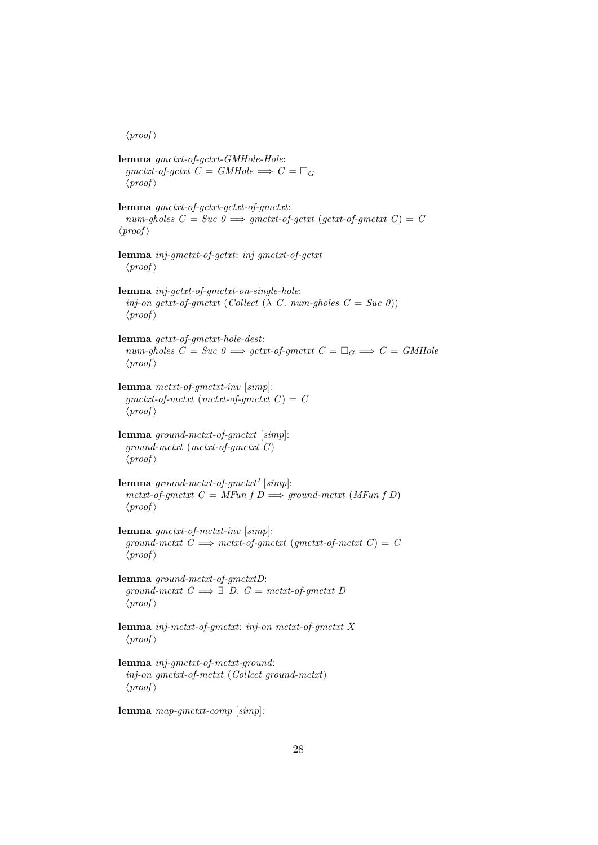$\langle proof \rangle$ 

**lemma** *gmctxt-of-gctxt-GMHole-Hole*:  $qmetxt-of-qctxt$   $C = GMHole \implies C = \Box_G$  $\langle proof \rangle$ **lemma** *gmctxt-of-gctxt-gctxt-of-gmctxt*:  $num\text{-}gholes \ C = Succ \ 0 \Longrightarrow qmctxt\text{-}of\text{-}qctxt \ (qctxt\text{-}of\text{-}qmctxt \ C) = C$  $\langle proof \rangle$ **lemma** *inj-gmctxt-of-gctxt*: *inj gmctxt-of-gctxt*  $\langle proof \rangle$ **lemma** *inj-gctxt-of-gmctxt-on-single-hole*: *inj-on gctxt-of-gmctxt* (*Collect* ( $\lambda$  *C*. *num-gholes*  $C = Suc$  *0*))  $\langle proof \rangle$ **lemma** *gctxt-of-gmctxt-hole-dest*:  $num\text{-}gholes \ C = Succ \ 0 \Longrightarrow gctxt\text{-}of\text{-}gmetxt \ C = \Box_G \Longrightarrow C = GMHole$  $\langle proof \rangle$ **lemma** *mctxt-of-gmctxt-inv* [*simp*]:  $g$ *mctxt-of-mctxt* (*mctxt-of-gmctxt*  $C$ ) =  $C$  $\langle proof \rangle$ **lemma** *ground-mctxt-of-gmctxt* [*simp*]: *ground-mctxt* (*mctxt-of-gmctxt C*)  $\langle proof \rangle$  ${\bf lemma}$  ground-mctxt-of-gmctxt' [simp]:  $mctxt-of-gmctxt$   $C = MFun f D \Longrightarrow ground-mctxt$   $(MFun f D)$  $\langle proof \rangle$ **lemma** *gmctxt-of-mctxt-inv* [*simp*]:  $ground-mctxt$   $C \implies metxt-of-gmctxt$  ( $gmetxt-of-mctxt$   $C$ ) =  $C$  $\langle proof \rangle$ **lemma** *ground-mctxt-of-gmctxtD*:  $ground-mctxt$   $C \implies \exists D$ .  $C = metxt-of-gmctxt D$  $\langle proof \rangle$ **lemma** *inj-mctxt-of-gmctxt*: *inj-on mctxt-of-gmctxt X*  $\langle proof \rangle$ **lemma** *inj-gmctxt-of-mctxt-ground*: *inj-on gmctxt-of-mctxt* (*Collect ground-mctxt*)  $\langle proof \rangle$ 

**lemma** *map-gmctxt-comp* [*simp*]: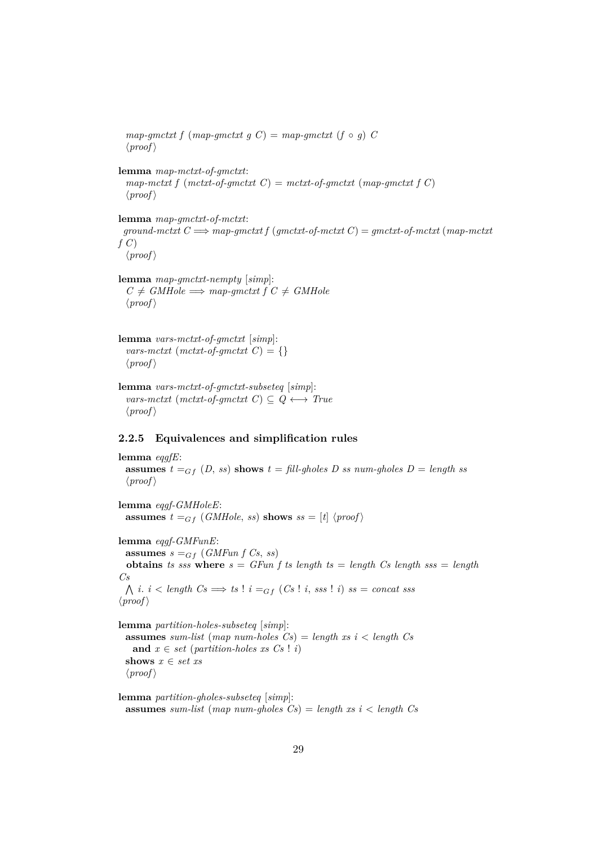$map\text{-}gmetxt f (map\text{-}gmetxt g C) = map\text{-}gmetxt (f \circ g) C$  $\langle proof \rangle$ **lemma** *map-mctxt-of-gmctxt*:  $map-mctxt f (metxt-of-gmctxt C) = metxt-of-gmctxt (map-gmctxt f C)$  $\langle proof \rangle$ **lemma** *map-gmctxt-of-mctxt*:  $ground-mctxt$   $C \implies map-qmctxt$   $f(qmctxt-of-mctxt) = qmctxt-of-mctxt$   $(map-mctxt)$ *f C*)  $\langle proof \rangle$ **lemma** *map-gmctxt-nempty* [*simp*]:  $C \neq \text{GMHole} \implies \text{map\text{-}g}\text{m} \text{ctxt} f C \neq \text{GMHole}$  $\langle proof \rangle$ 

**lemma** *vars-mctxt-of-gmctxt* [*simp*]: *vars-mctxt* (*mctxt-of-gmctxt*  $C$ ) = {}  $\langle proof \rangle$ 

**lemma** *vars-mctxt-of-gmctxt-subseteq* [*simp*]:  $vars-mctxt$  ( $mctxt-of-gmctxt$   $C$ )  $\subseteq Q \leftrightarrow True$  $\langle proof \rangle$ 

### <span id="page-28-0"></span>**2.2.5 Equivalences and simplification rules**

```
lemma eqgfE:
 assumes t =_{Gf} (D, ss) shows t = \text{fill-ghosts } D \text{ as } num\text{-ghosts } D = \text{length} \text{ as}\langle proof \ranglelemma eqgf-GMHoleE:
 assumes t =_{Gf} (GMHole, ss) shows ss = [t] \langle proof \ranglelemma eqgf-GMFunE:
 assumes s =_{Gf} (GMFun f Cs, ss)obtains ts sss where s = GFun f ts length ts = length Cs length sss = length
Cs
  \bigwedge i. i < length Cs \Longrightarrow ts ! i = _{Gf} (Cs ! i, sss ! i) ss = concat sss
\langle proof \ranglelemma partition-holes-subseteq [simp]:
  assumes sum-list (map num-holes Cs) = length xs i < length Cs
   and x \in set (partition-holes xs Cs ! i)
  shows x \in set xs
  \langle proof \rangle
```
**lemma** *partition-gholes-subseteq* [*simp*]: **assumes** *sum-list* (*map num-gholes Cs*) = *length xs i* < *length Cs*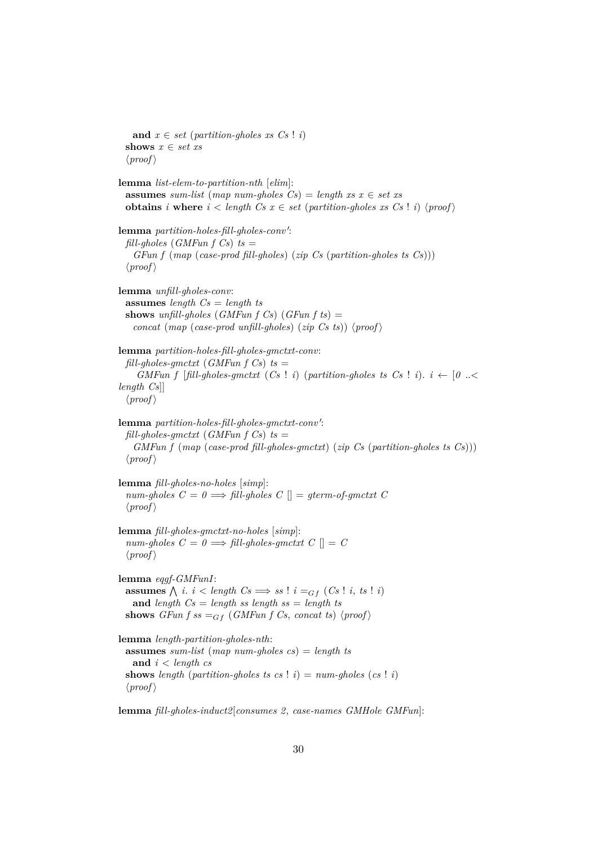**and**  $x \in set$  (*partition-gholes xs*  $Cs$  ! *i*) **shows** *x* ∈ *set xs*  $\langle proof \rangle$ **lemma** *list-elem-to-partition-nth* [*elim*]: **assumes** *sum-list* (*map num-gholes Cs*) = *length xs*  $x \in set$  *xs* **obtains** *i* **where**  $i <$  *length*  $Cs$   $x \in$  *set* (*partition-gholes xs*  $Cs$  ! *i*)  $\langle proof \rangle$ lemma partition-holes-fill-gholes-conv': *fill-gholes* (*GMFun f Cs*)  $ts =$ *GFun f* (*map* (*case-prod fill-gholes*) (*zip Cs* (*partition-gholes ts Cs*)))  $\langle proof \rangle$ **lemma** *unfill-gholes-conv*: **assumes** *length Cs* = *length ts* **shows** *unfill-gholes* (*GMFun f Cs*) (*GFun f ts*)  $=$ *concat* (*map* (*case-prod unfill-gholes*) (*zip Cs ts*)) (*proof*) **lemma** *partition-holes-fill-gholes-gmctxt-conv*:  $\text{full-gholes-}g\nmctx$ t (*GMFun f Cs*)  $ts =$ *GMFun f* [*fill-gholes-gmctxt* (*Cs* ! *i*) (*partition-gholes ts Cs* ! *i*).  $i \leftarrow [0 \ldots \leq$ *length Cs*]]  $\langle proof \rangle$ lemma partition-holes-fill-gholes-gmctxt-conv':  $\int$ *fill-gholes-gmctxt* (*GMFun f Cs*) *ts* = *GMFun f* (*map* (*case-prod fill-gholes-gmctxt*) (*zip Cs* (*partition-gholes ts Cs*)))  $\langle proof \rangle$ **lemma** *fill-gholes-no-holes* [*simp*]:  $num-gholes \ C = 0 \Longrightarrow fill-gholes \ C \ || = qterm-of-gmctxt \ C$  $\langle proof \rangle$ **lemma** *fill-gholes-gmctxt-no-holes* [*simp*]:  $num\text{-}gholes \ C = 0 \Longrightarrow fill\text{-}gholes\text{-}gmetxt \ C \parallel = C$  $\langle proof \rangle$ **lemma** *eqgf-GMFunI*: **assumes**  $\bigwedge$  *i*. *i* < *length*  $Cs \implies ss$  ! *i* =  $_{Gf}$  ( $Cs$  ! *i*, *ts* ! *i*) **and** *length Cs* = *length ss length ss* = *length ts* **shows** *GFun f ss* =  $_{Gf}$  (*GMFun f Cs, concat ts*)  $\langle proof \rangle$ **lemma** *length-partition-gholes-nth*: **assumes** *sum-list* (*map num-gholes cs*) = *length ts* **and** *i* < *length cs* **shows** *length* (*partition-gholes ts cs* ! *i*) =  $num\text{-}gholes$  (*cs* ! *i*)  $\langle proof \rangle$ 

**lemma** *fill-gholes-induct2*[*consumes 2*, *case-names GMHole GMFun*]: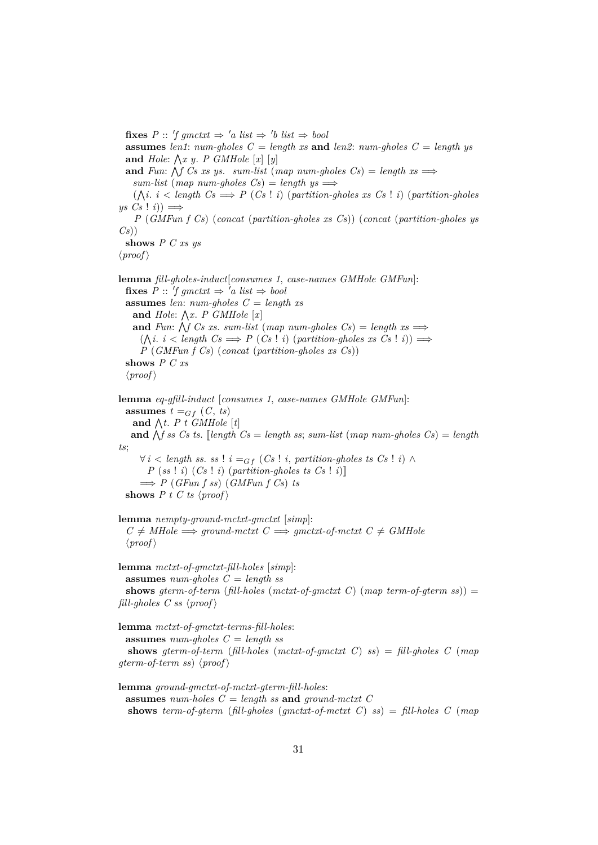**fixes**  $P$  :: 'f gmctxt  $\Rightarrow$  'a list  $\Rightarrow$  'b list  $\Rightarrow$  bool **assumes** *len1*:  $num\text{-}gholes$   $C = length xs$  **and** *len2*:  $num\text{-}gholes$   $C = length ys$ and  $Hole: \bigwedge x \ y$ . *P GMHole*  $[x]$   $[y]$ and *Fun*:  $\bigwedge f$  *Cs xs ys. sum-list* (*map num-gholes Cs*) = *length xs*  $\implies$  $sum-list \ (map \ num\-gholes \ Cs) = length \ ys \Longrightarrow$  $(\bigwedge i \cdot i < \text{length } C \text{s} \implies P(C \text{s} \cdot i)$  (*partition-gholes xs*  $Cs \cdot i$ ) (*partition-gholes*  $ys \; Cs \; ! \; i)) \Longrightarrow$ *P* (*GMFun f Cs*) (*concat* (*partition-gholes xs Cs*)) (*concat* (*partition-gholes ys Cs*)) **shows** *P C xs ys*  $\langle proof \rangle$ **lemma** *fill-gholes-induct*[*consumes 1*, *case-names GMHole GMFun*]:  $\textbf{fixes } P :: 'f g m c t x t \Rightarrow 'a \textbf{ list } \Rightarrow \textbf{bool}$ **assumes** *len*: *num-gholes C* = *length xs* and  $Hole: \bigwedge x$ . *P GMHole*  $[x]$ and *Fun*:  $\bigwedge f$  *Cs xs. sum-list* (*map num-gholes Cs*) = *length xs*  $\implies$  $(\bigwedge i \in i \leq length \ Cs \Longrightarrow P \ (Cs \mid i) \ (partition-gholes \ xs \ Cs \mid i)) \Longrightarrow$ *P* (*GMFun f Cs*) (*concat* (*partition-gholes xs Cs*)) **shows** *P C xs*  $\langle proof \rangle$ **lemma** *eq-gfill-induct* [*consumes 1*, *case-names GMHole GMFun*]: **assumes**  $t =_{Gf} (C, ts)$ and  $\bigwedge t$ . *P* t *GMHole* [t] and  $\bigwedge$ f ss Cs ts. [*length Cs* = *length ss*; *sum-list* (*map num-gholes Cs*) = *length ts*;  $∀ i < length ss.$  *ss* !  $i =_{Gf} (Cs! i, partition-ghost ss.$  ( $i) \wedge$  $P$  (*ss* ! *i*) (*Cs* ! *i*) (*partition-gholes ts*  $Cs$  ! *i*)]  $\implies$  *P* (*GFun f ss*) (*GMFun f Cs*) *ts* **shows**  $P$  t  $C$  ts  $\langle proof \rangle$ **lemma** *nempty-ground-mctxt-gmctxt* [*simp*]:  $C \neq MHole \implies ground-mctxt \quad C \implies gmetxt-of-mctxt \quad C \neq GMHole$  $\langle proof \rangle$ **lemma** *mctxt-of-gmctxt-fill-holes* [*simp*]: **assumes** *num-gholes C* = *length ss* **shows** *gterm-of-term* (*fill-holes* (*mctxt-of-gmctxt C*) (*map term-of-gterm ss*)) = *fill-gholes C ss*  $\langle proof \rangle$ **lemma** *mctxt-of-gmctxt-terms-fill-holes*: **assumes** *num-gholes C* = *length ss* **shows** *gterm-of-term* (*fill-holes* (*mctxt-of-gmctxt C*) *ss*) = *fill-gholes C* (*map gterm-of-term ss*)  $\langle proof \rangle$ **lemma** *ground-gmctxt-of-mctxt-gterm-fill-holes*: **assumes** *num-holes*  $C =$  *length ss* **and** *ground-mctxt*  $C$ **shows** *term-of-gterm* (*fill-gholes* (*gmctxt-of-mctxt C*) *ss*) = *fill-holes C* (*map*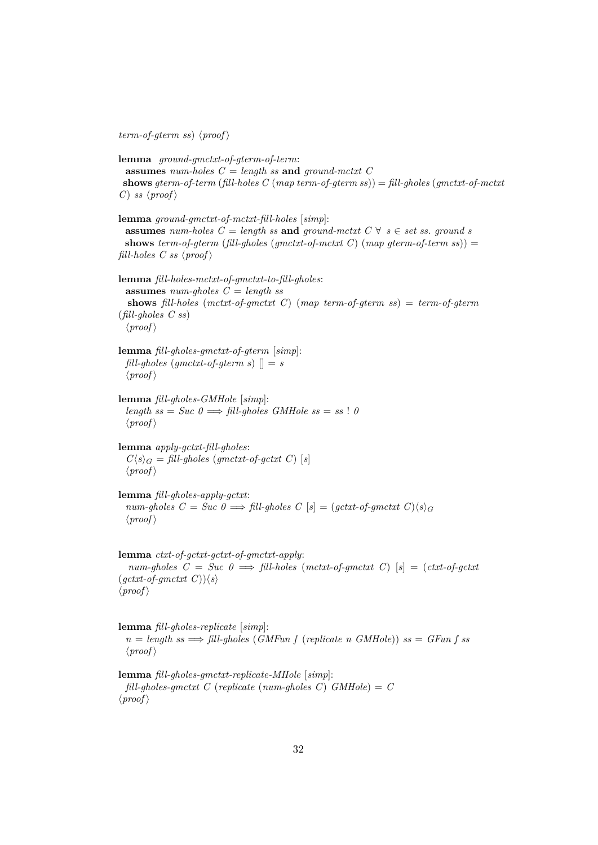$term-of-gterm \; ss) \; \langle proof \rangle$ 

**lemma** *ground-gmctxt-of-gterm-of-term*: **assumes** *num-holes C* = *length ss* **and** *ground-mctxt C* **shows** *gterm-of-term* (*fill-holes C* (*map term-of-gterm ss*)) = *fill-gholes* (*gmctxt-of-mctxt C*) *ss*  $\langle proof \rangle$ 

**lemma** *ground-gmctxt-of-mctxt-fill-holes* [*simp*]: **assumes** *num-holes*  $C =$  *length ss* **and** ground-mctxt  $C \forall s \in set$  *ss. ground s* **shows** *term-of-gterm* (*fill-gholes* (*gmctxt-of-mctxt C*) (*map gterm-of-term ss*)) = *fill-holes C ss*  $\langle proof \rangle$ 

```
lemma fill-holes-mctxt-of-gmctxt-to-fill-gholes:
 assumes num-gholes C = length ss
  shows fill-holes (mctxt-of-gmctxt C) (map term-of-gterm ss) = term-of-gterm
(fill-gholes C ss)
 \langle proof \rangle
```
**lemma** *fill-gholes-gmctxt-of-gterm* [*simp*]: *fill-gholes* (*gmctxt-of-gterm s*)  $\vert \vert = s$  $\langle proof \rangle$ 

**lemma** *fill-gholes-GMHole* [*simp*]:  $length \; ss = Succ \; 0 \Longrightarrow fill-gholes \; GMHole \; ss = ss \; ! \; 0$  $\langle proof \rangle$ 

**lemma** *apply-gctxt-fill-gholes*:  $C\langle s \rangle_G = \text{fill-*gholes*}$  (*gmctxt-of-gctxt C*) [*s*]  $\langle proof \rangle$ 

**lemma** *fill-gholes-apply-gctxt*: *num-gholes*  $C = Succ \theta \Longrightarrow fill-gholes \ C [s] = (gctxt-of-gmctxt \ C)\langle s \rangle_G$  $\langle proof \rangle$ 

```
lemma ctxt-of-gctxt-gctxt-of-gmctxt-apply:
  num-gholes C = Suc 0 =⇒ fill-holes (mctxt-of-gmctxt C) [s] = (ctxt-of-gctxt
(gctxt-of-gmctxt C)\rangle\langle s\rangle\langle proof \rangle
```

```
lemma fill-gholes-replicate [simp]:
  n = length \text{ss} \implies \text{fill-ghost} (GMFun f (replicate n GMHole)) ss = \text{GFun } f \text{ss}\langle proof \rangle
```
**lemma** *fill-gholes-gmctxt-replicate-MHole* [*simp*]: *fill-gholes-gmctxt C* (*replicate* (*num-gholes C*) *GMHole*) = *C*  $\langle proof \rangle$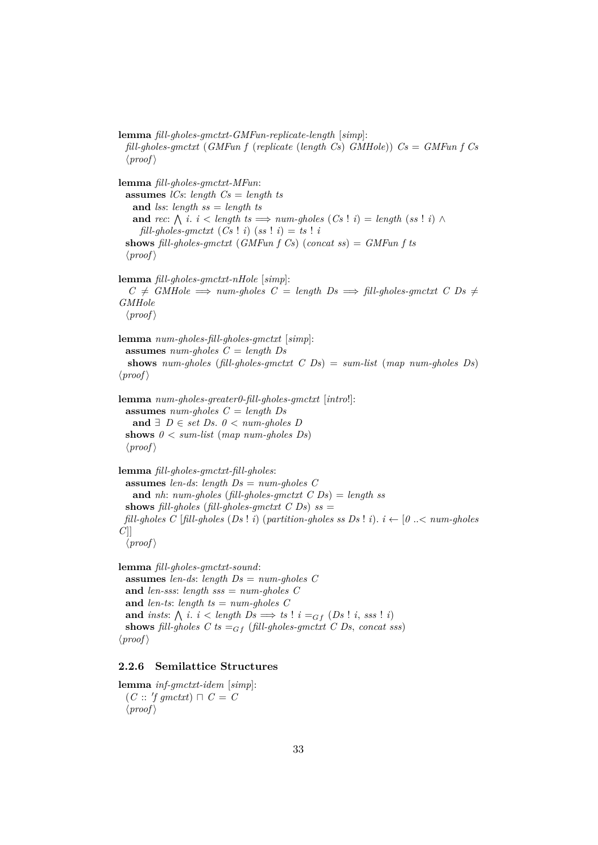**lemma** *fill-gholes-gmctxt-GMFun-replicate-length* [*simp*]: *fill-gholes-gmctxt* (*GMFun f* (*replicate* (*length Cs*) *GMHole*)) *Cs* = *GMFun f Cs*  $\langle proof \rangle$ 

**lemma** *fill-gholes-gmctxt-MFun*: **assumes** *lCs*: *length Cs* = *length ts* **and** *lss*: *length ss* = *length ts* **and** rec:  $\bigwedge$  *i*. *i* < *length ts*  $\implies$  *num-gholes*  $(Cs \mid i) =$  *length*  $(ss \mid i) \land$  $\text{full-ghost-symctxt}$   $(Cs \mid i)$   $(ss \mid i) = ts \mid i$ **shows** *fill-gholes-gmctxt* (*GMFun f Cs*) (*concat ss*) = *GMFun f ts*  $\langle proof \rangle$ 

**lemma** *fill-gholes-gmctxt-nHole* [*simp*]:  $C \neq \text{GMHole} \implies \text{num-gholes } C = \text{length } D \text{s} \implies \text{fill-gholes-}\text{g} \text{m} \text{crit } C \text{,} \text{Ds } \neq$ *GMHole*  $\langle proof \rangle$ 

```
lemma num-gholes-fill-gholes-gmctxt [simp]:
 assumes num-gholes C = length Ds
  shows num-gholes (fill-gholes-gmctxt C Ds) = sum-list (map num-gholes Ds)
\langle proof \rangle
```

```
lemma num-gholes-greater0-fill-gholes-gmctxt [intro!]:
 assumes num-gholes C = length Ds
   and ∃ D ∈ set Ds. 0 < num-gholes Dshows 0 < sum-list (map num-gholes Ds)
 \langle proof \rangle
```

```
lemma fill-gholes-gmctxt-fill-gholes:
 assumes len-ds: length Ds = num-gholes C
   and nh: num-gholes (fill-gholes-gmctxt C Ds) = length ss
 shows fill-gholes (fill-gholes-gmctxt C Ds) ss =fill-gholes C [fill-gholes (Ds ! i) (partition-gholes ss Ds ! i). i \leftarrow [0 \ldots \leq num\text{-}gholesC]]
  \langle proof \rangle
```
**lemma** *fill-gholes-gmctxt-sound*: **assumes** *len-ds*: *length Ds* = *num-gholes C* **and** *len-sss*: *length sss* = *num-gholes C* **and** *len-ts*: *length ts* = *num-gholes C* **and** *insts*:  $\bigwedge$  *i*. *i* < *length*  $Ds \Longrightarrow ts$  ! *i* =  $_{Gf}$  ( $Ds$  ! *i*, *sss* ! *i*) **shows** *fill-gholes*  $C$  *ts*  $=$ <sub>*Gf*</sub> (*fill-gholes-gmctxt*  $C$  *Ds*, *concat sss*)  $\langle proof \rangle$ 

# <span id="page-32-0"></span>**2.2.6 Semilattice Structures**

**lemma** *inf-gmctxt-idem* [*simp*]:  $(C :: 'f g m c t x t) \sqcap C = C$  $\langle proof \rangle$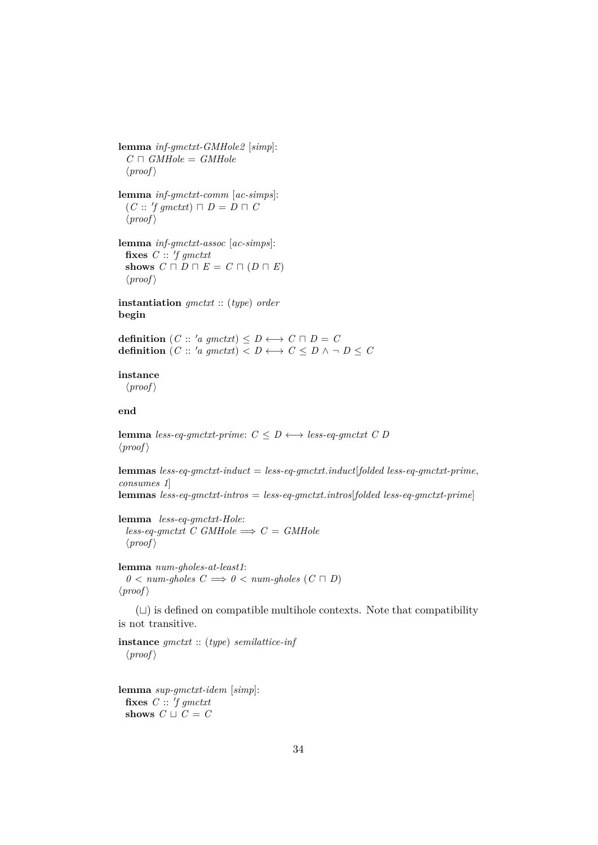**lemma** *inf-gmctxt-GMHole2* [*simp*]:  $C \sqcap \textit{GMHole} = \textit{GMHole}$  $\langle proof \rangle$ 

**lemma** *inf-gmctxt-comm* [*ac-simps*]:  $(C :: 'f gmetxt) \sqcap D = D \sqcap C$  $\langle proof \rangle$ 

**lemma** *inf-gmctxt-assoc* [*ac-simps*]: fixes  $C :: 'f g m c t x t$ **shows**  $C \sqcap D \sqcap E = C \sqcap (D \sqcap E)$  $\langle proof \rangle$ 

**instantiation** *gmctxt* :: (*type*) *order* **begin**

**definition**  $(C:: 'a gmetxt) \le D \longleftrightarrow C \sqcap D = C$ **definition**  $(C:: 'a gmctxt) < D \longleftrightarrow C \le D \land \neg D \le C$ 

#### **instance**

 $\langle proof \rangle$ 

# **end**

**lemma** *less-eq-qmctxt-prime*:  $C \leq D \leftrightarrow$  *less-eq-qmctxt*  $C$   $D$  $\langle proof \rangle$ 

**lemmas** *less-eq-gmctxt-induct* = *less-eq-gmctxt*.*induct*[*folded less-eq-gmctxt-prime*, *consumes 1*] **lemmas** *less-eq-gmctxt-intros* = *less-eq-gmctxt*.*intros*[*folded less-eq-gmctxt-prime*]

**lemma** *less-eq-gmctxt-Hole*:  $less\text{-}eq\text{-}gmctxt$  *C GMHole*  $\implies$  *C* = *GMHole*  $\langle proof \rangle$ 

**lemma** *num-gholes-at-least1*:  $0 \leq \textit{num-gholes} \quad C \Longrightarrow 0 \leq \textit{num-gholes} \ (C \sqcap D)$  $\langle proof \rangle$ 

 $(L)$  is defined on compatible multihole contexts. Note that compatibility is not transitive.

**instance** *gmctxt* :: (*type*) *semilattice-inf*  $\langle proof \rangle$ 

**lemma** *sup-gmctxt-idem* [*simp*]: fixes  $C :: 'f g m c t x t$ **shows**  $C \sqcup C = C$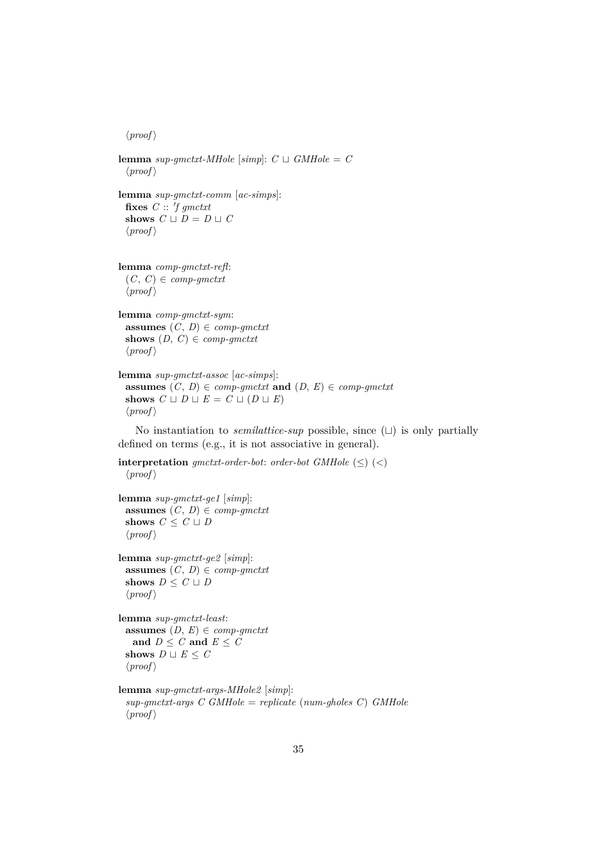```
\langle proof \ranglelemma sup-gmctxt-MHole [simpl: C \sqcup GMHole = C\langle proof \ranglelemma sup-gmctxt-comm [ac-simps]:
  fixes C :: 'f g m c t x tshows C \sqcup D = D \sqcup C\langle proof \rangle
```

```
lemma comp-gmctxt-refl:
  (C, C) \in \text{comp-gm}\langle proof \rangle
```

```
lemma comp-gmctxt-sym:
 assumes (C, D) \in \text{comp-gm}shows (D, C) \in \text{comp-gm}\langle proof \rangle
```

```
lemma sup-gmctxt-assoc [ac-simps]:
  assumes (C, D) \in \text{comp-gm} ctxt and (D, E) \in \text{comp-gm} ctxt
  shows C \sqcup D \sqcup E = C \sqcup (D \sqcup E)\langle proof \rangle
```
No instantiation to *semilattice-sup* possible, since  $(\sqcup)$  is only partially defined on terms (e.g., it is not associative in general).

```
interpretation gmctxt-order-bot: order-bot GMHole (\le) (<)\langle proof \rangle
```

```
lemma sup-gmctxt-ge1 [simp]:
 assumes (C, D) \in \text{comp-gm}shows C \leq C \cup D\langle proof \rangle
```

```
lemma sup-gmctxt-ge2 [simp]:
 assumes (C, D) \in \text{comp-gm}shows D \leq C \sqcup D\langle proof \rangle
```

```
lemma sup-gmctxt-least:
 assumes (D, E) \in \text{comp-gm}and D \leq C and E \leq Cshows D \sqcup E \leq C\langle proof \rangle
```

```
lemma sup-gmctxt-args-MHole2 [simp]:
 sup-gmctxt-args C GMHole = replicate (num-gholes C) GMHole
 \langle proof \rangle
```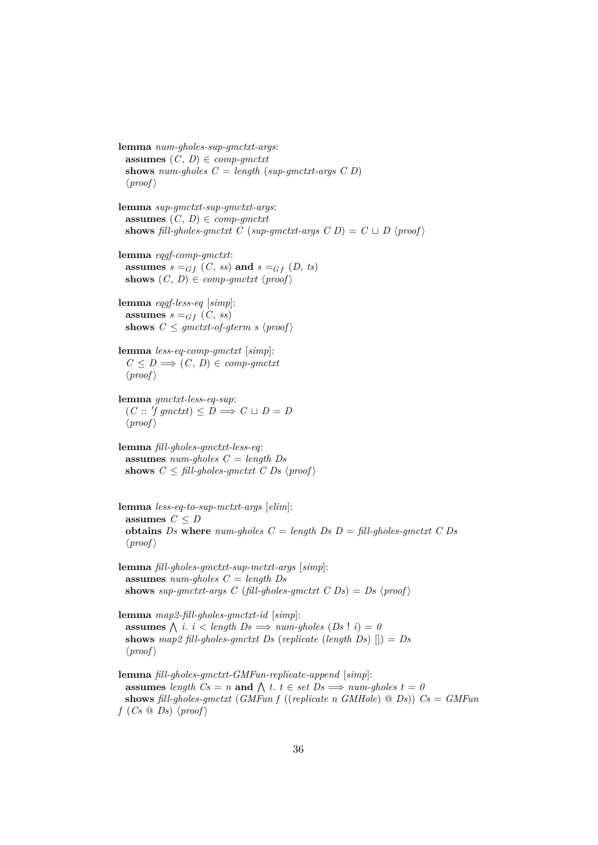**lemma** *num-gholes-sup-gmctxt-args*: **assumes**  $(C, D) \in \text{comp-gm}$ **shows** *num-gholes*  $C = \text{length}$  (*sup-gmctxt-args C D*)  $\langle proof \rangle$ 

**lemma** *sup-gmctxt-sup-gmctxt-args*: **assumes**  $(C, D) \in \text{comp-}qmctxt$ **shows** fill-gholes-gmctxt C (sup-gmctxt-args C D) =  $C \sqcup D$  (proof)

**lemma** *eqgf-comp-gmctxt*: **assumes**  $s =_{Gf} (C, ss)$  and  $s =_{Gf} (D, ts)$ shows  $(C, D) \in \text{comp-gm}$ *ctxt*  $\langle \text{proof} \rangle$ 

**lemma** *eqgf-less-eq* [*simp*]: **assumes**  $s =_{Gf} (C, ss)$ **shows**  $C \leq g$  *mctxt-of-gterm s*  $\langle proof \rangle$ 

**lemma** *less-eq-comp-gmctxt* [*simp*]:  $C \leq D \Longrightarrow (C, D) \in \mathit{comp\text{-}g}$  $\langle proof \rangle$ 

**lemma** *gmctxt-less-eq-sup*:  $(C:: 'f gmetxt) \le D \Longrightarrow C \sqcup D = D$  $\langle proof \rangle$ 

**lemma** *fill-gholes-gmctxt-less-eq*: **assumes** *num-gholes C* = *length Ds* **shows**  $C \leq \text{fill-ghosts-omctxt}$   $C \text{, } D \text{, } \langle \text{proof} \rangle$ 

**lemma** *less-eq-to-sup-mctxt-args* [*elim*]: **assumes**  $C \leq D$ **obtains** *Ds* where  $num\text{-}gholes \ C = length \ Ds \ D = fill\text{-}gholes\text{-}ginctx\ C \ Ds$  $\langle proof \rangle$ 

**lemma** *fill-gholes-gmctxt-sup-mctxt-args* [*simp*]: **assumes** *num-gholes C* = *length Ds* **shows** *sup-gmctxt-args* C (*fill-gholes-gmctxt* C Ds) = Ds  $\langle proof \rangle$ 

**lemma** *map2-fill-gholes-gmctxt-id* [*simp*]: **assumes**  $\bigwedge$  *i*. *i* < *length*  $Ds \implies num-gholes$  ( $Ds$  ! *i*) = 0 **shows** *map2 fill-gholes-gmctxt Ds* (*replicate* (*length Ds*) []) = *Ds*  $\langle proof \rangle$ 

**lemma** *fill-gholes-gmctxt-GMFun-replicate-append* [*simp*]: **assumes** length  $Cs = n$  and  $\bigwedge t$ .  $t \in set Ds \implies num-gholes$   $t = 0$ **shows** *fill-gholes-gmctxt* (*GMFun f* ((*replicate n GMHole*) @ *Ds*)) *Cs* = *GMFun*  $f (Cs \tQ Ds) \t{proof}$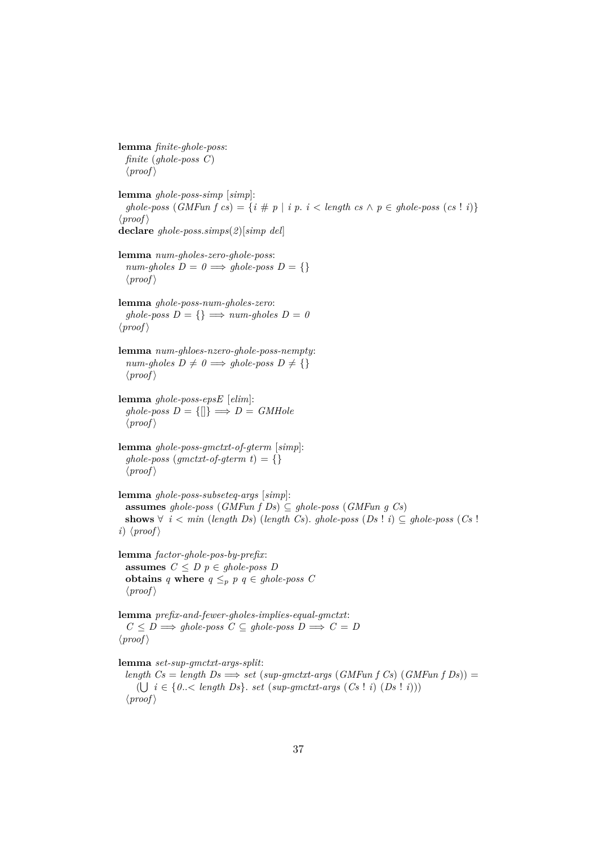**lemma** *finite-ghole-poss*: *finite* (*ghole-poss C*)  $\langle proof \rangle$ **lemma** *ghole-poss-simp* [*simp*]: *ghole-poss*  $(GMFun f cs) = {i \# p | i p. i < length cs \land p \in ghole-poss (cs ! i)}$  $\langle proof \rangle$ **declare** *ghole-poss*.*simps*(*2*)[*simp del*] **lemma** *num-gholes-zero-ghole-poss*:  $num\text{-}gholes\ D = 0 \Longrightarrow ghole\text{-}poss\ D = \{\}$  $\langle proof \rangle$ **lemma** *ghole-poss-num-gholes-zero*:  $ghole-poss D = \{\} \Longrightarrow num-gholes D = 0$  $\langle proof \rangle$ **lemma** *num-ghloes-nzero-ghole-poss-nempty*:  $num\text{-}gholes\ D \neq 0 \Longrightarrow ghole\text{-}poss\ D \neq \{\}$  $\langle proof \rangle$ **lemma** *ghole-poss-epsE* [*elim*]:  $ghole-poss\ D = \{\|\} \Longrightarrow D = \ GMHole$  $\langle proof \rangle$ **lemma** *ghole-poss-gmctxt-of-gterm* [*simp*]:  $qhole-poss$  ( $qmetxt-of-qterm$ ) = {}  $\langle proof \rangle$ **lemma** *ghole-poss-subseteq-args* [*simp*]: **assumes** *ghole-poss* (*GMFun f Ds*) ⊆ *ghole-poss* (*GMFun g Cs*) **shows**  $∀ i < min (length Ds) (length Cs). ghole-poss (Ds ! i) ⊆ ghole-poss (Cs !$ *i*)  $\langle proof \rangle$ **lemma** *factor-ghole-pos-by-prefix*: **assumes**  $C \leq D$   $p \in ghole-poss$   $D$ **obtains** *q* **where**  $q \leq_p p q \in ghole-poss$  *C*  $\langle proof \rangle$ **lemma** *prefix-and-fewer-gholes-implies-equal-gmctxt*:  $C \leq D \Longrightarrow$  ghole-poss  $C \subseteq$  ghole-poss  $D \Longrightarrow C = D$  $\langle proof \rangle$ **lemma** *set-sup-gmctxt-args-split*:  $length\ Cs = length\ Ds \Longrightarrow set\ (sup-gmetxt-args\ (GMFun\ f\ Cs) \ (GMFun\ f\ Ds)) =$  $(\bigcup i \in \{0..\langle \text{ length } Ds\}, \text{ set } (\text{sup-}g \text{ m} \text{ c} \text{ t} \text{ t} \text{ arg} \text{ s } (\text{Cs} \mid i) \text{ } (\text{Ds} \mid i) \text{)}$  $\langle proof \rangle$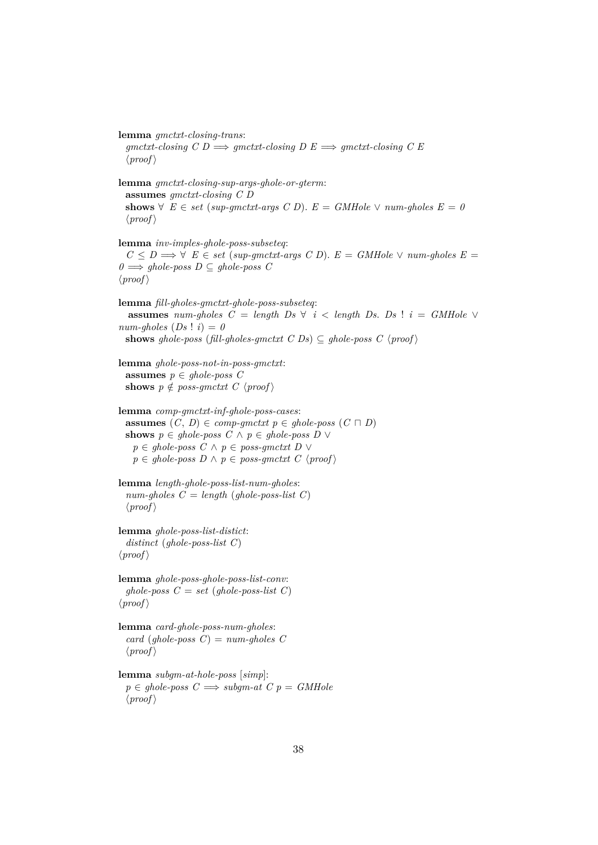**lemma** *gmctxt-closing-trans*:  $gmetxt-closing C D \Longrightarrow gmetxt-closing D E \Longrightarrow gmetxt-closing C E$  $\langle proof \rangle$ 

**lemma** *gmctxt-closing-sup-args-ghole-or-gterm*: **assumes** *gmctxt-closing C D* **shows**  $\forall$  *E* ∈ *set* (*sup-qmctxt-args C D*). *E* = *GMHole*  $\lor$  *num-qholes E* = 0  $\langle proof \rangle$ 

**lemma** *inv-imples-ghole-poss-subseteq*: *C* ≤ *D*  $\Rightarrow$   $\forall$  *E* ∈ *set* (*sup-gmctxt-args C D*). *E* = *GMHole*  $\lor$  *num-gholes E* =  $0$   $\implies$  *ghole-poss D* ⊆ *ghole-poss C*  $\langle proof \rangle$ 

**lemma** *fill-gholes-gmctxt-ghole-poss-subseteq*: **assumes** *num-gholes*  $C = \text{length } Ds \ \forall \ i < \text{length } Ds$ .  $Ds \ \vdots \ \hat{i} = \text{GMHole } \ \forall$  $num\text{-}gholes (Ds : i) = 0$ **shows** ghole-poss (*fill-gholes-gmctxt C Ds*)  $\subseteq$  ghole-poss C  $\langle$  proof $\rangle$ 

```
lemma ghole-poss-not-in-poss-gmctxt:
  assumes p \in ghole-poss C
 shows p \notin poss\text{-}gmctxt \ C \ \langle proof \rangle
```

```
lemma comp-gmctxt-inf-ghole-poss-cases:
  assumes (C, D) \in \text{comp-gm} ext{ } p \in \text{ghole-} poss (C \sqcap D)shows p \in ghole-poss C \land p \in ghole-poss D \lorp ∈ ghole-poss C ∧ p ∈ poss-gmctxt D ∨
   p \in ghole-poss D \land p \in poss-qmctxt C \langle proof\rangle
```

```
lemma length-ghole-poss-list-num-gholes:
  num\text{-}gholes \, C = length (ghole\text{-}poss\text{-}list \, C)\langle proof \rangle
```
**lemma** *ghole-poss-list-distict*: *distinct* (*ghole-poss-list C*)  $\langle proof \rangle$ 

**lemma** *ghole-poss-ghole-poss-list-conv*:  $ghole-poss$   $C = set$  (*ghole-poss-list*  $C$ )  $\langle proof \rangle$ 

```
lemma card-ghole-poss-num-gholes:
  card (ghole-poss C) = num-gholes C\langle proof \rangle
```

```
lemma subgm-at-hole-poss [simp]:
  p \in \text{ghole-}\text{poss } C \Longrightarrow \text{subom-}at C p = \text{GMHole}\langle proof \rangle
```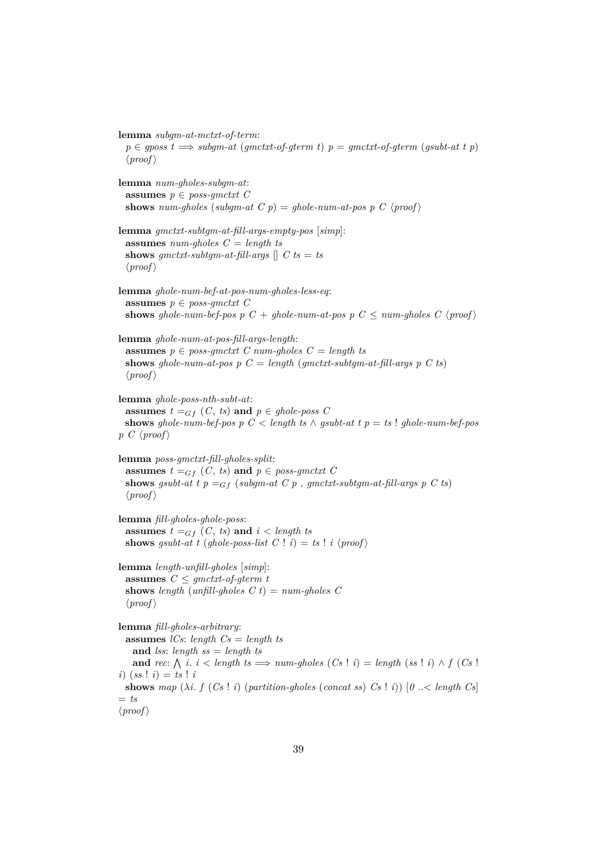**lemma** *subgm-at-mctxt-of-term*:

 $p \in gposs \ t \Longrightarrow subg m-at \ (g mctxt-of-g term \ t) \ p = g mctxt-of-g term \ (g subt-at \ t \ p)$  $\langle proof \rangle$ 

**lemma** *num-gholes-subgm-at*: **assumes**  $p \in poss\text{-}qmctxt \ C$ **shows** *num-gholes* (*subgm-at C p*) = *ghole-num-at-pos p C*  $\langle proof \rangle$ 

```
lemma gmctxt-subtgm-at-fill-args-empty-pos [simp]:
  assumes num-gholes C = length ts
 shows gmctxt-subtgm-at-fill-args \left[ \right] C ts = ts
  \langle proof \rangle
```

```
lemma ghole-num-bef-at-pos-num-gholes-less-eq:
 assumes p \in poss\text{-}qmctxt C
 shows ghole-num-bef-pos p C + ghole-num-at-pos p C \leq num-gholes C \langle proof)
```
**lemma** *ghole-num-at-pos-fill-args-length*: **assumes**  $p \in poss\text{-}gmctxt \ C \ num\text{-}gholes \ C = \text{length }ts$ **shows** ghole-num-at-pos  $p C = length (gmctxt-subtgm-at-fill-args p C ts)$  $\langle proof \rangle$ 

**lemma** *ghole-poss-nth-subt-at*: **assumes**  $t =_{Gf} (C, ts)$  **and**  $p \in ghole-poss$  C **shows** *ghole-num-bef-pos*  $p \ C < length \ ts \ \land \ qsubstack{0 \text{subt-}at t} p = ts \ ! \ qhole\text{-}num\text{-}bef\text{-}pos$ *p C*  $\langle proof \rangle$ 

**lemma** *poss-gmctxt-fill-gholes-split*: **assumes**  $t =_{Gf} (C, ts)$  **and**  $p \in poss\text{-}gmctxt$  C **shows** *gsubt-at t*  $p =_{Gf}$  (*subgm-at C*  $p$  , *gmctxt-subtgm-at-fill-args*  $p$  *C ts*)  $\langle proof \rangle$ 

**lemma** *fill-gholes-ghole-poss*: **assumes**  $t =_{Gf} (C, ts)$  **and**  $i < length ts$ **shows** *gsubt-at t* (*ghole-poss-list*  $C \perp i$ ) = *ts*  $\perp i$  (*proof*)

**lemma** *length-unfill-gholes* [*simp*]: **assumes**  $C \leq gmtxt-of-gterm t$ **shows** *length* (*unfill-gholes*  $C$ *t*) =  $num\text{-}gholes$   $C$  $\langle proof \rangle$ 

**lemma** *fill-gholes-arbitrary*: **assumes** *lCs*: *length Cs* = *length ts* **and** *lss*: *length ss* = *length ts* **and** *rec*:  $\bigwedge$  *i*. *i* < *length ts*  $\implies$  *num-gholes* (*Cs* ! *i*) = *length* (*ss* ! *i*)  $\land$  *f* (*Cs* ! *i*)  $(ss : i) = ts : i$ **shows** map  $(\lambda i, f (Cs | i)$  (*partition-gholes* (*concat ss*)  $Cs | i)$   $[0, \infty]$  *length*  $Cs$  $=$  *ts*  $\langle proof \rangle$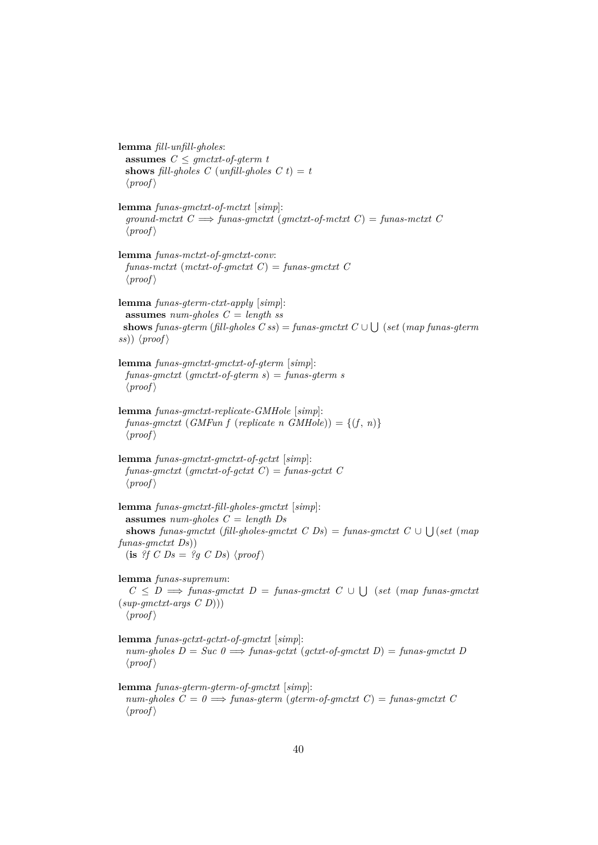**lemma** *fill-unfill-gholes*: **assumes**  $C \leq g$  *anctxt-of-gterm t* **shows** *fill-gholes*  $C$  (*unfill-gholes*  $C$   $t$ ) =  $t$  $\langle proof \rangle$ **lemma** *funas-gmctxt-of-mctxt* [*simp*]:  $ground-mctxt$   $C \implies$  *funas-qmctxt* ( $qmetxt$ -of-mctxt  $C$ ) = *funas-mctxt*  $C$  $\langle proof \rangle$ **lemma** *funas-mctxt-of-gmctxt-conv*: *funas-mctxt* (*mctxt-of-gmctxt C*) = *funas-gmctxt C*  $\langle proof \rangle$ **lemma** *funas-gterm-ctxt-apply* [*simp*]: **assumes** *num-gholes C* = *length ss*  $\mathbf{shows}~{\text{funas-}gterm}~{\text{(fill-}gholes~C~ss)} = {\text{funas-}gmctxt}~C \cup \bigcup~{\text{(set~(map~funas-}gterm)}~\text{and}~\text{inors-}gterm~\text{and}~\text{inors-}gterm~\text{and}~\text{inors-}gterm~\text{and}~\text{inors-}gterm~\text{and}~\text{inors-}gterm~\text{and}~\text{inors-}gterm~\text{and}~\text{inors-}gterm~\text{and}~\text{inors-}gterm~\text{and}~\text{inors-}gterm~\text{and}~\text$  $(ss)$ )  $\langle proof \rangle$ **lemma** *funas-gmctxt-gmctxt-of-gterm* [*simp*]: *funas-gmctxt* (*gmctxt-of-gterm s*) = *funas-gterm s*  $\langle proof \rangle$ **lemma** *funas-gmctxt-replicate-GMHole* [*simp*]:  $funas-gmctxt$  (*GMFun f* (*replicate n GMHole*)) = { $(f, n)$ }  $\langle proof \rangle$ **lemma** *funas-gmctxt-gmctxt-of-gctxt* [*simp*]:  $funas\text{-}gmetxt$  ( $gmetxt\text{-}of\text{-}gctxt$   $C$ ) =  $funas\text{-}gctxt$   $C$  $\langle proof \rangle$ **lemma** *funas-gmctxt-fill-gholes-gmctxt* [*simp*]: **assumes** *num-gholes C* = *length Ds* **shows** *funas-gmctxt* (*fill-gholes-gmctxt*  $C$  *Ds*) = *funas-gmctxt*  $C \cup \bigcup (set (map$ *funas-gmctxt Ds*))  $(i\mathbf{s}$  *?f C Ds* = *?g C Ds*)  $\langle proof \rangle$ **lemma** *funas-supremum*:  $C \leq D \implies$  *funas-gmctxt*  $D =$  *funas-gmctxt*  $C \cup \bigcup$  (*set* (*map funas-gmctxt* (*sup-gmctxt-args C D*)))  $\langle proof \rangle$ **lemma** *funas-gctxt-gctxt-of-gmctxt* [*simp*]:  $num\text{-}gholes\ D = Succ\ 0 \Longrightarrow \text{funas-qctxt}\ (qctxt\text{-}of\text{-}qmetxt\ D) = \text{funas-qmetxt}\ D$  $\langle proof \rangle$ **lemma** *funas-gterm-gterm-of-gmctxt* [*simp*]:  $num\text{-}gholes \, C = 0 \Longrightarrow \text{funas\text{-}}gterm \, (\text{qterm\text{-}}of\text{-}gmctxt \, C) = \text{funas\text{-}}gmctxt \, C$  $\langle proof \rangle$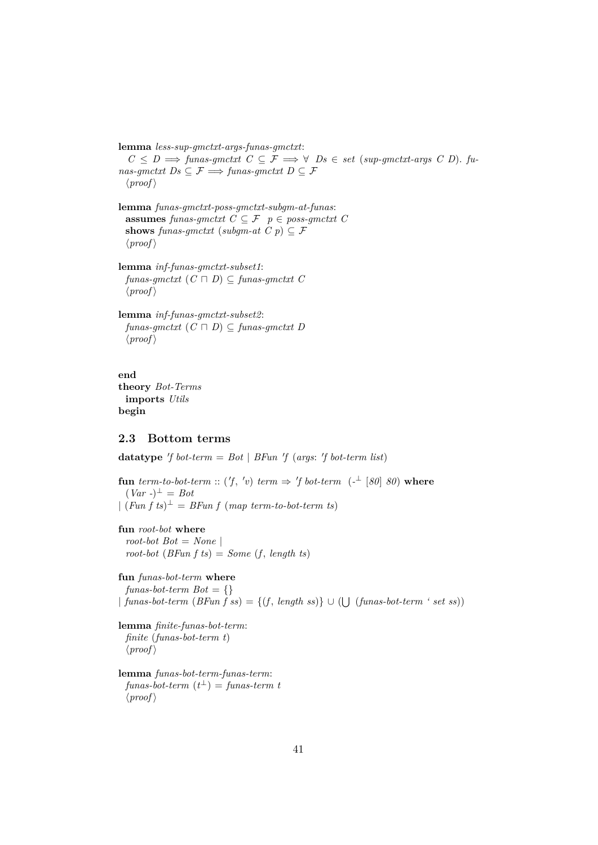**lemma** *less-sup-gmctxt-args-funas-gmctxt*:  $C \leq D \implies \text{funas-gmclxt} \ \ C \subseteq \mathcal{F} \implies \forall \ \ Ds \in \text{set} \ \ (\text{sup-gmclxt-args} \ \ C \ \ D). \ \ \text{funces}$  $nas\text{-}gmctxt\ Ds\subseteq\mathcal{F}\Longrightarrow \text{funas\text{-}}gmctxt\ D\subseteq\mathcal{F}$  $\langle proof \rangle$ 

**lemma** *funas-gmctxt-poss-gmctxt-subgm-at-funas*: **assumes** *funas-gmctxt*  $C \subseteq \mathcal{F}$   $p \in poss\text{-}gmctxt$   $C$ **shows** *funas-gmctxt* (*subgm-at*  $C$   $p$ )  $\subseteq$   $\mathcal{F}$  $\langle proof \rangle$ 

**lemma** *inf-funas-gmctxt-subset1*:  $funas-gmctxt$   $(C \sqcap D) \subseteq funas-gmctxt$   $C$  $\langle proof \rangle$ 

**lemma** *inf-funas-gmctxt-subset2*:  $funas\text{-}gmetxt$   $(C \sqcap D) \subseteq \text{funas\text{-}}gmetxt$  *D*  $\langle proof \rangle$ 

**end theory** *Bot-Terms* **imports** *Utils* **begin**

## **2.3 Bottom terms**

**datatype** 'f bot-term =  $Bot \mid BFun \; 'f \; (args: \; 'f \; bot-term \; list)$ 

**fun** *term-to-bot-term* :: ('f, 'v) *term*  $\Rightarrow$  'f *bot-term* (-<sup> $\perp$ </sup> [80] 80) where  $(Var - )^{\perp} = Bot$  $\int (Fun f ts)^{\perp} = BFun f (map term-to-bot-term ts)$ 

**fun** *root-bot* **where** *root-bot*  $Bot = None$  $root$ -bot  $(BFun f \,ts) = Some (f, length ts)$ 

**fun** *funas-bot-term* **where** *funas-bot-term Bot* = {} | *funas-bot-term* (*BFun f ss*) = {(*f* , *length ss*)} ∪ ( S (*funas-bot-term ' set ss*))

```
lemma finite-funas-bot-term:
 finite (funas-bot-term t)
  \langle proof \rangle
```
**lemma** *funas-bot-term-funas-term*:  ${\it funas-bot-term}(t^{\perp})={\it funas-term}~t^{-1}$  $\langle proof \rangle$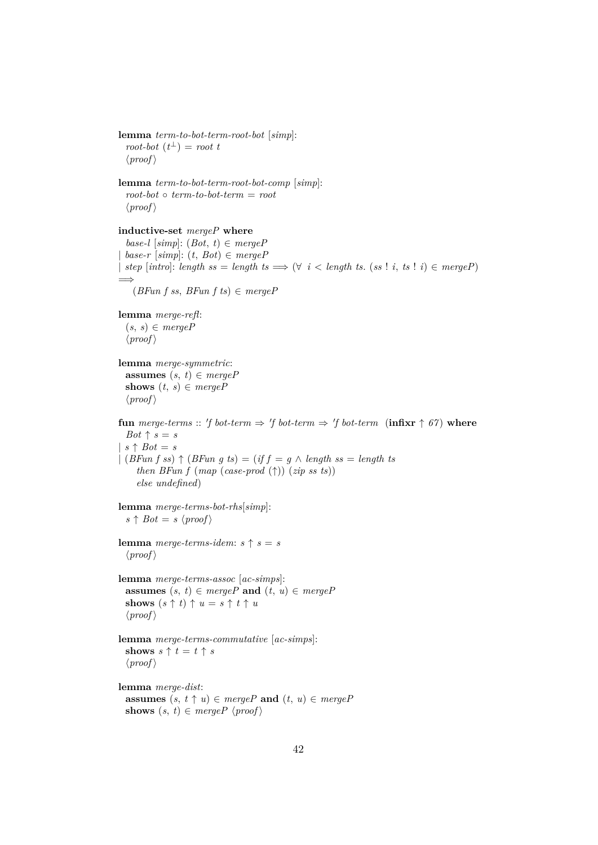**lemma** *term-to-bot-term-root-bot* [*simp*]:  $root\text{-}bot (t^{\perp}) = root t$  $\langle proof \rangle$ **lemma** *term-to-bot-term-root-bot-comp* [*simp*]: *root-bot* ◦ *term-to-bot-term* = *root*  $\langle proof \rangle$ **inductive-set** *mergeP* **where**  $base-l$  [ $simp$ ]:  $(Bot, t) \in mergeP$  $base-r$   $[simp]:$   $(t, Bot) \in mergeP$  $\vert$  *step* [*intro*]: *length ss* = *length ts*  $\implies$   $(\forall i <$  *length ts.* (*ss* ! *i*, *ts* ! *i*)  $\in$  *mergeP*)  $\implies$ (*BFun f ss*, *BFun f ts*) ∈ *mergeP* **lemma** *merge-refl*:  $(s, s) \in mergeP$  $\langle proof \rangle$ **lemma** *merge-symmetric*: **assumes**  $(s, t) \in mergeP$ **shows**  $(t, s) \in mergeP$  $\langle proof \rangle$ **fun** merge-terms :: 'f bot-term  $\Rightarrow$  'f bot-term  $\Rightarrow$  'f bot-term (infixr  $\uparrow$  67) where *Bot*  $\uparrow$  *s* = *s*  $| s \uparrow Bot = s$ | (*BFun f ss*) ↑ (*BFun g ts*) = (*if f* = *g* ∧ *length ss* = *length ts then BFun f*  $(map \ (case\text{-}prod \ (\uparrow)) \ (zip \ ss \ ts))$ *else undefined*) **lemma** *merge-terms-bot-rhs*[*simp*]:  $s \uparrow Bot = s \langle proof \rangle$ **lemma** *merge-terms-idem:*  $s \uparrow s = s$  $\langle proof \rangle$ **lemma** *merge-terms-assoc* [*ac-simps*]: **assumes**  $(s, t) \in mergeP$  **and**  $(t, u) \in mergeP$ **shows**  $(s \uparrow t) \uparrow u = s \uparrow t \uparrow u$  $\langle proof \rangle$ **lemma** *merge-terms-commutative* [*ac-simps*]: **shows**  $s \uparrow t = t \uparrow s$  $\langle proof \rangle$ **lemma** *merge-dist*: **assumes**  $(s, t \uparrow u) \in mergeP$  **and**  $(t, u) \in mergeP$ **shows**  $(s, t) \in mergeP$   $\langle proof \rangle$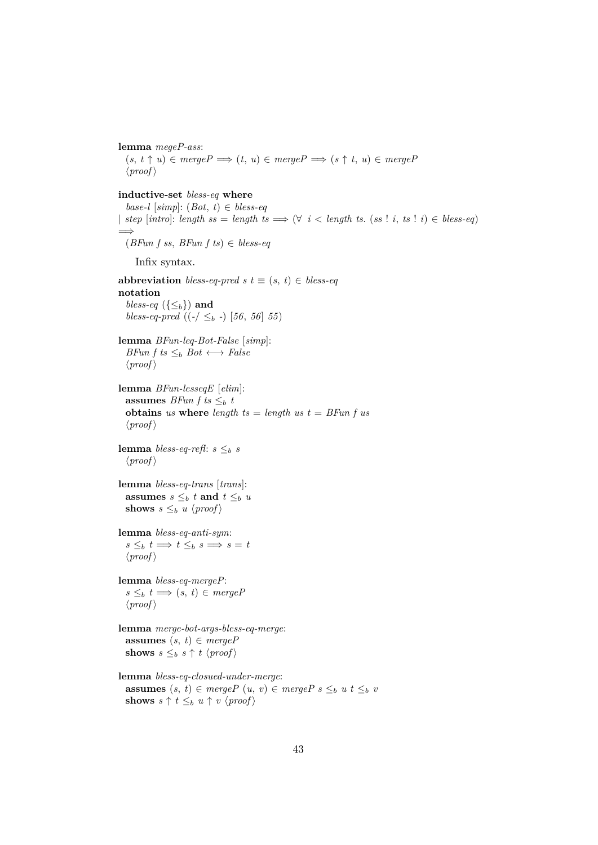**lemma** *megeP-ass*:  $(s, t \uparrow u) \in mergeP \Longrightarrow (t, u) \in mergeP \Longrightarrow (s \uparrow t, u) \in mergeP$  $\langle proof \rangle$ **inductive-set** *bless-eq* **where** *base-l* [*simp*]: (*Bot*, *t*) ∈ *bless-eq*  $\vert$  *step* [*intro*]: *length ss* = *length ts*  $\implies$   $(\forall i <$  *length ts.* (*ss* ! *i*, *ts* ! *i*)  $\in$  *bless-eq*) =⇒ (*BFun f ss*, *BFun f ts*) ∈ *bless-eq* Infix syntax. **abbreviation** *bless-eq-pred s*  $t \equiv (s, t) \in b$ *less-eq* **notation** *bless-eq* ({ $\leq_b$ }) **and** *bless-eq-pred*  $((-\angle \leq_b - \leq)$  [56, 56] 55) **lemma** *BFun-leq-Bot-False* [*simp*]: *BFun f ts*  $\leq_b$  *Bot*  $\longleftrightarrow$  *False*  $\langle proof \rangle$ **lemma** *BFun-lesseqE* [*elim*]: **assumes** *BFun f ts*  $\leq_b t$ **obtains** *us* **where** *length ts* = *length us t* = *BFun f us*  $\langle proof \rangle$ **lemma** *bless-eq-refl*:  $s \leq_b s$  $\langle proof \rangle$ **lemma** *bless-eq-trans* [*trans*]: **assumes**  $s \leq_b t$  **and**  $t \leq_b u$ **shows**  $s \leq_b u \langle proof \rangle$ **lemma** *bless-eq-anti-sym*:  $s \leq_b t \implies t \leq_b s \implies s = t$  $\langle proof \rangle$ **lemma** *bless-eq-mergeP*:  $s \leq_b t \implies (s, t) \in mergeP$  $\langle proof \rangle$ **lemma** *merge-bot-args-bless-eq-merge*: **assumes**  $(s, t) \in mergeP$ **shows**  $s \leq_b s \uparrow t \langle proof \rangle$ **lemma** *bless-eq-closued-under-merge*: **assumes**  $(s, t) \in mergeP(u, v) \in mergeP s \leq_b u t \leq_b v$ **shows**  $s \uparrow t \leq_b u \uparrow v \langle proof \rangle$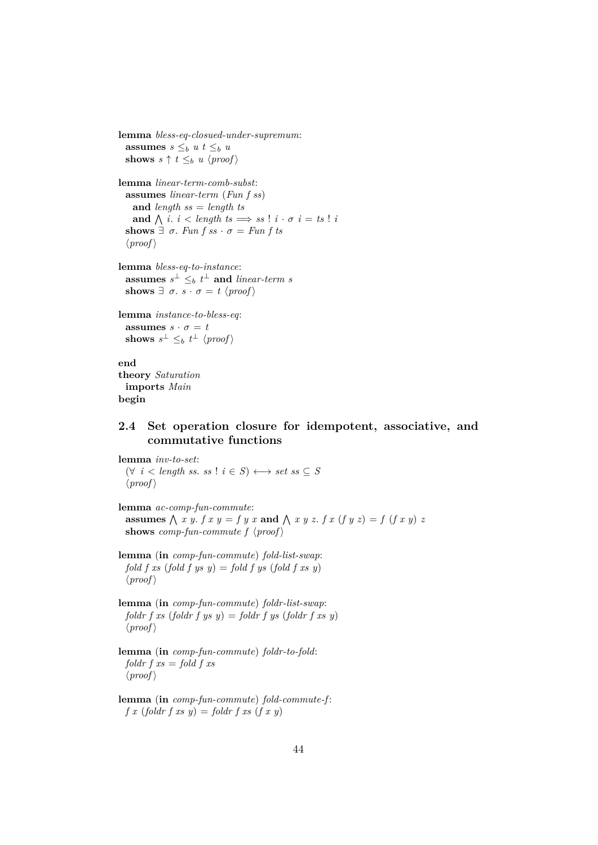```
lemma bless-eq-closued-under-supremum:
  assumes s \leq_b u t \leq_b ushows s \uparrow t \leq_b u \langle proof \ranglelemma linear-term-comb-subst:
  assumes linear-term (Fun f ss)
    and length ss = length ts
    and \bigwedge i. i < length ts \implies ss ! i · \sigma i = ts ! i
  shows \exists \sigma. Fun f ss \cdot \sigma = Fun f ts
  \langle proof \ranglelemma bless-eq-to-instance:
  assumes s^{\perp} \leq_b t^{\perp} and linear-term s
  shows \exists \sigma. s \cdot \sigma = t \ \langle proof \ranglelemma instance-to-bless-eq:
  assumes s \cdot \sigma = tshows s^{\perp} \leq_b t^{\perp} \langle proof \rangleend
theory Saturation
  imports Main
```
### **begin**

# **2.4 Set operation closure for idempotent, associative, and commutative functions**

**lemma** *inv-to-set*: (∀ *i* < *length ss*. *ss* ! *i* ∈ *S*) ←→ *set ss* ⊆ *S*  $\langle proof \rangle$ 

**lemma** *ac-comp-fun-commute*: **assumes**  $\bigwedge$  x y. *f* x y = *f* y x and  $\bigwedge$  x y z. *f* x (*f* y z) = *f* (*f* x y) *z* **shows** *comp-fun-commute f*  $\langle proof \rangle$ 

**lemma** (**in** *comp-fun-commute*) *fold-list-swap*: *fold f xs* (*fold f ys y*) = *fold f ys* (*fold f xs y*)  $\langle proof \rangle$ 

**lemma** (**in** *comp-fun-commute*) *foldr-list-swap*:  $f$ *oldr*  $f$  *xs* (*foldr*  $f$  *ys*  $y$ ) = *foldr*  $f$  *ys* (*foldr*  $f$  *xs*  $y$ )  $\langle proof \rangle$ 

**lemma** (**in** *comp-fun-commute*) *foldr-to-fold*: *foldr f xs* = *fold f xs*  $\langle proof \rangle$ 

**lemma** (**in** *comp-fun-commute*) *fold-commute-f* :  $f(x)$  (*foldr*  $f(x, y) =$  *foldr*  $f(x, y)$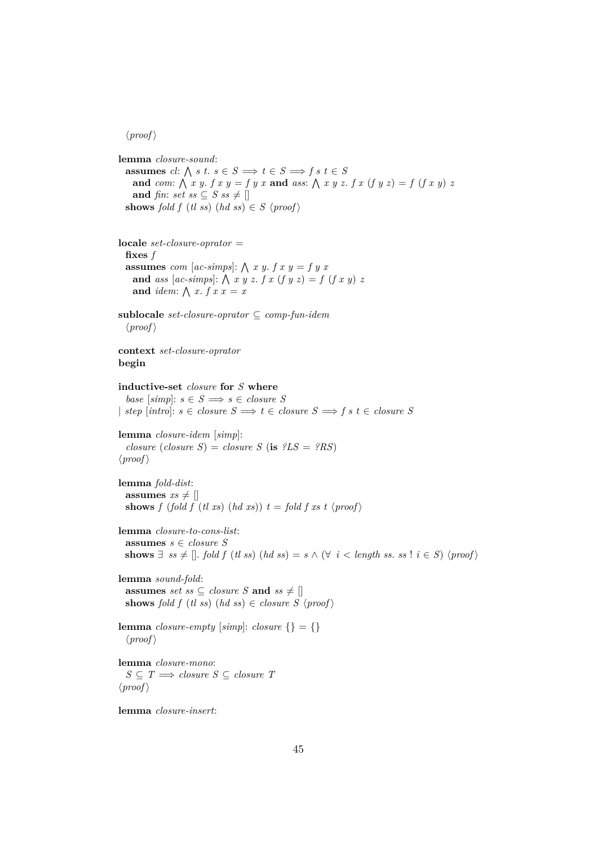### $\langle proof \rangle$

```
lemma closure-sound:
  assumes cl: \bigwedge s t. s \in S \implies t \in S \implies f s t \in Sand com:
V
x y. f x y = f y x and ass:
V
x y z. f x (f y z) = f (f x y) z
   and fin: set ss \subseteq S ss \neq []shows fold f (tl ss) (hd ss) \in S \langle proof \ranglelocale set-closure-oprator =
  fixes f
  assumes com [ac-simps]: \bigwedge x y. f x y = f y xand ass [ac\text{-}simps]: \bigwedge x y z. f x (f y z) = f (f x y) zand idem: \bigwedge x. f x x = xsublocale set-closure-oprator ⊆ comp-fun-idem
  \langle proof \ranglecontext set-closure-oprator
begin
inductive-set closure for S where
  base \ [simp] : s \in S \Longrightarrow s \in closure S| step [intro]: s ∈ closure S \Longrightarrow t ∈ closure S \Longrightarrow f s t ∈ closure Slemma closure-idem [simp]:
  closure (s) = \text{closure } S (is ?LS = ?RS)
\langle proof \ranglelemma fold-dist:
 assumes xs \neq []shows f (fold f (tl xs) (hd xs)) t = \text{fold } f \text{ } xs \text{ } t \text{ } \langle \text{proof} \ranglelemma closure-to-cons-list:
 assumes s ∈ closure S
 shows ∃ ss \neq []. fold f (tl ss) (hd ss) = s ∧ (∀ i < length ss. ss ! i ∈ S) \langleproof\ranglelemma sound-fold:
  assumes set ss \subseteq closure S and ss \neq []
 shows fold f (tl ss) (hd ss) \in closure S \langleproof\ranglelemma closure-empty [simp]: closure {} = {}
  \langle proof \ranglelemma closure-mono:
  S ⊂ T \implies closure S ⊂ closure T
\langle proof \ranglelemma closure-insert:
```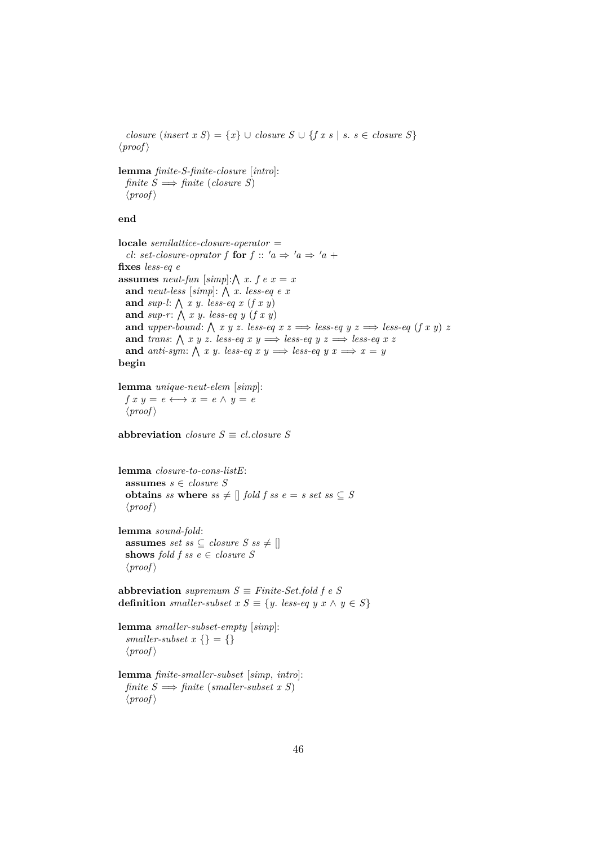$closure (insert x S) = \{x\} \cup closure S \cup \{fx s \mid s. s \in closure S\}$  $\langle proof \rangle$ 

**lemma** *finite-S-finite-closure* [*intro*]: *finite*  $S \implies$  *finite* (*closure S*)  $\langle proof \rangle$ 

## **end**

**locale** *semilattice-closure-operator* = *cl: set-closure-oprator f* **for**  $f$  ::  $'a \Rightarrow 'a \Rightarrow 'a +$ **fixes** *less-eq e* **assumes** *neut-fun* [ $simpl$ ;  $\wedge$  *x*.  $f e x = x$ and *neut-less* [simp]:  $\bigwedge x$ . *less-eq e x* and *sup-l*:  $\bigwedge x \ y$ . *less-eq x (f x y)* and  $sup-r$ :  $\bigwedge x y$ . *less-eq y*  $(f x y)$ **and** *upper-bound*:  $\bigwedge x, y, z$ . *less-eq*  $x, z \implies$  *less-eq*  $y, z \implies$  *less-eq*  $(f, x, y) \neq f$ and *trans*:  $\bigwedge x y z$ . *less-eq x y*  $\implies$  *less-eq y z*  $\implies$  *less-eq x z* and *anti-sym*:  $\bigwedge x y$ . *less-eq x y*  $\implies$  *less-eq y x*  $\implies x = y$ **begin**

**lemma** *unique-neut-elem* [*simp*]:  $f x y = e \longleftrightarrow x = e \land y = e$  $\langle proof \rangle$ 

**abbreviation** *closure*  $S \equiv cl$ *, closure*  $S$ 

```
lemma closure-to-cons-listE:
  assumes s ∈ closure S
  obtains ss where ss \neq \lceil \frac{1}{2} \rceil fold f ss e = s set ss \subseteq S\langle proof \rangle
```
**lemma** *sound-fold*: **assumes** *set ss*  $\subseteq$  *closure*  $S$  *ss*  $\neq$   $\parallel$ **shows** *fold f ss*  $e \in closure S$  $\langle proof \rangle$ 

**abbreviation** *supremum*  $S \equiv Finite\text{-}Set\text{-}fold$   $f \in S$ **definition** *smaller-subset*  $x S \equiv \{y. \text{ } less\text{-}eq \text{ } y \text{ } x \land y \in S\}$ 

```
lemma smaller-subset-empty [simp]:
 smaller-subset x \} = {}
  \langle proof \rangle
```
**lemma** *finite-smaller-subset* [*simp*, *intro*]:  $finite S \implies finite (smaller-subset x S)$  $\langle proof \rangle$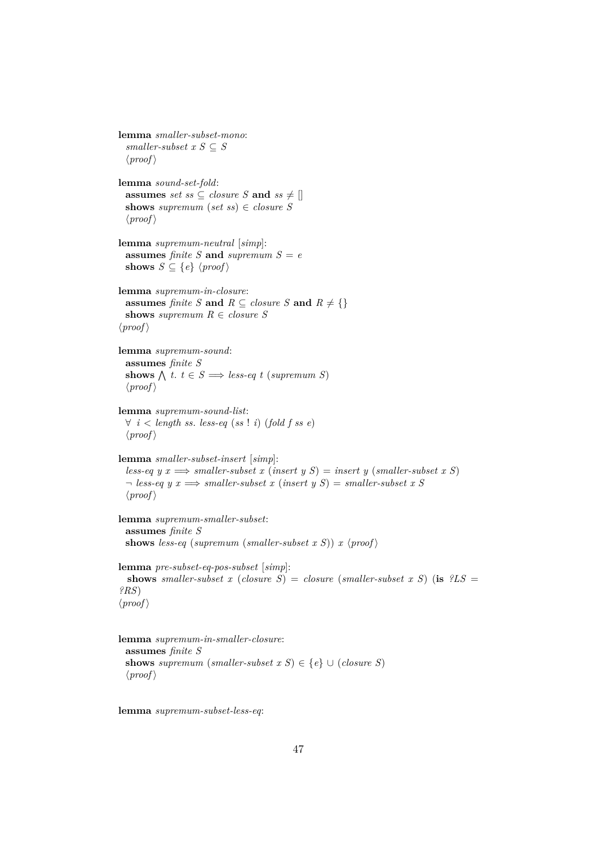```
lemma smaller-subset-mono:
 smaller-subset x S \subseteq S\langle proof \ranglelemma sound-set-fold:
 assumes set ss \subseteq closure S and ss \neq []
 shows supremum (set ss) \in closure S
  \langle proof \ranglelemma supremum-neutral [simp]:
 assumes finite S and supremum S = eshows S \subseteq \{e\} \langle proof \ranglelemma supremum-in-closure:
 assumes finite S and R \subseteq closure S and R \neq \{\}shows supremum R \in closure S\langle proof \ranglelemma supremum-sound:
 assumes finite S
  shows \bigwedge t. t \in S \implies less\text{-}eq\ t (supremum S)
 \langle proof \ranglelemma supremum-sound-list:
 ∀ i < length ss. less-eq (ss ! i) (fold f ss e)
 \langle proof \ranglelemma smaller-subset-insert [simp]:
  less-eq y x \implies smaller-subset x (insert y S) = insert y (smaller-subset x S)
 \neg less-eq y x \implies smaller-subset x (insert y S) = smaller-subset x S
  \langle proof \ranglelemma supremum-smaller-subset:
 assumes finite S
 shows less-eq (supremum (smaller-subset x S)) x \langle proof \ranglelemma pre-subset-eq-pos-subset [simp]:
  shows smaller-subset x (closure S) = closure (smaller-subset x S) (is ?LS =
?RS)
\langle proof \ranglelemma supremum-in-smaller-closure:
 assumes finite S
 shows supremum (smaller-subset x S) \in \{e\} \cup (closure S)
```
**lemma** *supremum-subset-less-eq*:

 $\langle proof \rangle$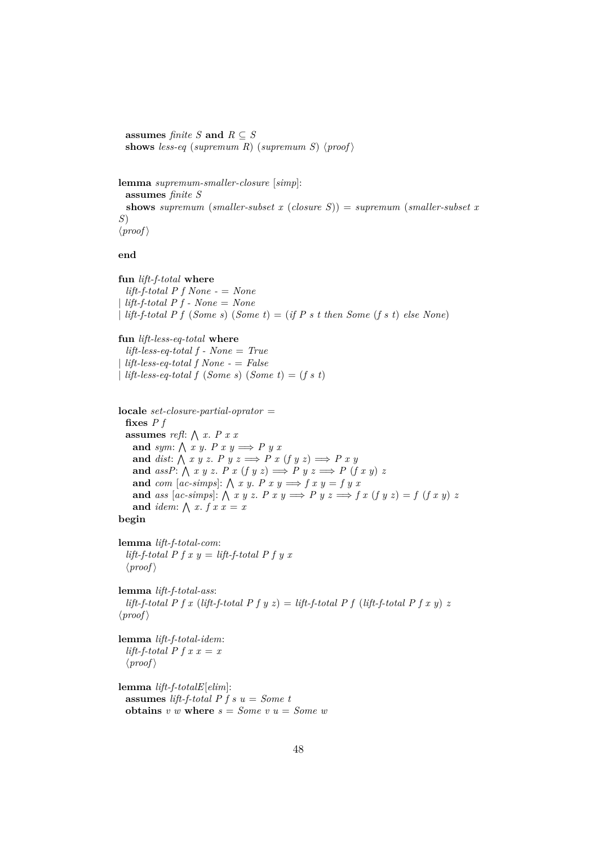**assumes** *finite S* **and**  $R \subseteq S$ shows less-eq (supremum R) (supremum S)  $\langle proof \rangle$ 

**lemma** *supremum-smaller-closure* [*simp*]: **assumes** *finite S* **shows** *supremum* (*smaller-subset x* (*closure S*)) = *supremum* (*smaller-subset x S*)  $\langle proof \rangle$ 

**end**

**fun** *lift-f-total* **where** *lift-f-total P f None -* = *None*  $lift-f-total\ P\ f - None = None$ | *lift-f-total P f* (*Some s*) (*Some t*) = (*if P s t then Some* (*f s t*) *else None*)

**fun** *lift-less-eq-total* **where**

*lift-less-eq-total f - None* = *True* | *lift-less-eq-total f None -* = *False* | *lift-less-eq-total f* (*Some s*) (*Some t*) = (*f s t*)

**locale** *set-closure-partial-oprator* = **fixes** *P f* **assumes** *refl*:  $\bigwedge x$ . *P x x* and *sym*:  $\bigwedge x y$ . *P*  $x y \Longrightarrow P y x$ and *dist*:  $\bigwedge x y z$ . *P*  $y z \implies P x (f y z) \implies P x y$ and  $assP: \bigwedge x \ y \ z. \ P \ x \ (f \ y \ z) \Longrightarrow P \ y \ z \Longrightarrow P \ (f \ x \ y) \ z$ and *com* [ac-simps]:  $\bigwedge x \ y$ . *P*  $x \ y \Longrightarrow f \ x \ y = f \ y \ x$ **and** *ass* [ac-simps]:  $\bigwedge x \ y \ z$ .  $P \ x \ y \Longrightarrow P \ y \ z \Longrightarrow f \ x \ (f \ y \ z) = f \ (f \ x \ y) \ z$ and *idem*:  $\bigwedge x$ .  $f x x = x$ **begin**

**lemma** *lift-f-total-com*:  $lift-f-total P f x y = lift-f-total P f y x$  $\langle proof \rangle$ 

**lemma** *lift-f-total-ass*: *lift-f-total P f x (lift-f-total P f y z)* = *lift-f-total P f (lift-f-total P f x y) z*  $\langle proof \rangle$ 

**lemma** *lift-f-total-idem*: *lift-f-total P f x x = x*  $\langle proof \rangle$ 

**lemma** *lift-f-totalE*[*elim*]: **assumes** *lift-f-total P f s u* = *Some t* **obtains**  $v \t w$  **where**  $s = Some \t v \t u = Some \t w$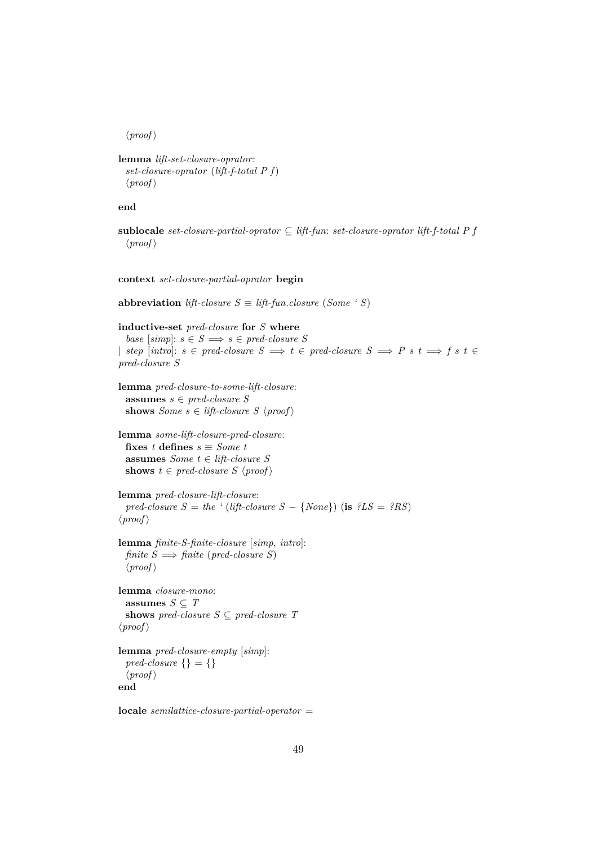$\langle proof \rangle$ 

```
lemma lift-set-closure-oprator:
  set-closure-oprator (lift-f-total P f)
  \langle proof \rangle
```
## **end**

```
sublocale set-closure-partial-oprator ⊆ lift-fun: set-closure-oprator lift-f-total P f
  \langle proof \rangle
```
**context** *set-closure-partial-oprator* **begin**

**abbreviation** *lift-closure*  $S \equiv$  *lift-fun.closure* (*Some ' S*)

```
inductive-set pred-closure for S where
  base [simp]: s \in S \implies s \in pred-closure S| step [int]: s \in pred-closure S \implies t \in pred-closure S \implies P s t \implies f s t \inpred-closure S
lemma pred-closure-to-some-lift-closure:
  assumes s ∈ pred-closure S
 shows Some s \in \textit{lift-closure} S \langle \textit{proof} \ranglelemma some-lift-closure-pred-closure:
  fixes t defines s \equiv Some \ tassumes Some t ∈ lift-closure S
 shows t \in pred-closure S \ (proof)lemma pred-closure-lift-closure:
  pred-closure S = the ' (lift-closure S - \{None\}) (is ?LS = ?RS)
\langle proof \ranglelemma finite-S-finite-closure [simp, intro]:
 finite S \implies \text{finite} (pred-closure S)
  \langle proof \ranglelemma closure-mono:
  assumes S \subseteq Tshows pred\text{-}closure S \subseteq pred\text{-}closure T\langle proof \ranglelemma pred-closure-empty [simp]:
  pred\text{-}closure \{\} = \{\}\langle proof \rangleend
locale semilattice-closure-partial-operator =
```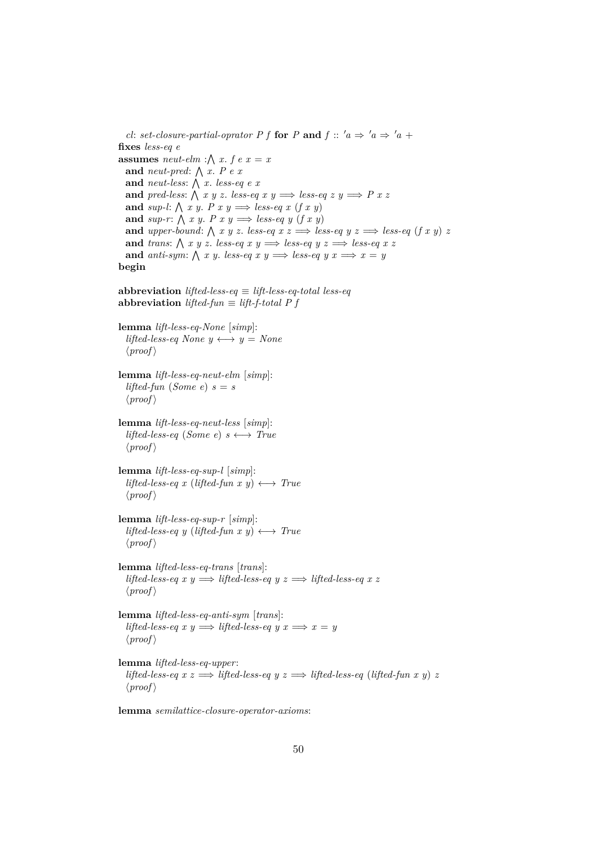*cl: set-closure-partial-oprator P f* **for** *P* **and**  $f$  ::  $'a \Rightarrow 'a \Rightarrow 'a +$ **fixes** *less-eq e* **assumes** *neut-elm* : $\bigwedge x$ . *f e x = x* and *neut-pred*:  $\bigwedge x$ . *P e x* and *neut-less*:  $\bigwedge x$ . *less-eq e x* and *pred-less:*  $\bigwedge x \ y \ z$ . *less-eq x y*  $\implies$  *less-eq z y*  $\implies$  *P x z* and *sup-l*:  $\bigwedge x y$ . *P x y*  $\implies$  *less-eq x (f x y)* and *sup-r*:  $\bigwedge x y$ . *P x y*  $\implies$  *less-eq y* (*f x y*) **and** *upper-bound*:  $\bigwedge x, y, z$ . *less-eq*  $x, z \implies$  *less-eq*  $y, z \implies$  *less-eq*  $(f, x, y) \neq f$ and *trans*:  $\bigwedge x y z$ . *less-eq x y*  $\implies$  *less-eq y z*  $\implies$  *less-eq x z* and *anti-sym*:  $\bigwedge x$  *y*. *less-eq x y*  $\implies$  *less-eq y x*  $\implies$  *x* = *y* **begin abbreviation** *lifted-less-eq*  $\equiv$  *lift-less-eq-total less-eq* **abbreviation** *lifted-fun* ≡ *lift-f-total P f* **lemma** *lift-less-eq-None* [*simp*]: *lifted-less-eq None*  $y \leftrightarrow y = None$  $\langle proof \rangle$ **lemma** *lift-less-eq-neut-elm* [*simp*]: *lifted-fun* (*Some e*)  $s = s$  $\langle proof \rangle$ **lemma** *lift-less-eq-neut-less* [*simp*]:  $lifted-less-eq$  (*Some e*)  $s \leftrightarrow True$  $\langle proof \rangle$ **lemma** *lift-less-eq-sup-l* [*simp*]:  $lifted-less-eq x (lifted-fun x y) \longleftrightarrow True$  $\langle proof \rangle$ **lemma** *lift-less-eq-sup-r* [*simp*]:  $lifted-less-eq y (lifted-fun x y) \longleftrightarrow True$  $\langle proof \rangle$ **lemma** *lifted-less-eq-trans* [*trans*]: *lifted-less-eq x y*  $\implies$  *lifted-less-eq y z*  $\implies$  *lifted-less-eq x z*  $\langle proof \rangle$ **lemma** *lifted-less-eq-anti-sym* [*trans*]:  $lifted-less-eq \ x \ y \Longrightarrow lifted-less-eq \ y \ x \Longrightarrow x = y$  $\langle proof \rangle$ **lemma** *lifted-less-eq-upper*: *lifted-less-eq x z*  $\implies$  *lifted-less-eq y z*  $\implies$  *lifted-less-eq (lifted-fun x y) z*  $\langle proof \rangle$ 

**lemma** *semilattice-closure-operator-axioms*: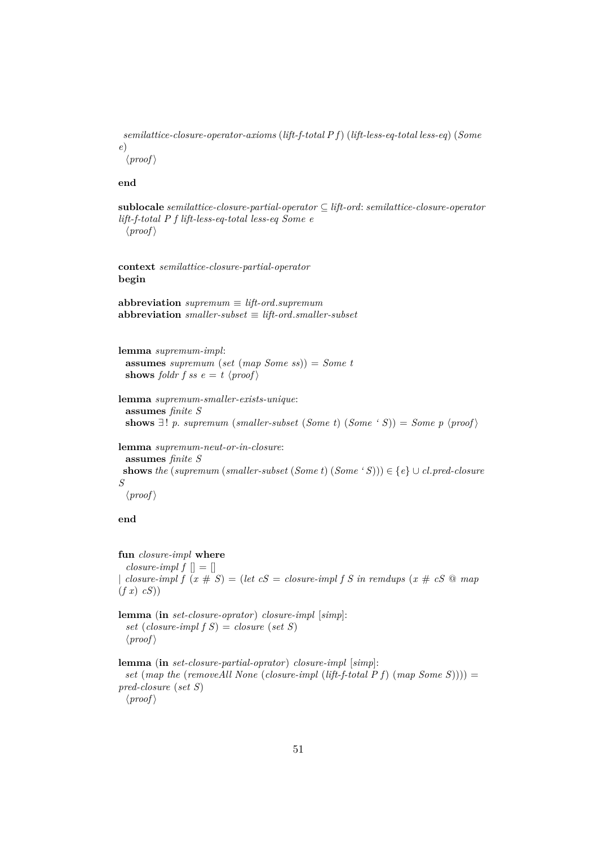*semilattice-closure-operator-axioms* (*lift-f-total P f*) (*lift-less-eq-total less-eq*) (*Some e*)  $\langle proof \rangle$ 

**end**

**sublocale** *semilattice-closure-partial-operator* ⊆ *lift-ord*: *semilattice-closure-operator lift-f-total P f lift-less-eq-total less-eq Some e*  $\langle proof \rangle$ 

**context** *semilattice-closure-partial-operator* **begin**

**abbreviation** *supremum* ≡ *lift-ord*.*supremum* **abbreviation** *smaller-subset* ≡ *lift-ord*.*smaller-subset*

**lemma** *supremum-impl*: **assumes** *supremum* (*set* (*map Some ss*)) = *Some t* **shows** *foldr f ss*  $e = t \ \langle proof \rangle$ 

```
lemma supremum-smaller-exists-unique:
 assumes finite S
 shows \exists ! \ p. \ supremum \ (small{smaller-subset (Some t) (Some ' S)}) = Some p \ (proof)
```
**lemma** *supremum-neut-or-in-closure*:

**assumes** *finite S* **shows** *the* (*supremum* (*smaller-subset* (*Some t*) (*Some* '*S*)))  $\in \{e\} \cup cl.\text{pred-closure}$ *S*  $\langle proof \rangle$ 

**end**

**fun** *closure-impl* **where** *closure-impl f*  $\parallel$  =  $\parallel$ | *closure-impl f*  $(x \# S) = (let \ cS = closure-impl \ fS \ in \ remdups \ (x \# \ cS \ @ \ map$ (*f x*) *cS*))

**lemma** (**in** *set-closure-oprator*) *closure-impl* [*simp*]: *set* (*closure-impl f S*) = *closure* (*set S*)  $\langle proof \rangle$ 

**lemma** (**in** *set-closure-partial-oprator*) *closure-impl* [*simp*]: *set* (*map the* (*removeAll None* (*closure-impl* (*lift-f-total P f*) (*map Some S*)))) = *pred-closure* (*set S*)  $\langle proof \rangle$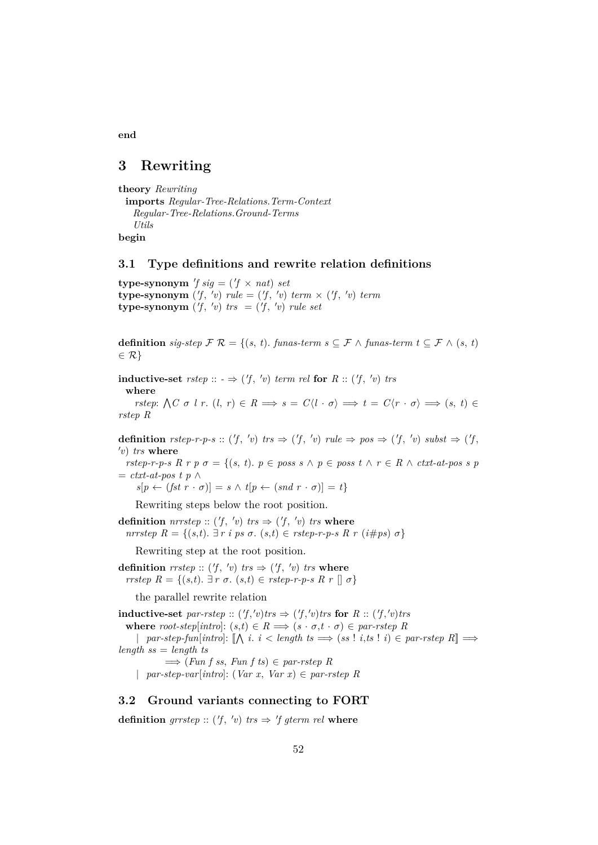# **3 Rewriting**

**end**

```
theory Rewriting
 imports Regular-Tree-Relations.Term-Context
   Regular-Tree-Relations.Ground-Terms
   Utils
begin
```
### **3.1 Type definitions and rewrite relation definitions**

**type-synonym**  $'f sig = (f \times nat) set$ **type-synonym**  $(f, 'v)$  *rule* =  $(f, 'v)$  *term*  $\times$   $(f, 'v)$  *term* **type-synonym**  $(f, 'v)$  *trs* =  $(f, 'v)$  *rule set* 

**definition** *sig-step*  $\mathcal{F} \mathcal{R} = \{(s, t)$ . *funas-term s*  $\subseteq \mathcal{F} \wedge$  *funas-term*  $t \subseteq \mathcal{F} \wedge (s, t)$  $\in \mathcal{R}$ 

**inductive-set**  $rstep :: - \Rightarrow (f, 'v) \text{ term rel for } R :: (f, 'v) \text{ trs}$ **where**

*rstep*:  $\bigwedge C \sigma \, l \, r \colon (l, r) \in R \implies s = C \langle l \cdot \sigma \rangle \implies t = C \langle r \cdot \sigma \rangle \implies (s, t) \in$ *rstep R*

**definition** *rstep-r-p-s* :: (<sup>0</sup> *f* , 0 *v*) *trs* ⇒ ( 0 *f* , 0 *v*) *rule* ⇒ *pos* ⇒ ( 0 *f* , 0 *v*) *subst* ⇒ ( 0 *f* , 0 *v*) *trs* **where**

*rstep-r-p-s R r p*  $\sigma = \{(s, t)$ .  $p \in poss s \land p \in poss t \land r \in R \land \text{ctxt-at-pos } s \text{ } p$ = *ctxt-at-pos t p* ∧

 $s[p \leftarrow (fst \ r \cdot \sigma)] = s \land t[p \leftarrow (snd \ r \cdot \sigma)] = t\}$ 

Rewriting steps below the root position.

**definition**  $\textit{nrrstep}$  :: (*f*, 'v)  $\textit{trs}$   $\Rightarrow$  (*f*, 'v)  $\textit{trs}$  where*nrrstep*  $R = \{(s,t)$ . ∃ *r i ps* σ.  $(s,t)$  ∈ *rstep-r-p-s*  $R$  *r*  $(i#ps)$  σ}

Rewriting step at the root position.

**definition**  $rrstep :: ('f, 'v) trs \Rightarrow ('f, 'v) trs$  where *rrstep*  $R = \{(s,t)$ .  $\exists r \sigma \in (s,t) \in \text{rstep-r-p-s } R \ r \mid \sigma \}$ 

the parallel rewrite relation

**inductive-set** par-rstep ::  $(f, 'v)$ trs  $\Rightarrow$   $(f, 'v)$ trs for  $R$  ::  $(f, 'v)$ trs **where** *root-step*[*intro*]:  $(s,t) \in R \implies (s \cdot \sigma, t \cdot \sigma) \in par\text{-}rstep R$ |  $par\text{-}step\text{-}fun[\text{intro}]: [\bigwedge_i i_i < \text{length }ts \Longrightarrow (ss \mid i, ts \mid i) \in par\text{-}rstep \space R] \Longrightarrow$ *length ss* = *length ts*  $\implies$  (*Fun f ss, Fun f ts*)  $\in$  *par-rstep R* | *par-step-var*[*intro*]: (*Var x*, *Var x*) ∈ *par-rstep R*

### **3.2 Ground variants connecting to FORT**

**definition**  $grrstep :: ('f, 'v) trs \Rightarrow 'f \text{ gterm rel where}$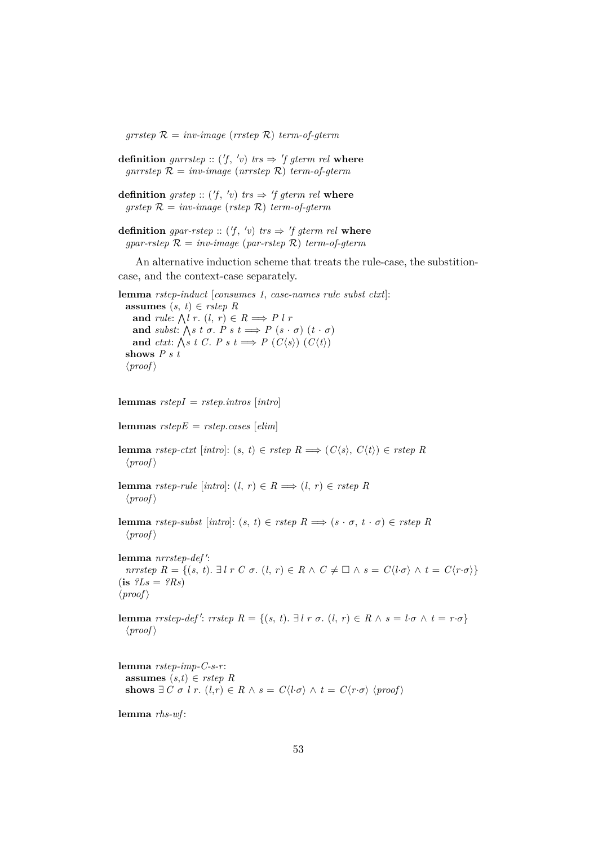$grrstep \mathcal{R} = inv-image (rrstep \mathcal{R}) term-of-germ$ 

**definition** gnrrstep ::  $(f, 'v)$  trs  $\Rightarrow 'f$  gterm rel where  $qnrrstep \mathcal{R} = inv-image (nrrstep \mathcal{R}) term-of-qterm$ 

**definition** grstep ::  $(f, 'v)$  trs  $\Rightarrow 'f$  gterm rel where  $q$ *rstep*  $\mathcal{R} = inv\text{-}image$  (*rstep*  $\mathcal{R}$ ) *term-of-gterm* 

**definition** gpar-rstep ::  $(f, 'v)$  trs  $\Rightarrow 'f$  gterm rel where  $gpar\text{-}rstep \mathcal{R} = inv\text{-}image (par\text{-}rstep \mathcal{R}) term\text{-}of\text{-}gterm$ 

An alternative induction scheme that treats the rule-case, the substitioncase, and the context-case separately.

**lemma** *rstep-induct* [*consumes 1*, *case-names rule subst ctxt*]: **assumes**  $(s, t) \in \text{rstep } R$ and *rule*:  $\bigwedge l$  *r*.  $(l, r) \in R \Longrightarrow P l r$ **and** *subst*:  $\bigwedge s$  *t*  $\sigma$ . *P s t*  $\implies$  *P*  $(s \cdot \sigma)$   $(t \cdot \sigma)$ and *ctxt*:  $\bigwedge s \; t \; C. \; P \; s \; t \Longrightarrow P \; (C \langle s \rangle) \; (C \langle t \rangle)$ **shows** *P s t*  $\langle proof \rangle$ 

**lemmas** *rstepI* = *rstep*.*intros* [*intro*]

**lemmas** *rstepE* = *rstep*.*cases* [*elim*]

**lemma** *rstep-ctxt* [*intro*]: (*s*, *t*) ∈ *rstep*  $R \implies (C\langle s \rangle, C\langle t \rangle) \in \text{rstep } R$  $\langle proof \rangle$ 

**lemma** *rstep-rule* [ $intro$ ]: ( $l, r$ )  $\in R \implies (l, r) \in r$ *step* R  $\langle proof \rangle$ 

**lemma** *rstep-subst* [*intro*]:  $(s, t) \in$  *rstep*  $R \implies (s \cdot \sigma, t \cdot \sigma) \in$  *rstep*  $R$  $\langle proof \rangle$ 

lemma *nrrstep-def*': *nrrstep*  $R = \{(s, t) \in \mathbb{R} \mid r \subset \sigma, (l, r) \in R \land C \neq \Box \land s = C\langle l \cdot \sigma \rangle \land t = C\langle r \cdot \sigma \rangle\}$  $(i\mathbf{s}$   $?Ls = ?Rs$  $\langle proof \rangle$ 

**lemma** *rrstep-def': rrstep*  $R = \{(s, t) \in \mathbb{R} \mid r \in \mathbb{R} \mid s \in \mathbb{R} \mid s \in \mathbb{R} \}$  $\langle proof \rangle$ 

**lemma** *rstep-imp-C-s-r*: **assumes**  $(s,t) \in \text{rstep } R$ **shows**  $\exists C \sigma \in l \in r$ .  $(l,r) \in R \land s = C\langle l \cdot \sigma \rangle \land t = C\langle r \cdot \sigma \rangle \langle \text{proof} \rangle$ 

**lemma** *rhs-wf* :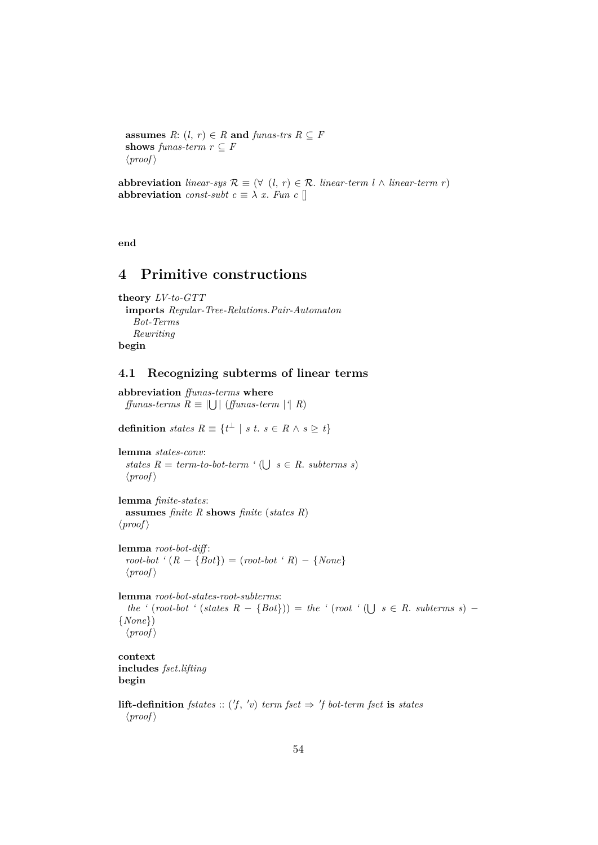**assumes**  $R: (l, r) \in R$  **and**  $\text{funas-trs } R \subseteq F$ **shows** *funas-term*  $r \subseteq F$  $\langle proof \rangle$ 

**abbreviation** *linear-sys*  $\mathcal{R}$  ≡ (∀ (*l*, *r*) ∈  $\mathcal{R}$ *. linear-term l* ∧ *linear-term r*) **abbreviation** *const-subt*  $c \equiv \lambda x$ . *Fun c* []

**end**

# **4 Primitive constructions**

```
theory LV-to-GTT
 imports Regular-Tree-Relations.Pair-Automaton
   Bot-Terms
   Rewriting
begin
```
# **4.1 Recognizing subterms of linear terms**

**abbreviation** *ffunas-terms* **where**  $f\!f\!unas-terms \ R \equiv \bigcup \bigcup \left( f\!f\!unas-term \ \big| \{ R \} \right)$ 

**definition** *states*  $R \equiv \{t^{\perp} \mid s \ t. \ s \in R \land s \geq t\}$ 

```
lemma states-conv:
  states R = term-to-bot-term \left(\bigcup s \in R. subterms s)
  \langle proof \rangle
```
**lemma** *finite-states*: **assumes** *finite R* **shows** *finite* (*states R*)  $\langle proof \rangle$ 

**lemma** *root-bot-diff* :  $root-bot$  ' $(R - {Bot}) = (root-bot \cdot R) - {None}$  $\langle proof \rangle$ 

**lemma** *root-bot-states-root-subterms*:  $the$  ' $(root-bot$  ' $(states R - {Bot})$ ) = *the* ' $(root ' (\bigcup s \in R.$  *subterms s*) − {*None*})  $\langle proof \rangle$ 

**context includes** *fset*.*lifting* **begin**

**lift-definition** *fstates* :: ('*f*, 'v) *term fset*  $\Rightarrow$  '*f bot-term fset* **is** *states*  $\langle proof \rangle$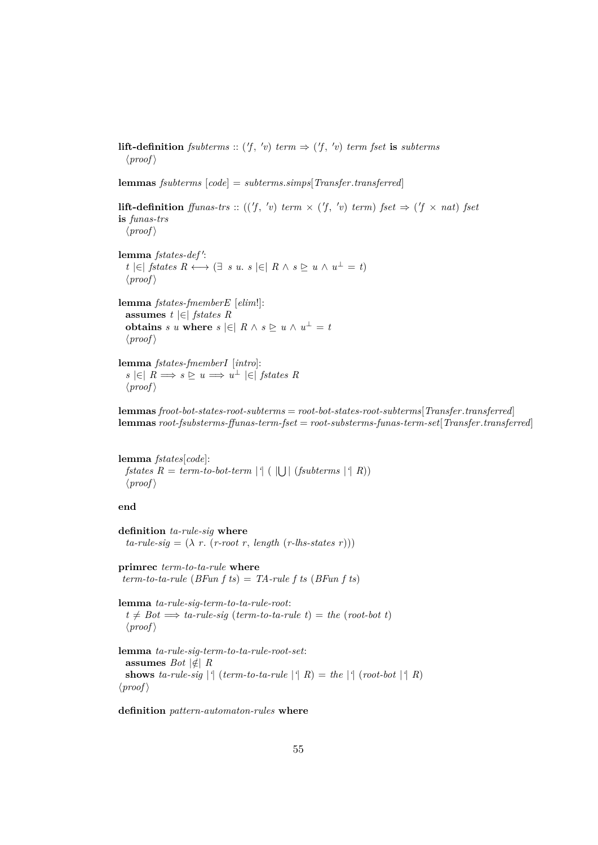**lift-definition** *fsubterms* ::  $(f, 'v)$  *term*  $\Rightarrow$   $(f, 'v)$  *term fset* **is** *subterms*  $\langle proof \rangle$ 

**lemmas** *fsubterms* [*code*] = *subterms*.*simps*[*Transfer*.*transferred*]

**lift-definition** *ffunas-trs* :: (('f, 'v) *term*  $\times$  ('f, 'v) *term*) *fset*  $\Rightarrow$  ('f  $\times$  *nat*) *fset* **is** *funas-trs*  $\langle proof \rangle$ 

lemma *fstates-def*': *t*  $\in$  *fstates*  $R \leftrightarrow \exists s \text{ } u \text{.} s \in \exists R \land s \geq u \land u^{\perp} = t$  $\langle proof \rangle$ 

**lemma** *fstates-fmemberE* [*elim*!]: **assumes** *t* |∈| *fstates R* **obtains** *s u* **where**  $s \in \infty$   $R \wedge s \geq u \wedge u^{\perp} = t$  $\langle proof \rangle$ 

**lemma** *fstates-fmemberI* [*intro*]:  $s \in R \implies s \subseteq u \implies u^{\perp} \in f$ *states R*  $\langle proof \rangle$ 

**lemmas** *froot-bot-states-root-subterms* = *root-bot-states-root-subterms*[*Transfer*.*transferred*] **lemmas** *root-fsubsterms-ffunas-term-fset* = *root-substerms-funas-term-set*[*Transfer*.*transferred*]

**lemma** *fstates*[*code*]:  $fstates R = term-to-bot-term$  |<sup>{</sup>| (|U|  $(fsubterms |^q R)$ )  $\langle proof \rangle$ 

**end**

**definition** *ta-rule-sig* **where**  $ta$ -*rule-sig* =  $(\lambda r. (r$ -root r, *length*  $(r$ -*lhs-states* r)))

**primrec** *term-to-ta-rule* **where** *term-to-ta-rule* (*BFun f ts*) = *TA-rule f ts* (*BFun f ts*)

**lemma** *ta-rule-sig-term-to-ta-rule-root*:  $t \neq Bot \implies ta\text{-}rule\text{-}sig \text{ (term-to-ta-rule } t\text{)} = the \text{ (root-bit } t\text{)}$  $\langle proof \rangle$ 

**lemma** *ta-rule-sig-term-to-ta-rule-root-set*: assumes *Bot*  $|\notin R$ **shows** *ta-rule-sig*  $| \cdot |$  (*term-to-ta-rule*  $| \cdot |$  *R*) = *the*  $| \cdot |$  (*root-bot*  $| \cdot |$  *R*)  $\langle proof \rangle$ 

**definition** *pattern-automaton-rules* **where**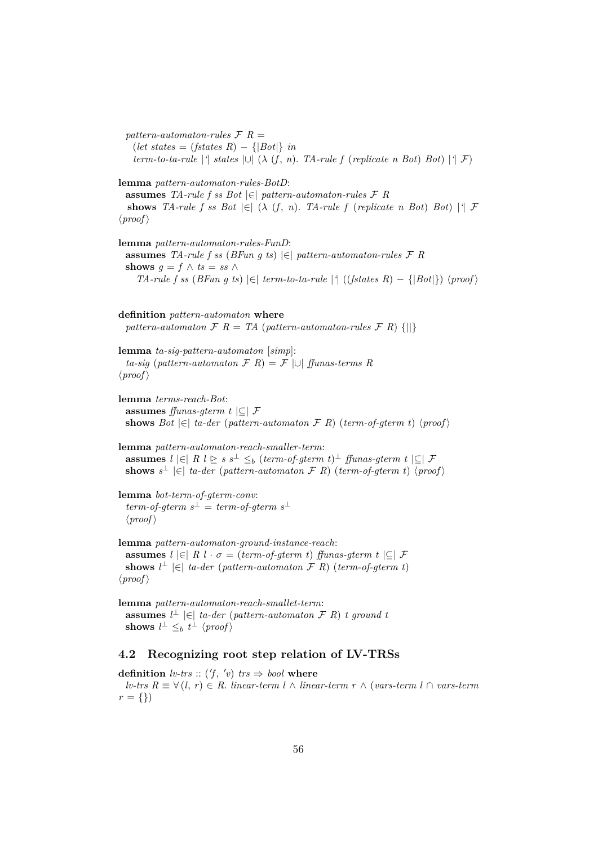$pattern\text{-}automaton\text{-}rules\ \mathcal{F}\ \mathcal{R} =$  $(left states = (fstates R) - \{|Bot|\} \in \mathbb{R}$ *term-to-ta-rule* |<sup>*'*</sup>| *states*  $| \cup | (\lambda (f, n))$ . *TA-rule*  $f$  (*replicate n Bot*) *Bot*) |<sup>*'*</sup>| *F*)

**lemma** *pattern-automaton-rules-BotD*:

**assumes** *TA-rule f ss Bot* |∈| *pattern-automaton-rules* F *R* **shows** *TA-rule f ss Bot*  $|\in|$  ( $\lambda$  (*f, n). TA-rule f* (*replicate n Bot*) *Bot*)  $|\cdot|$  *F*  $\langle proof \rangle$ 

**lemma** *pattern-automaton-rules-FunD*: **assumes** *TA-rule f ss* (*BFun g ts*) |∈| *pattern-automaton-rules* F *R* **shows**  $g = f \wedge ts = ss \wedge$ *TA-rule f ss* (*BFun g ts*)  $\in$  *term-to-ta-rule* |<sup>4</sup> ((*fstates R*) − { $|Bot|$ })  $\langle proof \rangle$ 

**definition** *pattern-automaton* **where** *pattern-automaton*  $\mathcal{F}$  *R* = *TA* (*pattern-automaton-rules*  $\mathcal{F}$  *R*) {||}

**lemma** *ta-sig-pattern-automaton* [*simp*]: *ta-sig* (*pattern-automaton* F *R*) = F |∪| *ffunas-terms R*  $\langle proof \rangle$ 

**lemma** *terms-reach-Bot*: **assumes** *ffunas-gterm t* |⊆| F **shows**  $Bot \in \infty$  *ta-der* (*pattern-automaton*  $\mathcal{F}$  *R*) (*term-of-gterm t*)  $\langle proof \rangle$ 

**lemma** *pattern-automaton-reach-smaller-term*: **assumes**  $l \in R$   $l \geq s$   $s$ <sup>⊥</sup>  $\leq_b$  (*term-of-gterm t*)<sup>⊥</sup> *ffunas-gterm t*  $| \subseteq |$  *F* **shows**  $s^{\perp} \in \infty$  *ta-der* (*pattern-automaton*  $\mathcal{F}$  *R*) (*term-of-gterm t*)  $\langle proof \rangle$ 

**lemma** *bot-term-of-gterm-conv*:  $term-of-gterm s^{\perp} = term-of-gterm s^{\perp}$  $\langle proof \rangle$ 

**lemma** *pattern-automaton-ground-instance-reach*: **assumes**  $l \in R$   $l \cdot \sigma = (term-of-germ t)$  *ffunas-gterm t*  $|C|$  *F* **shows**  $l^{\perp} \in$   $| \infty |$  *ta-der* (*pattern-automaton*  $\mathcal{F}$  *R*) (*term-of-gterm t*)  $\langle proof \rangle$ 

**lemma** *pattern-automaton-reach-smallet-term*: **assumes**  $l^{\perp}$  |∈| *ta-der* (*pattern-automaton*  $\mathcal{F}$  *R*) *t* ground *t* shows  $l^{\perp} \leq_b t^{\perp}$   $\langle \text{proof} \rangle$ 

# **4.2 Recognizing root step relation of LV-TRSs**

**definition**  $lv\text{-}trs :: ('f, 'v)$   $trs \Rightarrow bool$  where *lv-trs R* ≡ ∀ (*l*, *r*) ∈ *R*. *linear-term l* ∧ *linear-term r* ∧ (*vars-term l* ∩ *vars-term*  $r = \{\}\)$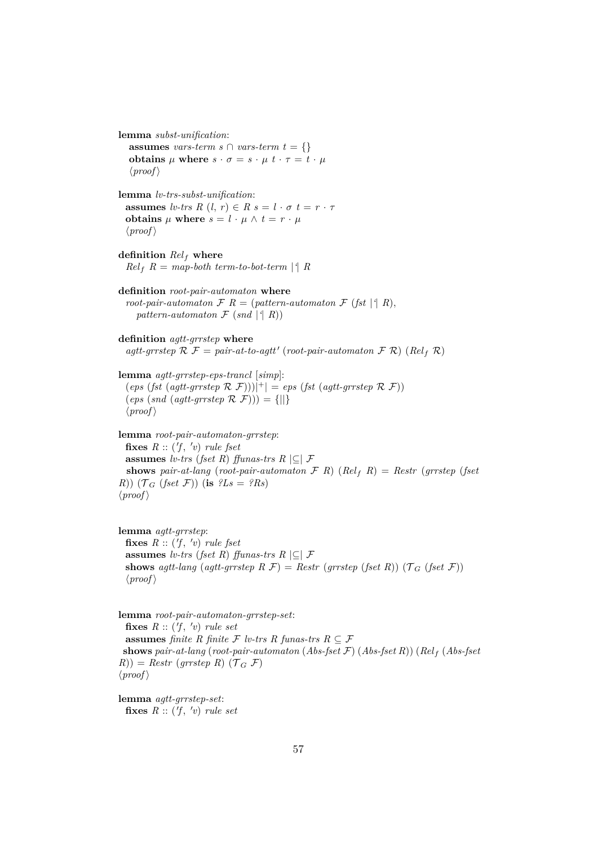**lemma** *subst-unification*: **assumes** *vars-term s*  $\cap$  *vars-term t* = {} **obtains**  $\mu$  where  $s \cdot \sigma = s \cdot \mu$   $t \cdot \tau = t \cdot \mu$  $\langle proof \rangle$ **lemma** *lv-trs-subst-unification*: **assumes** *lv-trs*  $R$   $(l, r) \in R$   $s = l \cdot \sigma$   $t = r \cdot \tau$ **obtains**  $\mu$  **where**  $s = l \cdot \mu \wedge t = r \cdot \mu$  $\langle proof \rangle$ **definition** *Rel*<sup>f</sup> **where**  $Rel_f$   $R = map$ -both term-to-bot-term |<sup>*'*</sup>|  $R$ **definition** *root-pair-automaton* **where** *root-pair-automaton*  $\mathcal{F}$   $R$  = (*pattern-automaton*  $\mathcal{F}$  (*fst* |<sup>*|*</sup>  $R$ ), *pattern-automaton*  $\mathcal{F}$  (*snd*  $| \nmid R$ )) **definition** *agtt-grrstep* **where**  $agtt\text{-}grrstep \mathcal{R} \mathcal{F} = pair-at-to-agtt' (root-pair-automaton \mathcal{F} \mathcal{R}) \ (Rel_f \mathcal{R})$ **lemma** *agtt-grrstep-eps-trancl* [*simp*]:  $(\text{eps}(fst(\text{agtt-grrstep} \mathcal{R} \mathcal{F})))|^+$  = *eps* (*fst* (*agtt-grrstep*  $\mathcal{R} \mathcal{F})$ )  $(\text{eps}(snd(\text{agtt-grrstep} \mathcal{R} \mathcal{F}))) = \{||\}$  $\langle proof \rangle$ **lemma** *root-pair-automaton-grrstep*: fixes  $R :: ('f, 'v)$  *rule fset* **assumes** *lv-trs* (*fset R*) *ffunas-trs*  $R \subseteq F$ **shows** pair-at-lang (root-pair-automaton  $\mathcal{F}$  *R*) (*Rel<sub>f</sub> R*) = *Restr* (*grrstep* (*fset R*))  $(\mathcal{T}_G$  (*fset*  $\mathcal{F})$ ) (**is**  $?Ls = ?Rs$ )  $\langle proof \rangle$ **lemma** *agtt-grrstep*: fixes  $R :: ('f, 'v)$  *rule fset* **assumes** *lv-trs* (*fset R*) *ffunas-trs*  $R \subseteq F$ **shows** *agtt-lang* (*agtt-grrstep*  $R \mathcal{F}$ ) = *Restr* (*grrstep* (*fset*  $R$ )) ( $\mathcal{T}_G$  (*fset*  $\mathcal{F}$ ))  $\langle proof \rangle$ **lemma** *root-pair-automaton-grrstep-set*: fixes  $R :: ('f, 'v)$  *rule set* **assumes** *finite* R *finite* F *lv-trs* R *funas-trs*  $R \subseteq \mathcal{F}$ **shows** *pair-at-lang* (*root-pair-automaton* (*Abs-fset* F) (*Abs-fset R*)) (*Rel*<sup>f</sup> (*Abs-fset*  $R$ )) = *Restr* (*grrstep R*) ( $\mathcal{T}_G$  F)  $\langle proof \rangle$ 

**lemma** *agtt-grrstep-set*: fixes  $R :: ('f, 'v)$  *rule set*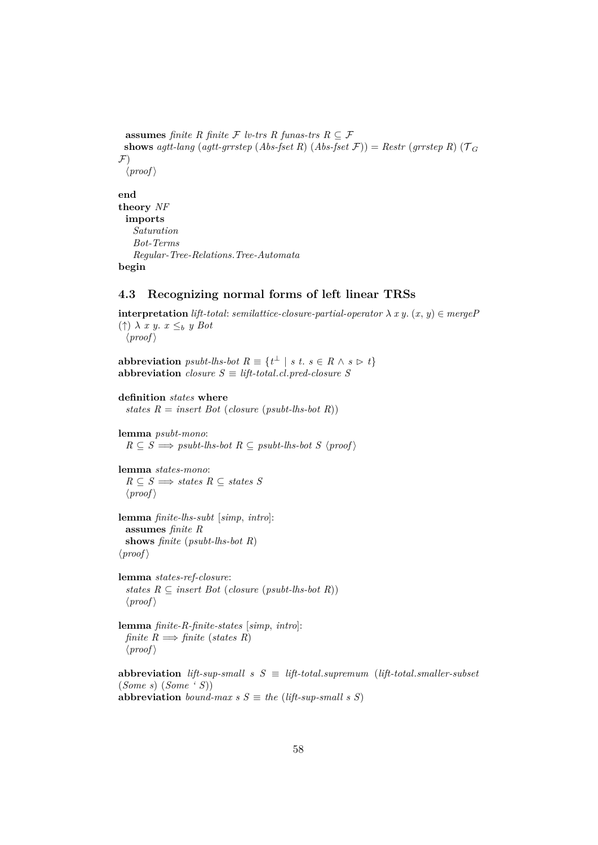```
assumes finite R finite F lv-trs R funas-trs R \subseteq \mathcal{F}shows agtt-lang (agtt-grrstep (Abs-fset R) (Abs-fset \mathcal{F})) = Restr (grrstep R) (\mathcal{T}_G\mathcal{F}\langle proof \rangleend
```

```
theory NF
 imports
   Saturation
   Bot-Terms
   Regular-Tree-Relations.Tree-Automata
begin
```
# **4.3 Recognizing normal forms of left linear TRSs**

**interpretation** *lift-total: semilattice-closure-partial-operator*  $\lambda x y$ .  $(x, y) \in mergeP$  $(†) \lambda x y. x \leq_b y Bot$  $\langle proof \rangle$ 

**abbreviation** *psubt-lhs-bot*  $R \equiv \{t^{\perp} \mid s \ t. \ s \in R \land s \rhd t\}$ **abbreviation** *closure*  $S \equiv \text{lift-total}$ *.cl.pred-closure* S

```
definition states where
```
*states R* = *insert Bot* (*closure* (*psubt-lhs-bot R*))

**lemma** *psubt-mono*:  $R \subseteq S \implies psubt-lhs-bot R \subseteq psubt-lhs-bot S \langle proof \rangle$ 

**lemma** *states-mono*:  $R \subseteq S \implies$  *states*  $R \subseteq$  *states*  $S$  $\langle proof \rangle$ 

**lemma** *finite-lhs-subt* [*simp*, *intro*]: **assumes** *finite R* **shows** *finite* (*psubt-lhs-bot R*)  $\langle proof \rangle$ 

**lemma** *states-ref-closure*: *states*  $R \subseteq$  *insert Bot* (*closure* (*psubt-lhs-bot*  $R$ ))  $\langle proof \rangle$ 

**lemma** *finite-R-finite-states* [*simp*, *intro*]: *finite*  $R \implies$  *finite* (*states R*)  $\langle proof \rangle$ 

**abbreviation** *lift-sup-small*  $s S \equiv lift\text{-}total\text{-}symum$  (*lift-total.smaller-subset* (*Some s*) (*Some ' S*)) **abbreviation** *bound-max s*  $S \equiv$  *the* (*lift-sup-small s S*)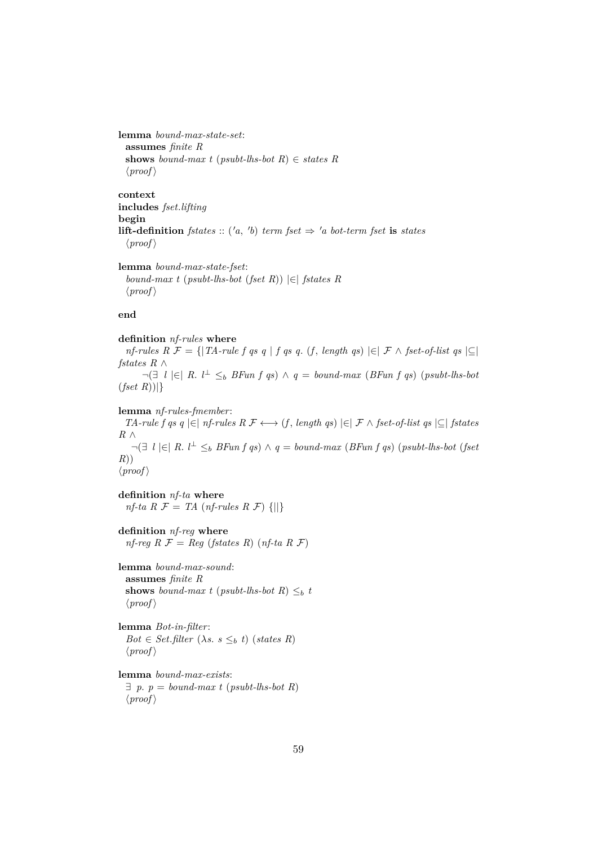```
lemma bound-max-state-set:
 assumes finite R
 shows bound-max t (psubt-lhs-bot R) \in states R
 \langle proof \rangle
```
**context includes** *fset*.*lifting* **begin lift-definition** *fstates* :: ('*a*, '*b*) *term fset*  $\Rightarrow$  '*a bot-term fset* **is** *states*  $\langle proof \rangle$ 

**lemma** *bound-max-state-fset*: *bound-max t* (*psubt-lhs-bot* (*fset R*)) |∈| *fstates R*  $\langle proof \rangle$ 

### **end**

**definition** *nf-rules* **where** *nf-rules*  $R \mathcal{F} = \{ |TA\text{-}rule f q s q | f q s q. (f, length q s) | ∈ | \mathcal{F} \land \text{ } f \text{ set-of-list } q s | ⊆ |$ *fstates R* ∧

¬(∃ *l* |∈| *R*. *l* <sup>⊥</sup> ≤<sup>b</sup> *BFun f qs*) ∧ *q* = *bound-max* (*BFun f qs*) (*psubt-lhs-bot* (*fset R*))|}

**lemma** *nf-rules-fmember*:

*TA-rule f qs q*  $|\in$  *nf-rules R F* ← (*f*, *length qs*)  $|\in$  *F* ∧ *fset-of-list qs*  $|\subseteq$  *fstates R* ∧  $\neg \exists l \in R.$  *l*<sup>⊥</sup>  $\leq_b B\text{Fun } f \text{ qs} \land q = \text{bound-max } (B\text{Fun } f \text{ qs}) \text{ (psubt-lhs-bot (fset d))}$ *R*))  $\langle proof \rangle$ 

**definition** *nf-ta* **where**  $nf$ <sup>-ta</sup>  $R \mathcal{F} = TA$  (*nf-rules*  $R \mathcal{F}$ ) {||}

**definition** *nf-reg* **where**  $nf-reg R \mathcal{F} = Reg (fstates R) (nf-ta R \mathcal{F})$ 

**lemma** *bound-max-sound*: **assumes** *finite R* **shows** *bound-max t* (*psubt-lhs-bot R*)  $\leq_b t$  $\langle proof \rangle$ 

**lemma** *Bot-in-filter*:  $Bot \in Set$ *.filter*  $(\lambda s. s \leq_b t)$  (*states R*)  $\langle proof \rangle$ 

**lemma** *bound-max-exists*:  $\exists p. p = bound-max t (psubt-lhs-bot R)$  $\langle proof \rangle$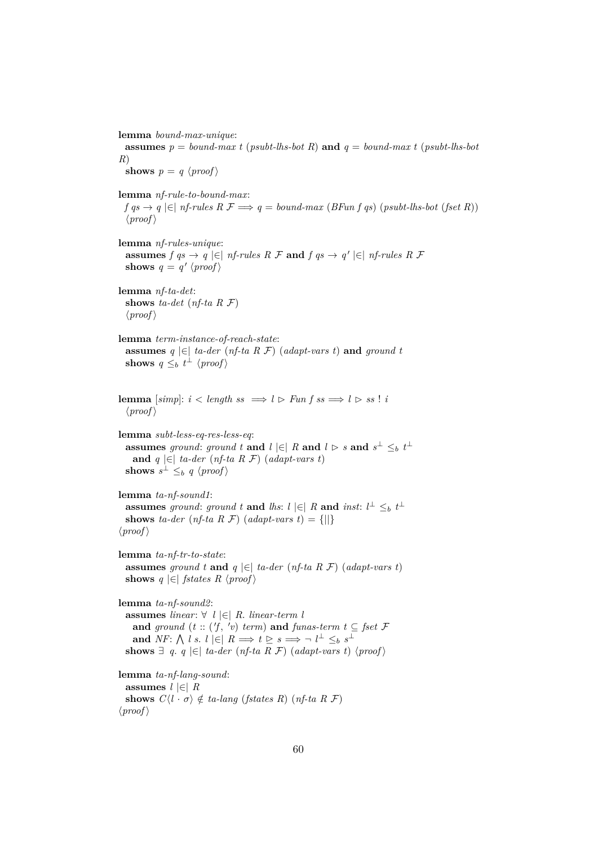**lemma** *bound-max-unique*: **assumes**  $p = bound-max t$  (*psubt-lhs-bot R*) **and**  $q = bound-max t$  (*psubt-lhs-bot R*) **shows**  $p = q \langle proof \rangle$ **lemma** *nf-rule-to-bound-max*:  $f \text{ as } \rightarrow q \in [n]$  *nf-rules*  $R \nsubseteq \rightarrow q = bound-max (BFun f \text{ as})$  (*psubt-lhs-bot* (*fset R*))  $\langle proof \rangle$ **lemma** *nf-rules-unique*: **assumes**  $f \circ g \to g \in \mathcal{F}$  *nf-rules R F* **and**  $f \circ g \to g' \in \mathcal{F}$  *nf-rules R F* **shows**  $q = q' \langle proof \rangle$ **lemma** *nf-ta-det*: **shows** *ta-det* (*nf-ta R* F)  $\langle proof \rangle$ **lemma** *term-instance-of-reach-state*: **assumes**  $q \in \mathbb{R}$  *ta-der* (*nf-ta R F*) (*adapt-vars t*) **and** ground *t* **shows**  $q \leq_b t^{\perp} \langle proof \rangle$ **lemma** [simp]:  $i < length ss \implies l \ge Funfss \implies l \ge ss! i$  $\langle proof \rangle$ **lemma** *subt-less-eq-res-less-eq*: **assumes** ground: ground t and  $l \in R$  and  $l \in S$  and  $s^{\perp} \leq b$  t<sup> $\perp$ </sup> **and**  $q$  |∈| *ta-der* (*nf-ta R F*) (*adapt-vars t*) shows  $s^{\perp} \leq_b q \langle proof \rangle$ **lemma** *ta-nf-sound1*: **assumes** ground: ground t and lhs:  $l \in R$  and *inst*:  $l^{\perp} \leq_b t^{\perp}$ **shows** *ta-der* (*nf-ta R F*) (*adapt-vars t*) = {||}  $\langle proof \rangle$ **lemma** *ta-nf-tr-to-state*: **assumes** ground t **and**  $q \in \mathcal{F}$  ta-der (*nf-ta R F*) (*adapt-vars t*) **shows**  $q \in \text{fstates } R \text{ (proof)}$ **lemma** *ta-nf-sound2*: **assumes** *linear*: ∀ *l* |∈| *R*. *linear-term l* **and** ground  $(t::('f, 'v)$  *term*) **and** *funas-term*  $t \subseteq \text{fset } \mathcal{F}$ **and**  $NF: \bigwedge l$  *s*.  $l \in R \implies t \geq s \implies \neg l^{\perp} \leq_b s^{\perp}$ **shows**  $∃ q. q |∈|$  *ta-der* (*nf-ta R F*) (*adapt-vars t*)  $\langle proof \rangle$ **lemma** *ta-nf-lang-sound*: **assumes** *l* |∈| *R* **shows**  $C\langle l \cdot \sigma \rangle \notin ta$ -lang (*fstates R*) (*nf-ta R F*)  $\langle proof \rangle$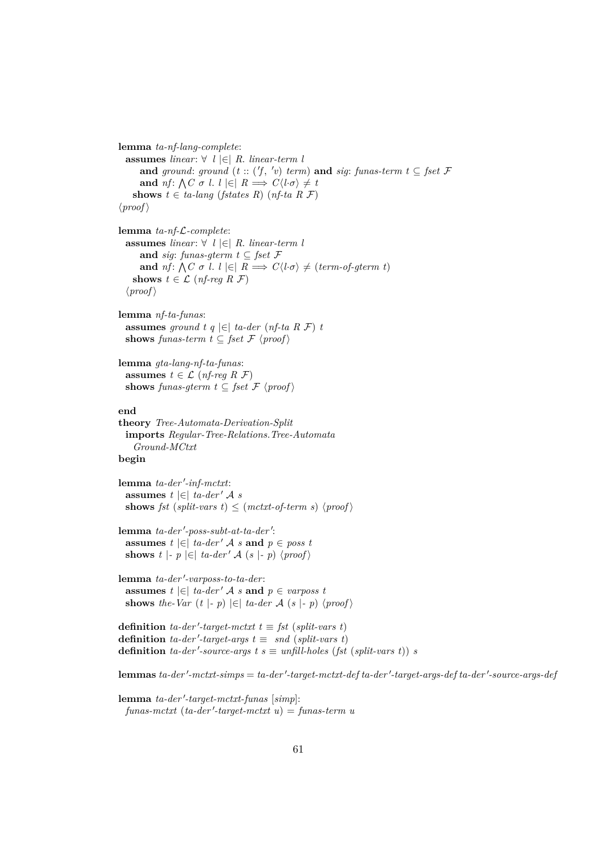**lemma** *ta-nf-lang-complete*: **assumes** *linear*: ∀ *l* |∈| *R*. *linear-term l* **and** ground: ground  $(t::('f, 'v) \text{ term})$  and *sig*: funas-term  $t \subseteq \text{fset } \mathcal{F}$ **and**  $nf: \bigwedge C \sigma$  *l.*  $l \in R \implies C \langle l \cdot \sigma \rangle \neq t$ **shows**  $t \in ta$ -lang (*fstates R*) (*nf-ta R F*)  $\langle proof \rangle$ **lemma** *ta-nf-*L*-complete*: **assumes** *linear*: ∀ *l* |∈| *R*. *linear-term l* **and** *sig*: *funas-gterm*  $t \subseteq$  *fset*  $\mathcal{F}$ **and** *nf*:  $\bigwedge C \sigma$  *l*.  $l \in R \implies C\langle l \cdot \sigma \rangle \neq (term-of-gterm t)$ **shows**  $t \in \mathcal{L}$  (*nf-req R F*)  $\langle proof \rangle$ **lemma** *nf-ta-funas*: **assumes** *ground t q* |∈| *ta-der* (*nf-ta R* F) *t* **shows** *funas-term*  $t \subseteq$  *fset*  $\mathcal{F}$   $\langle proof \rangle$ **lemma** *gta-lang-nf-ta-funas*: **assumes**  $t \in \mathcal{L}$  (*nf-reg R F*) **shows** *funas-gterm*  $t \subseteq$  *fset*  $\mathcal{F}$   $\langle proof \rangle$ **end theory** *Tree-Automata-Derivation-Split* **imports** *Regular-Tree-Relations*.*Tree-Automata Ground-MCtxt* **begin** lemma ta-der'-inf-mctxt: **assumes**  $t \in |$  *ta-der' A s* **shows** *fst* (*split-vars t*)  $\leq$  (*mctxt-of-term s*)  $\langle proof \rangle$ lemma ta-der'-poss-subt-at-ta-der': **assumes**  $t \in \infty$  *ta-der' A s* **and**  $p \in \text{poss } t$ **shows** *t*  $\vert \cdot p \vert \in \vert$  *ta-der' A* (*s*  $\vert \cdot p \rangle$  (*proof*) lemma ta-der'-varposs-to-ta-der: **assumes** *t*  $|\in$  *ta-der' A s* **and** *p* ∈ *varposs t* **shows** *the-Var*  $(t | - p) \in |ta-der \mathcal{A}(s | - p) \langle proof \rangle$ **definition** *ta-der'-target-mctxt*  $t \equiv fst$  (*split-vars t*) **definition** *ta-der'-target-args*  $t \equiv$  *snd* (*split-vars t*) **definition** *ta-der'-source-args t s*  $\equiv$  *unfill-holes* (*fst* (*split-vars t*)) *s*  ${\bf lemma}$  *ta-der'-mctxt-simps* = *ta-der'-target-mctxt-def ta-der'-target-args-def ta-der'-source-args-def* 

 $l$ emma *ta-der'-target-mctxt-funas* [simp]:  $funas-mctxt$   $(ta-der'-target-mctxt u) = funas-term u$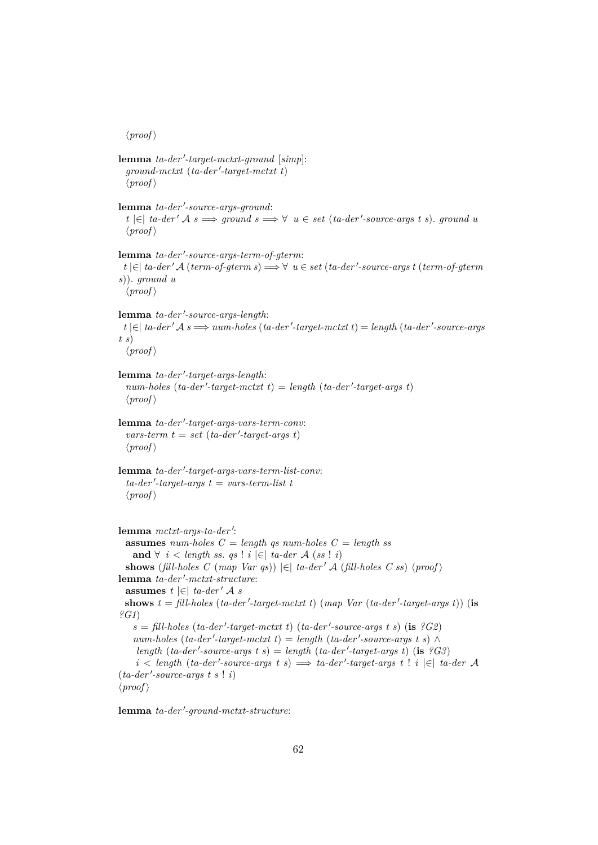$\langle proof \rangle$ 

```
lemma ta-der'-target-mctxt-ground [simp]:
  ground-mctxt (ta-der'-target-mctxt t)\langle proof \ranglelemma ta-der'-source-args-ground:
  t |∈| ta-der' A s \implies ground s \implies \forall u ∈ set (ta-der'-source-args t s). ground u
  \langle proof \ranglelemma ta-der'-source-args-term-of-gterm:
 t \in | \in ta-der' A (term-of-gterm s) \Rightarrow \forall u ∈ set (ta-der'-source-args t (term-of-gterm
s)). ground u
  \langle proof \ranglelemma ta-der'-source-args-length:
 t |∈| ta-der' A s \implies num-holes (ta-der'-target-mctxt t) = length (ta-der'-source-args
t s)
  \langle proof \ranglelemma ta-der'-target-args-length:
  num-holes (ta-der'-target-mctxt t) = length (ta-der'-target-args t)
  \langle proof \ranglelemma ta-der'-target-args-vars-term-conv:
  vars-term t = set (ta-der'-target-args t)\langle proof \ranglelemma ta-der'-target-args-vars-term-list-conv:
  ta-der'-target-args t = vars-term-list t\langle proof \ranglelemma mctxt-args-ta-der':
  assumes num-holes C = \text{length} gs num-holes C = \text{length} ss
   and ∀ i < length ss. qs ! i \in | ta-der A (ss ! i)
  shows (fill-holes C (map Var qs)) |\epsilon| ta-der' A (fill-holes C ss) \langle proof \ranglelemma ta-der'-mctxt-structure:
  assumes t \in \mathcal{E} ta-der' A s
  shows t = \text{fill-holes} (ta-der '-target-mctxt t) (map Var (ta-der '-target-args t)) (is
?G1)
    s = \text{fill-holes} (ta-der'-target-mctxt t) (ta-der'-source-args t s) (is ?G2)
    num-holes (ta-der'-target-mctxt t) = length (ta-der'-source-args t s) \landlength (ta-der'-source-args t s) = length (ta-der'-target-args t) (is ?G3)
    i < length (ta-der'-source-args t s) \implies ta-der'-target-args t ! i |∈| ta-der A
(ta-der'-source-args t s : i)\langle proof \rangle
```
 ${\bf lemma}$  *ta-der'-ground-mctxt-structure*: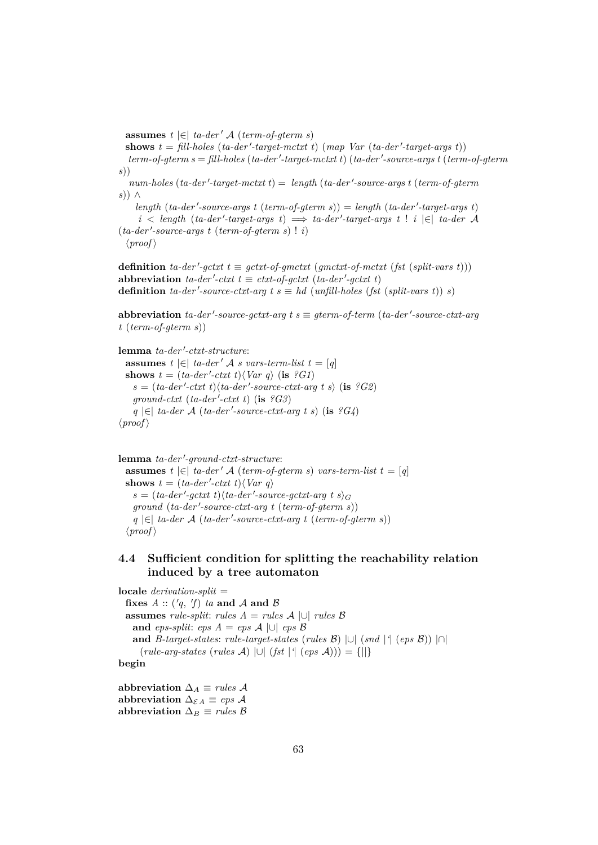**assumes**  $t \in \infty$  *ta-der' A* (*term-of-gterm s*)

shows  $t = \text{fill-holes}$  (*ta-der'-target-mctxt t*) (*map Var* (*ta-der'-target-args t*))  $term-of-germ s = fill-holes (ta-der'-target-mctxt t) (ta-der'-source-args t (term-of-germ-  
of-germ s)$ *s*))

 $num\text{-}holes (ta\text{-}der'\text{-}target\text{-}mctxt t) = \text{ } length (ta\text{-}der'\text{-}source\text{-}args t (term\text{-}of\text{-}gterm$ *s*)) ∧

 $length (ta-der'-source-args t (term-of-germ s)) = length (ta-der'-target-args t)$  $i <$  *length* (*ta-der'-target-args t*)  $\implies$  *ta-der'-target-args t* ! *i*  $|\in|$  *ta-der* A  $(ta-der'-source-args \ t \ (term-of-germ \ s) \ ! \ i)$  $\langle proof \rangle$ 

**definition** *ta-der'-gctxt*  $t \equiv gctx$ *t-of-gmctxt* (*gmctxt-of-mctxt* (*fst* (*split-vars t*))) abbreviation  $ta$ -der'-ctxt  $t \equiv \text{ctxt-of-gctxt (ta-der'-gctxt t)}$ **definition** *ta-der'-source-ctxt-arg t s*  $\equiv$  *hd* (*unfill-holes* (*fst* (*split-vars t*)) *s*)

 $abb$ **reviation**  $ta$ - $der'$ -source-gctxt-arg  $t s \equiv gterm$ -of-term ( $ta$ - $der'$ -source-ctxt-arg *t* (*term-of-gterm s*))

lemma ta-der'-ctxt-structure:

**assumes**  $t \in [t]$  *ta-der'* A *s* vars-term-list  $t = [q]$ **shows**  $t = (ta-der'-ctxt~t)\langle Var~q \rangle$  (**is** *?G1*)  $s = (ta-der'-ctxt \ t)$  $\langle ta-der'-source-ctxt-arg \ t \ s \rangle$  (**is** *?G2*)  $ground-cutt$  ( $ta-der'-ctxt$ ) (is  $?G3$ ) *q*  $|∈|$  *ta-der A* (*ta-der* '-source-ctxt-arg t s) (**is**  $?G4$ )  $\langle proof \rangle$ 

lemma ta-der'-ground-ctxt-structure: **assumes**  $t \in [t_1, t_2]$  *ta-der'* A (*term-of-gterm s*) *vars-term-list*  $t = [q]$ **shows**  $t = (ta-der'-ctxt \ t)\langle Var \ q \rangle$  $s = (ta-der'-gctxt t)$  $\langle ta-der'-source-gctxt-arg t s \rangle_G$  $ground (ta-der'-source-ctxt-arg t (term-of-germ s))$ *q*  $|∈|$  *ta-der A* (*ta-der'-source-ctxt-arg t* (*term-of-gterm s*))  $\langle proof \rangle$ 

# **4.4 Sufficient condition for splitting the reachability relation induced by a tree automaton**

**locale** *derivation-split* = fixes  $A :: ('q, 'f)$  *ta* and  $A$  and  $B$ **assumes** *rule-split*: *rules*  $A = rules A \cup \text{ rules } B$ **and** *eps-split*: *eps*  $A = eps A \cup eps B$ **and** *B*-target-states: *rule-target-states* (*rules*  $\mathcal{B}$ )  $\cup$  (*snd* |<sup>4</sup> (*eps*  $\mathcal{B}$ ))  $\cap$ (*rule-arg-states* (*rules* A) |∪| (*fst* |*'*| (*eps* A))) = {||} **begin**

abbreviation  $\Delta_A \equiv$  *rules* A abbreviation  $\Delta_{\mathcal{E} A} \equiv eps \mathcal{A}$ abbreviation  $\Delta_B \equiv$  *rules*  $\beta$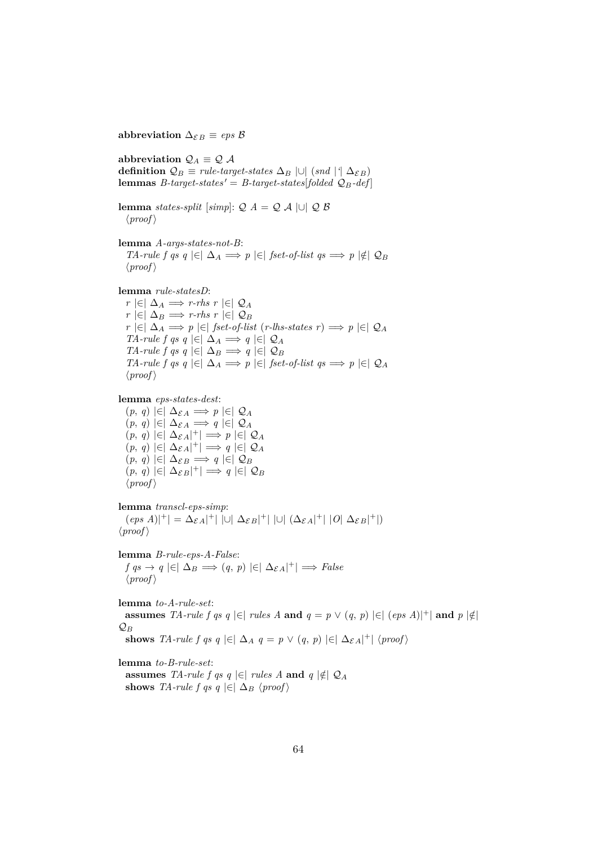abbreviation  $\Delta_{\mathcal{E}B} \equiv eps \mathcal{B}$ 

abbreviation  $\mathcal{Q}_A \equiv \mathcal{Q} \mathcal{A}$ **definition**  $\mathcal{Q}_B$  ≡ *rule-target-states*  $\Delta_B$  |∪| (*snd* |<sup>*'*</sup>|  $\Delta_{\mathcal{E}B}$ ) **lemmas** *B*-target-states' = *B*-target-states<sup>[folded  $Q_B$ -def]</sup>

**lemma** *states-split* [*simp*]:  $Q A = Q A \cup Q B$  $\langle proof \rangle$ 

**lemma** *A-args-states-not-B*: *TA-rule f qs q*  $|\in| \Delta_A \implies p |\in|$  *fset-of-list qs*  $\implies p |\notin| Q_B$  $\langle proof \rangle$ 

**lemma** *rule-statesD*:

*r*  $|\in|$   $\Delta$ <sub>*A*</sub>  $\implies$  *r-rhs r*  $|\in|$   $\mathcal{Q}_A$ *r*  $|\in|$   $\Delta_B$   $\implies$  *r-rhs r*  $|\in|$   $\mathcal{Q}_B$ *r*  $\vert \in \vert \Delta_A \implies p \vert \in \vert$  *fset-of-list* (*r-lhs-states r*)  $\implies p \vert \in \vert \mathcal{Q}_A$ *TA-rule f qs q*  $|\in|$   $\Delta_A \implies q$   $|\in|$   $\mathcal{Q}_A$ *TA-rule f qs q*  $|\in \Delta_B \implies q \in \mathcal{Q}_B$ *TA-rule f qs q*  $|\in| \Delta_A \implies p | \in |$  *fset-of-list qs*  $\implies p | \in | \mathcal{Q}_A$  $\langle proof \rangle$ 

**lemma** *eps-states-dest*:

 $(p, q)$  |∈|  $\Delta_{\mathcal{E}A}$   $\Longrightarrow$  *p* |∈|  $\mathcal{Q}_A$  $(p, q)$  |∈|  $\Delta_{\mathcal{E}A}$   $\implies$  *q* |∈|  $\mathcal{Q}_A$  $(p, q)$  |∈|  $\Delta_{\mathcal{E}A}$ |<sup>+</sup>|  $\implies p$  |∈|  $\mathcal{Q}_A$  $(p, q) \in |\Delta_{\mathcal{E}A}|^+| \implies q \in |\mathcal{Q}_A|$  $(p, q)$  |∈|  $\Delta_{\mathcal{E}B}$   $\Longrightarrow$  *q* |∈|  $\mathcal{Q}_B$  $(p, q) \in |\Delta_{\mathcal{E}B}|^+| \implies q \in |\mathcal{Q}_B|$  $\langle proof \rangle$ 

**lemma** *transcl-eps-simp*:  $(\text{eps } A)|^+| = \Delta_{\mathcal{E} A}|^+| \,\, |\cup| \,\, \Delta_{\mathcal{E} B}|^+| \,\, |\cup| \,\, (\Delta_{\mathcal{E} A}|^+| \,\, |O| \,\, \Delta_{\mathcal{E} B}|^+|)$  $\langle proof \rangle$ 

**lemma** *B-rule-eps-A-False*:  $f \circ g \to q \in |\Delta_B \implies (q, p) \in |\Delta_{\mathcal{E}A}|^+| \implies False$  $\langle proof \rangle$ 

**lemma** *to-A-rule-set*: **assumes** *TA-rule f qs q* |∈| *rules A* **and**  $q = p \vee (q, p)$  |∈|  $(eps A)|^+|$  **and**  $p | \notin$  $\mathcal{Q}_B$ **shows** *TA-rule f qs q*  $|\in| \Delta_A q = p \vee (q, p) | \in | \Delta_{\mathcal{E}A}|^+ | \langle proof \rangle$ 

**lemma** *to-B-rule-set*:

**assumes** *TA-rule f qs q* |∈| *rules A* **and**  $q$  |∉|  $Q_A$ **shows** *TA-rule f qs q*  $\in$   $\Delta_B$   $\langle proof \rangle$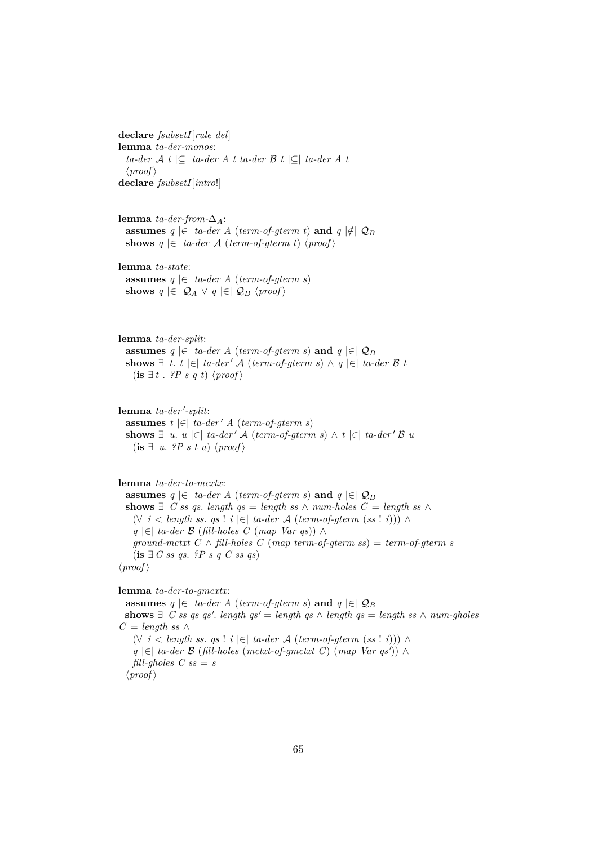**declare** *fsubsetI*[*rule del*] **lemma** *ta-der-monos*: *ta-der* A *t* |⊆| *ta-der A t ta-der* B *t* |⊆| *ta-der A t*  $\langle proof \rangle$ **declare** *fsubsetI*[*intro*!]

**lemma** *ta-der-from-* $\Delta$ <sub>A</sub>: **assumes**  $q \in \mathcal{A}$  (*term-of-gterm t*) **and**  $q \notin \mathcal{Q}_B$ **shows**  $q \in \infty$  *ta-der* A (*term-of-gterm t*)  $\langle proof \rangle$ 

**lemma** *ta-state*: **assumes** *q* |∈| *ta-der A* (*term-of-gterm s*) **shows**  $q \in \mathcal{Q}_A \vee q \in \mathcal{Q}_B \langle proof \rangle$ 

**lemma** *ta-der-split*: **assumes**  $q \in \mathbb{R}$  *ta-der A* (*term-of-gterm s*) **and**  $q \in \mathbb{Q}_B$ **shows**  $\exists$  *t*. *t*  $|\in|$  *ta-der*  $\forall$  *A* (*term-of-gterm s*)  $\land$  *q*  $|\in|$  *ta-der*  $\beta$  *t*  $(\mathbf{is} \; \exists t \; . \; ?P \; s \; q \; t) \; \langle \text{proof} \rangle$ 

lemma ta-der'-split: **assumes**  $t \in \infty$  *ta-der' A* (*term-of-gterm s*) **shows**  $\exists$  *u*. *u*  $\in$   $\mid$  *ta-der' A* (*term-of-gterm s*) ∧ *t*  $\mid$   $\in$   $\mid$  *ta-der' B u*  $(\mathbf{is} \; \exists \; u. \; ?P \; s \; t \; u) \; \langle \text{proof} \rangle$ 

**lemma** *ta-der-to-mcxtx*:

**assumes**  $q \in \mathcal{A}$  (*term-of-gterm s*) **and**  $q \in \mathcal{Q}_B$ **shows**  $\exists$  *C ss qs. length qs* = *length ss* ∧ *num-holes*  $C =$  *length ss* ∧ (∀ *i* < *length ss*. *qs* ! *i* |∈| *ta-der* A (*term-of-gterm* (*ss* ! *i*))) ∧ *q* |∈| *ta-der* B (*fill-holes C* (*map Var qs*)) ∧ *ground-mctxt*  $C \wedge \text{fill-holes } C \text{ (map term-of-}g\text{ term ss)} = \text{term-of-}g\text{term ss}$ (**is** ∃ *C ss qs*. *?P s q C ss qs*)  $\langle proof \rangle$ 

**lemma** *ta-der-to-gmcxtx*:

**assumes**  $q \in \mathcal{A}$  (*term-of-gterm s*) **and**  $q \in \mathcal{Q}_B$ **shows**  $∃$  *C* ss qs qs'. *length qs'* = *length qs*  $∧$  *length qs* = *length ss*  $∧$  *num-gholes*  $C = length ss ∆$ (∀ *i* < *length ss*. *qs* ! *i* |∈| *ta-der* A (*term-of-gterm* (*ss* ! *i*))) ∧ *q*  $|∈|$  *ta-der B* (*fill-holes* (*mctxt-of-gmctxt C*) (*map Var qs'*)) ∧ *fill-gholes*  $C$   $ss = s$  $\langle proof \rangle$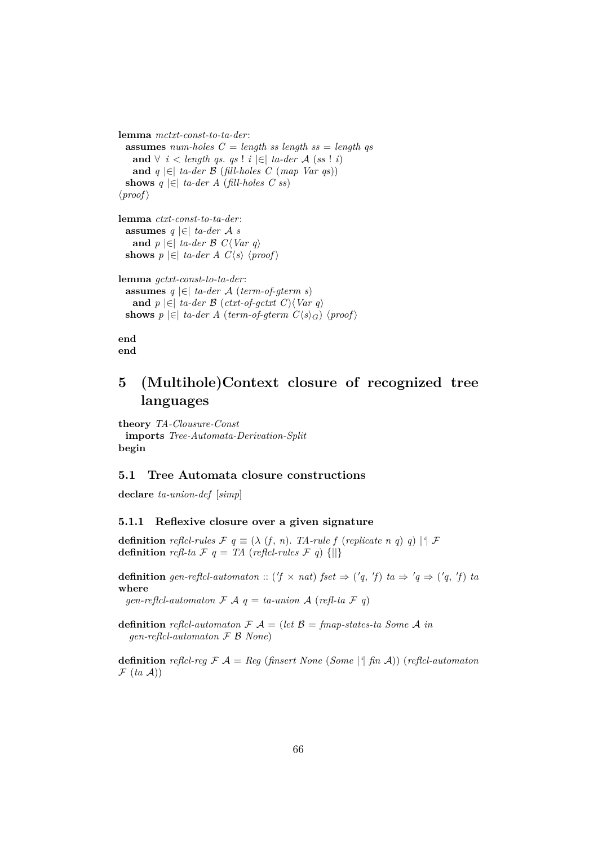**lemma** *mctxt-const-to-ta-der*: **assumes** *num-holes C* = *length ss length ss* = *length qs* **and** ∀ *i* < *length qs. qs* ! *i*  $\in$  | *ta-der A* (*ss* ! *i*) **and**  $q$  |∈| *ta-der*  $\beta$  (*fill-holes C* (*map Var qs*)) shows  $q \in \left[ \text{ta-} \text{der } A \text{ (fill-holes } C \text{ ss} \right]$  $\langle proof \rangle$ **lemma** *ctxt-const-to-ta-der*: **assumes** *q* |∈| *ta-der* A *s* **and** *p*  $\in$  *ta-der B C*\*Var q* **shows**  $p \in \emptyset$  *ta-der A C* $\langle s \rangle$   $\langle proof \rangle$ **lemma** *gctxt-const-to-ta-der*:

**assumes** *q* |∈| *ta-der* A (*term-of-gterm s*) **and** *p*  $\in$   $\in$  *ta-der B* (*ctxt-of-gctxt C*) $\langle Var q \rangle$ **shows**  $p \in \infty$  *ta-der A* (*term-of-gterm C* $\langle s \rangle_G$ )  $\langle proof \rangle$ 

**end end**

# **5 (Multihole)Context closure of recognized tree languages**

**theory** *TA-Clousure-Const* **imports** *Tree-Automata-Derivation-Split* **begin**

### **5.1 Tree Automata closure constructions**

**declare** *ta-union-def* [*simp*]

# **5.1.1 Reflexive closure over a given signature**

**definition** *reflcl-rules*  $\mathcal{F} q \equiv (\lambda (f, n))$ . *TA-rule*  $f$  (*replicate*  $n q$ )  $q$ )  $| \nmid \mathcal{F}$ **definition** *refl-ta*  $\mathcal{F}$   $q = TA$  (*reflcl-rules*  $\mathcal{F}$   $q$ ) {||}

**definition** gen-reflcl-automaton :: ('f  $\times$  nat) fset  $\Rightarrow$  ('q, 'f) ta  $\Rightarrow$  'q  $\Rightarrow$  ('q, 'f) ta **where**

*gen-reflcl-automaton*  $\mathcal{F}$   $\mathcal{A}$   $q$  = *ta-union*  $\mathcal{A}$  (*refl-ta*  $\mathcal{F}$  *q*)

**definition** *reflcl-automaton*  $\mathcal{F} A = (let \mathcal{B} = \text{fmap-states} - ta \text{ Some } A \text{ in } A)$ *gen-reflcl-automaton* F B *None*)

**definition** *reflcl-reg*  $\mathcal{F}$   $\mathcal{A}$  = *Reg* (*finsert None* (*Some* |<sup>*'*</sup>] *fin*  $\mathcal{A}$ )) (*reflcl-automaton*  $\mathcal{F}$  (*ta*  $\mathcal{A}$ ))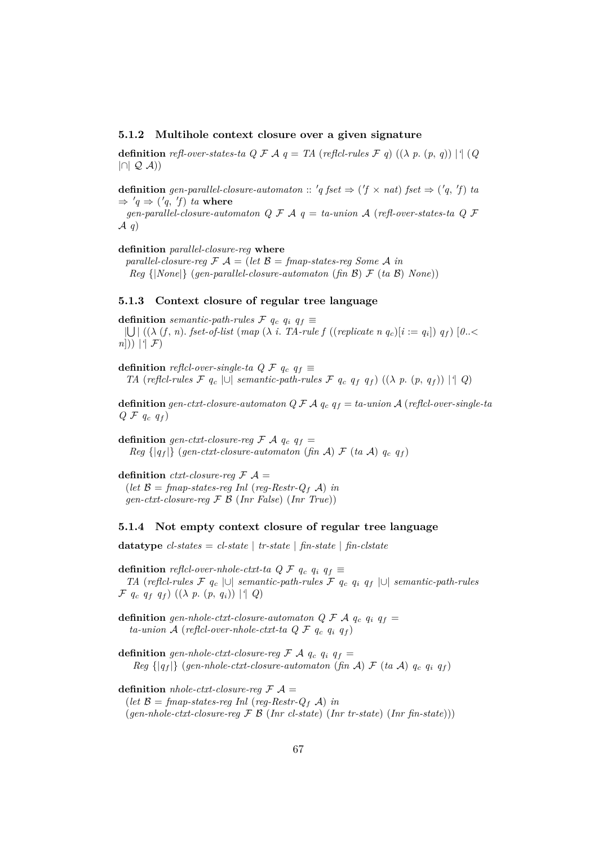### **5.1.2 Multihole context closure over a given signature**

**definition** *refl-over-states-ta Q F A*  $q = TA$  *(reflcl-rules F q)*  $((\lambda p. (p, q)) | (Q)$  $|\cap | \mathcal{Q}(\mathcal{A})|$ 

**definition** gen-parallel-closure-automaton ::  $'q$  fset  $\Rightarrow$   $('f \times nat)$  fset  $\Rightarrow$   $('q, 'f)$  ta  $\Rightarrow 'q \Rightarrow ('q, 'f)$  *ta* where

*gen-parallel-closure-automaton Q* F A *q* = *ta-union* A (*refl-over-states-ta Q* F A *q*)

**definition** *parallel-closure-reg* **where**

*parallel-closure-reg*  $\mathcal{F}$   $\mathcal{A}$  = (*let*  $\mathcal{B}$  = *fmap-states-reg Some*  $\mathcal{A}$  *in Reg* {|*None*|} (*gen-parallel-closure-automaton* (*fin* B) F (*ta* B) *None*))

### **5.1.3 Context closure of regular tree language**

**definition** *semantic-path-rules*  $\mathcal{F}$   $q_c$   $q_i$   $q_f$  $|\bigcup | ((\lambda (f, n). \text{fset-of-list } (map (\lambda i. \text{TA-rule } f ((replicate \text{ } n \text{ } q_c)[i := q_i]) \text{ } q_f) |0.. \leq$ *n*])) |*'*| F)

**definition** *reflcl-over-single-ta Q F*  $q_c$  $q_f$   $\equiv$ *TA* (*reflcl-rules*  $\mathcal{F}$  *q<sub>c</sub>* |∪| *semantic-path-rules*  $\mathcal{F}$  *q<sub>c</sub> q<sub>f</sub> q<sub>f</sub>*) (( $\lambda$  *p*. (*p*, *q<sub>f</sub>*)) |<sup>*|*</sup> *Q*)

**definition** *gen-ctxt-closure-automaton Q F A*  $q_c$  $q_f = ta$ *-union A (reflcl-over-single-ta*  $Q \nvert \mathcal{F} \nvert q_c \nvert q_f$ 

**definition** *gen-ctxt-closure-reg*  $\mathcal{F}$   $\mathcal{A}$   $q_c$   $q_f$  = *Reg*  $\{ |q_f| \}$  (*gen-ctxt-closure-automaton* (*fin* A)  $\mathcal{F}$  (*ta* A)  $q_c$   $q_f$ )

**definition** *ctxt-closure-reg*  $\mathcal{F}$   $\mathcal{A}$  = (*let*  $\mathcal{B} = \text{fmap-states-reg}$  *Inl* (*reg-Restr-Q<sub>f</sub> A*) *in gen-ctxt-closure-reg* F B (*Inr False*) (*Inr True*))

#### **5.1.4 Not empty context closure of regular tree language**

**datatype**  $cl$ -states =  $cl$ -state |  $tr$ -state |  $fin$ -state |  $fin$ -clstate

**definition** *reflcl-over-nhole-ctxt-ta Q F*  $q_c$  $q_i$  $q_f$   $\equiv$ *TA* (*reflcl-rules* F *q*<sup>c</sup> |∪| *semantic-path-rules* F *q*<sup>c</sup> *q*<sup>i</sup> *q*<sup>f</sup> |∪| *semantic-path-rules*  $\mathcal{F}$   $q_c$   $q_f$   $q_f$ )  $((\lambda p. (p, q_i)) | \{ Q \}$ 

**definition** gen-nhole-ctxt-closure-automaton  $Q \nmid \mathcal{F} A q_c q_i q_f =$  $ta\text{-}union\mathcal{A}\text{ (reflcl-over-nhole-}ctxt\text{-}ta\mathcal{Q}\mathcal{F}\text{ }q_c\text{ }q_i\text{ }q_f)$ 

**definition** gen-nhole-ctxt-closure-reg  $\mathcal{F}$  A  $q_c$   $q_i$   $q_f$  = *Reg*  $\{ |q_f| \}$  (*gen-nhole-ctxt-closure-automaton* (*fin* A)  $\mathcal{F}$  (*ta* A)  $q_c$   $q_i$   $q_f$ )

**definition** *nhole-ctxt-closure-req*  $\mathcal{F}$   $\mathcal{A}$  = (*let*  $\mathcal{B} = \text{fmap-states-reg}$  *Inl* (*reg-Restr-Q<sub>f</sub>* A) *in* (*gen-nhole-ctxt-closure-reg* F B (*Inr cl-state*) (*Inr tr-state*) (*Inr fin-state*)))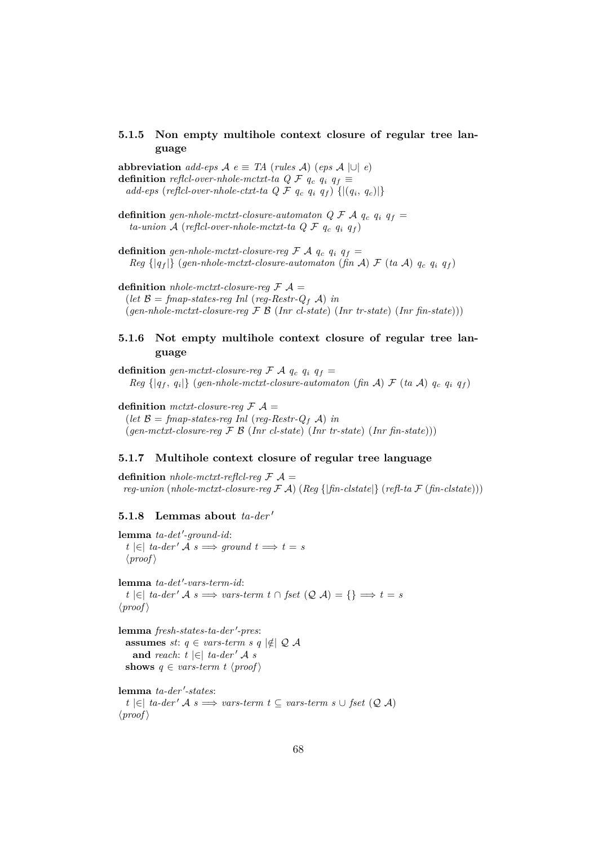# **5.1.5 Non empty multihole context closure of regular tree language**

**abbreviation**  $add-eps \mathcal{A} e \equiv TA$  (*rules*  $\mathcal{A}$ ) (*eps*  $\mathcal{A}$  |∪| *e*) **definition** *reflcl-over-nhole-mctxt-ta Q F*  $q_c$  $q_i$  $q_f$   $\equiv$ *add-eps* (*reflcl-over-nhole-ctxt-ta Q F*  $q_c$  $q_i$  $q_f$ *)*  $\{|(q_i, q_c)|\}$ 

**definition** gen-nhole-mctxt-closure-automaton  $Q \nmid \mathcal{F} A q_c q_i q_f =$  $ta\text{-}union\mathcal{A}$  (*reflcl-over-nhole-mctxt-ta Q F*  $q_c$  $q_i$  $q_f$ )

**definition** gen-nhole-mctxt-closure-reg  $\mathcal{F}$  A  $q_c$   $q_i$   $q_f$  = *Reg*  $\{ |q_f| \}$  (*gen-nhole-mctxt-closure-automaton* (*fin* A)  $\mathcal{F}$  (*ta* A)  $q_c$   $q_i$   $q_f$ )

**definition** *nhole-mctxt-closure-reg*  $F A =$ (*let*  $\mathcal{B} = \text{fmap-states-reg}$  *Inl* (*reg-Restr-Q<sub>f</sub>* A) *in* (*gen-nhole-mctxt-closure-reg* F B (*Inr cl-state*) (*Inr tr-state*) (*Inr fin-state*)))

# **5.1.6 Not empty multihole context closure of regular tree language**

**definition** gen-mctxt-closure-reg  $\mathcal{F}$  A  $q_c$   $q_i$   $q_f$  =  $Reg \{ |q_f, q_i| \}$  (gen-nhole-mctxt-closure-automaton (fin A)  $\mathcal{F}$  (ta A)  $q_c q_i q_f$ )

**definition** mctxt-closure-reg  $\mathcal{F}$   $\mathcal{A}$  = (*let*  $\mathcal{B} = \text{fmap-states-reg}$  *Inl* (*reg-Restr-Q<sub>f</sub> A*) *in* (*gen-mctxt-closure-reg* F B (*Inr cl-state*) (*Inr tr-state*) (*Inr fin-state*)))

## **5.1.7 Multihole context closure of regular tree language**

**definition** *nhole-mctxt-reflcl-reg*  $F A =$ *reg-union* (*nhole-mctxt-closure-reg* F A) (*Reg* {|*fin-clstate*|} (*refl-ta* F (*fin-clstate*)))

### **5.1.8** Lemmas about  $ta$ -der'

 $lemma$  *ta-det'-ground-id*:  $t \in [t] \text{ta-}der' \mathcal{A} s \implies \text{ground } t \implies t = s$  $\langle proof \rangle$ 

 ${\bf lemma}$  *ta-det'-vars-term-id*:  $t \in [t] \text{ta-}der' \mathcal{A} s \implies vars-term \ t \cap \text{fset} \ (\mathcal{Q} \ \mathcal{A}) = \{\} \implies t = s$  $\langle proof \rangle$ 

 $lemma$  *fresh-states-ta-der'-pres*: **assumes** *st*:  $q \in vars-term s q \notin Q$  **A and** *reach*:  $t \in \mathbb{R}$  *ta-der' A s* **shows**  $q \in vars-term$   $t \langle proof \rangle$ 

```
lemma ta-der'-states:
  t \in ta-der' A s \implies vars-term t ⊆ vars-term s ∪ fset (Q A)
\langle proof \rangle
```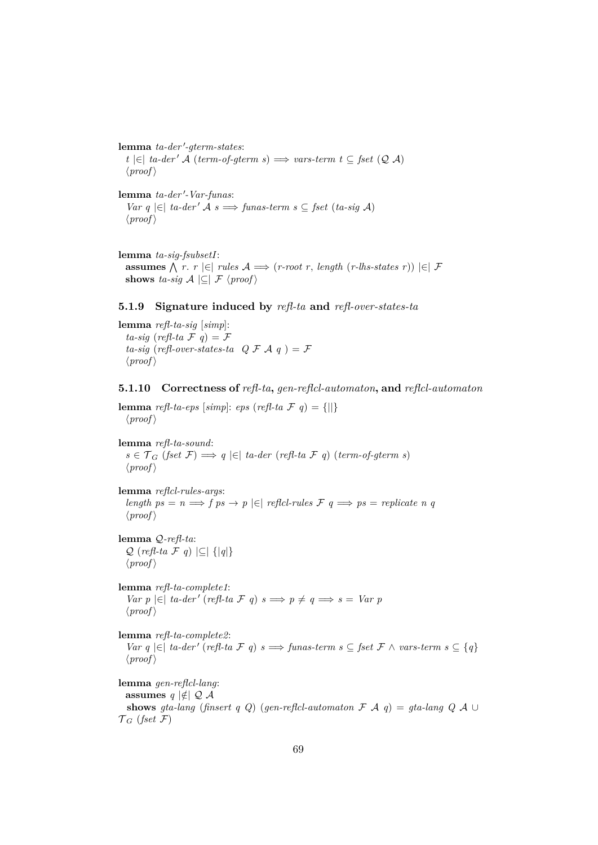${\bf lemma}$  *ta-der'-gterm-states*: *t*  $\in$  *t a-der' A* (*term-of-gterm s*)  $\implies$  *vars-term t* ⊆ *fset* ( $\mathcal{Q}$  *A*)  $\langle proof \rangle$ 

lemma ta-der'-Var-funas: *Var q*  $|\epsilon|$  *ta-der' A s*  $\implies$  *funas-term s* ⊂ *fset* (*ta-sig A*)  $\langle proof \rangle$ 

**lemma** *ta-sig-fsubsetI*: **assumes**  $\bigwedge$  *r*. *r*  $\big|\in\big|$  *rules*  $\mathcal{A} \Longrightarrow$  (*r-root r*, *length* (*r-lhs-states r*))  $\big|\in\big|\mathcal{F}$ **shows** *ta-sig*  $A \subseteq F \langle proof \rangle$ 

## **5.1.9 Signature induced by** *refl-ta* **and** *refl-over-states-ta*

**lemma** *refl-ta-sig* [*simp*]: *ta-sig* (*refl-ta*  $\mathcal{F}$ *g*) =  $\mathcal{F}$ *ta-sig* (*refl-over-states-ta*  $Q \mathcal{F} A q$ ) =  $\mathcal{F}$  $\langle proof \rangle$ 

### **5.1.10 Correctness of** *refl-ta***,** *gen-reflcl-automaton***, and** *reflcl-automaton*

**lemma** *refl-ta-eps* [*simp*]: *eps* (*refl-ta*  $\mathcal{F}$  *q*) = {||}  $\langle proof \rangle$ 

**lemma** *refl-ta-sound*: *s* ∈  $\mathcal{T}_G$  (*fset*  $\mathcal{F}$ )  $\Longrightarrow$  *q*  $|\in$  *ta-der* (*refl-ta*  $\mathcal{F}$  *q*) (*term-of-gterm s*)  $\langle proof \rangle$ 

**lemma** *reflcl-rules-args*: *length ps* =  $n \implies f$  *ps*  $\rightarrow$  *p*  $\in$  *f refici-rules*  $\mathcal{F}$   $q \implies ps = replicate n$  *q*  $\langle proof \rangle$ 

**lemma** Q*-refl-ta*: Q (*refl-ta* F *q*) |⊆| {|*q*|}  $\langle proof \rangle$ 

**lemma** *refl-ta-complete1*: *Var*  $p \in \mathbb{R}$  *ta-der'* (*refl-ta*  $\mathcal{F}$   $q$ )  $s \implies p \neq q \implies s = \text{Var } p$  $\langle proof \rangle$ 

**lemma** *refl-ta-complete2*: *Var q*  $\in$   $\in$  *ta-der'* (*refl-ta*  $\in$  *q*) *s*  $\Rightarrow$  *funas-term s* ⊆ *fset*  $\in$  ∧ *vars-term s* ⊆ {*q*}  $\langle proof \rangle$ 

**lemma** *gen-reflcl-lang*: **assumes**  $q \notin Q$  *A* **shows** *gta-lang* (*finsert q Q*) (*gen-reflcl-automaton*  $\mathcal{F}$   $\mathcal{A}$  *q*) = *gta-lang*  $Q$   $\mathcal{A}$  ∪  $\mathcal{T}_G$  (*fset*  $\mathcal{F}$ )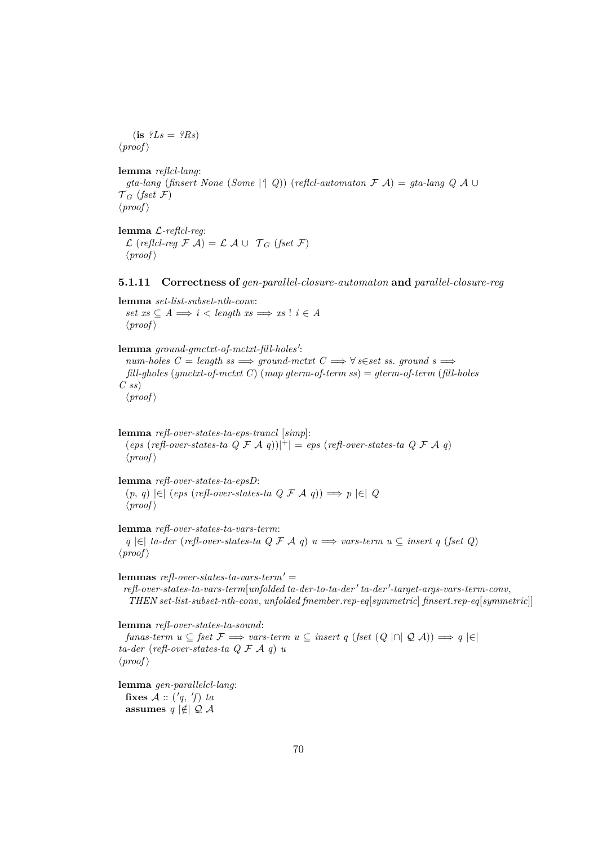$(i\mathbf{s}$   $?Ls = ?Rs$  $\langle proof \rangle$ 

**lemma** *reflcl-lang*: *gta-lang* (*finsert None* (*Some* |*'*| *Q*)) (*reflcl-automaton* F A) = *gta-lang Q* A ∪  $\mathcal{T}_G$  (*fset*  $\mathcal{F}$ )  $\langle proof \rangle$ 

**lemma** L*-reflcl-reg*:  $\mathcal{L}$  (*reflcl-reg*  $\mathcal{F}$  A) =  $\mathcal{L}$  A ∪  $\mathcal{T}_G$  (*fset*  $\mathcal{F}$ )  $\langle proof \rangle$ 

### **5.1.11 Correctness of** *gen-parallel-closure-automaton* **and** *parallel-closure-reg*

**lemma** *set-list-subset-nth-conv*:  $set\ xs \subseteq A \Longrightarrow i \leq length \ xs \Longrightarrow xs \mid i \in A$  $\langle proof \rangle$ 

lemma ground-gmctxt-of-mctxt-fill-holes':  $num\text{-}holes\ C = length\ ss \Longrightarrow ground\text{-}mctxt\ C \Longrightarrow \forall s \in set\ ss\math>. \ ground\ s \Longrightarrow$ *fill-gholes* (*gmctxt-of-mctxt C*) (*map gterm-of-term ss*) = *gterm-of-term* (*fill-holes C ss*)  $\langle proof \rangle$ 

**lemma** *refl-over-states-ta-eps-trancl* [*simp*]:  $(\text{eps} (\text{refl-over-states-ta} \ Q \ \mathcal{F} \ A \ q))|^{+}| = \text{eps} (\text{refl-over-states-ta} \ Q \ \mathcal{F} \ A \ q)$  $\langle proof \rangle$ 

**lemma** *refl-over-states-ta-epsD*: (*p*, *q*) |∈| (*eps* (*refl-over-states-ta Q* F A *q*)) =⇒ *p* |∈| *Q*  $\langle proof \rangle$ 

**lemma** *refl-over-states-ta-vars-term*: *q* |∈| *ta-der* (*refl-over-states-ta Q* F A *q*) *u* =⇒ *vars-term u* ⊆ *insert q* (*fset Q*)  $\langle proof \rangle$ 

*refl-over-states-ta-vars-term'* **=**  $refl-over-states-ta-vars-term[unfolded~ta-der-to-ta-der'~ta-der'-target-args-vars-term-conv,$ *THEN set-list-subset-nth-conv*, *unfolded fmember*.*rep-eq*[*symmetric*] *finsert*.*rep-eq*[*symmetric*]]

**lemma** *refl-over-states-ta-sound*:

*funas-term*  $u \subseteq$  *fset*  $\mathcal{F} \implies$  *vars-term*  $u \subseteq$  *insert*  $q$  (*fset*  $(Q \cap Q \cup A) \implies q \in$ *ta-der* (*refl-over-states-ta Q* F A *q*) *u*  $\langle proof \rangle$ 

**lemma** *gen-parallelcl-lang*: fixes  $A :: ('q, 'f)$  *ta* **assumes**  $q \notin Q$  *A*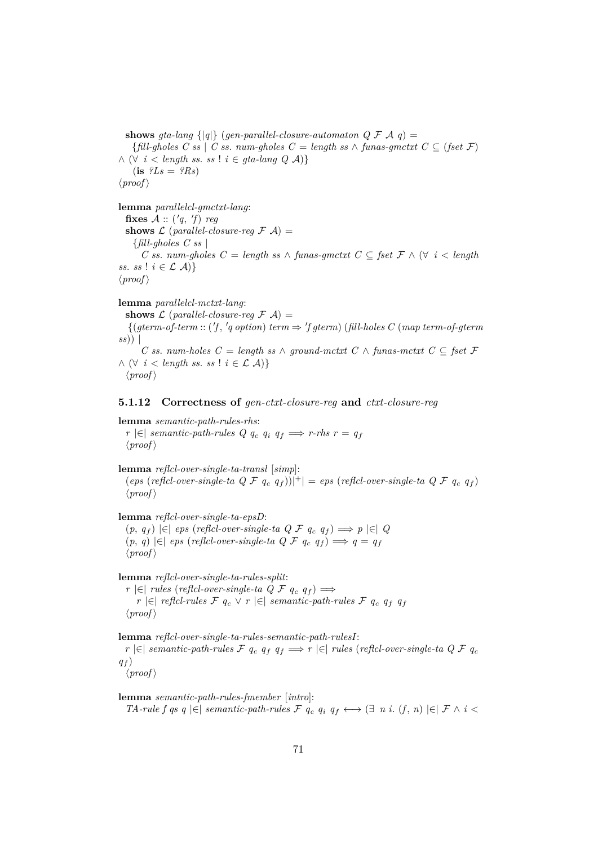**shows** *gta-lang*  $\{ |q| \}$  (*gen-parallel-closure-automaton Q F A q*) = {*fill-gholes C ss* | *C ss*. *num-gholes C* = *length ss* ∧ *funas-gmctxt C* ⊆ (*fset* F) ∧ (∀ *i* < *length ss*. *ss* ! *i* ∈ *gta-lang Q* A)}  $(i\mathbf{s}$   $?Ls = ?Rs$  $\langle proof \rangle$ 

**lemma** *parallelcl-gmctxt-lang*:

fixes  $A :: ('q, 'f)$  *reg* **shows**  $\mathcal{L}$  (*parallel-closure-reg*  $\mathcal{F}$   $\mathcal{A}$ ) = {*fill-gholes C ss* | *C ss*. *num-gholes C* = *length ss* ∧ *funas-gmctxt C* ⊆ *fset* F ∧ (∀ *i* < *length ss. ss*!  $i \in \mathcal{L}$  *A*)}  $\langle proof \rangle$ 

**lemma** *parallelcl-mctxt-lang*: **shows**  $\mathcal{L}$  (*parallel-closure-req*  $\mathcal{F}$   $\mathcal{A}$ ) =  ${(gterm-of-term :: ('f, 'q option) term \Rightarrow 'f gterm) (fill-holes C (map term-of-gterm))}$ *ss*)) | *C ss*. *num-holes C* = *length ss* ∧ *ground-mctxt C* ∧ *funas-mctxt C* ⊆ *fset* F ∧ (∀ *i* < *length ss*. *ss* ! *i* ∈ L A)}  $\langle proof \rangle$ 

## **5.1.12 Correctness of** *gen-ctxt-closure-reg* **and** *ctxt-closure-reg*

**lemma** *semantic-path-rules-rhs*: *r*  $\in$  *semantic-path-rules Q q<sub>c</sub> q<sub>i</sub> q<sub>f</sub> ⇒ <i>r-rhs r* =  $q_f$  $\langle proof \rangle$ 

**lemma** *reflcl-over-single-ta-transl* [*simp*]:  $(\text{eps} \text{ (reflcl-over-single-ta } Q \nsubseteq q_f))|$ <sup>+</sup> $| = \text{eps} \text{ (reflcl-over-single-ta } Q \nsubseteq q_f)$  $\langle proof \rangle$ 

**lemma** *reflcl-over-single-ta-epsD*:

(*p*, *q*<sup>f</sup> ) |∈| *eps* (*reflcl-over-single-ta Q* F *q*<sup>c</sup> *q*<sup>f</sup> ) =⇒ *p* |∈| *Q* (*p*, *q*) |∈| *eps* (*reflcl-over-single-ta Q* F *q*<sup>c</sup> *q*<sup>f</sup> ) =⇒ *q* = *q*<sup>f</sup>  $\langle proof \rangle$ 

**lemma** *reflcl-over-single-ta-rules-split*:

*r*  $|\epsilon|$  *rules* (*reflcl-over-single-ta Q F*  $q_c$  $q_f$ *) ⇒ r*  $|\epsilon|$  *reflcl-rules*  $\mathcal{F}$  *q<sub>c</sub>*  $\vee$  *r*  $|\epsilon|$  *semantic-path-rules*  $\mathcal{F}$  *q<sub>c</sub> q<sub>f</sub> q<sub>f</sub>*  $\langle proof \rangle$ 

**lemma** *reflcl-over-single-ta-rules-semantic-path-rulesI*:

*r*  $\in$  *f ∈ semantic-path-rules*  $\mathcal{F}$   $q_c$   $q_f$   $q_f$   $\implies$  *r*  $\in$  *f rules* (*reflcl-over-single-ta Q*  $\mathcal{F}$  $q_c$  $q_f$ )

 $\langle proof \rangle$ 

**lemma** *semantic-path-rules-fmember* [*intro*]: *TA-rule f qs q*  $\in$  *|semantic-path-rules*  $\mathcal{F}$   $q_c$   $q_i$   $q_f$  ←  $\in$   $\in$   $\in$   $\in$   $f$   $\wedge$   $i$   $\leq$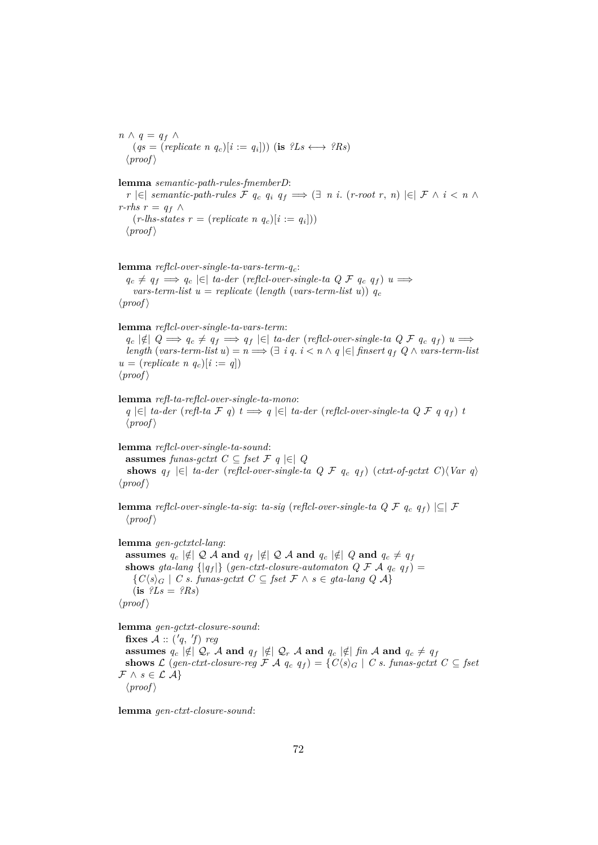*n*  $\wedge$  *q* = *q<sub>f</sub>*  $\wedge$  $(qs = (replicate \space n \space q_c)[i := q_i]))$  (is  $?Ls \longleftrightarrow ?Rs$ )  $\langle proof \rangle$ 

**lemma** *semantic-path-rules-fmemberD*:

*r*  $\in$  |∈| *semantic-path-rules*  $\mathcal{F}$  *q<sub>c</sub> q<sub>i</sub>*  $q_f \implies$  (∃ *n i*. (*r-root r, n*)  $\in$  |  $\mathcal{F}$  ∧ *i* < *n* ∧ *r-rhs*  $r = q_f$  ∧  $(r\text{-}lls\text{-}states\ r = (replicate\ n\ q_c)[i := q_i]))$  $\langle proof \rangle$ 

**lemma** *reflcl-over-single-ta-vars-term-q*c:  $q_c \neq q_f \implies q_c \in \mathcal{E}$  *ta-der* (*reflcl-over-single-ta Q F*  $q_c$  $q_f$ *)*  $u \implies$  $vars-term-list$  *u* = *replicate* (*length* (*vars-term-list u*))  $q_c$  $\langle proof \rangle$ 

**lemma** *reflcl-over-single-ta-vars-term*:

 $q_c \notin |q| \geq q_c \neq q_f \implies q_f \in |q| \text{ta-der (reflcl-over-single-ta QF q_c q_f) u$ *length* (*vars-term-list u*) =  $n$   $\implies$   $\oplus$  *i q. i < n* ∧ *q*  $\in$  *finsert q<sub>f</sub>*  $Q \wedge \text{vars-term-list}$  $u = (replicate \; n \; q_c)[i := q]$  $\langle proof \rangle$ 

**lemma** *refl-ta-reflcl-over-single-ta-mono*: *q*  $\in$  *ta-der* (*refl-ta F q*) *t*  $\Rightarrow$  *q*  $\in$  *ta-der* (*reflcl-over-single-ta Q F q q*<sub>f</sub>) *t*  $\langle proof \rangle$ 

**lemma** *reflcl-over-single-ta-sound*: **assumes** *funas-qctxt*  $C \subseteq$  *fset*  $\mathcal{F}$  *q*  $|\in$  *Q* **shows**  $q_f$  |∈| *ta-der* (*reflcl-over-single-ta Q F*  $q_c$  $q_f$ *)* (*ctxt-of-gctxt C*) $\langle Var q \rangle$  $\langle proof \rangle$ 

**lemma** *reflcl-over-single-ta-sig*: *ta-sig* (*reflcl-over-single-ta Q F*  $q_c$  $q_f$ ) |⊆| F  $\langle proof \rangle$ 

**lemma** *gen-gctxtcl-lang*:

**assumes**  $q_c \notin Q$  *A* and  $q_f \notin Q$  *A* and  $q_c \notin Q$  and  $q_c \neq q_f$ **shows** *gta-lang*  $\{ |q_f| \}$  (*gen-ctxt-closure-automaton Q F A*  $q_c$  $q_f$ *) =*  ${C(s)_G \mid C s.$  *funas-gctxt*  $C ⊆$  *fset*  $F \wedge s ∈$  *gta-lang*  $Q \wedge A}$  $(i\mathbf{s}$   $?Ls = ?Rs$  $\langle proof \rangle$ 

**lemma** *gen-gctxt-closure-sound*:

fixes  $A :: ('q, 'f)$  *reg* **assumes**  $q_c \notin Q_r$  A **and**  $q_f \notin Q_r$  A **and**  $q_c \notin f$  *fin* A **and**  $q_c \neq q_f$ **shows** L (gen-ctxt-closure-reg F A  $q_c$   $q_f$ ) = { $C\langle s \rangle_G$  | C s. funas-gctxt  $C \subseteq \text{fset}$  $\mathcal{F} \wedge s \in \mathcal{L}$   $\mathcal{A}$  $\langle proof \rangle$ 

**lemma** *gen-ctxt-closure-sound*: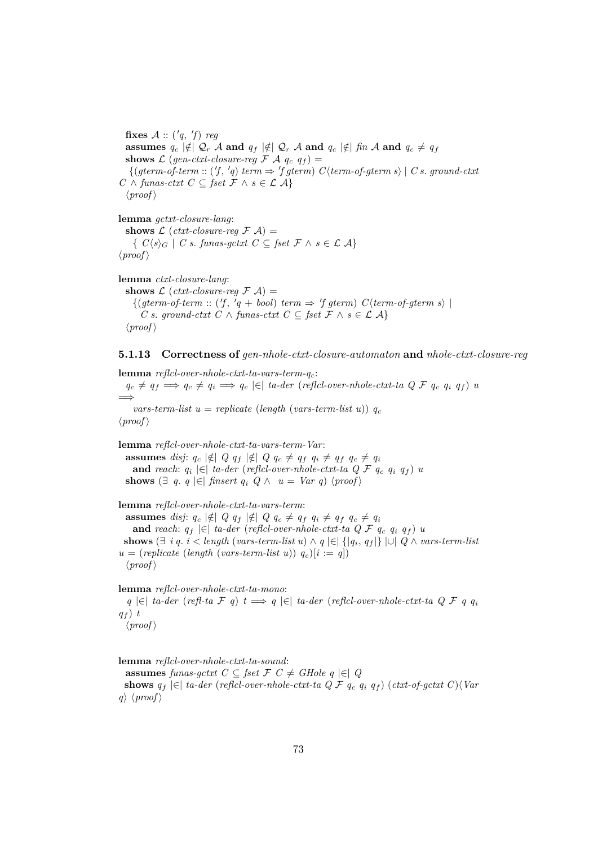fixes  $A :: ('q, 'f)$  *reg* **assumes**  $q_c | \notin |Q_r \mathcal{A}$  and  $q_f | \notin |Q_r \mathcal{A}$  and  $q_c | \notin |f_n \mathcal{A}$  and  $q_c \neq q_f$ **shows**  $\mathcal{L}$  (*gen-ctxt-closure-reg*  $\mathcal{F}$   $\mathcal{A}$   $q_c$   $q_f$ ) =  ${(gterm-of-term :: (f, 'q) term \Rightarrow 'f gterm) C\langle term-of-gterm s \rangle \mid C s. ground-cutx}$ *C* ∧ *funas-ctxt*  $C \subseteq$  *fset*  $\mathcal{F} \land s \in \mathcal{L}$   $\mathcal{A}$ }  $\langle proof \rangle$ 

**lemma** *gctxt-closure-lang*: **shows**  $\mathcal{L}$  (*ctxt-closure-reg*  $\mathcal{F}$   $\mathcal{A}$ ) = {  $C\langle s \rangle_G$  | *C s*. *funas-gctxt*  $C \subseteq$  *fset*  $F \wedge s \in \mathcal{L}$   $\mathcal{A}$ }  $\langle proof \rangle$ 

**lemma** *ctxt-closure-lang*: **shows**  $\mathcal{L}$  (*ctxt-closure-reg*  $\mathcal{F}$   $\mathcal{A}$ ) =  $\{(gterm-of-term :: ('f, 'q + bool) term \Rightarrow 'f gterm) C\langle term-of-gterm s\rangle \mid$ *C s*. *ground-ctxt C* ∧ *funas-ctxt C* ⊆ *fset*  $\mathcal{F}$  ∧ *s* ∈  $\mathcal{L}$   $\mathcal{A}$ }  $\langle proof \rangle$ 

**5.1.13 Correctness of** *gen-nhole-ctxt-closure-automaton* **and** *nhole-ctxt-closure-reg*

**lemma** *reflcl-over-nhole-ctxt-ta-vars-term-q*c:  $q_c \neq q_f \implies q_c \neq q_i \implies q_c \in \mathcal{E}$  *ta-der* (*reflcl-over-nhole-ctxt-ta Q F*  $q_c$  $q_i$  $q_f$ *) <i>u* =⇒  $vars-term-list$   $u = replicate$  (*length* (*vars-term-list u*))  $q_c$  $\langle proof \rangle$ 

**lemma** *reflcl-over-nhole-ctxt-ta-vars-term-Var*: **assumes** *disj*:  $q_c | \notin |Q q_f | \notin |Q q_c \neq q_f q_i \neq q_f q_c \neq q_i$ **and** reach:  $q_i \in ]$  ta-der (reflcl-over-nhole-ctxt-ta  $Q \nmid F$   $q_c$   $q_i$   $q_f$ )  $u$ **shows**  $\left( \exists q, q \in \right|$  *finsert*  $q_i \ Q \wedge u = Var q$   $\langle proof \rangle$ 

**lemma** *reflcl-over-nhole-ctxt-ta-vars-term*: **assumes** *disj*:  $q_c \notin Q$   $q_f \notin Q$   $q_c \neq q_f$   $q_i \neq q_f$   $q_c \neq q_i$ **and** *reach*:  $q_f \in \mathcal{F}$  *ta-der* (*reflcl-over-nhole-ctxt-ta Q F*  $q_c$  $q_i$  $q_f$ *) <i>u* **shows** (∃ *i q*. *i* < *length* (*vars-term-list u*) ∧ *q* |∈| {|*q*<sup>i</sup> , *q*<sup>f</sup> |} |∪| *Q* ∧ *vars-term-list*  $u = (replicate (length (vars-term-list u)) q_c)[i := q]$  $\langle proof \rangle$ 

**lemma** *reflcl-over-nhole-ctxt-ta-mono*:

*q* |∈| *ta-der* (*refl-ta* F *q*) *t* =⇒ *q* |∈| *ta-der* (*reflcl-over-nhole-ctxt-ta Q* F *q q*<sup>i</sup>  $q_f$ )  $t$  $\langle proof \rangle$ 

**lemma** *reflcl-over-nhole-ctxt-ta-sound*:

**assumes** *funas-gctxt*  $C \subseteq$  *fset*  $F C ≠$  *GHole q*  $|∈|$  *Q* **shows**  $q_f$  |∈| *ta-der* (*reflcl-over-nhole-ctxt-ta Q F*  $q_c$  $q_i$  $q_f$ ) (*ctxt-of-gctxt C*) $\langle Var$ *q*)  $\langle proof \rangle$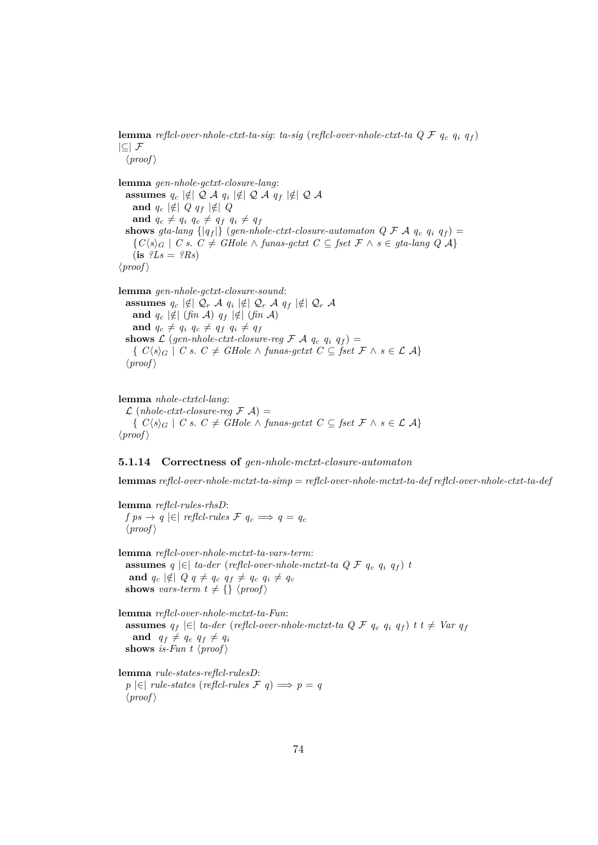**lemma** *reflcl-over-nhole-ctxt-ta-sig*: *ta-sig* (*reflcl-over-nhole-ctxt-ta Q* F *q*<sup>c</sup> *q*<sup>i</sup> *q*<sup>f</sup> )  $|\subseteq|$  F  $\langle proof \rangle$ 

**lemma** *gen-nhole-gctxt-closure-lang*:  $\textbf{assumes}\ \ q_c\ \lvert\notin\mid\mathcal{Q}\;\mathcal{A}\ \ q_i\ \lvert\notin\mid\mathcal{Q}\;\mathcal{A}\ \ q_f\ \lvert\notin\mid\mathcal{Q}\;\mathcal{A}\ \ \%$ **and**  $q_c \notin |Q| \notin |Q| \notin |Q|$ **and**  $q_c \neq q_i$   $q_c \neq q_f$   $q_i \neq q_f$ **shows** *gta-lang*  $\{ |q_f| \}$  (*gen-nhole-ctxt-closure-automaton Q F A*  $q_c$  $q_i$  $q_f$ *) =*  ${C(s)_G \mid C s. C ≠ GHole ∧ \text{ funas-gctxt } C ⊆ \text{fset } \mathcal{F} ∧ s ∈ \text{gta-lang } Q \mathcal{A}}$  $(i\mathbf{s}$   $?Ls = ?Rs$  $\langle proof \rangle$ 

**lemma** *gen-nhole-gctxt-closure-sound*:  $\textbf{assumes}\ \ q_c\ \lvert\notin\mid\mathcal{Q}_r\ \mathcal{A}\ \ q_i\ \lvert\notin\mid\mathcal{Q}_r\ \mathcal{A}\ \ q_f\ \lvert\notin\mid\mathcal{Q}_r\ \mathcal{A}\ \ \textbf{and}\ \ \mathcal{A}_r\ \ \lvert\notin\mid\mathcal{Q}_r\ \mathcal{A}\ \ \textbf{and}\ \ \mathcal{A}_r\ \ \lvert\notin\mid\mathcal{Q}_r\ \ \mathcal{A}_r$ **and**  $q_c \notin | \notin | (\text{fin } A) \mid q_f | \notin | (\text{fin } A)$ **and**  $q_c \neq q_i$   $q_c \neq q_f$   $q_i \neq q_f$ **shows**  $\mathcal{L}$  (*gen-nhole-ctxt-closure-reg*  $\mathcal{F}$   $\mathcal{A}$   $q_c$   $q_i$   $q_f$ ) = {  $C\langle s \rangle_G$  | *C s*. *C* ≠ *GHole* ∧ *funas-gctxt*  $C \subseteq$  *fset*  $\mathcal{F} \wedge s \in \mathcal{L}$  A}  $\langle proof \rangle$ 

**lemma** *nhole-ctxtcl-lang*:  $\mathcal{L}$  (*nhole-ctxt-closure-reg*  $\mathcal{F}$  A) =  ${C(s)_{G} \mid C s. C ≠ GHole ∧ \text{ funas-gctxt } C ⊆ \text{fset } \mathcal{F} ∧ s ∈ \mathcal{L} \mathcal{A}}$  $\langle proof \rangle$ 

#### **5.1.14 Correctness of** *gen-nhole-mctxt-closure-automaton*

**lemmas** *reflcl-over-nhole-mctxt-ta-simp* = *reflcl-over-nhole-mctxt-ta-def reflcl-over-nhole-ctxt-ta-def*

**lemma** *reflcl-rules-rhsD*: *f ps* → *q*  $\in$   $\in$  *refici-rules F q<sub>c</sub>*  $\implies$  *q* = *q<sub>c</sub>*  $\langle proof \rangle$ 

**lemma** *reflcl-over-nhole-mctxt-ta-vars-term*: **assumes**  $q \in \mathbb{R}$  *ta-der* (*reflcl-over-nhole-mctxt-ta Q F*  $q_c$  $q_i$  $q_f$ *) <i>t* **and**  $q_c \notin Q q \neq q_c q_f \neq q_c q_i \neq q_c$ **shows** *vars-term*  $t \neq \{ \}$   $\langle proof \rangle$ 

**lemma** *reflcl-over-nhole-mctxt-ta-Fun*: **assumes**  $q_f$  |∈| *ta-der* (*reflcl-over-nhole-mctxt-ta Q F*  $q_c$  $q_i$  $q_f$ *) <i>t t* ≠ *Var*  $q_f$ **and**  $q_f \neq q_c$   $q_f \neq q_i$ **shows** *is-Fun*  $t \langle proof \rangle$ 

**lemma** *rule-states-reflcl-rulesD*: *p*  $\in$  | *rule-states* (*reflcl-rules F q*) ⇒ *p* = *q*  $\langle proof \rangle$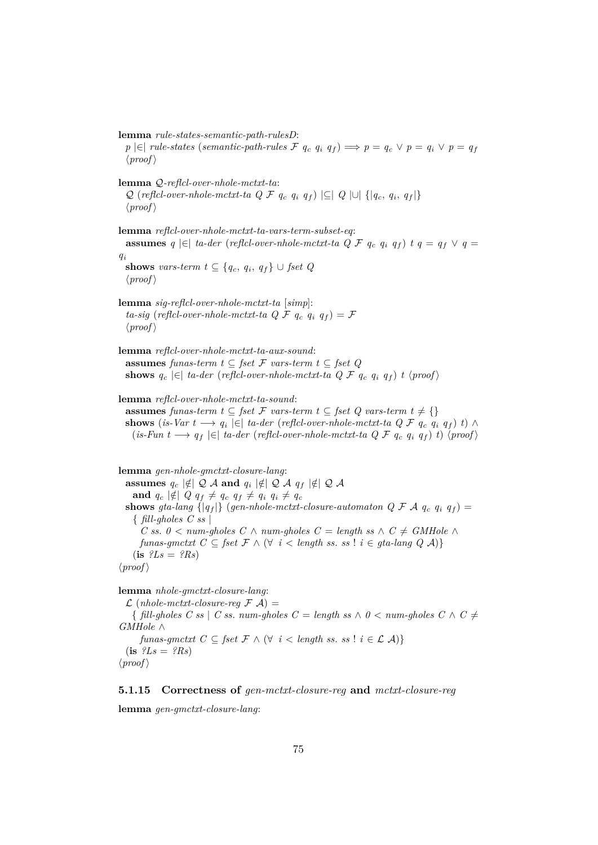**lemma** *rule-states-semantic-path-rulesD*: *p*  $\in$  |∈| *rule-states* (*semantic-path-rules*  $\mathcal{F}$   $q_c$   $q_i$   $q_f$ )  $\implies$   $p = q_c \vee p = q_i \vee p = q_f$  $\langle proof \rangle$ **lemma** Q*-reflcl-over-nhole-mctxt-ta*:  $Q$  (*reflcl-over-nhole-mctxt-ta Q F*  $q_c$  $q_i$  $q_f$ *)*  $|\subseteq|$   $Q$   $|\cup|$  { $|q_c, q_i, q_f|$ }  $\langle proof \rangle$ **lemma** *reflcl-over-nhole-mctxt-ta-vars-term-subset-eq*: **assumes**  $q \in \mathbb{R}$  *ta-der* (*reflcl-over-nhole-mctxt-ta Q F*  $q_c$  $q_i$  $q_f$ *)*  $t$  $q = q_f \vee q =$ *q*i **shows** *vars-term*  $t \subseteq \{q_c, q_i, q_f\} \cup \text{fset } Q$  $\langle proof \rangle$ **lemma** *sig-reflcl-over-nhole-mctxt-ta* [*simp*]: *ta-sig* (*reflcl-over-nhole-mctxt-ta Q F*  $q_c$  $q_i$  $q_f$ *) = F*  $\langle proof \rangle$ **lemma** *reflcl-over-nhole-mctxt-ta-aux-sound*: **assumes** *funas-term*  $t \subseteq$  *fset*  $\mathcal F$  *vars-term*  $t \subseteq$  *fset*  $Q$ **shows**  $q_c$  |∈| *ta-der* (*reflcl-over-nhole-mctxt-ta Q F*  $q_c$  $q_i$  $q_f$ *) <i>t* \proof\ **lemma** *reflcl-over-nhole-mctxt-ta-sound*: **assumes** *funas-term*  $t \subseteq$  *fset*  $\mathcal F$  *vars-term*  $t \subseteq$  *fset*  $Q$  *vars-term*  $t \neq \{\}$ **shows** (*is-Var*  $t \longrightarrow q_i \in$   $\mid \infty$  *ta-der* (*reflcl-over-nhole-mctxt-ta Q F*  $q_c$  $q_i$  $q_f$ *)*  $t$ *)*  $\land$  $(is-Fun t \longrightarrow q_f \in \infty$  *ta-der* (*reflcl-over-nhole-mctxt-ta Q F q<sub>c</sub> q<sub>i</sub> q<sub>f</sub>) <i>t*) (*proof*) **lemma** *gen-nhole-gmctxt-closure-lang*:  $\textbf{assumes}\ \ q_c\ \lvert\notin\mid\mathcal{Q}\;\mathcal{A}\ \textbf{and}\ \ q_i\ \lvert\notin\mid\mathcal{Q}\;\mathcal{A}\ \ q_f\ \lvert\notin\mid\mathcal{Q}\;\mathcal{A}\ \ \textbf{and}\ \ q_i\ \lvert\in\mid\mathcal{Q}\;\mathcal{A}\ \ \textbf{and}\ \ q_i\ \lvert\notin\mid\mathcal{Q}\;\mathcal{A}\ \ \textbf{and}\ \ q_i\ \lvert\notin\mid\mathcal{Q}\;\mathcal{A}\ \ \textbf{and}\ \ q_i\ \lvert\notin\mid\mathcal{Q}\;\mathcal{A}\ \ \textbf{and}\ \ q_i\ \l$ **and**  $q_c \notin Q$   $q_f \neq q_c$   $q_f \neq q_i$   $q_i \neq q_c$ **shows** *gta-lang*  $\{ |q_f| \}$  (*gen-nhole-mctxt-closure-automaton Q F A*  $q_c$  $q_i$  $q_f$ *) =* { *fill-gholes C ss* | *C* ss. *0* < *num-gholes*  $C \wedge num\text{-}gholes$  *C* = *length ss*  $\wedge$  *C*  $\neq$  *GMHole* ∧ *funas-gmctxt*  $C \subseteq \text{fset } \mathcal{F} \land (\forall i < \text{length ss. ss} : i \in \text{gta-lang } Q \mathcal{A})$  $(i\mathbf{s}$   $?Ls = ?Rs$  $\langle proof \rangle$ 

**lemma** *nhole-gmctxt-closure-lang*:  $\mathcal{L}$  (*nhole-mctxt-closure-reg*  $\mathcal{F}$  A) =

 $\{$  fill-gholes C ss  $\mid$  C ss. num-gholes  $C =$  *length ss*  $\land$   $0 <$  *num-gholes*  $C \land C \neq$ *GMHole* ∧ *funas-gmctxt*  $C \subseteq \text{fset } \mathcal{F} \land (\forall i < \text{length ss. ss} \mid i \in \mathcal{L} \mathcal{A})$  $(i\mathbf{s}$   $?Ls = ?Rs$  $\langle proof \rangle$ 

**5.1.15 Correctness of** *gen-mctxt-closure-reg* **and** *mctxt-closure-reg*

**lemma** *gen-gmctxt-closure-lang*: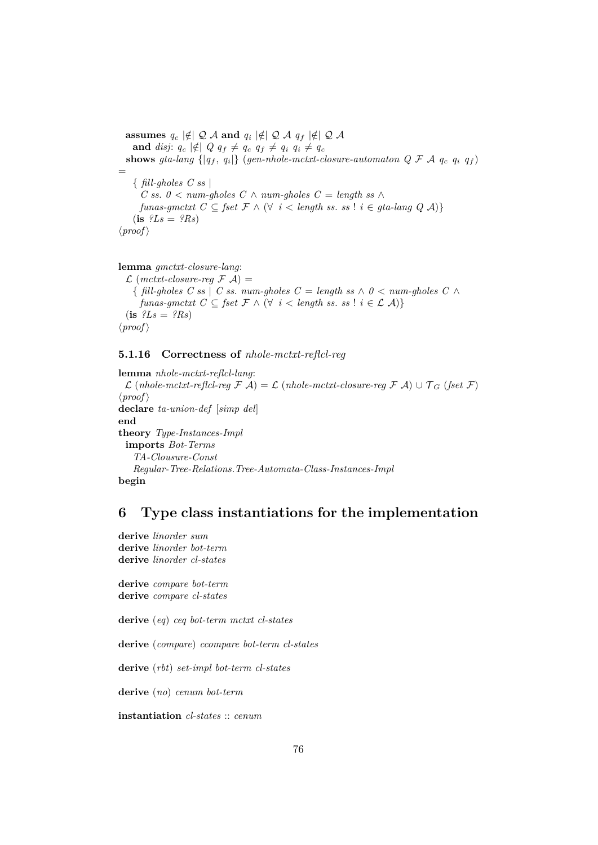$\textbf{assumes}\ \ q_c\ \lvert\notin \mid\mathcal{Q}\ \mathcal{A}\ \textbf{and}\ \ q_i\ \lvert\notin \mid\mathcal{Q}\ \mathcal{A}\ \ q_f\ \lvert\notin \mid\mathcal{Q}\ \mathcal{A}\ \ \textbf{and}\ \ q_i\ \lvert\notin \mid\mathcal{Q}\ \mathcal{A}\ \ \textbf{and}\ \ q_i\ \lvert\notin \mid\mathcal{Q}\ \mathcal{A}\ \ \textbf{and}\ \ q_i\ \lvert\notin \mid\mathcal{Q}\ \mathcal{A}\ \ \textbf{and}\ \ q_i\ \lvert\notin \mid\mathcal{Q}\ \mathcal{A}\ \ \textbf{and}\ \ q_i\$ **and** *disj*:  $q_c \notin Q q_f \neq q_c q_f \neq q_i q_i \neq q_c$  $\textbf{shows} \ \textit{gta-lang} \ \{ |q_f, \ q_i| \} \ \textit{(gen-nhole-mctxt-closure-automaton} \ \ Q \ \mathcal{F} \ \mathcal{A} \ \ q_c \ \ q_i \ \ q_f)$ = { *fill-gholes C ss* | *C ss*. *0* < *num-gholes C* ∧ *num-gholes C* = *length ss* ∧ *funas-gmctxt*  $C \subseteq$  *fset*  $\mathcal{F} \land (\forall i \leq \text{length} \text{ss.} \text{ss}! i \in \text{gta-lang } Q \mathcal{A})$ }  $(i\mathbf{s}$   $?Ls = ?Rs$  $\langle proof \rangle$ 

**lemma** *gmctxt-closure-lang*:  $\mathcal{L}$  (*mctxt-closure-reg*  $\mathcal{F}$  A) =  $\{$  *fill-gholes*  $C$  *ss*  $\}$   $C$  *ss. num-gholes*  $C =$  *length ss*  $\land$   $0 <$  *num-gholes*  $C \land$ *funas-gmctxt*  $C \subseteq \text{fset } \mathcal{F} \land (\forall i < \text{length ss. ss} \mid i \in \mathcal{L} \mathcal{A})$  $(i\mathbf{s}$   $?Ls = ?Rs$  $\langle proof \rangle$ 

#### **5.1.16 Correctness of** *nhole-mctxt-reflcl-reg*

```
lemma nhole-mctxt-reflcl-lang:
 \mathcal L (nhole-mctxt-reflcl-reg \mathcal F \mathcal A) = \mathcal L (nhole-mctxt-closure-reg \mathcal F \mathcal A) ∪ \mathcal T_G (fset \mathcal F)
\langle proof \rangledeclare ta-union-def [simp del]
end
theory Type-Instances-Impl
 imports Bot-Terms
    TA-Clousure-Const
    Regular-Tree-Relations.Tree-Automata-Class-Instances-Impl
begin
```
## **6 Type class instantiations for the implementation**

```
derive linorder sum
derive linorder bot-term
derive linorder cl-states
derive compare bot-term
derive compare cl-states
derive (eq) ceq bot-term mctxt cl-states
derive (compare) ccompare bot-term cl-states
derive (rbt) set-impl bot-term cl-states
derive (no) cenum bot-term
instantiation cl-states :: cenum
```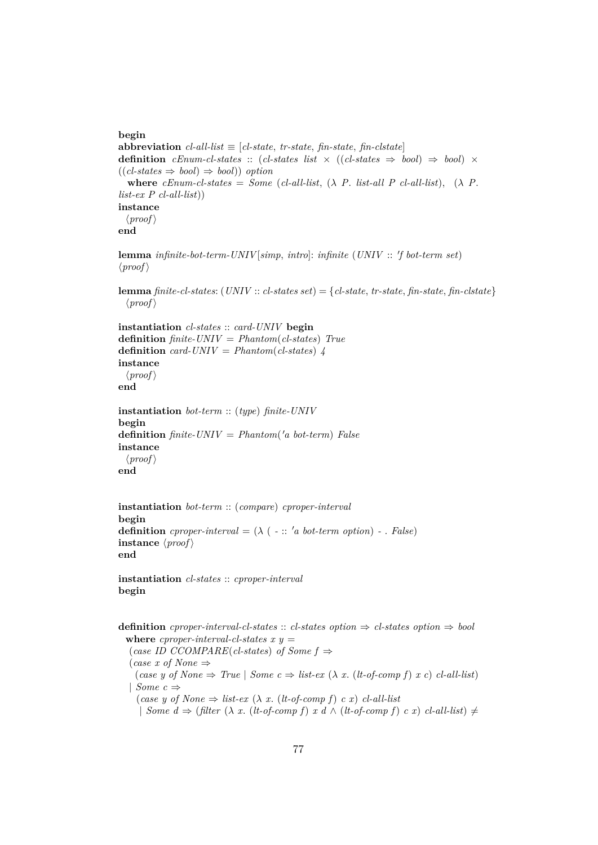#### **begin**

```
abbreviation cl-all-list \equiv [cl-state, tr-state, fin-state, fin-clstate]definition cEnum-cl-states :: (cl-states list \times ((cl-states \Rightarrow bool) \Rightarrow bool) \times((\text{cl-states} \Rightarrow \text{bool}) \Rightarrow \text{bool}) option
  where cEnum-cl-states = Some (cl-all-list, (\lambda P. list-all P cl-all-list), (\lambda P.
list-ex P cl-all-list))
instance
  \langle proof \rangleend
```

```
lemma infinite-bot-term-UNIV[simp, intro]: infinite (UNIV :: 'f bot-term set)
\langle proof \rangle
```

```
lemma finite-cl-states: (UNIV :: cl-states set) = {cl-state, tr-state, fin-state, fin-clstate}
  \langle proof \rangle
```

```
instantiation cl-states :: card-UNIV begin
definition finite-UNIV = Phantom(cl-states) True
definition card-UNIV = Phantom(cl-states) 4instance
 \langle proof \rangleend
```

```
instantiation bot-term :: (type) finite-UNIV
begin
definition finite-UNIV = Phantom('a bot-term) Falseinstance
 \langle proof \rangleend
```

```
instantiation bot-term :: (compare) cproper-interval
begin
definition cproper-interval = (\lambda \in \mathbb{R}^n) a bot-term option) - . False)
instance \langle proof \rangleend
```
**instantiation** *cl-states* :: *cproper-interval* **begin**

```
definition cproper-interval-cl-states :: cl-states option \Rightarrow cl-states option \Rightarrow bool
  where cproper-interval-cl-states x y =(case ID CCOMPARE(cl-states) of Some f ⇒
   (case x of None ⇒
     (\textit{case } y \textit{ of None} \Rightarrow \textit{True} | \textit{Some } c \Rightarrow \textit{list-ex } (\lambda x. (\textit{lt-of-comp f}) x c) \textit{cl-all-list})| Some c ⇒
     (case y of None ⇒ list-ex (λ x. (lt-of-comp f) c x) cl-all-list
```
| *Some d*  $\Rightarrow$  (*filter* ( $\lambda$  *x*. (*lt-of-comp f*) *x d*  $\land$  (*lt-of-comp f*) *c x*) *cl-all-list*) ≠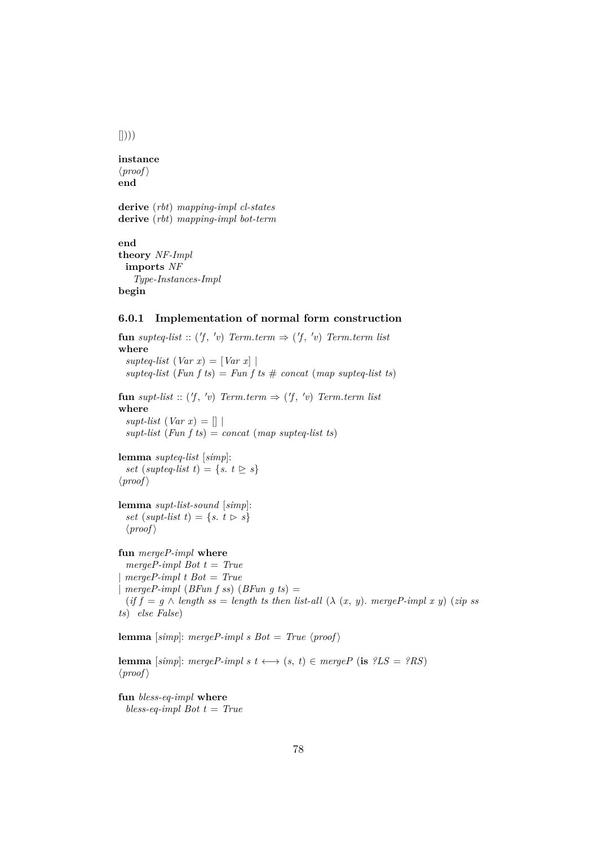$\left[\left[\right]\right)\right)$ 

```
instance
\langle proof \rangleend
derive (rbt) mapping-impl cl-states
derive (rbt) mapping-impl bot-term
end
```

```
theory NF-Impl
 imports NF
   Type-Instances-Impl
begin
```
### **6.0.1 Implementation of normal form construction**

**fun** supteq-list ::  $(f, 'v)$  *Term.term*  $\Rightarrow$   $(f, 'v)$  *Term.term list* **where**  $supteq-list (Var x) = |Var x|$  $supt$ eq-list (*Fun f ts*) = *Fun f ts*  $\#$  *concat* (*map supteq-list ts*)  ${\bf fun} \sup t\text{-}list :: ('f, 'v) \; Term. term \Rightarrow ('f, 'v) \; Term. term \; list$ **where**  $supt-list (Var x) = []$ *supt-list* (*Fun f ts*) = *concat* (*map supteq-list ts*) **lemma** *supteq-list* [*simp*]: *set* (*supteq-list*  $t$ ) = {*s*.  $t \geq s$ }  $\langle proof \rangle$ **lemma** *supt-list-sound* [*simp*]: *set* (*supt-list*  $t$ ) = { $s$ .  $t \geq s$ }  $\langle proof \rangle$ **fun** *mergeP-impl* **where** *mergeP-impl Bot t* = *True* | *mergeP-impl t Bot* = *True* |  $mergeP\text{-}impl$  (*BFun f ss*) (*BFun g ts*) =  $(if f = g \land length ss = length ts then list-all (\lambda (x, y). merge P-impl x y) (zip ss)$ *ts*) *else False*) **lemma** [simp]: mergeP-impl s Bot = True  $\langle proof \rangle$ **lemma** [simp]: mergeP-impl s  $t \leftrightarrow (s, t) \in mergeP$  (**is**  $?LS = ?RS$ )  $\langle proof \rangle$ **fun** *bless-eq-impl* **where**

*bless-eq-impl Bot t* = *True*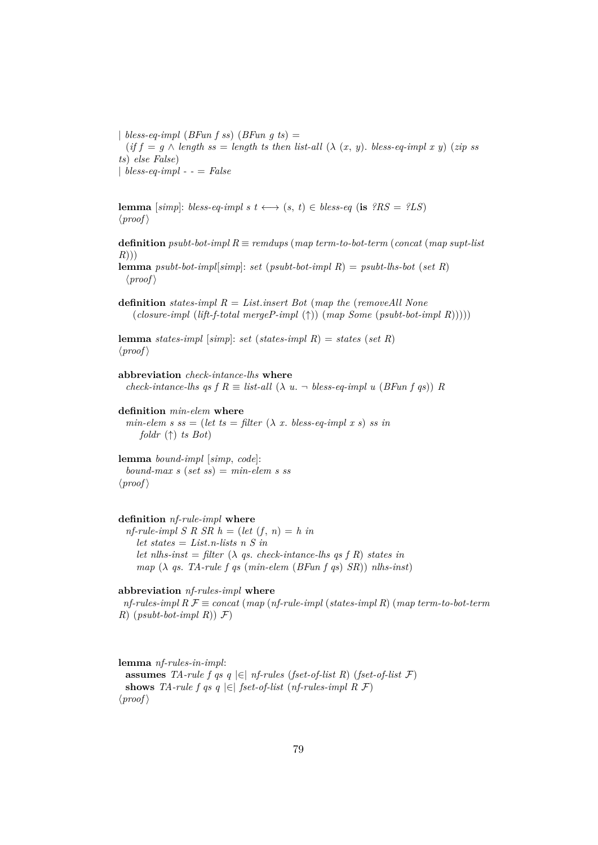| *bless-eq-impl*  $(BFun f s s) (BFun g t s) =$  $(if f = g \wedge length \, ss = length \, ts \, then \, list-all \, (\lambda \, (x, y). \, bless\text{-}eq\text{-}impl \, x \, y) \, (zip \, ss)$ *ts*) *else False*) | *bless-eq-impl - -* = *False*

**lemma** [*simp*]: *bless-eq-impl s t*  $\longleftrightarrow$  (*s*, *t*)  $\in$  *bless-eq* (**is**  $?RS = ?LS$ )  $\langle proof \rangle$ 

**definition** *psubt-bot-impl R* ≡ *remdups* (*map term-to-bot-term* (*concat* (*map supt-list R*)))

**lemma** *psubt-bot-impl*[*simp*]: *set* (*psubt-bot-impl R*) = *psubt-lhs-bot* (*set R*)  $\langle proof \rangle$ 

**definition** *states-impl R* = *List*.*insert Bot* (*map the* (*removeAll None* (*closure-impl* (*lift-f-total mergeP-impl* (↑)) (*map Some* (*psubt-bot-impl R*)))))

**lemma** *states-impl* [*simp*]: *set* (*states-impl R*) = *states* (*set R*)  $\langle proof \rangle$ 

**abbreviation** *check-intance-lhs* **where** *check-intance-lhs qs f R*  $\equiv$  *list-all* ( $\lambda$  *u.*  $\neg$  *bless-eq-impl u* (*BFun f qs*)) *R* 

**definition** *min-elem* **where**

 $min\text{-}elem\ s\ ss = (let\ ts = filter\ (\lambda\ x. \ bless\text{-}eq\text{-}impl\ x\ s)\ ss\ in$ *foldr* (↑) *ts Bot*)

**lemma** *bound-impl* [*simp*, *code*]:  $bound$ *max s* (*set ss*) =  $min$ *-elem s ss*  $\langle proof \rangle$ 

#### **definition** *nf-rule-impl* **where**

 $nf$ -rule-impl *S R SR h* = (let  $(f, n) = h$  in *let states* = *List*.*n-lists n S in let nlhs-inst* =  $filter (\lambda \text{ } qs. \text{ } check-intance-lhs \text{ } as \text{ } f \text{ } R)$  states in *map* (λ *qs*. *TA-rule f qs* (*min-elem* (*BFun f qs*) *SR*)) *nlhs-inst*)

#### **abbreviation** *nf-rules-impl* **where**

*nf-rules-impl R* F ≡ *concat* (*map* (*nf-rule-impl* (*states-impl R*) (*map term-to-bot-term R*)  $(psubt-bot-impl \nvert R)$  *F*)

**lemma** *nf-rules-in-impl*: **assumes** *TA-rule f qs q*  $\in$  *nf-rules* (*fset-of-list R*) (*fset-of-list*  $\mathcal{F}$ ) **shows** *TA-rule f qs q*  $\in$  *fset-of-list* (*nf-rules-impl R F*)  $\langle proof \rangle$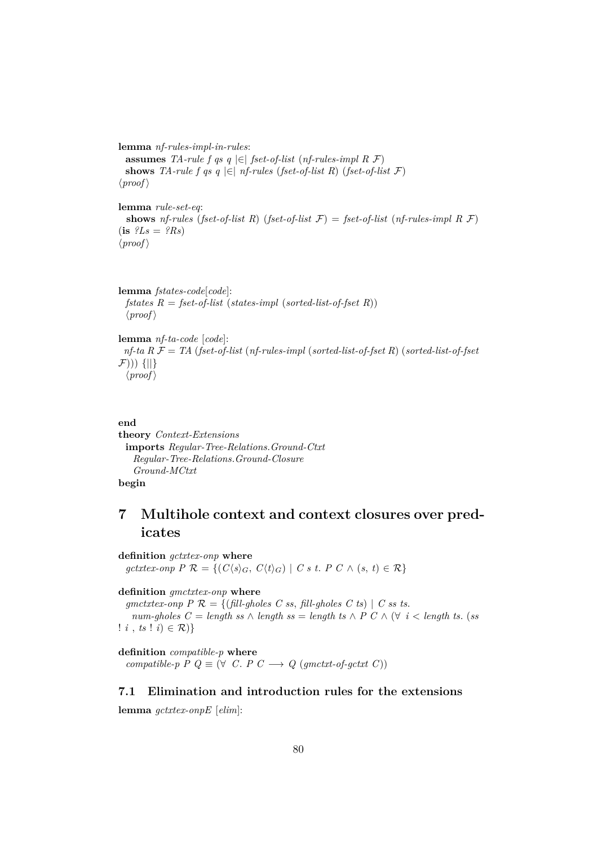**lemma** *nf-rules-impl-in-rules*: **assumes** *TA-rule f qs q*  $\in$  *fset-of-list* (*nf-rules-impl R F*) **shows** *TA-rule f qs q*  $\in$  *nf-rules* (*fset-of-list R*) (*fset-of-list F*)  $\langle proof \rangle$ 

**lemma** *rule-set-eq*: **shows** *nf-rules* (*fset-of-list R*) (*fset-of-list*  $\mathcal{F}$ ) = *fset-of-list* (*nf-rules-impl R*  $\mathcal{F}$ )  $(i\mathbf{s}$   $?Ls = ?Rs$  $\langle proof \rangle$ 

**lemma** *fstates-code*[*code*]: *fstates R* = *fset-of-list* (*states-impl* (*sorted-list-of-fset R*))  $\langle proof \rangle$ 

```
lemma nf-ta-code [code]:
 nf-ta R F = TA (fset-of-list (nf-rules-impl (sorted-list-of-fset R) (sorted-list-of-fset
F))) {||}
  \langle proof \rangle
```

```
end
```

```
theory Context-Extensions
 imports Regular-Tree-Relations.Ground-Ctxt
   Regular-Tree-Relations.Ground-Closure
   Ground-MCtxt
begin
```
# **7 Multihole context and context closures over predicates**

**definition** *gctxtex-onp* **where** *gctxtex-onp P*  $\mathcal{R} = \{ (C \langle s \rangle_G, C \langle t \rangle_G) \mid C \ s \ t. \ P \ C \land (s, t) \in \mathcal{R} \}$ 

#### **definition** *gmctxtex-onp* **where**

*gmctxtex-onp P*  $\mathcal{R} = \{(\text{fill-ghosts } C \text{ s.s. } \text{fill-ghosts } C \text{ t.s. } C \text{ s.s. } C \text{ s.s. } C \text{ s.s. } C \text{ s.s. } C \text{ s.s. } C \text{ s.s. } C \text{ s.s. } C \text{ s.s. } C \text{ s.s. } C \text{ s.s. } C \text{ s.s. } C \text{ s.s. } C \text{ s.s. } C \text{ s.s. } C \text{ s.s. } C \text{ s.s. } C \text{ s.s. } C \text{ s.s. } C \text{ s.s. } C \text{ s.s. } C \$ *num-gholes*  $C = \text{length}$  *ss* ∧ *length ss* = *length ts* ∧  $P C \wedge (\forall i < \text{length} t s.$  (*ss* !  $i, ts : i \in \mathcal{R}$ }

**definition** *compatible-p* **where** *compatible-p P Q*  $\equiv$  ( $\forall$  *C*. *P C*  $\rightarrow$  *Q (gmctxt-of-gctxt C))* 

## **7.1 Elimination and introduction rules for the extensions**

**lemma** *gctxtex-onpE* [*elim*]: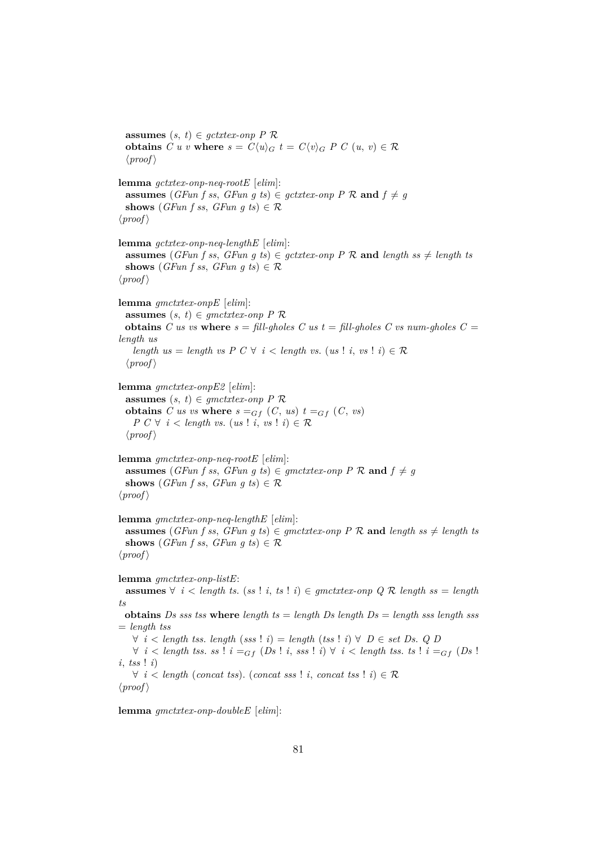**assumes**  $(s, t) \in \text{gctx}$ *tex-onp*  $P \mathcal{R}$ **obtains**  $C u v$  **where**  $s = C \langle u \rangle_G t = C \langle v \rangle_G P C (u, v) \in \mathcal{R}$  $\langle proof \rangle$ **lemma** *gctxtex-onp-neq-rootE* [*elim*]: **assumes** (*GFun f ss, GFun g ts*)  $\in$  *gctxtex-onp P R* and  $f \neq g$ **shows** (*GFun f ss, GFun q ts*)  $\in \mathcal{R}$  $\langle proof \rangle$ **lemma** *gctxtex-onp-neq-lengthE* [*elim*]: **assumes** (*GFun f ss, GFun g ts*)  $\in$  *gctxtex-onp P R* and *length ss*  $\neq$  *length ts* **shows** (*GFun f ss, GFun g ts*)  $\in \mathcal{R}$  $\langle proof \rangle$ **lemma** *gmctxtex-onpE* [*elim*]: **assumes**  $(s, t) \in$  *gmctxtex-onp*  $P$   $\mathcal{R}$ **obtains** *C us vs* **where**  $s = \text{fill-choles } C$  *us*  $t = \text{fill-choles } C$  *vs*  $num\text{-choles } C =$ *length us length us* = *length vs P C*  $\forall$  *i* < *length vs.* (*us* ! *i*, *vs* ! *i*)  $\in \mathcal{R}$  $\langle proof \rangle$ **lemma** *gmctxtex-onpE2* [*elim*]: **assumes**  $(s, t) \in$  *gmctxtex-onp*  $P \mathcal{R}$ **obtains** *C* us vs where  $s =_{Gf} (C, us) t =_{Gf} (C, vs)$ *P*  $C \forall i \leq length vs. (us i, vs. i) \in \mathcal{R}$  $\langle proof \rangle$ **lemma** *gmctxtex-onp-neq-rootE* [*elim*]: **assumes** (*GFun f ss, GFun g ts*)  $\in$  *gmctxtex-onp P R* and  $f \neq g$ **shows** (*GFun f ss, GFun g ts*)  $\in \mathcal{R}$  $\langle proof \rangle$ **lemma** *gmctxtex-onp-neq-lengthE* [*elim*]: **assumes** (*GFun f ss, GFun g ts*)  $\in$  *gmctxtex-onp P R* and *length ss*  $\neq$  *length ts* **shows** (*GFun f ss, GFun g ts*)  $\in \mathcal{R}$  $\langle proof \rangle$ **lemma** *gmctxtex-onp-listE*: **assumes** ∀ *i* < *length ts*. (*ss* ! *i*, *ts* ! *i*) ∈ *gmctxtex-onp Q* R *length ss* = *length ts* **obtains** *Ds sss tss* **where** *length ts* = *length Ds length Ds* = *length sss length sss* = *length tss* ∀ *i* < *length tss*. *length* (*sss* ! *i*) = *length* (*tss* ! *i*) ∀ *D* ∈ *set Ds*. *Q D* ∀ *i* < *length tss. ss* ! *i* =<sub>Gf</sub> (*Ds* ! *i*, *sss* ! *i*) ∀ *i* < *length tss. ts* ! *i* =<sub>Gf</sub> (*Ds* ! *i*, *tss* ! *i*) ∀ *i* < *length* (*concat tss*). (*concat sss* ! *i*, *concat tss* ! *i*) ∈ R  $\langle proof \rangle$ 

**lemma** *gmctxtex-onp-doubleE* [*elim*]: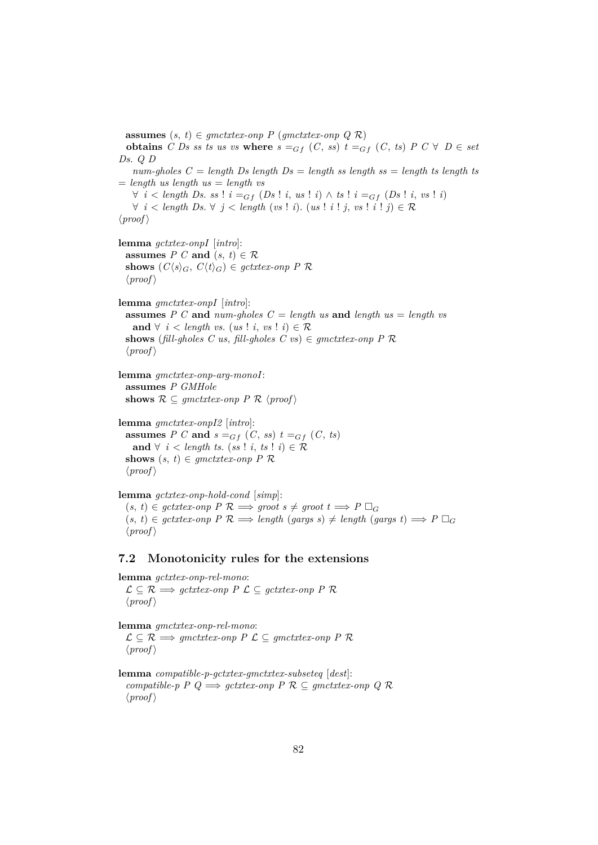**assumes**  $(s, t) \in$  *gmctxtex-onp P* (*gmctxtex-onp Q R*) **obtains** *C* Ds ss ts us vs where  $s =_{Gf} (C, ss)$   $t =_{Gf} (C, ts) P C \forall D \in set$ *Ds*. *Q D*  $num\text{-}choles C = length Ds length Bs = length ss length ss = length ts length ts$  $=$  *length us length us*  $=$  *length vs* ∀ *i* < *length Ds*. *ss* ! *i* =Gf (*Ds* ! *i*, *us* ! *i*) ∧ *ts* ! *i* =Gf (*Ds* ! *i*, *vs* ! *i*) ∀ *i* < *length Ds*. ∀ *j* < *length* (*vs* ! *i*). (*us* ! *i* ! *j*, *vs* ! *i* ! *j*) ∈ R  $\langle proof \rangle$ **lemma** *gctxtex-onpI* [*intro*]: **assumes**  $P C$  **and**  $(s, t) \in \mathcal{R}$ **shows**  $(C\langle s \rangle_G, C\langle t \rangle_G) \in \text{gctxtext-}onp \, P \, \mathcal{R}$  $\langle proof \rangle$ **lemma** *gmctxtex-onpI* [*intro*]: **assumes** *P C* **and** *num-gholes C* = *length us* **and** *length us* = *length vs* **and**  $∀ i < length vs. (us ! i, vs ! i) ∈ R$ shows (*fill-gholes C us*, *fill-gholes C vs*)  $\in$  *gmctxtex-onp P R*  $\langle proof \rangle$ **lemma** *gmctxtex-onp-arg-monoI*: **assumes** *P GMHole* **shows**  $\mathcal{R} \subseteq$  gmctxtex-onp  $P \mathcal{R}$  (proof) **lemma** *gmctxtex-onpI2* [*intro*]: **assumes** *P C* **and**  $s =_{Gf} (C, ss) t =_{Gf} (C, ts)$ **and**  $\forall$  *i* < *length ts.* (*ss* ! *i*, *ts* ! *i*) ∈  $\mathcal{R}$ **shows**  $(s, t) \in$  *gmctxtex-onp*  $P$   $\mathcal{R}$  $\langle proof \rangle$ **lemma** *gctxtex-onp-hold-cond* [*simp*]:

 $(s, t) \in \text{gct}x$ tex-onp  $P \mathcal{R} \implies \text{groot} \ s \neq \text{groot} \ t \implies P \Box_G$  $(s, t) \in gctxtex$ -onp  $P \mathcal{R} \Longrightarrow length(gargs s) \neq length(gargs t) \Longrightarrow P \square_G$  $\langle proof \rangle$ 

#### **7.2 Monotonicity rules for the extensions**

**lemma** *gctxtex-onp-rel-mono*:  $\mathcal{L} \subseteq \mathcal{R}$   $\Longrightarrow$  *gctxtex-onp P*  $\mathcal{L} \subseteq$  *gctxtex-onp P*  $\mathcal{R}$  $\langle proof \rangle$ 

**lemma** *gmctxtex-onp-rel-mono*:  $\mathcal{L} \subseteq \mathcal{R} \Longrightarrow$  *gmctxtex-onp P*  $\mathcal{L} \subseteq$  *gmctxtex-onp P*  $\mathcal{R}$  $\langle proof \rangle$ 

**lemma** *compatible-p-gctxtex-gmctxtex-subseteq* [*dest*]: *compatible-p P Q*  $\implies$  *gctxtex-onp P R* ⊆ *gmctxtex-onp Q R*  $\langle proof \rangle$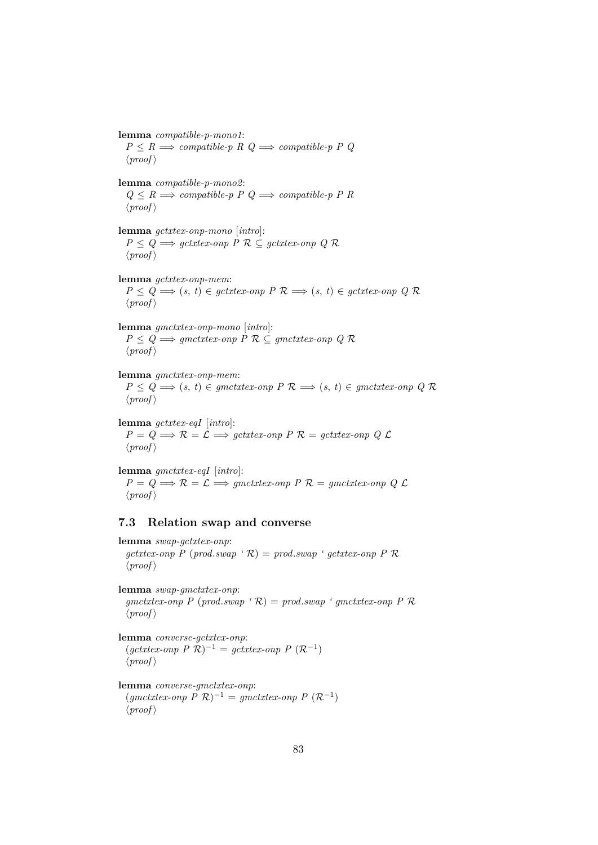**lemma** *compatible-p-mono1*:  $P \leq R \implies compatible-p \ R \ Q \implies compatible-p \ P \ Q$  $\langle proof \rangle$ **lemma** *compatible-p-mono2*:  $Q \leq R \Longrightarrow$  *compatible-p P Q*  $\Longrightarrow$  *compatible-p P R*  $\langle proof \rangle$ **lemma** *gctxtex-onp-mono* [*intro*]: *P* ≤ *Q*  $\Rightarrow$  *gctxtex-onp P*  $\mathcal{R}$  ⊆ *gctxtex-onp Q*  $\mathcal{R}$  $\langle proof \rangle$ **lemma** *gctxtex-onp-mem*:  $P \leq Q \implies (s, t) \in \text{gctx}$ tex-onp  $P \mathcal{R} \implies (s, t) \in \text{gctx}$ tex-onp  $Q \mathcal{R}$  $\langle proof \rangle$ **lemma** *gmctxtex-onp-mono* [*intro*]: *P* ≤ *Q*  $\Rightarrow$  *gmctxtex-onp P*  $\mathcal{R}$  ⊆ *gmctxtex-onp Q*  $\mathcal{R}$  $\langle proof \rangle$ **lemma** *gmctxtex-onp-mem*:  $P \leq Q \implies (s, t) \in gmctxtex-onp \, P \, \mathcal{R} \implies (s, t) \in gmctxtex-onp \, Q \, \mathcal{R}$  $\langle proof \rangle$ 

**lemma** *gctxtex-eqI* [*intro*]:  $P = Q \Longrightarrow \mathcal{R} = \mathcal{L} \Longrightarrow$  *gctxtex-onp P*  $\mathcal{R} =$  *gctxtex-onp Q*  $\mathcal{L}$  $\langle proof \rangle$ 

**lemma** *gmctxtex-eqI* [*intro*]:  $P = Q \Longrightarrow \mathcal{R} = \mathcal{L} \Longrightarrow$  *gmctxtex-onp P*  $\mathcal{R} =$  *gmctxtex-onp Q*  $\mathcal{L}$  $\langle proof \rangle$ 

## **7.3 Relation swap and converse**

**lemma** *swap-gctxtex-onp*:  $gctxtex-onp$  P (prod.*swap* ' $\mathcal{R}$ ) = prod.*swap* ' gctxtex-onp P  $\mathcal{R}$  $\langle proof \rangle$ 

**lemma** *swap-gmctxtex-onp*:  $g$ *mctxtex-onp P* (*prod.swap* ' $\mathcal{R}$ ) = *prod.swap* ' *gmctxtex-onp P*  $\mathcal{R}$  $\langle proof \rangle$ 

**lemma** *converse-gctxtex-onp*:  $(gctxtex-onp P R)^{-1} = gctxtex-onp P (R^{-1})$  $\langle proof \rangle$ 

**lemma** *converse-gmctxtex-onp*:  $(gmetxtex-onp P \mathcal{R})^{-1} = gmetxtex-onp P \mathcal{R}^{-1}$  $\langle proof \rangle$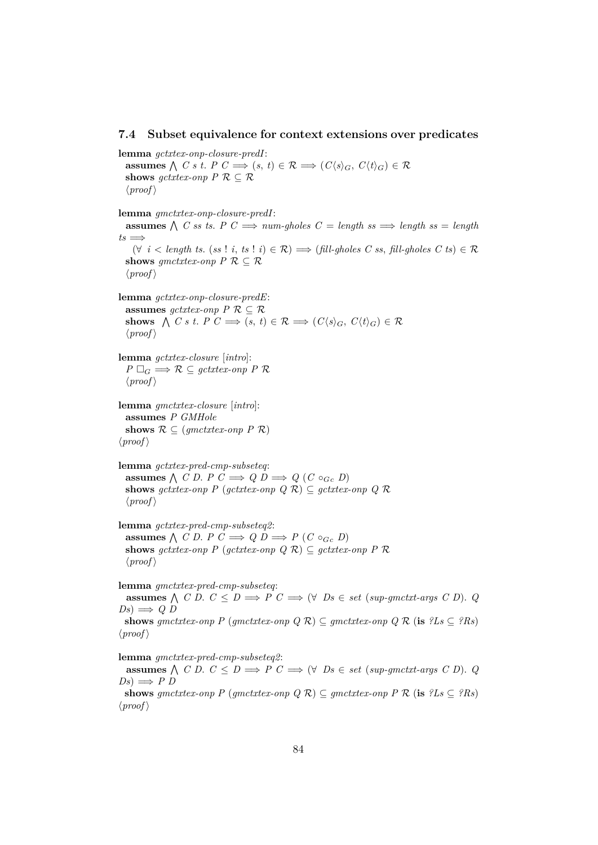#### **7.4 Subset equivalence for context extensions over predicates**

**lemma** *gctxtex-onp-closure-predI*: **assumes**  $\bigwedge$  *C s t. P C*  $\implies$   $(s, t) \in \mathcal{R} \implies (C\langle s \rangle_G, C\langle t \rangle_G) \in \mathcal{R}$ **shows**  $qctxtex\{-}onp$   $P \mathcal{R} \subseteq \mathcal{R}$  $\langle proof \rangle$ **lemma** *gmctxtex-onp-closure-predI*: **assumes**  $\bigwedge$  C ss ts. P  $C \implies num\text{-gholes } C = \text{length}$  ss  $\implies$  length ss = length  $ts \implies$ (∀ *i* < *length ts*. (*ss* ! *i*, *ts* ! *i*) ∈ R) =⇒ (*fill-gholes C ss*, *fill-gholes C ts*) ∈ R **shows** *gmctxtex-onp*  $P \mathcal{R} \subset \mathcal{R}$  $\langle proof \rangle$ **lemma** *gctxtex-onp-closure-predE*: **assumes**  $gctxtex\{-}onp$   $P \mathcal{R} \subseteq \mathcal{R}$ **shows**  $\bigwedge C s t$ .  $P C \implies (s, t) \in \mathcal{R} \implies (C\langle s \rangle_G, C\langle t \rangle_G) \in \mathcal{R}$  $\langle proof \rangle$ **lemma** *gctxtex-closure* [*intro*]:  $P \square_G \Longrightarrow \mathcal{R} \subseteq \text{qctxtext-}onp \, P \, \mathcal{R}$  $\langle proof \rangle$ **lemma** *gmctxtex-closure* [*intro*]: **assumes** *P GMHole* shows  $\mathcal{R} \subseteq (gmetxtex-onp \; P \; \mathcal{R})$  $\langle proof \rangle$ **lemma** *gctxtex-pred-cmp-subseteq*: **assumes**  $\bigwedge$  *C D*. *P C*  $\implies$  *Q D*  $\implies$  *Q* (*C* ◦ *G*<sub>*c*</sub> *D*) **shows**  $qctxtex\emph{env}$   $P$  ( $qctxtex\em{env}$ )  $Q$   $R$ )  $\subset$   $qctxtex\em{env}$   $Q$   $R$  $\langle proof \rangle$ **lemma** *gctxtex-pred-cmp-subseteq2*: **assumes**  $\bigwedge$  *C D*. *P C*  $\Rightarrow$  *Q D*  $\Rightarrow$  *P* (*C* ◦*Gc D*) shows *gctxtex-onp*  $P$  (*gctxtex-onp*  $Q$   $R$ )  $\subseteq$  *gctxtex-onp*  $P$   $R$  $\langle proof \rangle$ **lemma** *gmctxtex-pred-cmp-subseteq*: **assumes**  $\bigwedge$  *C D*.  $C \leq D \implies P$   $C \implies (\forall \text{ } Ds \in \text{set } (\text{sup-}\text{g}(\text{int-}\text{arg}(\text{ } s \text{ } C \text{ } D)).$   $Q$  $Ds) \implies Q D$ **shows** *gmctxtex-onp*  $P$  (*gmctxtex-onp*  $Q$   $R$ )  $\subseteq$  *gmctxtex-onp*  $Q$   $R$  (**is**  $?Ls \subseteq ?Rs$ )  $\langle proof \rangle$ **lemma** *gmctxtex-pred-cmp-subseteq2*:

**assumes**  $\bigwedge$  *C D*.  $C \leq D \implies P$   $C \implies (\forall \text{ } Ds \in \text{set } (\text{sup-}\text{g}(\text{int-}\text{arg}(\text{ } s \text{ } C \text{ } D)).$   $Q$  $Ds) \implies P D$ 

**shows** *gmctxtex-onp*  $P$  (*gmctxtex-onp*  $Q$   $R$ )  $\subseteq$  *gmctxtex-onp*  $P$   $R$  (**is**  $?Ls \subseteq ?Rs$ )  $\langle proof \rangle$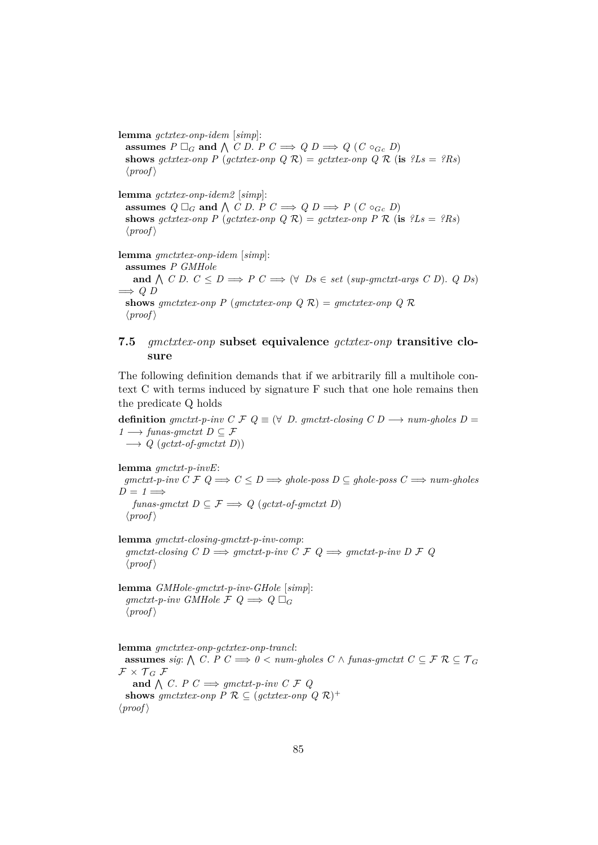**lemma** *gctxtex-onp-idem* [*simp*]:

**assumes**  $P \square_G$  and  $\bigwedge C$  *D*.  $P C \Longrightarrow Q D \Longrightarrow Q (C \circ_{G} D)$ **shows** *gctxtex-onp*  $P$  (*gctxtex-onp*  $Q$   $R$ ) = *gctxtex-onp*  $Q$   $R$  (**is**  $?Ls = ?Rs$ )  $\langle proof \rangle$ 

**lemma** *gctxtex-onp-idem2* [*simp*]: **assumes**  $Q \square_G$  and  $\bigwedge C$  *D*. *P*  $C \implies Q$  *D*  $\implies$  *P*  $(C \circ_{G_c} D)$ **shows** *gctxtex-onp*  $P$  (*gctxtex-onp*  $Q$   $R$ ) = *gctxtex-onp*  $P$   $R$  (**is**  $?Ls = ?Rs$ )  $\langle proof \rangle$ 

**lemma** *gmctxtex-onp-idem* [*simp*]: **assumes** *P GMHole* **and**  $\bigwedge$  *C D*.  $C \leq D \Longrightarrow P \subset \Longrightarrow (\forall \text{ } Ds \in \text{set } (\text{sup-}\text{g}(\text{int-}\text{arg}(\text{ } s \text{ } C \text{ } D)).$  Q  $Ds)$ =⇒ *Q D* **shows** *gmctxtex-onp P* (*gmctxtex-onp*  $Q \mathcal{R}$ ) = *gmctxtex-onp*  $Q \mathcal{R}$  $\langle proof \rangle$ 

## **7.5** *gmctxtex-onp* **subset equivalence** *gctxtex-onp* **transitive closure**

The following definition demands that if we arbitrarily fill a multihole context C with terms induced by signature F such that one hole remains then the predicate Q holds

**definition**  $g$ mctxt-p-inv  $C \nF Q \equiv (\forall D \cdot g)$  *matxt-closing*  $C D \rightarrow num\text{-}g$ holes  $D =$ *1* → *funas-gmctxt*  $D \subseteq \mathcal{F}$  $\rightarrow Q$  (*gctxt-of-gmctxt D*))

**lemma** *gmctxt-p-invE*: *gmctxt-p-inv C F Q*  $\Rightarrow$  *C* ≤ *D*  $\Rightarrow$  *ghole-poss D* ⊆ *ghole-poss C*  $\Rightarrow$  *num-gholes*  $D = 1 \Longrightarrow$ *funas-gmctxt*  $D \subseteq \mathcal{F} \Longrightarrow Q$  (*gctxt-of-gmctxt* D)  $\langle proof \rangle$ 

**lemma** *gmctxt-closing-gmctxt-p-inv-comp*:  $gmetxt- closing C D \Longrightarrow gmetxt-p-inv C \nsubseteq Q \Longrightarrow gmetxt-p-inv D \nsubseteq Q$  $\langle proof \rangle$ 

**lemma** *GMHole-gmctxt-p-inv-GHole* [*simp*]:  $q$ *gmctxt-p-inv GMHole*  $\mathcal{F}$   $\mathcal{Q} \implies \mathcal{Q}$   $\Box$  $\langle proof \rangle$ 

**lemma** *gmctxtex-onp-gctxtex-onp-trancl*:  $\textbf{assumes}\ sig: \bigwedge C.\ P\ C \Longrightarrow 0 < \textit{num-gholes}\ C\land \textit{funas-gruct}\ C\subseteq \mathcal{F}\ \mathcal{R}\subseteq \mathcal{T}_G$  $\mathcal{F} \times \mathcal{T}_G \mathcal{F}$ and  $\bigwedge C$ . *P*  $C \implies$  *gmctxt-p-inv*  $C \nsubseteq Q$ **shows** *gmctxtex-onp*  $P \mathcal{R} \subseteq (gctxtex-onp \ Q \ \mathcal{R})^+$  $\langle proof \rangle$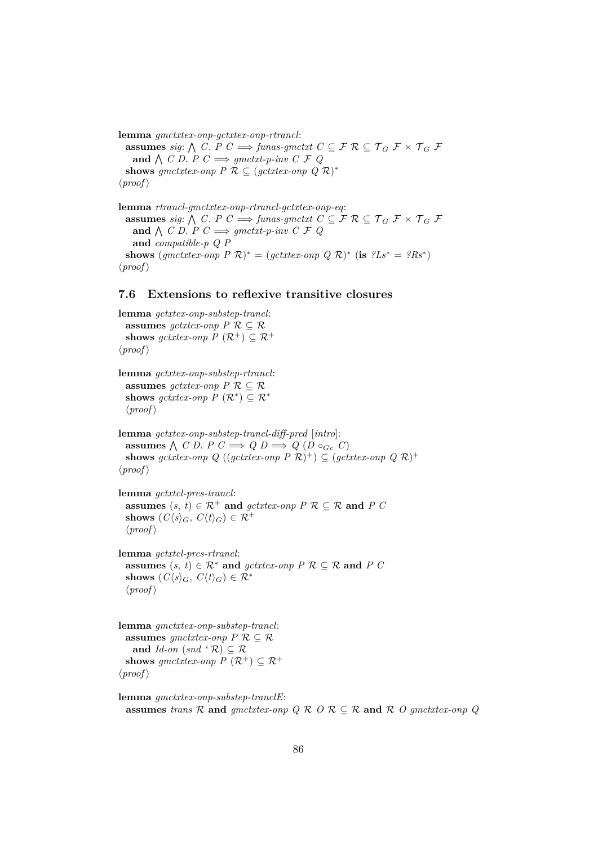**lemma** *gmctxtex-onp-gctxtex-onp-rtrancl*: **assumes** *sig*:  $\bigwedge$  *C*. *P C*  $\implies$  *funas-gmctxt C*  $\subseteq$  *F*  $\mathcal{R}$   $\subseteq$  *T*<sub>*G*</sub> *F*  $\times$  *T*<sub>*G*</sub> *F* and  $\bigwedge$  C D. P  $C \implies$  gmctxt-p-inv C F Q shows gmctxtex-onp  $P \mathcal{R} \subseteq (gctxtex\text{-}onp \ Q \ \mathcal{R})^*$  $\langle proof \rangle$ 

**lemma** *rtrancl-gmctxtex-onp-rtrancl-gctxtex-onp-eq*: **assumes** *sig*:  $\bigwedge$  *C*. *P C*  $\implies$  *funas-gmctxt C*  $\subseteq$  *F*  $\mathcal{R}$   $\subseteq$   $\mathcal{T}_G$  *F*  $\times$   $\mathcal{T}_G$  *F* and  $\bigwedge$  *C D*. *P C*  $\implies$  *gmctxt-p-inv C F Q* **and** *compatible-p Q P* shows  $(gmetxtex-onp \, P \, \mathcal{R})^* = (gctxtex-onp \, Q \, \mathcal{R})^*$  (is  $?Ls^* = ?Rs^*$ )  $\langle proof \rangle$ 

## **7.6 Extensions to reflexive transitive closures**

**lemma** *gctxtex-onp-substep-trancl*: **assumes**  $gctxtex\{-}onp$   $P \mathcal{R} \subseteq \mathcal{R}$ **shows**  $qctxtex\emph{env}$   $P$   $(\mathcal{R}^+) \subset \mathcal{R}^+$  $\langle proof \rangle$ **lemma** *gctxtex-onp-substep-rtrancl*: **assumes**  $qctxtex\emph{env}$   $P \mathcal{R} \subseteq \mathcal{R}$ shows  $gctxtex-onp P(\mathcal{R}^*) \subseteq \mathcal{R}^*$  $\langle proof \rangle$ **lemma** *gctxtex-onp-substep-trancl-diff-pred* [*intro*]: **assumes**  $\bigwedge$  *C D*. *P C*  $\implies$  *Q D*  $\implies$  *Q* (*D* ◦ *G*<sub>*c*</sub> *C*) **shows** getxtex-onp  $Q((\text{gctx}t) \in P \mathcal{R})^+) \subseteq (\text{gctx}t \in P \mathcal{R})^+$  $\langle proof \rangle$ **lemma** *gctxtcl-pres-trancl*: **assumes**  $(s, t) \in \mathbb{R}^+$  **and**  $qctxtex\text{-}onp$   $P \mathbb{R} \subseteq \mathbb{R}$  **and**  $P C$ **shows**  $(C\langle s \rangle_G, C\langle t \rangle_G) \in \mathcal{R}^+$  $\langle proof \rangle$ **lemma** *gctxtcl-pres-rtrancl*: **assumes**  $(s, t) \in \mathbb{R}^*$  **and**  $gctxtex\{-}onp$   $P \mathcal{R} \subseteq \mathbb{R}$  **and**  $P C$ **shows**  $(C\langle s \rangle_G, C\langle t \rangle_G) \in \mathcal{R}^*$  $\langle proof \rangle$ 

**lemma** *gmctxtex-onp-substep-trancl*: **assumes**  $qmctxtext_{-}onp$   $P \mathcal{R} \subset \mathcal{R}$ **and** *Id-on* (*snd* ' $\mathcal{R}$ )  $\subset \mathcal{R}$ **shows** *gmctxtex-onp*  $P$  ( $\mathcal{R}^+$ )  $\subset \mathcal{R}^+$  $\langle proof \rangle$ 

```
lemma gmctxtex-onp-substep-tranclE:
  assumes trans \mathcal{R} and qmctxtex-onp Q \mathcal{R} Q \mathcal{R} \subset \mathcal{R} and \mathcal{R} Q qmctxtex-onp Q
```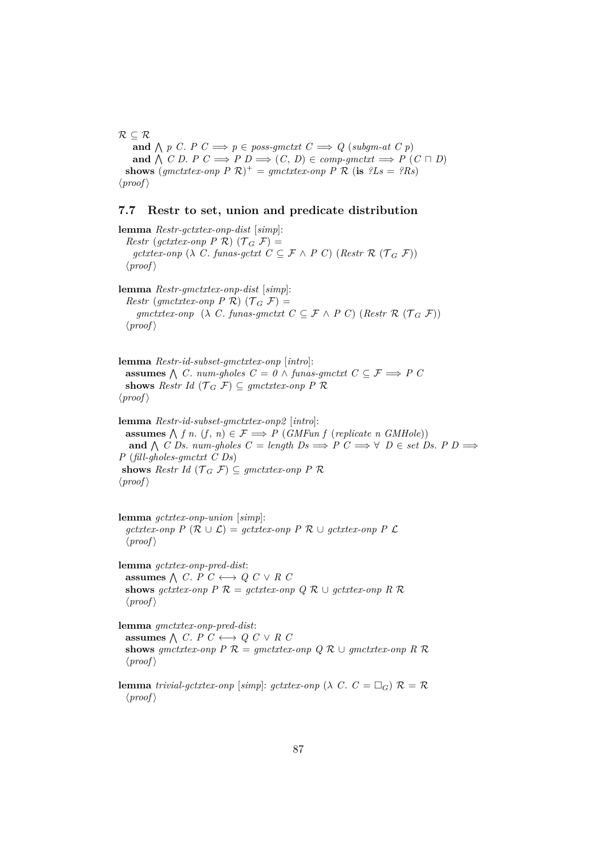$R \subseteq R$ **and**  $\bigwedge p$  C. *P*  $C \implies p \in poss\text{-}g$  *ctxt*  $C \implies Q$  (*subgm-at*  $C$   $p$ ) **and**  $\bigwedge$  *C D*. *P C*  $\implies$  *P D*  $\implies$  (*C*, *D*) ∈ *comp-gmctxt*  $\implies$  *P* (*C*  $\sqcap$  *D*) **shows** (*gmctxtex-onp P* R) <sup>+</sup> = *gmctxtex-onp P* R (**is** *?Ls* = *?Rs*)  $\langle proof \rangle$ 

#### **7.7 Restr to set, union and predicate distribution**

**lemma** *Restr-gctxtex-onp-dist* [*simp*]: *Restr* (*gctxtex-onp P*  $\mathcal{R}$ ) ( $\mathcal{T}_G$   $\mathcal{F}$ ) = *gctxtex-onp* ( $\lambda$  *C*. *funas-gctxt*  $C \subseteq \mathcal{F} \wedge P$  *C*) (*Restr*  $\mathcal{R}$  ( $\mathcal{T}_G$   $\mathcal{F}$ ))  $\langle proof \rangle$ **lemma** *Restr-gmctxtex-onp-dist* [*simp*]: *Restr* (*gmctxtex-onp P R*) ( $\mathcal{T}_G$  F) = *gmctxtex-onp* ( $\lambda$  *C*. *funas-gmctxt*  $C \subseteq \mathcal{F} \wedge P$  *C*) (*Restr*  $\mathcal{R}$  ( $\mathcal{T}_G$   $\mathcal{F}$ ))  $\langle proof \rangle$ 

**lemma** *Restr-id-subset-gmctxtex-onp* [*intro*]: **assumes**  $\bigwedge$  *C*. *num-gholes C* = *0* ∧ *funas-gmctxt C* ⊆ *F*  $\implies$  *P C* shows *Restr Id* ( $\mathcal{T}_G$  F)  $\subseteq$  *gmctxtex-onp P*  $\mathcal{R}$  $\langle proof \rangle$ 

**lemma** *Restr-id-subset-gmctxtex-onp2* [*intro*]: **assumes**  $\bigwedge$  *f n*. (*f*, *n*) ∈  $\mathcal{F}$   $\Longrightarrow$  *P* (*GMFun f* (*replicate n GMHole*)) **and**  $\bigwedge$  *C Ds. num-gholes*  $C = length\ Ds \implies P\ C \implies \forall\ D \in set\ Ds$ .  $P\ D \implies \exists\ D\ D\ D\ \forall\ D\ D\ \implies \exists\ D\ D\ D\ \forall\ D\ D\ \implies \exists\ D\ D\ D\ \implies \exists\ D\ D\ D\ \implies \exists\ D\ D\ D\ \implies \exists\ D\ D\ D\ \implies \exists\ D\ D\ D\ \implies \exists\ D\ D\ D\ \implies \exists\ D\ D\ D\ \implies \exists\ D\ D\ D\ \implies \exists\ D\ D\ D\ \implies \exists\ D\$ *P* (*fill-gholes-gmctxt C Ds*) **shows** *Restr Id* ( $\mathcal{T}_G$   $\mathcal{F}$ )  $\subseteq$  *gmctxtex-onp P*  $\mathcal{R}$  $\langle proof \rangle$ 

**lemma** *gctxtex-onp-union* [*simp*]: *gctxtex-onp P* (R ∪ L) = *gctxtex-onp P* R ∪ *gctxtex-onp P* L  $\langle proof \rangle$ 

**lemma** *gctxtex-onp-pred-dist*: **assumes**  $\wedge$  *C*. *P C* ← *Q C* ∨ *R C* **shows** *gctxtex-onp*  $P \mathcal{R} = \text{gctx}$ *tex-onp*  $Q \mathcal{R} \cup \text{gctx}$ *tex-onp*  $R \mathcal{R}$  $\langle proof \rangle$ 

**lemma** *gmctxtex-onp-pred-dist*: **assumes**  $\wedge$  *C*. *P C* ← *Q C* ∨ *R C* **shows** *gmctxtex-onp*  $P \mathcal{R} =$  *gmctxtex-onp*  $Q \mathcal{R} \cup$  *gmctxtex-onp*  $R \mathcal{R}$  $\langle proof \rangle$ 

**lemma** *trivial-gctxtex-onp* [simp]: *gctxtex-onp* ( $\lambda$  *C*.  $C = \Box$ *G*)  $\mathcal{R} = \mathcal{R}$  $\langle proof \rangle$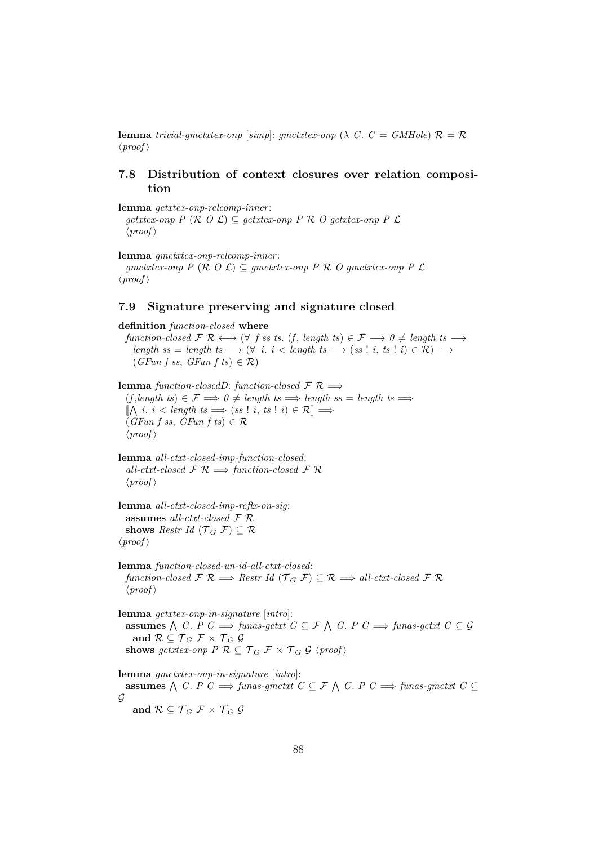**lemma** *trivial-gmctxtex-onp* [*simp*]: *gmctxtex-onp* ( $\lambda$  *C*. *C* = *GMHole*)  $\mathcal{R} = \mathcal{R}$  $\langle proof \rangle$ 

## **7.8 Distribution of context closures over relation composition**

**lemma** *gctxtex-onp-relcomp-inner*: *gctxtex-onp P* (R *O* L) ⊆ *gctxtex-onp P* R *O gctxtex-onp P* L  $\langle proof \rangle$ 

**lemma** *gmctxtex-onp-relcomp-inner*:

*gmctxtex-onp P* (R *O* L) ⊆ *gmctxtex-onp P* R *O gmctxtex-onp P* L  $\langle proof \rangle$ 

#### **7.9 Signature preserving and signature closed**

**definition** *function-closed* **where** *function-closed*  $\mathcal{F} \mathcal{R} \longleftrightarrow (\forall f \text{ s s t s. } (f, \text{ length ts}) \in \mathcal{F} \longrightarrow 0 \neq \text{ length ts } \longrightarrow$  $length \; ss = length \; ts \longrightarrow (\forall \; i. \; i < length \; ts \longrightarrow (ss \; ! \; i, \; ts \; ! \; i) \in \mathcal{R}) \longrightarrow$ (*GFun f ss*, *GFun f ts*) ∈ R) **lemma** *function-closedD*: *function-closed*  $\mathcal{F} \mathcal{R} \implies$  $(f, length \, ts) \in \mathcal{F} \implies 0 \neq length \, ts \implies length \, ss = length \, ts \implies$  $[\![\bigwedge \, i \, \cdot \, i \, \lt \, length \, \, ts \implies (ss \, ! \, \, i, \, ts \, ! \, \, i) \in \mathcal{R}]\!] \Longrightarrow$  $(GFun f s s, GFun f t s) \in \mathcal{R}$  $\langle proof \rangle$ **lemma** *all-ctxt-closed-imp-function-closed*:  $all-\textit{ctxt-closed} \not\sqsubseteq \mathcal{R} \Longrightarrow \textit{function-closed} \not\sqsubseteq \mathcal{R}$  $\langle proof \rangle$ **lemma** *all-ctxt-closed-imp-reflx-on-sig*: **assumes** *all-ctxt-closed* F R **shows** *Restr Id* ( $\mathcal{T}_G$   $\mathcal{F}$ )  $\subseteq \mathcal{R}$  $\langle proof \rangle$ **lemma** *function-closed-un-id-all-ctxt-closed*: *function-closed*  $\mathcal{F} \mathcal{R} \Longrightarrow$  *Restr Id* ( $\mathcal{T}_G \mathcal{F}$ )  $\subset \mathcal{R} \Longrightarrow$  *all-ctxt-closed*  $\mathcal{F} \mathcal{R}$  $\langle proof \rangle$ **lemma** *gctxtex-onp-in-signature* [*intro*]: **assumes**  $\bigwedge$  *C*. *P C*  $\implies$  *funas-gctxt C* ⊆ *F*  $\bigwedge$  *C*. *P C*  $\implies$  *funas-gctxt C* ⊆ *G* and  $\mathcal{R} \subseteq \mathcal{T}_G \mathcal{F} \times \mathcal{T}_G \mathcal{G}$ **shows** gctxtex-onp  $P \mathcal{R} \subseteq \mathcal{T}_G \mathcal{F} \times \mathcal{T}_G \mathcal{G}$  (proof) **lemma** *gmctxtex-onp-in-signature* [*intro*]: **assumes**  $\bigwedge$  *C*. *P C*  $\Rightarrow$  *funas-gmctxt C* ⊆ *F*  $\bigwedge$  *C*. *P C*  $\Rightarrow$  *funas-gmctxt C* ⊆  $\mathcal G$ **and**  $\mathcal{R} \subseteq \mathcal{T}_G \mathcal{F} \times \mathcal{T}_G \mathcal{G}$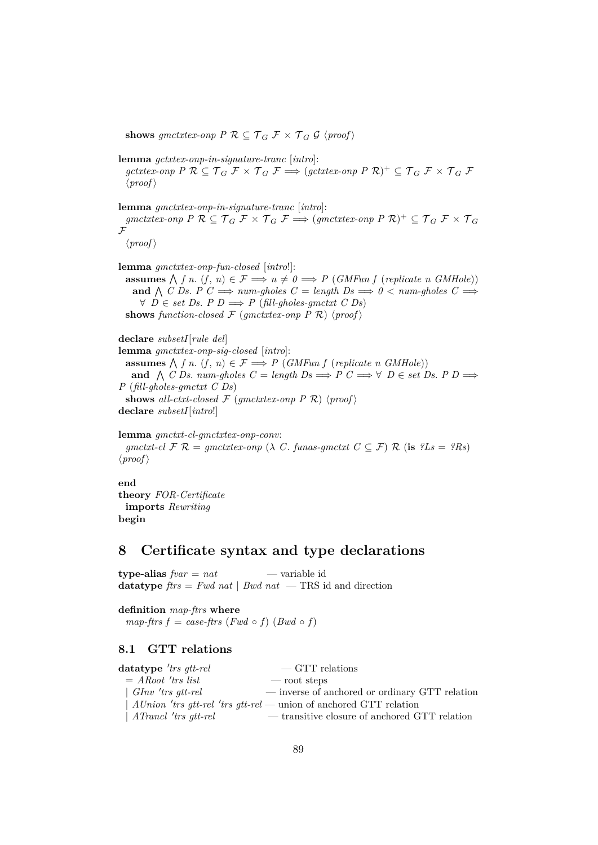**shows** *gmctxtex-onp*  $P \mathcal{R} \subseteq \mathcal{T}_G \mathcal{F} \times \mathcal{T}_G \mathcal{G}$  {proof}

**lemma** *gctxtex-onp-in-signature-tranc* [*intro*]:

 $gctxtex-onp$   $P \mathcal{R} \subseteq \mathcal{T}_G \mathcal{F} \times \mathcal{T}_G \mathcal{F} \Longrightarrow (gctxtex-onp \ P \mathcal{R})^+ \subseteq \mathcal{T}_G \mathcal{F} \times \mathcal{T}_G \mathcal{F}$  $\langle proof \rangle$ 

**lemma** *gmctxtex-onp-in-signature-tranc* [*intro*]:  $gmetxtex-onp$   $P \mathcal{R} \subseteq \mathcal{T}_G \mathcal{F} \times \mathcal{T}_G \mathcal{F} \Longrightarrow (gmetxtex-onp P \mathcal{R})^+ \subseteq \mathcal{T}_G \mathcal{F} \times \mathcal{T}_G$  $\mathcal{F}$ 

 $\langle proof \rangle$ 

**lemma** *gmctxtex-onp-fun-closed* [*intro*!]:

**assumes**  $\bigwedge f$  *n*. (*f*, *n*)  $\in \mathcal{F} \implies n \neq 0 \implies P$  (*GMFun f* (*replicate n GMHole*)) **and**  $\bigwedge$  C Ds. P  $C \implies$  *num-gholes*  $C =$  *length*  $Ds \implies 0 <$  *num-gholes*  $C \implies$  $∀ D ∈ set Ds. P D ⇒ P (fill-ghosts-gmctxt C Ds)$ 

**shows** *function-closed*  $\mathcal F$  (*gmctxtex-onp P*  $\mathcal R$ ) (*proof*)

**declare** *subsetI*[*rule del*] **lemma** *gmctxtex-onp-sig-closed* [*intro*]: **assumes**  $\bigwedge$  *f n*. (*f*, *n*)  $\in \mathcal{F} \implies P$  (*GMFun f* (*replicate n GMHole*)) **and**  $\bigwedge$  *C Ds. num-gholes*  $C = length\ Ds \implies P \ C \implies \forall \ D \in set\ Ds$ .  $P \ D \implies$ *P* (*fill-gholes-gmctxt C Ds*) **shows** all-ctxt-closed  $\mathcal{F}$  (gmctxtex-onp P  $\mathcal{R}$ ) (proof) **declare** *subsetI*[*intro*!]

**lemma** *gmctxt-cl-gmctxtex-onp-conv*: *gmctxt-cl*  $\mathcal{F} \mathcal{R} = qmctxtex \emph{onp}$  ( $\lambda$  *C*. *funas-gmctxt*  $C \subset \mathcal{F}$ )  $\mathcal{R}$  (**is**  $?Ls = ?Rs$ )  $\langle proof \rangle$ 

**end**

**theory** *FOR-Certificate* **imports** *Rewriting* **begin**

## **8 Certificate syntax and type declarations**

**type-alias** *fvar* = *nat* — variable id **datatype**  $\text{f} \text{t} \text{r} \text{s} = \text{Fwd}$  nat | *Bwd nat* — TRS id and direction

**definition** *map-ftrs* **where** *map-ftrs*  $f = case$ *-ftrs*  $(Fwd \circ f)$   $(Bwd \circ f)$ 

## **8.1 GTT relations**

| $datatype$ 'trs gtt-rel      | $\sim$ GTT relations                                                 |
|------------------------------|----------------------------------------------------------------------|
| $= A Root$ 'trs list         | $\sim$ root steps                                                    |
| $\vert$ GInv 'trs gtt-rel    | — inverse of anchored or ordinary GTT relation                       |
|                              | $AlUnion$ 'trs gtt-rel 'trs gtt-rel — union of anchored GTT relation |
| $\vert$ ATrancl 'trs gtt-rel | — transitive closure of anchored GTT relation                        |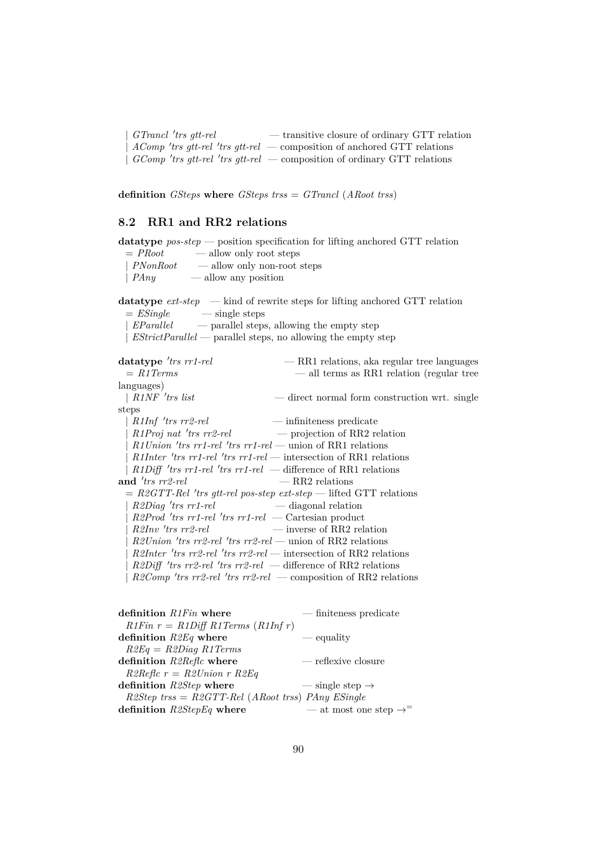$GTrancl$  'trs gtt-rel — transitive closure of ordinary GTT relation | *AComp* 'trs gtt-rel 'trs gtt-rel — composition of anchored GTT relations | *GComp* 'trs gtt-rel 'trs gtt-rel — composition of ordinary GTT relations

**definition** *GSteps* **where** *GSteps trss* = *GTrancl* (*ARoot trss*)

## **8.2 RR1 and RR2 relations**

**datatype** *pos-step* — position specification for lifting anchored GTT relation  $=$  *PRoot* — allow only root steps | *PNonRoot* — allow only non-root steps

| *PAny* — allow any position

**datatype** *ext-step* — kind of rewrite steps for lifting anchored GTT relation  $=$  *ESingle*  $-$  single steps

| *EParallel* — parallel steps, allowing the empty step

| *EStrictParallel* — parallel steps, no allowing the empty step

| datatype 'trs $rr1$ -rel                                      | — RR1 relations, aka regular tree languages                            |
|---------------------------------------------------------------|------------------------------------------------------------------------|
| $=$ R1Terms                                                   | — all terms as RR1 relation (regular tree                              |
| languages)                                                    |                                                                        |
| R <sub>1</sub> NF 'trs list                                   | — direct normal form construction wrt. single                          |
| steps                                                         |                                                                        |
| $R1Inf$ 'trs rr2-rel                                          | — infiniteness predicate                                               |
|                                                               | $R1Proj$ nat 'trs rr2-rel $\qquad \qquad -$ projection of RR2 relation |
| $R1 Union$ 'trs rr1-rel 'trs rr1-rel — union of RR1 relations |                                                                        |
|                                                               | $R1Inter$ 'trs rr1-rel 'trs rr1-rel — intersection of RR1 relations    |
|                                                               | $R1Diff$ 'trs rr1-rel 'trs rr1-rel — difference of RR1 relations       |
| and $'$ trs $rr2$ -rel                                        | $\rm -RR2$ relations                                                   |
|                                                               | $=$ R2GTT-Rel 'trs gtt-rel pos-step ext-step – lifted GTT relations    |
| $R2Diag$ 'trs $rr1$ -rel                                      | — diagonal relation                                                    |
| $R2Prod$ 'trs rr1-rel 'trs rr1-rel — Cartesian product        |                                                                        |
| $R2Inv'$ trs rr2-rel - inverse of RR2 relation                |                                                                        |
| $R2 Union$ 'trs rr2-rel 'trs rr2-rel — union of RR2 relations |                                                                        |
|                                                               | $R2$ Inter 'trs rr2-rel 'trs rr2-rel — intersection of RR2 relations   |
|                                                               | $R2Diff$ 'trs rr2-rel 'trs rr2-rel — difference of RR2 relations       |
|                                                               | $R2Comp$ 'trs rr2-rel 'trs rr2-rel - composition of RR2 relations      |

| definition R1Fin where                                 | $-$ finiteness predicate                |
|--------------------------------------------------------|-----------------------------------------|
| $R1Fin$ $r = R1Diff R1Terms (R1Inf r)$                 |                                         |
| definition $R2Eq$ where                                | — equality                              |
| $R2Eq = R2Diag R1 Terms$                               |                                         |
| definition R2Reflc where                               | — reflexive closure                     |
| $R2Reflc r = R2Union r R2Eq$                           |                                         |
| definition R2Step where                                | $\frac{1}{2}$ single step $\rightarrow$ |
| $R2Step$ trss = $R2GTT$ -Rel (ARoot trss) PAny ESingle |                                         |
| definition $R2StepEq$ where                            | — at most one step $\rightarrow$ =      |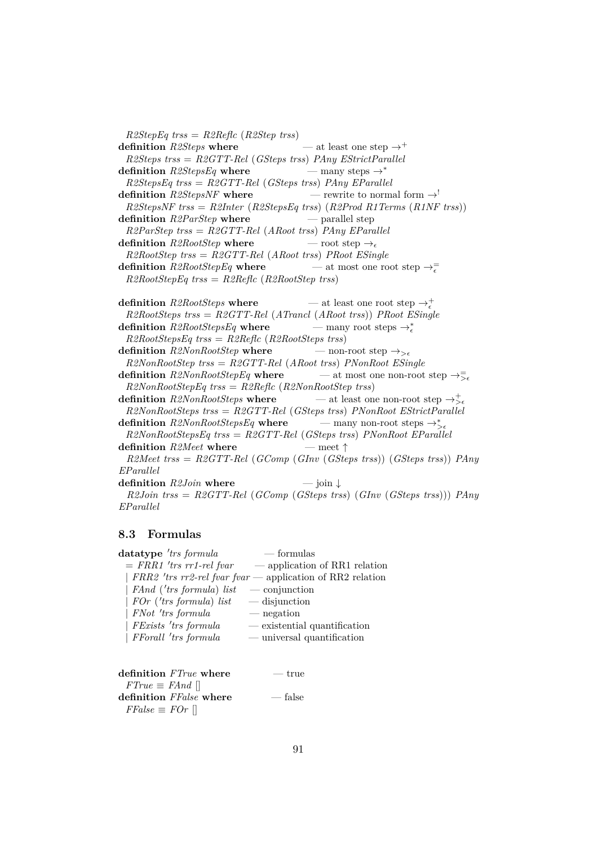*R2StepEq trss* = *R2Reflc* (*R2Step trss*) **definition**  $R2Steps$  **where**  $-$  at least one step  $\rightarrow$ <sup>+</sup> *R2Steps trss* = *R2GTT-Rel* (*GSteps trss*) *PAny EStrictParallel* **definition**  $R2StepsEq$  **where** — many steps  $\rightarrow^*$ *R2StepsEq trss* = *R2GTT-Rel* (*GSteps trss*) *PAny EParallel* **definition**  $R2StepsNF$  **where** — rewrite to normal form  $\rightarrow$ ! *R2StepsNF trss* = *R2Inter* (*R2StepsEq trss*) (*R2Prod R1Terms* (*R1NF trss*)) **definition** *R2ParStep* **where** — parallel step *R2ParStep trss* = *R2GTT-Rel* (*ARoot trss*) *PAny EParallel* **definition**  $R2RootStep$  **where** — root step  $\rightarrow$ *R2RootStep trss* = *R2GTT-Rel* (*ARoot trss*) *PRoot ESingle* **definition**  $R2RootStepEq$  where — at most one root step  $\rightarrow_{\epsilon}^{\equiv}$ *R2RootStepEq trss* = *R2Reflc* (*R2RootStep trss*)

**definition**  $R2RootSteps$  **where**  $-$  at least one root step  $\rightarrow_{\epsilon}^{+}$ *R2RootSteps trss* = *R2GTT-Rel* (*ATrancl* (*ARoot trss*)) *PRoot ESingle* definition  $R2RootStepsEq$  where — many root steps  $\rightarrow_{\epsilon}^{*}$ *R2RootStepsEq trss* = *R2Reflc* (*R2RootSteps trss*) **definition**  $R2NonRootStep$  **where** — non-root step  $\rightarrow_{\geq \epsilon}$ *R2NonRootStep trss* = *R2GTT-Rel* (*ARoot trss*) *PNonRoot ESingle* **definition**  $R2NonRootStepEq$  where — at most one non-root step  $\rightarrow \overline{\mathbb{R}}_e$ *R2NonRootStepEq trss* = *R2Reflc* (*R2NonRootStep trss*) **definition**  $R2NonRootSteps$  where — at least one non-root step  $\rightarrow_{\leq \epsilon}^+$ *R2NonRootSteps trss* = *R2GTT-Rel* (*GSteps trss*) *PNonRoot EStrictParallel* definition  $R2NonRootStepsEq$  where — many non-root steps  $\rightarrow_{\sim}^*$ *R2NonRootStepsEq trss* = *R2GTT-Rel* (*GSteps trss*) *PNonRoot EParallel* **definition** *R2Meet* **where** — meet ↑ *R2Meet trss* = *R2GTT-Rel* (*GComp* (*GInv* (*GSteps trss*)) (*GSteps trss*)) *PAny EParallel* **definition** *R2Join* **where** — join ↓ *R2Join trss* = *R2GTT-Rel* (*GComp* (*GSteps trss*) (*GInv* (*GSteps trss*))) *PAny EParallel*

#### **8.3 Formulas**

| datatype 'trs formula      | — formulas                                                  |
|----------------------------|-------------------------------------------------------------|
| $= FRR1$ 'trs rr1-rel fvar | — application of RR1 relation                               |
|                            | $FRR2$ 'trs rr2-rel fvar fvar — application of RR2 relation |
| FAnd ('trs formula) list   | $\sim$ conjunction                                          |
| FOr ('trs formula) list    | $-\text{disjunction}$                                       |
| FNot 'trs formula          | — negation                                                  |
| FExists 'trs formula       | $-$ existential quantification                              |
| FForall 'trs formula       | $-$ universal quantification                                |
|                            |                                                             |

| definition <i>FTrue</i> where  | $-$ true |
|--------------------------------|----------|
| $FTrue \equiv FAnd \parallel$  |          |
| definition <i>FFalse</i> where | — false  |
| $FFalse \equiv FOr \parallel$  |          |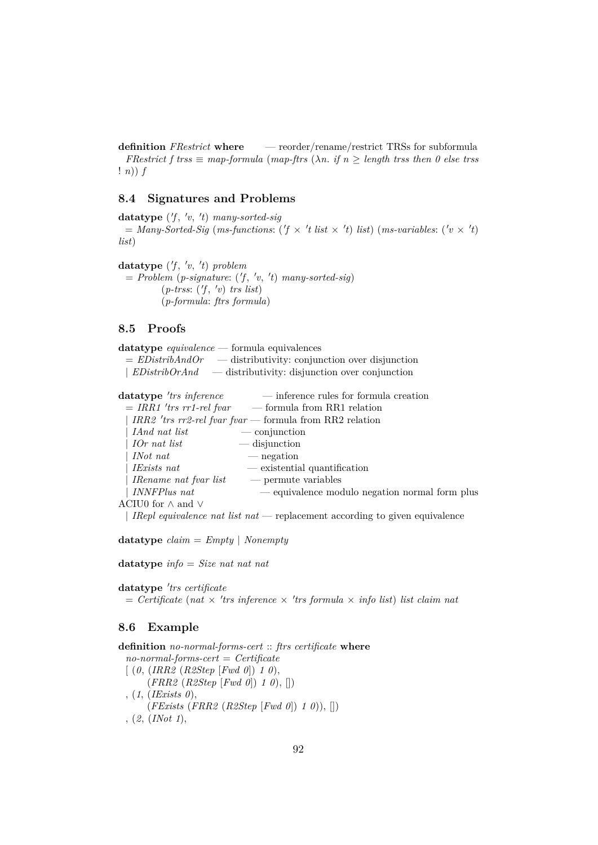**definition** *FRestrict* **where** — reorder/rename/restrict TRSs for subformula *FRestrict f trss*  $\equiv$  *map-formula* (*map-ftrs* ( $\lambda n$ . *if*  $n \geq$  *length trss then* 0 else trss ! *n*)) *f*

### **8.4 Signatures and Problems**

**datatype** ( 0 *f* , 0 *v*, 0 *t*) *many-sorted-sig*  $=$  *Many-Sorted-Sig* (*ms-functions*: ( $f \times t$  *list*  $\times t$ ) *list*) (*ms-variables*: ( $v \times t$ ) *list*)

datatype  $(f, 'v, 't)$  *problem*  $= Problem (p-signature: ('f, 'v, 't) many-sorted-sig)$  $(p\text{-}t \text{rss: } ('f, 'v) \text{ trs } list)$ (*p-formula*: *ftrs formula*)

### **8.5 Proofs**

**datatype** *equivalence* — formula equivalences = *EDistribAndOr* — distributivity: conjunction over disjunction | *EDistribOrAnd* — distributivity: disjunction over conjunction

| datatype 'trs inference       | — inference rules for formula creation                   |
|-------------------------------|----------------------------------------------------------|
|                               | $= IRR1$ 'trs rr1-rel fvar - - formula from RR1 relation |
|                               | IRR2 'trs rr2-rel fvar fvar — formula from RR2 relation  |
| IAnd nat list                 | $\sim$ conjunction                                       |
| $\mid$ IOr nat list           | $\overline{\phantom{a}}$ disjunction                     |
| <i>INot</i> nat               | — negation                                               |
| IExists nat                   | — existential quantification                             |
| IRename nat fvar list         | — permute variables                                      |
| <i>INNFPlus nat</i>           | — equivalence modulo negation normal form plus           |
| ACIU0 for $\wedge$ and $\vee$ |                                                          |
|                               |                                                          |

| *IRepl equivalence nat list nat* — replacement according to given equivalence

**datatype** *claim* = *Empty* | *Nonempty*

**datatype** *info* = *Size nat nat nat*

datatype 'trs certificate  $=$  *Certificate* (*nat*  $\times$  'trs *inference*  $\times$  'trs formula  $\times$  *info list*) *list claim nat* 

#### **8.6 Example**

**definition** *no-normal-forms-cert* :: *ftrs certificate* **where** *no-normal-forms-cert* = *Certificate* [ (*0*, (*IRR2* (*R2Step* [*Fwd 0*]) *1 0*), (*FRR2* (*R2Step* [*Fwd 0*]) *1 0*), []) , (*1*, (*IExists 0*), (*FExists* (*FRR2* (*R2Step* [*Fwd 0*]) *1 0*)), []) , (*2*, (*INot 1*),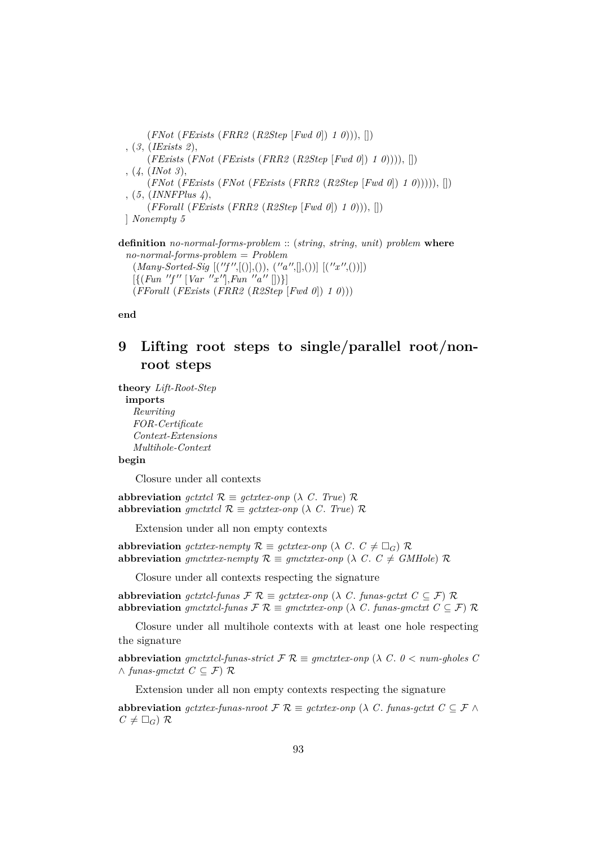(*FNot* (*FExists* (*FRR2* (*R2Step* [*Fwd 0*]) *1 0*))), []) , (*3*, (*IExists 2*), (*FExists* (*FNot* (*FExists* (*FRR2* (*R2Step* [*Fwd 0*]) *1 0*)))), []) , (*4*, (*INot 3*), (*FNot* (*FExists* (*FNot* (*FExists* (*FRR2* (*R2Step* [*Fwd 0*]) *1 0*))))), []) , (*5*, (*INNFPlus 4*), (*FForall* (*FExists* (*FRR2* (*R2Step* [*Fwd 0*]) *1 0*))), []) ] *Nonempty 5*

**definition** *no-normal-forms-problem* :: (*string*, *string*, *unit*) *problem* **where** *no-normal-forms-problem* = *Problem*  $(Many-Sorted-Sig [(''f'',[())], (), ('a'',[],())] [(''x'',())])$  $[\{(Fun 'f'' [Var '''x''], Fun 'a'' [] )\}]$ (*FForall* (*FExists* (*FRR2* (*R2Step* [*Fwd 0*]) *1 0*)))

**end**

# **9 Lifting root steps to single/parallel root/nonroot steps**

**theory** *Lift-Root-Step* **imports** *Rewriting FOR-Certificate*

> *Context-Extensions Multihole-Context*

#### **begin**

Closure under all contexts

**abbreviation** *gctxtcl*  $\mathcal{R} \equiv$  *gctxtex-onp* ( $\lambda$  *C*. *True*)  $\mathcal{R}$ **abbreviation** *gmctxtcl*  $\mathcal{R} \equiv$  *gctxtex-onp* ( $\lambda$  *C*. *True*)  $\mathcal{R}$ 

Extension under all non empty contexts

**abbreviation** *gctxtex-nempty*  $\mathcal{R} \equiv$  *gctxtex-onp* ( $\lambda$  *C*.  $C \neq \Box$ *G*)  $\mathcal{R}$ **abbreviation** *gmctxtex-nempty*  $\mathcal{R} \equiv$  *gmctxtex-onp* ( $\lambda$  *C*.  $C \neq$  *GMHole*)  $\mathcal{R}$ 

Closure under all contexts respecting the signature

**abbreviation** *gctxtcl-funas*  $\mathcal{F} \mathcal{R} \equiv$  *gctxtex-onp* ( $\lambda$  *C*. *funas-gctxt*  $C \subseteq \mathcal{F}$ )  $\mathcal{R}$ **abbreviation**  $g$ *mctxtcl-funas*  $\mathcal{F} \mathcal{R} \equiv g$ *mctxtex-onp* ( $\lambda$  *C*. *funas-gmctxt*  $C \subseteq \mathcal{F}$ )  $\mathcal{R}$ 

Closure under all multihole contexts with at least one hole respecting the signature

**abbreviation**  $q$ mctxtcl-funas-strict  $\mathcal{F} \mathcal{R} \equiv q$ mctxtex-onp ( $\lambda$  C,  $0 <$  num-gholes C ∧ *funas-gmctxt C* ⊆ F) R

Extension under all non empty contexts respecting the signature

**abbreviation** *gctxtex-funas-nroot*  $\mathcal{F} \mathcal{R} \equiv$  *gctxtex-onp* ( $\lambda$  *C*. *funas-gctxt*  $C \subseteq \mathcal{F} \wedge$  $C \neq \Box_G$ ) R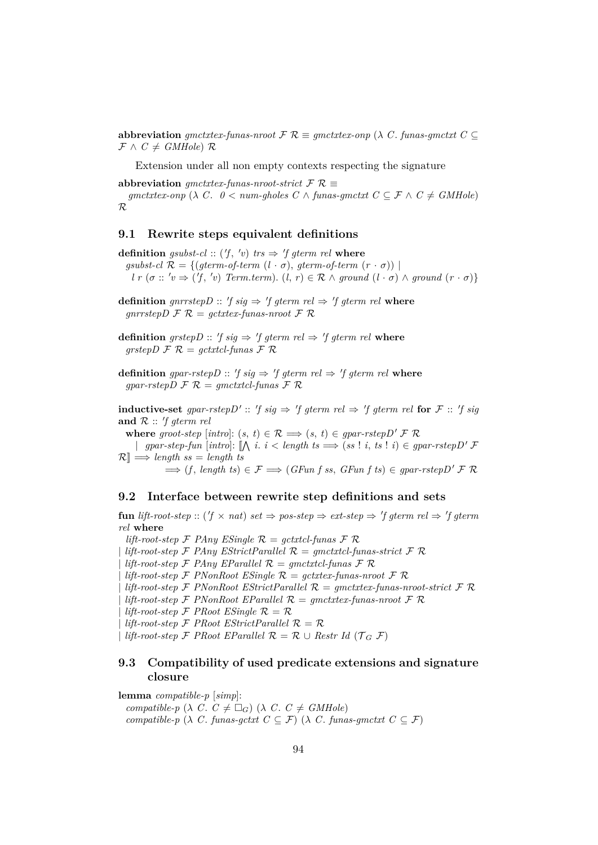**abbreviation**  $qmetxtextrm{-}funas-nroot \n\mathcal{F} \n\mathcal{R} \equiv qmetxtex0{-}onp \n\ (\lambda \ C. \n\text{ }funas\text{-}gmetx\t \text{ }C \subseteq \mathcal{S}$  $\mathcal{F} \wedge C \neq \mathit{GMHole}$   $\mathcal{R}$ 

Extension under all non empty contexts respecting the signature

abbreviation *gmctxtex-funas-nroot-strict*  $\mathcal{F} \mathcal{R} \equiv$ 

*gmctxtex-onp* ( $\lambda$  *C*.  $0 <$  *num-gholes*  $C \wedge$  *funas-gmctxt*  $C \subseteq \mathcal{F} \wedge C \neq G M Hole$ ) R

#### **9.1 Rewrite steps equivalent definitions**

**definition** gsubst-cl:  $(f, 'v)$  trs  $\Rightarrow 'f$  gterm rel where  $gsubst-cl \mathcal{R} = \{ (gterm-of-term (l \cdot \sigma), gterm-of-term (r \cdot \sigma)) \mid$  $l \, r \, (\sigma :: 'v \Rightarrow ('f, 'v) \, \text{Term.} \, \text{term}). \, (l, r) \in \mathcal{R} \land \text{ground } (l \cdot \sigma) \land \text{ground } (r \cdot \sigma) \}$ 

**definition** gnrrstep  $D$  ::  $'f sig \Rightarrow 'f geterm rel \Rightarrow 'f geterm rel$  where  $gnrrstepD \nF \nR = gctxtex-funas-nroot \nF \nR$ 

**definition** grstep  $D$  :: 'f sig  $\Rightarrow$  'f gterm rel  $\Rightarrow$  'f gterm rel where  $grstepD \mathcal{F} \mathcal{R} = gctxtcl-funas \mathcal{F} \mathcal{R}$ 

**definition** gpar-rstep D :: 'f sig  $\Rightarrow$  'f gterm rel  $\Rightarrow$  'f gterm rel where  $gpar\text{-}rstepD \mathcal{F} \mathcal{R} = gmetxtcl\text{-}funas \mathcal{F} \mathcal{R}$ 

**inductive-set** gpar-rstep  $D' :: 'f sig \Rightarrow 'f$  gterm rel  $\Rightarrow 'f$  gterm rel for  $\mathcal{F} :: 'f sig$ and  $R :: 'f$  *gterm rel* 

**where** *groot-step* [*intro*]:  $(s, t) \in \mathcal{R} \implies (s, t) \in gpar\text{-}rstepD' \neq \mathcal{R}$ 

| gpar-step-fun [intro]:  $\Lambda$  *i*. *i* < length ts  $\implies$  (ss! *i*, ts! *i*) ∈ gpar-rstepD' F  $\mathcal{R} \equiv \mathcal{R} \equiv \mathcal{R}$  *length ss* = *length ts* 

 $\implies$  (*f*, *length ts*)  $\in \mathcal{F} \implies (GFun f \; s s, \; GFun f \; t s) \in gpar\text{-}rstepD' \; \mathcal{F} \; \mathcal{R}$ 

#### **9.2 Interface between rewrite step definitions and sets**

 ${\bf fun}$  *lift-root-step* :: ( $f \times nat$ )  $set \Rightarrow pos\text{-}step \Rightarrow ext\text{-}step \Rightarrow f\text{-}germ\text{-}rel \Rightarrow f\text{-}germ$ *rel* **where**

*lift-root-step*  $\mathcal F$  *PAny ESingle*  $\mathcal R$  = *gctxtcl-funas*  $\mathcal F$   $\mathcal R$ 

 $l$ *ift-root-step*  $\mathcal F$  *PAny EStrictParallel*  $\mathcal R$  = *qmctxtcl-funas-strict*  $\mathcal F$   $\mathcal R$ 

 $lift-root-step$  F *PAny EParallel*  $\mathcal{R} = g\textrm{m}ct \textrm{xt}$ *cl*-funas F  $\mathcal{R}$ 

 $lift-root-step$  F *PNonRoot ESingle*  $\mathcal{R} = gctxtex-funas-nroot$  *F*  $\mathcal{R}$ 

| *lift-root-step* F *PNonRoot EStrictParallel* R = *gmctxtex-funas-nroot-strict* F R

 $lift-root-step$  F *PNonRoot EParallel*  $R = qmctxtext$ -fungs-nroot F R

 $l$ *ift-root-step*  $\mathcal{F}$  *PRoot ESingle*  $\mathcal{R} = \mathcal{R}$ 

 $lift-root-step$  F *PRoot EStrictParallel*  $\mathcal{R} = \mathcal{R}$ 

| *lift-root-step*  $\mathcal F$  *PRoot EParallel*  $\mathcal R = \mathcal R \cup$  *Restr Id* ( $\mathcal T_G$   $\mathcal F$ )

## **9.3 Compatibility of used predicate extensions and signature closure**

**lemma** *compatible-p* [*simp*]: *compatible-p* ( $\lambda$  *C*.  $C \neq \Box$ *G*) ( $\lambda$  *C*.  $C \neq$  *GMHole*) *compatible-p* ( $\lambda$  *C*. *funas-gctxt*  $C \subseteq \mathcal{F}$ ) ( $\lambda$  *C*. *funas-gmctxt*  $C \subseteq \mathcal{F}$ )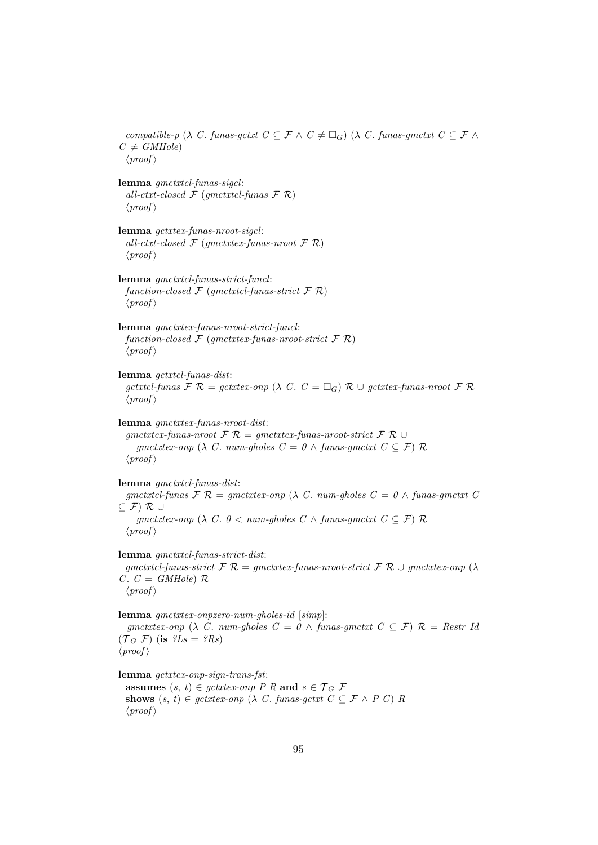*compatible-p* ( $\lambda$  *C*. *funas-gctxt*  $C \subseteq \mathcal{F} \wedge C \neq \Box_G$ ) ( $\lambda$  *C*. *funas-gmctxt*  $C \subseteq \mathcal{F} \wedge C$  $C \neq \text{GMHole}$  $\langle proof \rangle$ **lemma** *gmctxtcl-funas-sigcl*: *all-ctxt-closed* F (*gmctxtcl-funas* F R)  $\langle proof \rangle$ **lemma** *gctxtex-funas-nroot-sigcl*: *all-ctxt-closed*  $\mathcal{F}$  (*gmctxtex-funas-nroot*  $\mathcal{F}$   $\mathcal{R}$ )  $\langle proof \rangle$ **lemma** *gmctxtcl-funas-strict-funcl*:  $function-closed \nF (gmetxtcl-funas-strict \nF R)$  $\langle proof \rangle$ **lemma** *gmctxtex-funas-nroot-strict-funcl*:  $function-closed \nF (gmetxtex-funas-nroot-strict \nF R)$  $\langle proof \rangle$ **lemma** *gctxtcl-funas-dist*: *gctxtcl-funas*  $\mathcal{F} \mathcal{R} = \text{gctx}te^{i\omega}$  ( $\lambda \mathcal{C} \cdot \mathcal{C} = \Box_{\mathcal{G}} \mathcal{R} \cup \text{gctx}te^{i\omega}$ -funas-nroot  $\mathcal{F} \mathcal{R}$  $\langle proof \rangle$ **lemma** *gmctxtex-funas-nroot-dist*: *gmctxtex-funas-nroot* F R = *gmctxtex-funas-nroot-strict* F R ∪ *gmctxtex-onp* ( $\lambda$  *C*. *num-gholes*  $C = \theta \wedge \text{funas-}$ *gmctxt*  $C \subseteq \mathcal{F}$ )  $\mathcal{R}$  $\langle proof \rangle$ **lemma** *gmctxtcl-funas-dist*:  $g$ *mctxtcl-funas*  $\mathcal{F} \mathcal{R} = g$ *mctxtex-onp* ( $\lambda$  *C*. *num-gholes*  $C = 0 \wedge f$ *unas-gmctxt*  $C$  $\subseteq$   $\mathcal{F}$ )  $\mathcal{R}$  ∪ *gmctxtex-onp* ( $\lambda$  *C*.  $0 <$  *num-gholes*  $C \wedge$  *funas-gmctxt*  $C \subseteq \mathcal{F}$ )  $\mathcal{R}$  $\langle proof \rangle$ **lemma** *gmctxtcl-funas-strict-dist*:  $g$ *mctxtcl-funas-strict*  $\mathcal{F} \mathcal{R} = g$ *mctxtex-funas-nroot-strict*  $\mathcal{F} \mathcal{R} \cup g$ *mctxtex-onp* ( $\lambda$  $C. \ C = \ G M Hole \$  $\mathcal{R}$  $\langle proof \rangle$ **lemma** *gmctxtex-onpzero-num-gholes-id* [*simp*]: *gmctxtex-onp* ( $\lambda$  *C*. *num-gholes*  $C = 0 \land$  *funas-gmctxt*  $C \subseteq \mathcal{F}$ )  $\mathcal{R} =$  *Restr Id*  $(\mathcal{T}_G \mathcal{F})$  (**is**  $?Ls = ?Rs$ )  $\langle proof \rangle$ **lemma** *gctxtex-onp-sign-trans-fst*: **assumes**  $(s, t) \in qct \times r$  *onp P R* **and**  $s \in \mathcal{T}_G$  **F** 

**shows**  $(s, t) \in qctxtex-ony$  ( $\lambda$  *C*. *funas-qctxt*  $C \subseteq \mathcal{F} \wedge P$  *C*) *R*  $\langle proof \rangle$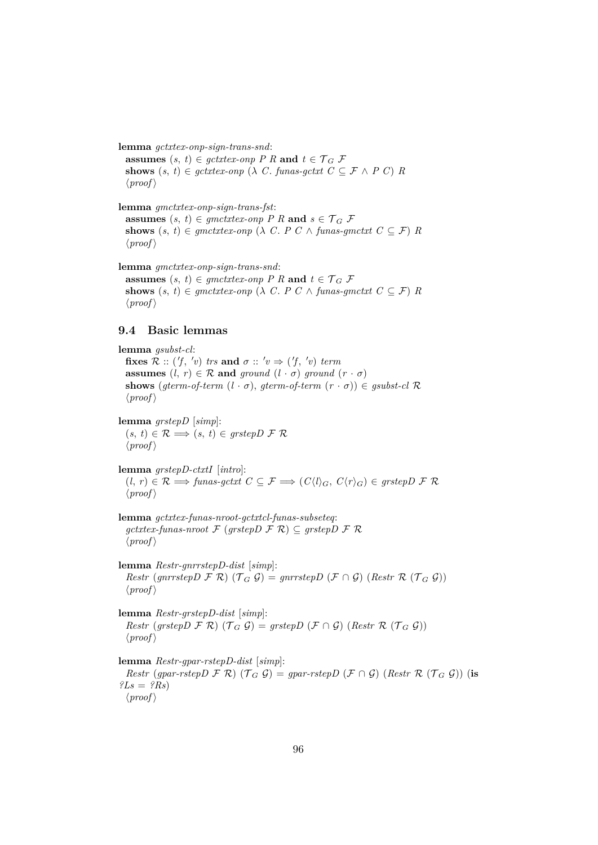**lemma** *gctxtex-onp-sign-trans-snd*: **assumes**  $(s, t) \in \text{gctxtext-} \text{onp } P R$  **and**  $t \in \mathcal{T}_G F$ shows  $(s, t) \in \text{gctxtext{-}onp } (\lambda \ C. \text{ funas-gctx1 } C \subseteq \mathcal{F} \land P C) R$  $\langle proof \rangle$ 

**lemma** *gmctxtex-onp-sign-trans-fst*: **assumes**  $(s, t) \in$  *gmctxtex-onp* P R **and**  $s \in \mathcal{T}_G$  F shows  $(s, t) \in$  *gmctxtex-onp* ( $\lambda$  *C*. *P C*  $\wedge$  *funas-gmctxt*  $C \subseteq \mathcal{F}$ ) *R*  $\langle proof \rangle$ 

**lemma** *gmctxtex-onp-sign-trans-snd*: **assumes**  $(s, t) \in$  *gmctxtex-onp* P R **and**  $t \in \mathcal{T}_G$  F shows  $(s, t) \in$  *gmctxtex-onp* ( $\lambda$  *C*. *P C*  $\wedge$  *funas-gmctxt*  $C \subseteq \mathcal{F}$ ) *R*  $\langle proof \rangle$ 

## **9.4 Basic lemmas**

**lemma** *gsubst-cl*: **fixes**  $\mathcal{R}$  :: ('f, 'v) trs and  $\sigma$  :: 'v  $\Rightarrow$  ('f, 'v) term **assumes**  $(l, r) \in \mathcal{R}$  **and** *ground*  $(l \cdot \sigma)$  *ground*  $(r \cdot \sigma)$ **shows** (*gterm-of-term*  $(l \cdot \sigma)$ , *gterm-of-term*  $(r \cdot \sigma)$ )  $\in$  *gsubst-cl*  $\mathcal{R}$  $\langle proof \rangle$ **lemma** *grstepD* [*simp*]:  $(s, t) \in \mathcal{R} \Longrightarrow (s, t) \in grstepD \mathcal{F} \mathcal{R}$  $\langle proof \rangle$ **lemma** *grstepD-ctxtI* [*intro*]:  $(l, r) ∈ ℝ \implies \text{funas-gctxt } C ⊆ F \implies (C\langle l \rangle_G, C\langle r \rangle_G) ∈ \text{grstepD } F ℝ$  $\langle proof \rangle$ **lemma** *gctxtex-funas-nroot-gctxtcl-funas-subseteq*:  $gctx$ *tex-funas-nroot*  $\mathcal{F}$  ( $grstepD \mathcal{F} \mathcal{R}$ )  $\subseteq$   $grstepD \mathcal{F} \mathcal{R}$  $\langle proof \rangle$ **lemma** *Restr-gnrrstepD-dist* [*simp*]: *Restr* (*gnrrstepD*  $\mathcal{F}$   $\mathcal{R}$ ) ( $\mathcal{T}$   $\mathcal{G}$ ) = *gnrrstepD* ( $\mathcal{F}$   $\cap$   $\mathcal{G}$ ) (*Restr*  $\mathcal{R}$  ( $\mathcal{T}$   $\mathcal{G}$   $\mathcal{G}$ ))  $\langle proof \rangle$ **lemma** *Restr-grstepD-dist* [*simp*]: *Restr* (*grstepD*  $\mathcal{F}$   $\mathcal{R}$ ) ( $\mathcal{T}$   $\mathcal{G}$ ) = *grstepD* ( $\mathcal{F}$   $\cap$   $\mathcal{G}$ ) (*Restr*  $\mathcal{R}$  ( $\mathcal{T}$   $\mathcal{G}$   $\mathcal{G}$ ))  $\langle proof \rangle$ **lemma** *Restr-gpar-rstepD-dist* [*simp*]: *Restr* (*gpar-rstepD*  $\mathcal{F}$   $\mathcal{R}$ ) ( $\mathcal{T}$   $\mathcal{G}$ ) = *gpar-rstepD* ( $\mathcal{F}$   $\cap$   $\mathcal{G}$ ) (*Restr*  $\mathcal{R}$  ( $\mathcal{T}$   $\mathcal{G}$   $\mathcal{G}$ )) (**is**  $?Ls = ?Rs$ 

 $\langle proof \rangle$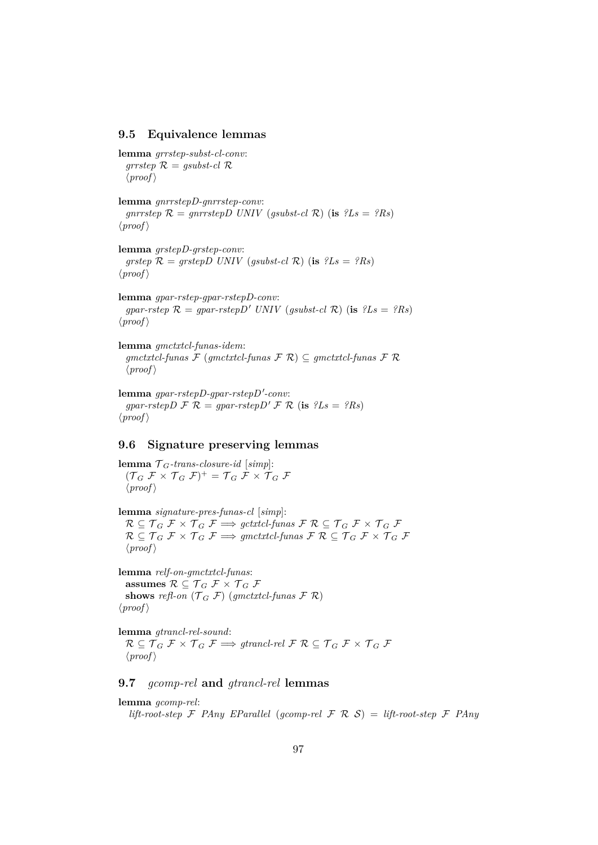#### **9.5 Equivalence lemmas**

```
lemma grrstep-subst-cl-conv:
  grrstep \mathcal{R} = gsubst-cl \mathcal{R}\langle proof \rangle
```
**lemma** *gnrrstepD-gnrrstep-conv*: *gnrrstep*  $\mathcal{R} = gnrrstepD$  *UNIV* (*gsubst-cl*  $\mathcal{R}$ ) (**is**  $?Ls = ?Rs$ )  $\langle proof \rangle$ 

**lemma** *grstepD-grstep-conv*: *grstep*  $\mathcal{R} = \text{grstepD} \text{ UNIV} \text{ (}g\text{subst-}c\text{I} \text{ }\mathcal{R}\text{)} \text{ (is } \text{?}L\text{s} = \text{?}R\text{s}$  $\langle proof \rangle$ 

**lemma** *gpar-rstep-gpar-rstepD-conv*: *gpar-rstep*  $\mathcal{R} = g \rho a r$ -rstep *D' UNIV* (*gsubst-cl*  $\mathcal{R}$ ) (**is**  $?Ls = ?Rs$ )  $\langle proof \rangle$ 

**lemma** *gmctxtcl-funas-idem*: *gmctxtcl-funas* F (*gmctxtcl-funas* F R) ⊆ *gmctxtcl-funas* F R  $\langle proof \rangle$ 

 ${\bf lemma}$  gpar-rstepD-gpar-rstepD'-conv: *gpar-rstepD*  $\mathcal{F} \mathcal{R} = gpar\text{-}rstepD' \mathcal{F} \mathcal{R}$  (is  $?Ls = ?Rs$ )  $\langle proof \rangle$ 

## **9.6 Signature preserving lemmas**

**lemma**  $\mathcal{T}_G$ -trans-closure-id [simp]:  $({\mathcal{T}}_G \nrightarrow {\mathcal{T}} \times {\mathcal{T}}_G \nrightarrow {\mathcal{T}})$ <sup>+</sup> =  ${\mathcal{T}}_G \nrightarrow {\mathcal{T}} \times {\mathcal{T}}_G \nrightarrow {\mathcal{T}}$  $\langle proof \rangle$ 

**lemma** *signature-pres-funas-cl* [*simp*]:  $R \subseteq T_G \nsubseteq \mathcal{F} \times T_G \nsubseteq \mathcal{F} \implies getxtcl-funas \nsubseteq \mathcal{F} \nsubseteq T_G \nsubseteq \mathcal{F} \times T_G \nsubseteq \mathcal{F}$  $R \subseteq T_G \nsubseteq \mathcal{F} \times T_G \nsubseteq \mathcal{F} \implies g\text{metxt} \text{cl-funas} \nsubseteq \mathcal{F} \nsubseteq T_G \nsubseteq \mathcal{F} \times T_G \nsubseteq \mathcal{F}$  $\langle proof \rangle$ 

**lemma** *relf-on-gmctxtcl-funas*: **assumes**  $\mathcal{R} \subseteq \mathcal{T}_G \mathcal{F} \times \mathcal{T}_G \mathcal{F}$ **shows** *refl-on*  $(\mathcal{T}_G \mathcal{F})$  (*gmctxtcl-funas*  $\mathcal{F} \mathcal{R}$ )  $\langle proof \rangle$ 

**lemma** *gtrancl-rel-sound*:  $R \subseteq \mathcal{T}_G \nsubseteq \mathcal{F} \times \mathcal{T}_G \nsubseteq \mathcal{F} \implies \text{grancl-rel} \nsubseteq \mathcal{F} \nsubseteq \mathcal{T}_G \nsubseteq \mathcal{F} \times \mathcal{T}_G \nsubseteq \mathcal{F}$  $\langle proof \rangle$ 

#### **9.7** *gcomp-rel* **and** *gtrancl-rel* **lemmas**

**lemma** *gcomp-rel*:

*lift-root-step*  $\mathcal F$  *PAny EParallel* (*gcomp-rel*  $\mathcal F$   $\mathcal R$   $\mathcal S$ ) = *lift-root-step*  $\mathcal F$  *PAny*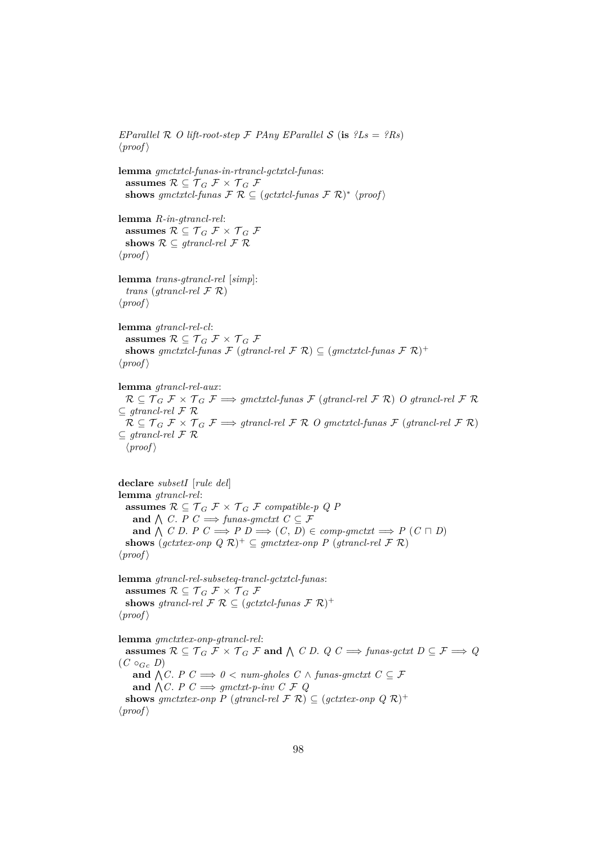*EParallel*  $\mathcal{R}$  *O lift-root-step*  $\mathcal{F}$  *PAny EParallel*  $\mathcal{S}$  (**is**  $?Ls = ?Rs$ )  $\langle proof \rangle$ 

**lemma** *gmctxtcl-funas-in-rtrancl-gctxtcl-funas*: **assumes**  $\mathcal{R} \subseteq \mathcal{T}_G \mathcal{F} \times \mathcal{T}_G \mathcal{F}$ shows gmctxtcl-funas  $\mathcal{F} \mathcal{R} \subseteq (gctxtcl-funas \mathcal{F} \mathcal{R})^* \langle proof \rangle$ 

**lemma** *R-in-gtrancl-rel*: assumes  $\mathcal{R} \subseteq \mathcal{T}_G \mathcal{F} \times \mathcal{T}_G \mathcal{F}$ shows  $\mathcal{R} \subseteq \text{grrancl-rel } \mathcal{F} \mathcal{R}$  $\langle proof \rangle$ 

**lemma** *trans-gtrancl-rel* [*simp*]: *trans* (*gtrancl-rel* F R)  $\langle proof \rangle$ 

**lemma** *gtrancl-rel-cl*: assumes  $\mathcal{R} \subseteq \mathcal{T}_G \mathcal{F} \times \mathcal{T}_G \mathcal{F}$ **shows** gmctxtcl-funas  $\mathcal{F}$  (gtrancl-rel  $\mathcal{F}$  R)  $\subseteq$  (gmctxtcl-funas  $\mathcal{F}$  R)<sup>+</sup>  $\langle proof \rangle$ 

**lemma** *gtrancl-rel-aux*:  $R \subseteq \mathcal{T}_G \mathcal{F} \times \mathcal{T}_G \mathcal{F} \Longrightarrow$  *gmctxtcl-funas*  $\mathcal{F}$  (*gtrancl-rel*  $\mathcal{F}$  R) *O gtrancl-rel*  $\mathcal{F}$  R ⊆ *gtrancl-rel* F R  $R \subseteq \mathcal{T}_G \mathcal{F} \times \mathcal{T}_G \mathcal{F} \Longrightarrow$  *gtrancl-rel*  $\mathcal{F} \mathcal{R}$  *O gmctxtcl-funas*  $\mathcal{F}$  (*gtrancl-rel*  $\mathcal{F} \mathcal{R}$ ) ⊆ *gtrancl-rel* F R  $\langle proof \rangle$ 

**declare** *subsetI* [*rule del*] **lemma** *gtrancl-rel*: **assumes**  $\mathcal{R} \subseteq \mathcal{T}_G$   $\mathcal{F} \times \mathcal{T}_G$   $\mathcal{F}$  *compatible-p Q P* **and**  $\bigwedge$  *C*. *P C*  $\implies$  *funas-gmctxt C*  $\subseteq$  *F* **and**  $\bigwedge$  *C D*. *P C*  $\implies$  *P D*  $\implies$  *(C*, *D*)  $\in$  *comp-gmctxt*  $\implies$  *P* (*C*  $\sqcap$  *D*) **shows**  $(\text{gctx} \text{tex-} \text{onp } Q \mathcal{R})^+ \subseteq \text{gmetx} \text{tex-} \text{onp } P (\text{gtrancl-} \text{rel } \mathcal{F} \mathcal{R})$  $\langle proof \rangle$ 

**lemma** *gtrancl-rel-subseteq-trancl-gctxtcl-funas*: assumes  $\mathcal{R} \subseteq \mathcal{T}_G \mathcal{F} \times \mathcal{T}_G \mathcal{F}$ **shows** gtrancl-rel  $\mathcal{F} \mathcal{R} \subseteq (gctxtcl-funas \mathcal{F} \mathcal{R})^+$  $\langle proof \rangle$ 

**lemma** *gmctxtex-onp-gtrancl-rel*:  $\textbf{assumes\ }\mathcal{R}\subseteq\mathcal{T}_{G}\;\mathcal{F}\times\mathcal{T}_{G}\;\mathcal{F}\;\textbf{and}\;\wedge\;C\;D.\;\;Q\;C\Longrightarrow\textit{funas-gctxt}\;D\subseteq\mathcal{F}\Longrightarrow\textit{Q}$  $(C \circ_{Gc} D)$ **and**  $\bigwedge C$ . *P*  $C \implies 0 < num-gholes$   $C \wedge funas-gmctxt$   $C \subseteq \mathcal{F}$ and  $\bigwedge C$ . *P*  $C \implies$  *gmctxt-p-inv*  $C \nsubseteq Q$ **shows** gmctxtex-onp P (gtrancl-rel  $\mathcal{F} \mathcal{R}$ )  $\subseteq$  (gctxtex-onp Q  $\mathcal{R}$ )<sup>+</sup>  $\langle proof \rangle$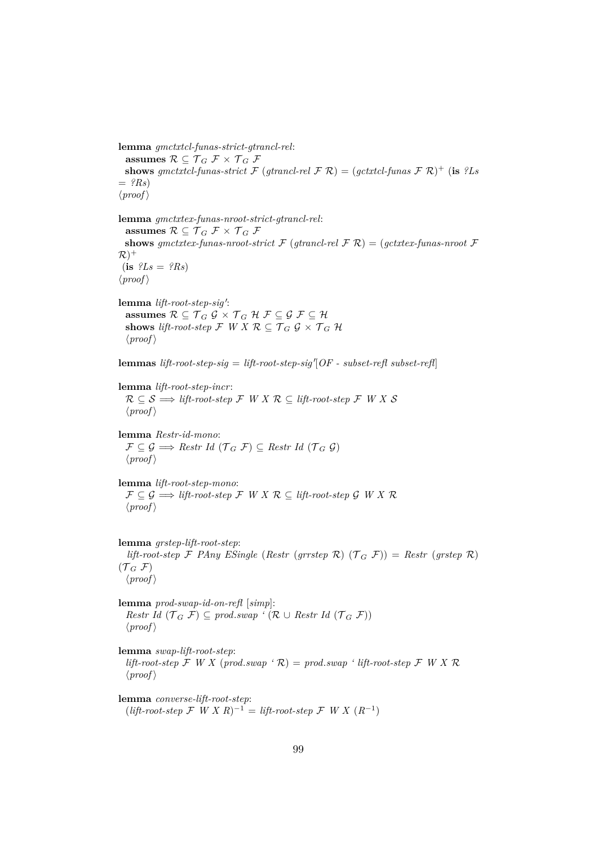**lemma** *gmctxtcl-funas-strict-gtrancl-rel*: **assumes**  $\mathcal{R} \subseteq \mathcal{T}_G \mathcal{F} \times \mathcal{T}_G \mathcal{F}$ **shows** gmctxtcl-funas-strict  $\mathcal{F}$  (gtrancl-rel  $\mathcal{F}$  R) = (gctxtcl-funas  $\mathcal{F}$  R)<sup>+</sup> (**is** *?Ls*  $=$  *?Rs*)  $\langle proof \rangle$ **lemma** *gmctxtex-funas-nroot-strict-gtrancl-rel*: assumes  $\mathcal{R} \subseteq \mathcal{T}_G \mathcal{F} \times \mathcal{T}_G \mathcal{F}$ **shows** *gmctxtex-funas-nroot-strict*  $\mathcal{F}$  (*gtrancl-rel*  $\mathcal{F}$   $\mathcal{R}$ ) = (*gctxtex-funas-nroot*  $\mathcal{F}$  $(R)$ <sup>+</sup>  $(i\mathbf{s}$   $?Ls = ?Rs$  $\langle proof \rangle$ lemma lift-root-step-sig': **assumes**  $\mathcal{R} \subseteq \mathcal{T}_G$   $\mathcal{G} \times \mathcal{T}_G$   $\mathcal{H}$   $\mathcal{F} \subseteq \mathcal{G}$   $\mathcal{F} \subseteq \mathcal{H}$ **shows** *lift-root-step*  $\mathcal{F}$  *W X*  $\mathcal{R} \subseteq \mathcal{T}_G$   $\mathcal{G} \times \mathcal{T}_G$   $\mathcal{H}$  $\langle proof \rangle$  ${\bf lemma}$  *lift-root-step-sig* = *lift-root-step-sig*<sup> $\langle$ </sup>[*OF - subset-refl* subset-refl] **lemma** *lift-root-step-incr*:  $R \subseteq S \implies lift-root-step \mathcal{F} \mid W \mid X \mid R \subseteq lift-root-step \mathcal{F} \mid W \mid X \mid S$  $\langle proof \rangle$ **lemma** *Restr-id-mono*:  $\mathcal{F} \subset \mathcal{G} \Longrightarrow$  *Restr Id*  $(\mathcal{T}_G \mathcal{F}) \subset$  *Restr Id*  $(\mathcal{T}_G \mathcal{G})$  $\langle proof \rangle$ 

**lemma** *lift-root-step-mono*:  $\mathcal{F} \subseteq \mathcal{G} \Longrightarrow \mathit{lift-root-step} \; \mathcal{F} \; W \; X \; \mathcal{R} \subseteq \mathit{lift-root-step} \; \mathcal{G} \; W \; X \; \mathcal{R}$  $\langle proof \rangle$ 

**lemma** *grstep-lift-root-step*: *lift-root-step* F *PAny ESingle* (*Restr* (*grrstep* R) ( $\mathcal{T}_G$  F)) = *Restr* (*grstep* R)  $({\mathcal{T}}_G$  F)  $\langle proof \rangle$ 

**lemma** *prod-swap-id-on-refl* [*simp*]: *Restr Id*  $(\mathcal{T}_G \mathcal{F}) \subseteq \text{prod.sum}$  ' ( $\mathcal{R} \cup \text{Restr} \text{Id}$  ( $\mathcal{T}_G \mathcal{F}$ ))  $\langle proof \rangle$ 

**lemma** *swap-lift-root-step*: *lift-root-step*  $\mathcal F$  *W X* (*prod.swap* ' $\mathcal R$ ) = *prod.swap* ' *lift-root-step*  $\mathcal F$  *W X*  $\mathcal R$  $\langle proof \rangle$ 

**lemma** *converse-lift-root-step*:  $($ *lift-root-step*  $\mathcal{F}$  *W*  $X$  *R* $)$ <sup>-1</sup> = *lift-root-step*  $\mathcal{F}$  *W*  $X$  (*R*<sup>-1</sup>)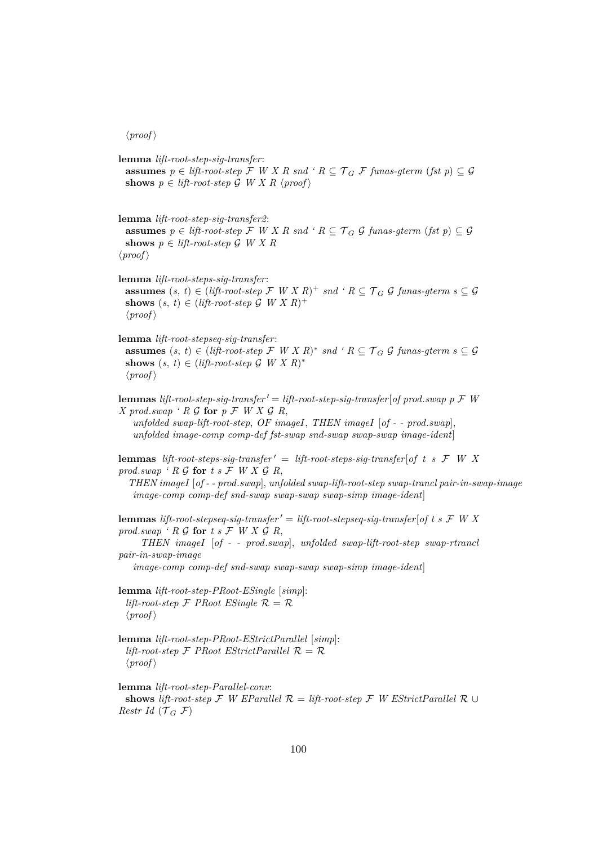**lemma** *lift-root-step-sig-transfer*: **assumes**  $p \in \text{lift-root-step}$  F *W X R snd* '  $R \subseteq \mathcal{T}_G$  F fungs-gterm (fst p)  $\subseteq \mathcal{G}$ shows  $p \in$  *lift-root-step*  $\mathcal{G}$  *W X R*  $\langle proof \rangle$ **lemma** *lift-root-step-sig-transfer2*: **assumes**  $p \in \text{lift-root-step}$  F *W X R snd 'R*  $\subseteq$  *T<sub>G</sub> G funas-gterm* (*fst p*)  $\subseteq$  G **shows**  $p \in \text{lift-root-step } G \text{ } W \text{ } X \text{ } R$  $\langle proof \rangle$ **lemma** *lift-root-steps-sig-transfer*: **assumes**  $(s, t) \in ($ *lift-root-step*  $\mathcal{F}$   $W X R$  $)$ <sup>+</sup>  $snd$   $\cdot R \subseteq \mathcal{T}_G$   $\mathcal{G}$   $funas\text{-}gterm$   $s \subseteq \mathcal{G}$ shows  $(s, t) \in (lift-root-step \mathcal{G} \mid W \mid X \mid R)^+$  $\langle proof \rangle$ **lemma** *lift-root-stepseq-sig-transfer*: **assumes**  $(s, t)$  ∈ (*lift-root-step*  $\mathcal{F}$  *W X R*)<sup>\*</sup> *snd*  $\cdot$  *R* ⊆  $\mathcal{T}_G$   $\mathcal{G}$  *funas-gterm*  $s \subseteq \mathcal{G}$ shows  $(s, t) \in (lift-root-step \mathcal{G} \mid W \mid X \mid R)^*$  $\langle proof \rangle$ **lemmas** *lift-root-step-sig-transfer*  $\prime =$  *lift-root-step-sig-transfer* [*of prod.swap p*  $\mathcal F$  *W X* prod.swap ' R G for  $p \nI W X G R$ , *unfolded swap-lift-root-step*, *OF imageI*, *THEN imageI* [*of - - prod*.*swap*], *unfolded image-comp comp-def fst-swap snd-swap swap-swap image-ident*] **lemmas** *lift-root-steps-sig-transfer'* = *lift-root-steps-sig-transfer* [*of t s*  $\mathcal{F}$  *W X prod.swap*  $\cdot$  *R*  $\mathcal G$  **for**  $t$  *s*  $\mathcal F$   $W X G R$ , *THEN imageI* [*of - - prod*.*swap*], *unfolded swap-lift-root-step swap-trancl pair-in-swap-image image-comp comp-def snd-swap swap-swap swap-simp image-ident*] **lemmas** *lift-root-stepseq-sig-transfer*  $' =$  *lift-root-stepseq-sig-transfer* [*of t s*  $\mathcal F$  *W X prod.swap*  $\cdot$  *R*  $\mathcal{G}$  **for**  $t$  *s*  $\mathcal{F}$  *W*  $X$   $\mathcal{G}$  *R*, *THEN imageI* [*of - - prod*.*swap*], *unfolded swap-lift-root-step swap-rtrancl pair-in-swap-image image-comp comp-def snd-swap swap-swap swap-simp image-ident*] **lemma** *lift-root-step-PRoot-ESingle* [*simp*]: *lift-root-step*  $\mathcal F$  *PRoot ESingle*  $\mathcal R = \mathcal R$  $\langle proof \rangle$ **lemma** *lift-root-step-PRoot-EStrictParallel* [*simp*]: *lift-root-step*  $\mathcal F$  *PRoot EStrictParallel*  $\mathcal R = \mathcal R$  $\langle proof \rangle$ **lemma** *lift-root-step-Parallel-conv*: **shows** *lift-root-step*  $\mathcal F$  *W EParallel*  $\mathcal R$  = *lift-root-step*  $\mathcal F$  *W EStrictParallel*  $\mathcal R$  ∪ *Restr Id* ( $\mathcal{T}_G$  F)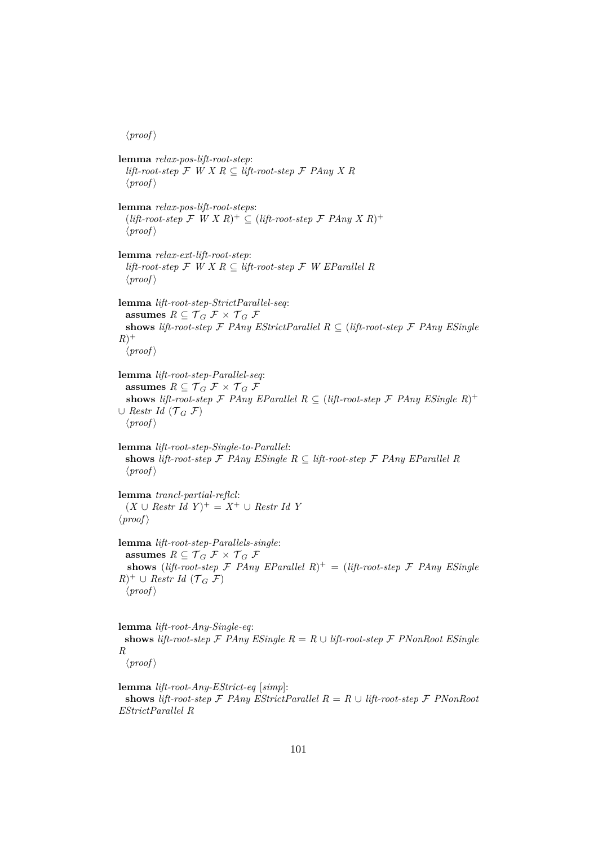**lemma** *relax-pos-lift-root-step*: *lift-root-step*  $\mathcal F$  *W X R* ⊂ *lift-root-step*  $\mathcal F$  *PAny X R*  $\langle proof \rangle$ **lemma** *relax-pos-lift-root-steps*:  $(lift-root-step$   $\mathcal{F}$   $W X R$ <sup>+</sup>  $\subseteq$   $(lift-root-step$   $\mathcal{F}$   $PAny X R$ <sup>+</sup>  $\langle proof \rangle$ **lemma** *relax-ext-lift-root-step*: *lift-root-step* F *W X R* ⊆ *lift-root-step* F *W EParallel R*  $\langle proof \rangle$ **lemma** *lift-root-step-StrictParallel-seq*: **assumes**  $R \subseteq \mathcal{T}_G \mathcal{F} \times \mathcal{T}_G \mathcal{F}$ **shows** *lift-root-step*  $\mathcal F$  *PAny EStrictParallel*  $R \subseteq$  (*lift-root-step*  $\mathcal F$  *PAny ESingle*  $R)^+$  $\langle proof \rangle$ **lemma** *lift-root-step-Parallel-seq*: **assumes**  $R \subseteq \mathcal{T}_G \mathcal{F} \times \mathcal{T}_G \mathcal{F}$ **shows** *lift-root-step*  $\mathcal F$  *PAny EParallel*  $R \subseteq ($ *lift-root-step*  $\mathcal F$  *PAny ESingle*  $R$ )<sup>+</sup> ∪ *Restr Id*  $(\mathcal{T}_G$   $\mathcal{F})$  $\langle proof \rangle$ **lemma** *lift-root-step-Single-to-Parallel*: **shows** lift-root-step  $\mathcal F$  *PAny ESingle*  $R \subseteq$  lift-root-step  $\mathcal F$  *PAny EParallel R*  $\langle proof \rangle$ **lemma** *trancl-partial-reflcl*:  $(X \cup \text{Restr Id } Y)^{+} = X^{+} \cup \text{Restr Id } Y$  $\langle proof \rangle$ **lemma** *lift-root-step-Parallels-single*: **assumes**  $R \subseteq \mathcal{T}_G \mathcal{F} \times \mathcal{T}_G \mathcal{F}$ **shows** (*lift-root-step*  $\mathcal F$  *PAny EParallel R*)<sup>+</sup> = (*lift-root-step*  $\mathcal F$  *PAny ESingle*  $(R)^+ \cup$  *Restr Id* ( $\mathcal{T}_G$  *F*)  $\langle proof \rangle$ **lemma** *lift-root-Any-Single-eq*: **shows** *lift-root-step*  $\mathcal F$  *PAny ESingle*  $R = R \cup lift-root-step \mathcal F$  *PNonRoot ESingle R*

 $\langle proof \rangle$ 

**lemma** *lift-root-Any-EStrict-eq* [*simp*]: **shows** *lift-root-step*  $\mathcal F$  *PAny EStrictParallel*  $R = R \cup \text{lift-root-step} \mathcal F$  *PNonRoot EStrictParallel R*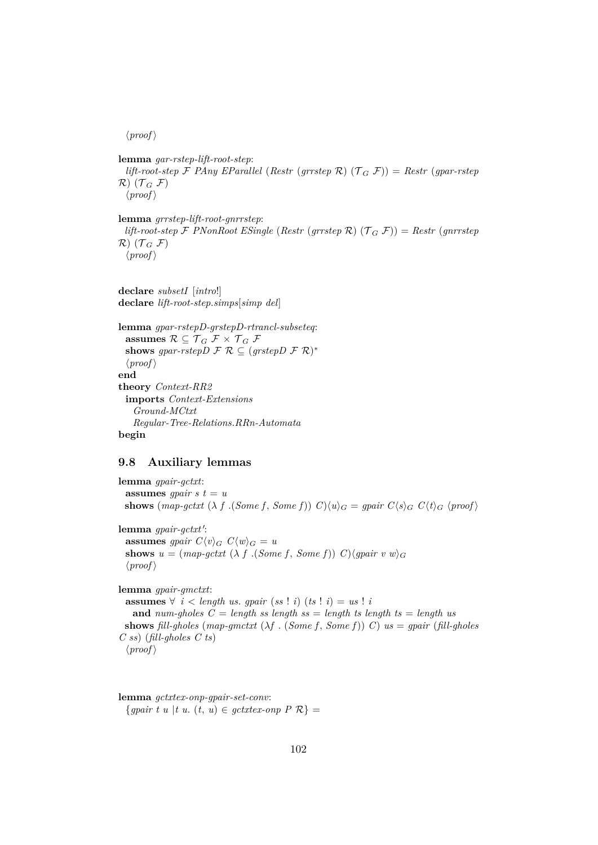**lemma** *gar-rstep-lift-root-step*: *lift-root-step*  $\mathcal F$  *PAny EParallel* (*Restr* (*grrstep*  $\mathcal R$ ) ( $\mathcal T_G$   $\mathcal F$ )) = *Restr* (*gpar-rstep*  $\mathcal{R}$ )  $(\mathcal{T}_G \mathcal{F})$  $\langle proof \rangle$ 

**lemma** *grrstep-lift-root-gnrrstep*: *lift-root-step*  $\mathcal F$  *PNonRoot ESingle* (*Restr* (*grrstep*  $\mathcal R$ ) ( $\mathcal T_G$   $\mathcal F$ )) = *Restr* (*gnrrstep*  $\mathcal{R}$ )  $(\mathcal{T}_G \mathcal{F})$  $\langle proof \rangle$ 

**declare** *subsetI* [*intro*!] **declare** *lift-root-step*.*simps*[*simp del*]

**lemma** *gpar-rstepD-grstepD-rtrancl-subseteq*: assumes  $\mathcal{R} \subseteq \mathcal{T}_G$   $\mathcal{F} \times \mathcal{T}_G$   $\mathcal{F}$ shows gpar-rstep  $D \mathcal{F} \mathcal{R} \subseteq (grstep D \mathcal{F} \mathcal{R})^*$  $\langle proof \rangle$ **end theory** *Context-RR2* **imports** *Context-Extensions Ground-MCtxt Regular-Tree-Relations*.*RRn-Automata* **begin**

#### **9.8 Auxiliary lemmas**

**lemma** *gpair-gctxt*: **assumes** *gpair*  $s$   $t = u$ **shows** (*map-gctxt* ( $\lambda$  *f* .(*Some f*, *Some f*))  $C \setminus \{u\}_G = g pair C \setminus s_G C \setminus t_G$  (*proof*) lemma *gpair-gctxt'*: **assumes** *gpair*  $C\langle v \rangle_G$   $C\langle w \rangle_G = u$ **shows**  $u = (map-gctxt \ (\lambda \ f \ (Some \ f, Some \ f)) \ C)$  $\langle gpair \ v \ w \rangle_G$  $\langle proof \rangle$ **lemma** *gpair-gmctxt*: **assumes** ∀ *i* < *length us*. *gpair* (*ss* ! *i*) (*ts* ! *i*) = *us* ! *i* **and** *num-gholes*  $C = \text{length}$  *ss* length ss = length ts length ts = length us **shows** *fill-gholes* (*map-gmctxt* (λ*f* . (*Some f* , *Some f*)) *C*) *us* = *gpair* (*fill-gholes C ss*) (*fill-gholes C ts*)  $\langle proof \rangle$ 

**lemma** *gctxtex-onp-gpair-set-conv*:  ${g pair t u | t u. (t, u) \in gctxtex-onp P R} =$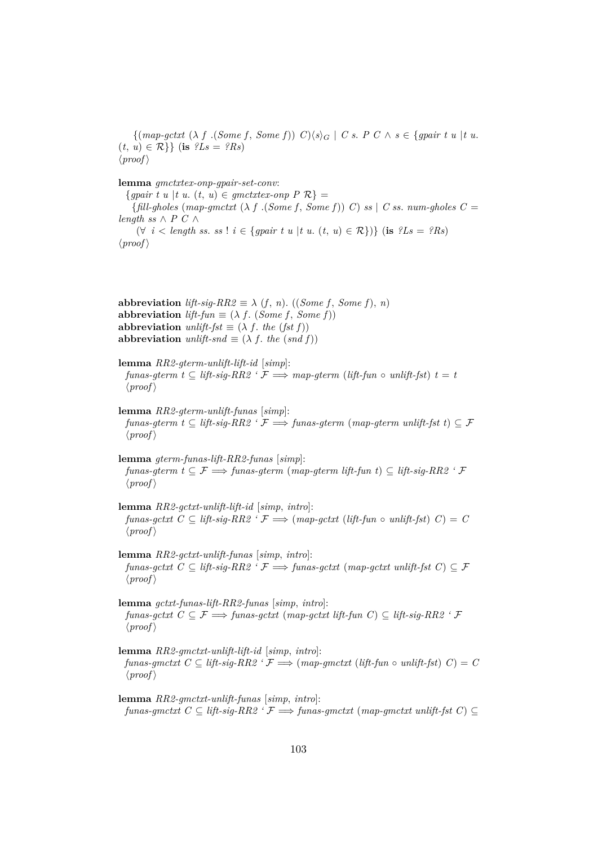$\{(\text{map-gctxt } (\lambda f \cdot (\text{Some } f, \text{ Some } f)) \mid C) \langle s \rangle_G \mid C \text{ s. } P \subset \wedge \text{ s } \in \text{{spanif } t \text{ u } | t \text{ u.} \}$  $(t, u) \in \mathcal{R}$  { **is**  $?Ls = ?Rs$ }  $\langle proof \rangle$ 

**lemma** *gmctxtex-onp-gpair-set-conv*:

 ${g pair t u | t u. (t, u) \in gmetxtex-nnp P R} =$ {*fill-gholes* (*map-gmctxt* (λ *f* .(*Some f* , *Some f*)) *C*) *ss* | *C ss*. *num-gholes C* = *length ss*  $\wedge$  *P C*  $\wedge$ (∀ *i* < *length ss*. *ss* ! *i* ∈ {*gpair t u* |*t u*. (*t*, *u*) ∈ R})} (**is** *?Ls* = *?Rs*)  $\langle proof \rangle$ 

**abbreviation** *lift-sig-RR2*  $\equiv \lambda$  (*f*, *n*). ((*Some f*, *Some f*), *n*) **abbreviation**  $lift\text{-}fun \equiv (\lambda f. (Some f, Some f))$ **abbreviation** *unlift-fst*  $\equiv$  ( $\lambda$  *f*. *the* (*fst f*)) **abbreviation** *unlift-snd*  $\equiv$  ( $\lambda$  *f*. *the* (*snd f*))

**lemma** *RR2-gterm-unlift-lift-id* [*simp*]: *funas-gterm*  $t \subseteq \text{lift-sig-RR2}$   $\cdot \mathcal{F} \Longrightarrow \text{map-}g \text{term}$  (*lift-fun*  $\circ$  *unlift-fst*)  $t = t$  $\langle proof \rangle$ 

**lemma** *RR2-gterm-unlift-funas* [*simp*]: *funas-gterm t* ⊆ *lift-sig-RR2*  $\cdot$   $\cancel{F}$   $\Longrightarrow$  *funas-gterm* (*map-gterm unlift-fst t*) ⊆  $\cancel{F}$  $\langle proof \rangle$ 

**lemma** *gterm-funas-lift-RR2-funas* [*simp*]: *funas-gterm t* ⊂  $\mathcal{F}$   $\Longrightarrow$  *funas-gterm (map-gterm lift-fun t)* ⊂ *lift-sig-RR2 '*  $\mathcal{F}$  $\langle proof \rangle$ 

**lemma** *RR2-gctxt-unlift-lift-id* [*simp*, *intro*]:  $funas-gctxt \ C \subseteq lift-sig-RR2 \ \ f \Longrightarrow (map-gctxt \ (lift-fun \ \ o \ \ unlift-fst) \ C) = C$  $\langle proof \rangle$ 

**lemma** *RR2-gctxt-unlift-funas* [*simp*, *intro*]: *funas-gctxt*  $C \subseteq \text{lift-sig-RR2}$  ' $\mathcal{F} \Longrightarrow \text{funas-gctxt}$  (*map-gctxt unlift-fst*  $C \subseteq \mathcal{F}$  $\langle proof \rangle$ 

**lemma** *gctxt-funas-lift-RR2-funas* [*simp*, *intro*]: *funas-gctxt*  $C ⊆ F \implies$  *funas-gctxt* (*map-gctxt lift-fun C*) ⊆ *lift-sig-RR2* ' $F$  $\langle proof \rangle$ 

**lemma** *RR2-gmctxt-unlift-lift-id* [*simp*, *intro*]: *funas-gmctxt*  $C \subseteq \text{lift-sig-RR2}$   $\cdot \mathcal{F} \Longrightarrow \text{(map-gmctxt (lift-fun o unlift-fst) } C) = C$  $\langle proof \rangle$ 

**lemma** *RR2-gmctxt-unlift-funas* [*simp*, *intro*]: *funas-gmctxt*  $C ⊆ lift-sig-RR2' F ⇒ funas-gmctxt (map-gmctxt unlift-fst C) ⊆$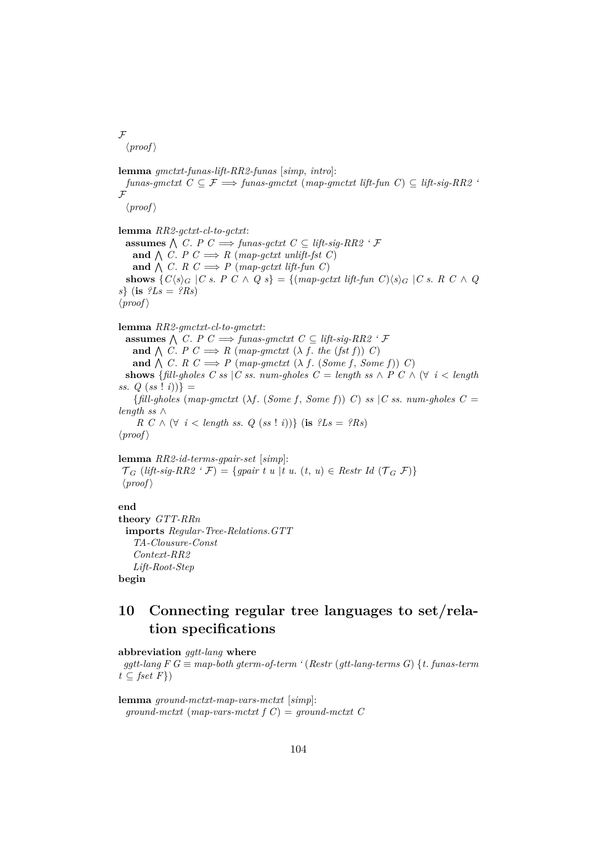$\mathcal{F}$ 

 $\langle proof \rangle$ 

**lemma** *gmctxt-funas-lift-RR2-funas* [*simp*, *intro*]:  $funas-gmctxt$   $C \subseteq \mathcal{F} \Longrightarrow funas-gmctxt$  ( $map-gmctxt$  lift-fun  $C \subseteq \textit{lift-sig-RR2}$  $\vec{F}$  $\langle proof \rangle$ **lemma** *RR2-gctxt-cl-to-gctxt*: **assumes**  $\bigwedge$  *C*. *P C*  $\implies$  *funas-gctxt C* ⊆ *lift-sig-RR2 ' F* and  $\bigwedge C$ . *P*  $C \implies R$  (*map-gctxt unlift-fst C*) and  $\bigwedge C$ . *R*  $C \implies P$  (*map-gctxt lift-fun C*) **shows**  $\{C\langle s \rangle_G | C \text{ s. } P \text{ } C \wedge Q \text{ } s\} = \{(\text{map-gctxt lift-fun } C)\langle s \rangle_G | C \text{ s. } R \text{ } C \wedge Q \}$ *s*} (**is** *?Ls* = *?Rs*)  $\langle proof \rangle$ **lemma** *RR2-gmctxt-cl-to-gmctxt*: **assumes**  $\bigwedge$  *C*. *P C*  $\implies$  *funas-gmctxt C* ⊆ *lift-sig-RR2 ' F* and  $\bigwedge C$ . *P*  $C \implies R$  (*map-gmctxt* ( $\lambda$  *f*. *the* (*fst f*)) *C*) **and**  $\bigwedge$  *C*. *R*  $C \implies P$  (*map-gmctxt* ( $\lambda$  *f*. (*Some f*, *Some f*)) *C*) **shows** {*fill-gholes C ss* |*C ss. num-gholes C = length ss*  $\land$  *P C*  $\land$  ( $\forall$  *i* < *length ss.*  $Q(s_i : i) =$  ${fill-ghost}$  (*map-gmctxt* ( $\lambda f$ . (*Some f*, *Some f*)) *C*) *ss* |*C ss. num-gholes*  $C =$ *length ss* ∧ *R*  $C \wedge (\forall i < length ss. Q (ss : i))$  (**is**  $?Ls = ?Rs$ )  $\langle proof \rangle$ 

#### **lemma** *RR2-id-terms-gpair-set* [*simp*]:

 $\mathcal{T}_G$  (*lift-sig-RR2* ' $\mathcal{F}$ ) = {*gpair t u* |*t u*. (*t*, *u*)  $\in$  *Restr Id* ( $\mathcal{T}_G$   $\mathcal{F}$ )}  $\langle proof \rangle$ 

**end**

**theory** *GTT-RRn* **imports** *Regular-Tree-Relations*.*GTT TA-Clousure-Const Context-RR2 Lift-Root-Step* **begin**

# **10 Connecting regular tree languages to set/relation specifications**

**abbreviation** *ggtt-lang* **where**

 $ggtt$ -lang  $F G \equiv map$ -both gterm-of-term ' (Restr (gtt-lang-terms G) {*t*. *funas-term*  $t \subseteq \text{fset } F$ 

**lemma** *ground-mctxt-map-vars-mctxt* [*simp*]: *ground-mctxt* (*map-vars-mctxt f C*) = *ground-mctxt C*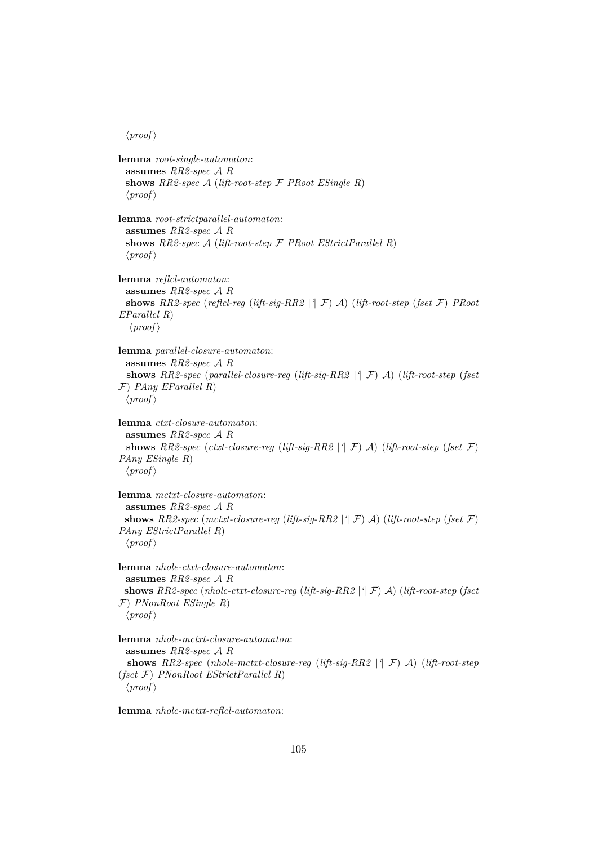```
lemma root-single-automaton:
 assumes RR2-spec A R
 shows RR2-spec A (lift-root-step F PRoot ESingle R)
 \langle proof \ranglelemma root-strictparallel-automaton:
 assumes RR2-spec A R
 shows RR2-spec A (lift-root-step F PRoot EStrictParallel R)
 \langle proof \ranglelemma reflcl-automaton:
 assumes RR2-spec A R
 shows RR2-spec (reflcl-reg (lift-sig-RR2 |'| F) A) (lift-root-step (fset F) PRoot
EParallel R)
  \langle proof \ranglelemma parallel-closure-automaton:
 assumes RR2-spec A R
 shows RR2-spec (parallel-closure-reg (lift-sig-RR2 |'| F) A) (lift-root-step (fset
F) PAny EParallel R)
 \langle proof \ranglelemma ctxt-closure-automaton:
 assumes RR2-spec A R
 shows RR2-spec (ctxt-closure-reg (lift-sig-RR2 |'| F) A) (lift-root-step (fset F)
PAny ESingle R)
 \langle proof \ranglelemma mctxt-closure-automaton:
 assumes RR2-spec A R
 shows RR2-spec (mctxt-closure-reg (lift-sig-RR2 |'| F) A) (lift-root-step (fset F)
PAny EStrictParallel R)
 \langle proof \ranglelemma nhole-ctxt-closure-automaton:
 assumes RR2-spec A R
 shows RR2-spec (nhole-ctxt-closure-reg (lift-sig-RR2 |'| F) A) (lift-root-step (fset
F) PNonRoot ESingle R)
 \langle proof \ranglelemma nhole-mctxt-closure-automaton:
 assumes RR2-spec A R
 shows RR2-spec (nhole-mctxt-closure-reg (lift-sig-RR2 |'| F) A) (lift-root-step
(fset F) PNonRoot EStrictParallel R)
 \langle proof \rangle
```
**lemma** *nhole-mctxt-reflcl-automaton*: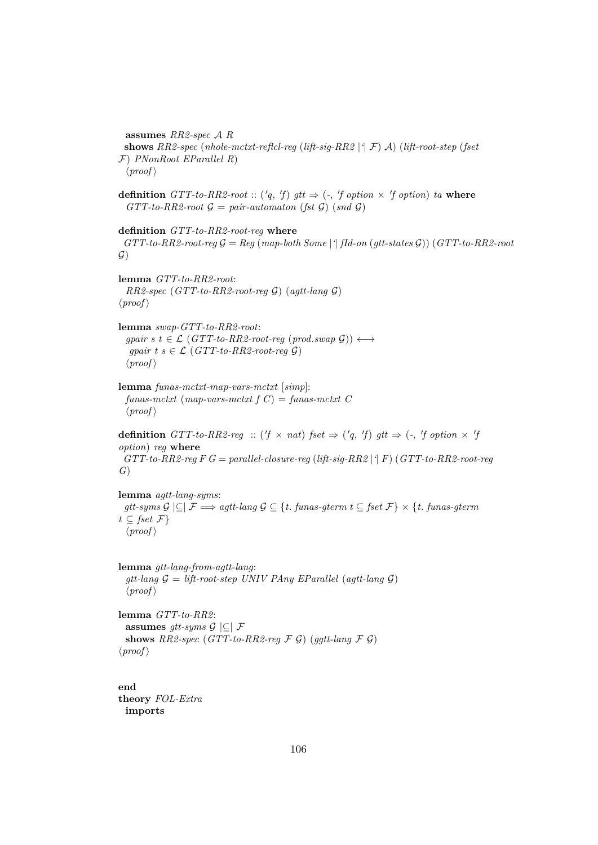**assumes** *RR2-spec* A *R* **shows** *RR2-spec* (*nhole-mctxt-reflcl-reg* (*lift-sig-RR2* |*'*| F) A) (*lift-root-step* (*fset* F) *PNonRoot EParallel R*)  $\langle proof \rangle$ 

**definition**  $GTT$ -to-RR2-root ::  $({q, f})$   $gtt \Rightarrow (-, f)$  option  $\times$   $'f$  option)  $ta$  where  $GTT-to-RR2-root G = pair-automaton (fst G) (snd G)$ 

**definition** *GTT-to-RR2-root-reg* **where**  $GTT-to-RR2-root-reg \mathcal{G} = Reg (map-both Some | ^{4}ftd-on (gtt-state s \mathcal{G})) (GTT-to-RR2-root$  $\mathcal{G}$ )

**lemma** *GTT-to-RR2-root*: *RR2-spec* (*GTT-to-RR2-root-reg* G) (*agtt-lang* G)  $\langle proof \rangle$ 

**lemma** *swap-GTT-to-RR2-root*:  $gpair \ s \ t \in \mathcal{L} \ (GTT-to-RR2-root-reg \ (prodswap \ \mathcal{G})) \longleftrightarrow$ *gpair t s*  $\in$   $\mathcal{L}$  (*GTT-to-RR2-root-reg G*)  $\langle proof \rangle$ 

**lemma** *funas-mctxt-map-vars-mctxt* [*simp*]:  $funas-mctxt$  (map-vars-mctxt  $f(C) = funas-mctxt$   $C$  $\langle proof \rangle$ 

**definition**  $GTT$ -to-RR2-reg :: ('f  $\times$  nat) fset  $\Rightarrow$  ('q, 'f) gtt  $\Rightarrow$  (-, 'f option  $\times$  'j *option*) *reg* **where** *GTT-to-RR2-reg F G* = *parallel-closure-reg* (*lift-sig-RR2* |*'*| *F*) (*GTT-to-RR2-root-reg G*)

**lemma** *agtt-lang-syms*: *gtt-syms*  $\mathcal{G}$  |⊆|  $\mathcal{F}$   $\Longrightarrow$  *agtt-lang*  $\mathcal{G}$  ⊆ {*t*. *funas-gterm t* ⊆ *fset*  $\mathcal{F}$ } × {*t*. *funas-gterm*  $t \subseteq \text{fset } \mathcal{F}$  $\langle proof \rangle$ 

**lemma** *gtt-lang-from-agtt-lang*: *gtt-lang* G = *lift-root-step UNIV PAny EParallel* (*agtt-lang* G)  $\langle proof \rangle$ 

**lemma** *GTT-to-RR2*: **assumes** *gtt-syms*  $\mathcal{G} \subseteq \mathcal{F}$ **shows**  $RR2\text{-}spec$  ( $GTT\text{-}to\text{-}RR2\text{-}reg$   $\mathcal{F}$   $\mathcal{G}$ ) ( $ggt\text{-}lang$   $\mathcal{F}$   $\mathcal{G}$ )  $\langle proof \rangle$ 

**end theory** *FOL-Extra* **imports**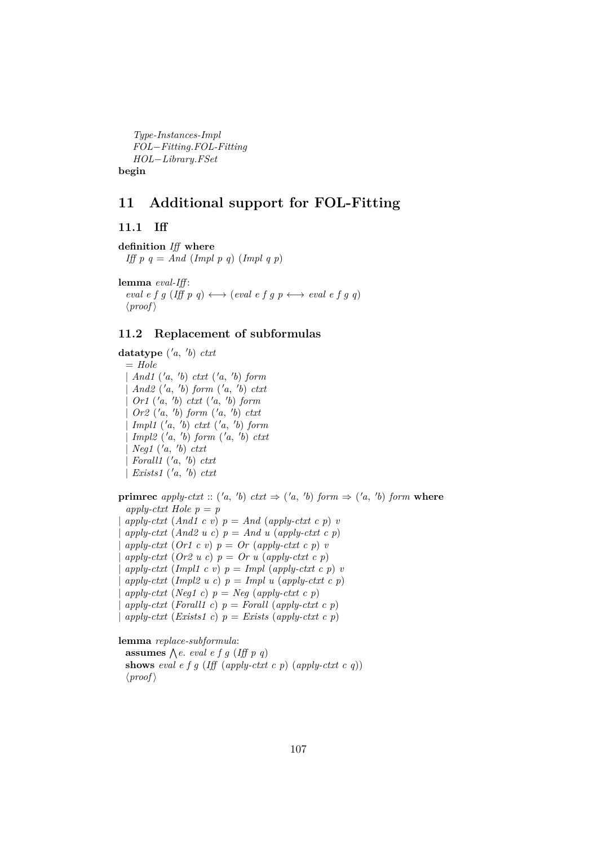*Type-Instances-Impl FOL*−*Fitting*.*FOL-Fitting HOL*−*Library*.*FSet* **begin**

## **11 Additional support for FOL-Fitting**

**11.1 Iff**

**definition** *Iff* **where** *Iff p q = And (Impl p q) (Impl q p)* 

**lemma** *eval-Iff* :  $eval\ e\ f\ g\ (I\!f\!f\ p\ q) \longleftrightarrow (eval\ e\ f\ g\ p \longleftrightarrow eval\ e\ f\ g\ q)$  $\langle proof \rangle$ 

## **11.2 Replacement of subformulas**

**datatype** ( 0*a*, 0 *b*) *ctxt*  $=$  *Hole* | *And1* ( 0*a*, 0 *b*) *ctxt* ( 0*a*, 0 *b*) *form*  $\int$  *And2* ('*a*, '*b*) *form* ('*a*, '*b*) *ctxt* | *Or1* ( 0*a*, 0 *b*) *ctxt* ( 0*a*, 0 *b*) *form*  $\int$  *Or2* ('*a*, '*b*) *form* ('*a*, '*b*) *ctxt* | *Impl1* ( 0*a*, 0 *b*) *ctxt* ( 0*a*, 0 *b*) *form*  $\lbrack \text{Impl2 (}'a, 'b) \text{ form (}'a, 'b) \text{ c}txt$  $\log(1$   $(a, 'b) \text{ } ctxt$  $\int$ *Forall1*  $(\neg a, \neg b)$  *ctxt* | *Exists1*  $('a, 'b) \text{ } ctx$ t

**primrec** apply-ctxt :: ('a, 'b) ctxt  $\Rightarrow$  ('a, 'b) form  $\Rightarrow$  ('a, 'b) form where *apply-ctxt Hole*  $p = p$  $apply-cutxt$  (*And1 c v*)  $p = And$  (*apply-ctxt c p*) *v*  $apply-\text{ctxt}$  (And2 u c)  $p = And u$  (apply-ctxt c p)  $apply-cutxt$  (*Or1 c v*)  $p = Or$  (*apply-ctxt c p*) *v*  $apply-ctxt (Or2 u c) p = Or u (apply-ctxt c p)$  $apply-cutxt$  (*Impl1 c v*)  $p = Impl$  (*apply-ctxt c p*) *v*  $apply-cutt$  (*Impl2 u c*)  $p = Impl u$  (*apply-ctxt c p*)  $apply-cutxt$  (*Neg1 c*)  $p = Neg$  (*apply-ctxt c p*)  $apply-cutxt$  (*Forall1 c*)  $p = Forall$  (*apply-ctxt c p*)  $apply-cutxt$  (*Exists1 c*)  $p = Exists$  (*apply-ctxt c p*)

**lemma** *replace-subformula*:

**assumes**  $\bigwedge e$ *. eval e f g (Iff p q)* **shows** *eval e f g* (*Iff* (*apply-ctxt c p*) (*apply-ctxt c q*))  $\langle proof \rangle$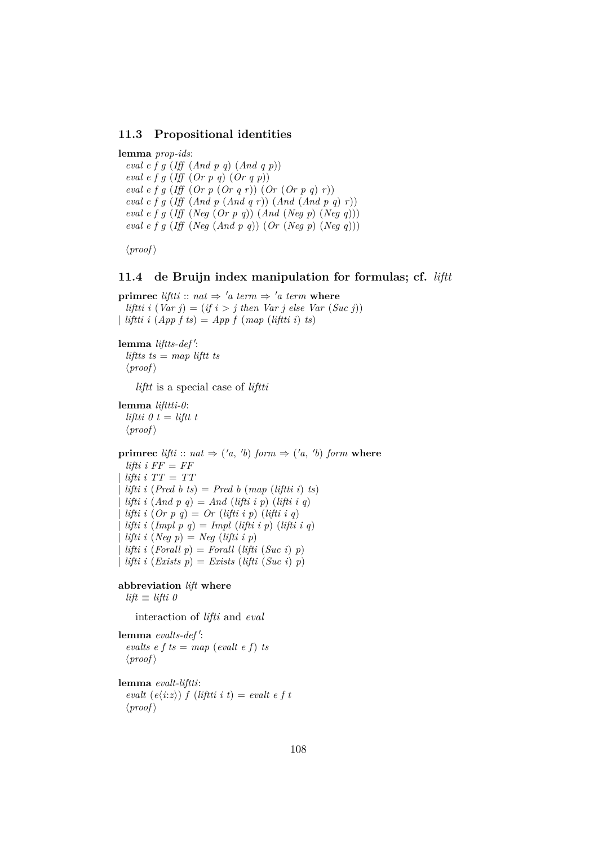#### **11.3 Propositional identities**

**lemma** *prop-ids*: *eval e f g* (*Iff* (*And p q*) (*And q p*)) *eval e f g* (*Iff* (*Or p q*) (*Or q p*)) *eval e f g* (*Iff* (*Or p* (*Or q r*)) (*Or* (*Or p q*) *r*)) *eval e f g* (*Iff* (*And p* (*And q r*)) (*And* (*And p q*) *r*)) *eval e f g* (*Iff* (*Neg* (*Or p q*)) (*And* (*Neg p*) (*Neg q*))) *eval e f g* (*Iff* (*Neg* (*And p q*)) (*Or* (*Neg p*) (*Neg q*)))

 $\langle proof \rangle$ 

#### **11.4 de Bruijn index manipulation for formulas; cf.** *liftt*

**primrec** *liftti* ::  $nat \Rightarrow 'a \text{ term } \Rightarrow 'a \text{ term } \textbf{where}$ *liftti i*  $(Var j) = (if i > j then Var j else Var (Suc j))$ | *liftti i* (*App f ts*) = *App f* (*map* (*liftti i*) *ts*)

#### lemma liftts-def':

*liftts ts* = *map liftt ts*  $\langle proof \rangle$ 

*liftt* is a special case of *liftti*

```
lemma lifttti-0:
  liftti 0 t = liftt t
  \langle proof \rangle
```
**primrec** *lifti* :: *nat*  $\Rightarrow$  ('*a*, '*b*) *form*  $\Rightarrow$  ('*a*, '*b*) *form* **where**  $lifti \, i \, FF = FF$ | *lifti i TT* = *TT*  $lifti i (Pred b ts) = Pred b (map (liftti i) ts)$ | *lifti i* (*And p q*) = *And* (*lifti i p*) (*lifti i q*) | *lifti i* (*Or p q*) = *Or* (*lifti i p*) (*lifti i q*) | *lifti i* (*Impl p q*) = *Impl* (*lifti i p*) (*lifti i q*)  $lifti \, i \, (Neg \, p) = Neg \, (lifti \, i \, p)$  $lifti i (For all p) = For all (lift i (Suc i) p)$ | *lifti i* (*Exists p*) = *Exists* (*lifti* (*Suc i*) *p*)

#### **abbreviation** *lift* **where**

 $lift \equiv lift \theta$ 

interaction of *lifti* and *eval*

lemma evalts-def':  $\text{evalts } e \text{ } f \text{ } ts = \text{map } (\text{evalt } e \text{ } f) \text{ } ts$  $\langle proof \rangle$ 

**lemma** *evalt-liftti*: *evalt*  $(e\langle i:z\rangle) f ($ *liftti i t* $) =$  *evalt e f t*  $\langle proof \rangle$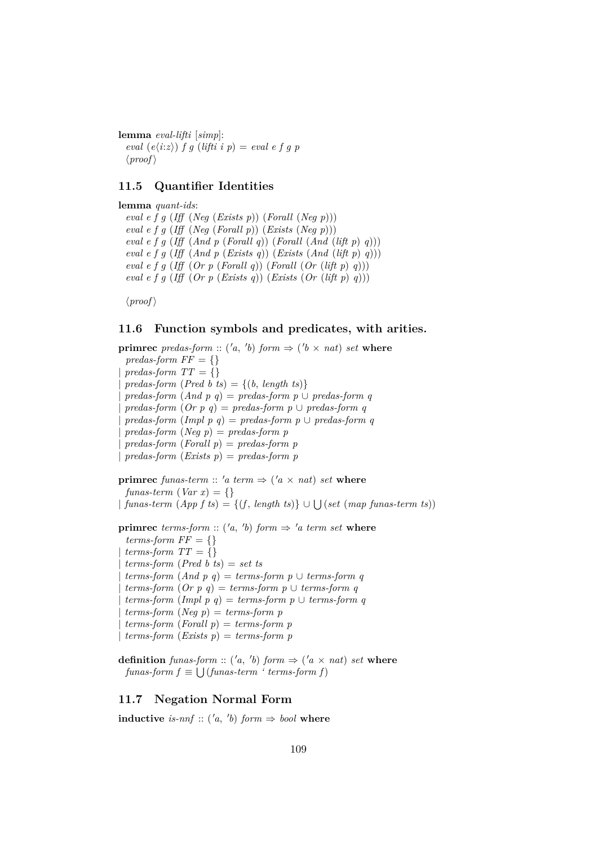**lemma** *eval-lifti* [*simp*]:  $eval(e\langle i;z\rangle)$  *f g* (*lifti i p*) = *eval e f g p*  $\langle proof \rangle$ 

### **11.5 Quantifier Identities**

**lemma** *quant-ids*: *eval e f g* (*Iff* (*Neg* (*Exists p*)) (*Forall* (*Neg p*))) *eval e f g* (*Iff* (*Neg* (*Forall p*)) (*Exists* (*Neg p*))) *eval e f g* (*Iff* (*And p* (*Forall q*)) (*Forall* (*And* (*lift p*) *q*))) *eval e f g* (*Iff* (*And p* (*Exists q*)) (*Exists* (*And* (*lift p*) *q*))) *eval e f g* (*Iff* (*Or p* (*Forall q*)) (*Forall* (*Or* (*lift p*) *q*))) *eval e f g* (*Iff* (*Or p* (*Exists q*)) (*Exists* (*Or* (*lift p*) *q*)))

 $\langle proof \rangle$ 

### **11.6 Function symbols and predicates, with arities.**

**primrec** *predas-form* :: ('*a*, '*b*) *form*  $\Rightarrow$  ('*b*  $\times$  *nat*) *set* **where** *predas-form*  $FF = \{\}$  $predas-form TT = \{\}$  $predas-form (Pred b ts) = \{(b, length ts)\}\$  $predas-form (And p q) = predas-form p \cup predas-form q$  $predas-form (Or p q) = predas-form p \cup predas-form q$  $predas-form (Impl p q) = predas-form p \cup predas-form q$ | *predas-form* (*Neg p*) = *predas-form p* | *predas-form* (*Forall p*) = *predas-form p* | *predas-form* (*Exists p*) = *predas-form p*

**primrec** funas-term :: 'a term  $\Rightarrow$  ('a  $\times$  nat) set where  $funas-term (Var x) = \{\}$  $\{ \text{ } funas-term \text{ } (App \text{ } f \text{ } ts) = \{ (f, \text{ } length \text{ } ts) \} \cup \bigcup (set \text{ } (map \text{ } funas-term \text{ } ts)) \}$ 

**primrec** *terms-form* :: ('*a*, '*b*) *form*  $\Rightarrow$  '*a term set* **where**  $terms-form FF = \{\}$  $terms-form \ TT = \{\}$ | *terms-form* (*Pred b ts*) = *set ts*  $terms-form (And p q) = terms-form p \cup terms-form q$  $terms-form (Or p q) = terms-form p \cup terms-form q$  $terms-form (Impl p q) = terms-form p \cup terms-form q$  $terms-form (Neg p) = terms-form p$ | *terms-form* (*Forall p*) = *terms-form p*  $terms-form (E x is p) = terms-form p$ 

**definition** *funas-form* :: ('*a*, '*b*) *form*  $\Rightarrow$  ('*a*  $\times$  *nat*) *set* **where**  $funas-form f \equiv \bigcup (funas-term \text{ 'terms-form f)}$ 

### **11.7 Negation Normal Form**

**inductive** is-nnf :: ('a, 'b) form  $\Rightarrow$  bool where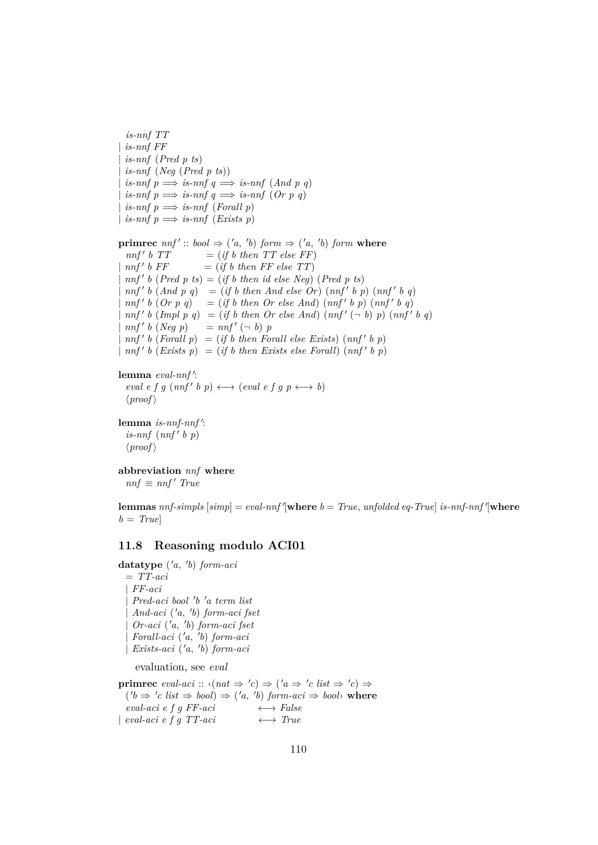```
is-nnf TT
 | is-nnf FF
 | is-nnf (Pred p ts)
 is-nnf (Neq (Pred p ts))
 is-nnf \, p \Longrightarrow is-nnf \, q \Longrightarrow is-nnf \, (And \, p \, q)is-nnf \, p \Longrightarrow is-nnf \, q \Longrightarrow is-nnf \, (Or \, p \, q)is-nnf \text{ } p \Longrightarrow is-nnf \text{ } (For all \text{ } p)\exists is-nnf p \implies is-nnf (Exists p)
primrec nnf' :: bool \Rightarrow ('a, 'b) form \Rightarrow ('a, 'b) form wherennf' b T T= (if\ b\ then\ TT\ else\ FF)nnf' b FF= (if\ b\ then\ FF\ else\ TT)\int nnf' b (Pred p ts) = (if b then id else Neg) (Pred p ts)\int nnf' b (And p q) = (if b then And else Or) (nnf' b p) (nnf' b q)\int nnf' b (Or p q) = (if b then Or else And) (nnf' b p) (nnf' b q)\int n f' b (Impl p q) = (if b then Or else And) (nnf' (-b) p) (nnf' b q)nnf' b (Neq p)b (Neg p) = nnf' (\neg b) p
\int nnf' b (For all p) = (if b then For all else Exists) (nnf' b p)\int nnf' b (Exists p) = (if b then Erists else For all) (nnf' b p)lemma eval-nnf':
```

```
eval\ e\ f\ g\ (nnf'\ b\ p) \longleftrightarrow (eval\ e\ f\ g\ p \longleftrightarrow b)\langle proof \rangle
```

```
lemma is-nnf-nnf':
  is-nnf (nnf' b p)\langle proof \rangle
```

```
abbreviation nnf where
 nnf \equiv nnf' True
```
 ${\bf lemma}$   $nnf\text{-}simpls$   $[simp] = eval\text{-}nnf'$   ${\bf where}$   $b = True$ ,  $unfolded$   $eq\text{-}True$   $is\text{-}nnf\text{-}nnf'$   ${\bf where}$  $b = True$ 

### **11.8 Reasoning modulo ACI01**

**datatype** ( 0*a*, 0 *b*) *form-aci* = *TT-aci* | *FF-aci* | *Pred-aci bool* <sup>0</sup> *b* <sup>0</sup>*a term list* | *And-aci* ( 0*a*, 0 *b*) *form-aci fset* | *Or-aci* ( 0*a*, 0 *b*) *form-aci fset* | *Forall-aci* ( 0*a*, 0 *b*) *form-aci* | *Exists-aci* ( 0*a*, 0 *b*) *form-aci* evaluation, see *eval*

**primrec** eval-aci ::  $\langle (nat \Rightarrow 'c) \Rightarrow ('a \Rightarrow 'c \text{ list } \Rightarrow 'c) \Rightarrow$  $(b \Rightarrow 'c \text{ list } \Rightarrow \text{bool}) \Rightarrow ('a, 'b) \text{ form-}aci \Rightarrow \text{bool} \rightarrow \text{where}$  $eval\text{-}aci\ e\ f\ g\ FF\text{-}aci \longleftrightarrow False$  $\downarrow$  *eval-aci e f g TT-aci*  $\longleftrightarrow$  *True*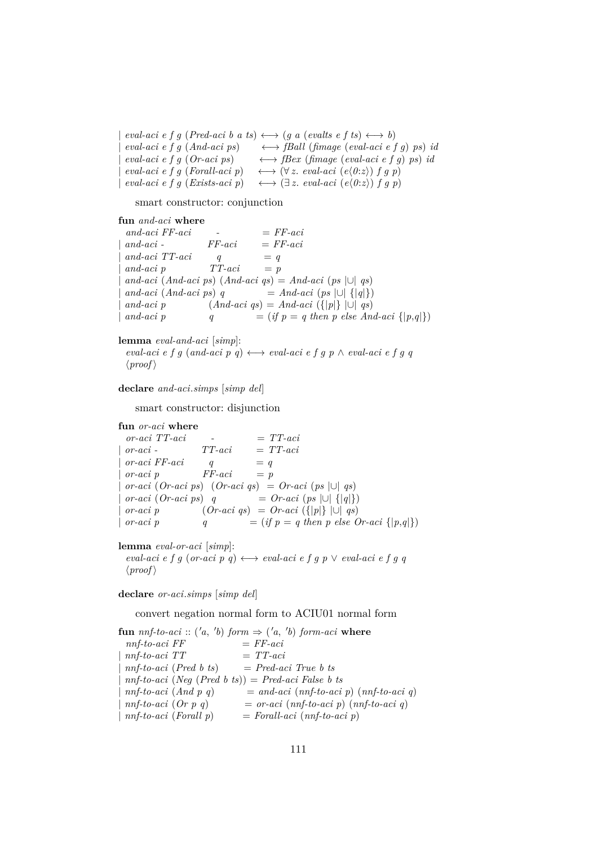$eval\text{-}aci\ e\ f\ g\ (Pred\text{-}aci\ b\ a\ ts) \longleftrightarrow (g\ a\ (evalts\ e\ f\ ts) \longleftrightarrow b)$  $eval\text{-}aci\ e\ f\ g\ (And\text{-}aci\ ps) \longrightarrow fBall\ (fimage\ (eval\text{-}aci\ e\ f\ g)\ ps) \ id$  $eval\text{-}aci\ e\ f\ g\ (Or\text{-}aci\ ps) \longrightarrow fBex\ (fimage\ (eval\text{-}aci\ e\ f\ g)\ ps)\ id$  $eval\text{-}aci\ e\ f\ g\ (For all\text{-}aci\ p)\quad \longleftrightarrow (\forall z.\ eval\text{-}aci\ (e\langle 0:z\rangle)\ f\ g\ p)$  $eval\text{-}aci\ e\ f\ g\ (Exist \text{-}aci\ p) \quad \longleftrightarrow (\exists z.\ eval\text{-}aci\ (e\langle 0:z\rangle)\ f\ g\ p)$ 

smart constructor: conjunction

**fun** *and-aci* **where**  $and\text{-}aci FF\text{-}aci$  -  $FF\text{-}aci$ | *and-aci - FF-aci* = *FF-aci*  $and\text{-}aci$   $TT\text{-}aci$   $q = q$  $and\text{-}aci\ p$   $TT\text{-}aci = p$  $and\text{-}aci \text{ } (And\text{-}aci \text{ } ps) \text{ } (And\text{-}aci \text{ } qs) = And\text{-}aci \text{ } (ps \text{ } |\cup| \text{ } qs)$  $and\text{-}aci \text{ (And\text{-}aci ps) q} = And\text{-}aci \text{ (ps } |\cup| \{ |q| \})$  $and\text{-}aci\ p$   $(And\text{-}aci\ qs) = And\text{-}aci\ (\{|p|\}\ |\cup\ qs)$  $and\text{-}aci\ p$   $q = (if\ p = q\ then\ p\ else\ And\text{-}aci\ {|p,q|\})$ 

**lemma** *eval-and-aci* [*simp*]:  $eval\text{-}aci\ e\ f\ g\ (and\text{-}aci\ p\ q) \longleftrightarrow eval\text{-}aci\ e\ f\ g\ p\ \land\ eval\text{-}aci\ e\ f\ g\ q$  $\langle proof \rangle$ 

**declare** *and-aci*.*simps* [*simp del*]

smart constructor: disjunction

**fun** *or-aci* **where**  $\text{or-}aci \text{} TT\text{-}aci \quad -\quad = TT\text{-}aci$ | *or-aci - TT-aci* = *TT-aci*  $\begin{aligned} \textit{or-aci} \,\, FF\textit{-aci} \qquad q & = q \end{aligned}$  $\begin{array}{ccc} \text{or-}aci & p & \text{F}F\text{-}aci & = p \end{array}$  $\text{or-}aci \text{ } (Or\text{-}aci \text{ } ps) \text{ } (Or\text{-}aci \text{ } qs) = Or\text{-}aci \text{ } (ps \text{ } |\text{ } \text{ } \text{ } qs)$  $\text{or-}aci \text{ }(Or\text{-}aci \text{ } ps)$  *q* =  $\text{Or-}aci \text{ }(ps \text{ } |\cup| \text{ } |\text{ } q|\text{ })$ 

 $\text{or-}aci \, p$   $(\text{Or-}aci \, qs) = \text{Or-}aci \, (\{|p|\} \, |\cup| \, qs)$ | *or-aci p*  $q = (if \ p = q \ then \ p \ else \ Or\n-act \{ |p,q| \})$ 

**lemma** *eval-or-aci* [*simp*]:

 $eval\text{-}aci\ e\ f\ g\ (or\text{-}aci\ p\ q) \longleftrightarrow eval\text{-}aci\ e\ f\ g\ p\ \lor\ eval\text{-}aci\ e\ f\ g\ q$  $\langle proof \rangle$ 

**declare** *or-aci*.*simps* [*simp del*]

convert negation normal form to ACIU01 normal form

 ${\bf f}$ **un**  $nnf$ -to-aci :: ('a, 'b)  $form \Rightarrow$  ('a, 'b)  $form$ -aci where  $nnf-to-aci \ FF$   $= FF-aci$  $nnf-to-aci$   $TT$   $=$   $TT-aci$  $nnf-to-aci$  (*Pred b ts*)  $= Pred-aci$  *True b ts*  $nnf-to-aci \ (Neg \ (Pred \ b \ ts)) = Pred-aci \ False \ b \ ts$  $m\textit{f-to-aci} \ (And \ p \ q) = and \textit{aci} \ (mf\textit{-to-aci} \ p) \ (mf\textit{-to-aci} \ q)$  $m\textit{f-to-aci}$  (*Or*  $p$   $q$ ) = *or-aci* ( $m\textit{f-to-aci}$   $p$ ) ( $m\textit{f-to-aci}$   $q$ ) | *nnf-to-aci* (*Forall p*) = *Forall-aci* (*nnf-to-aci p*)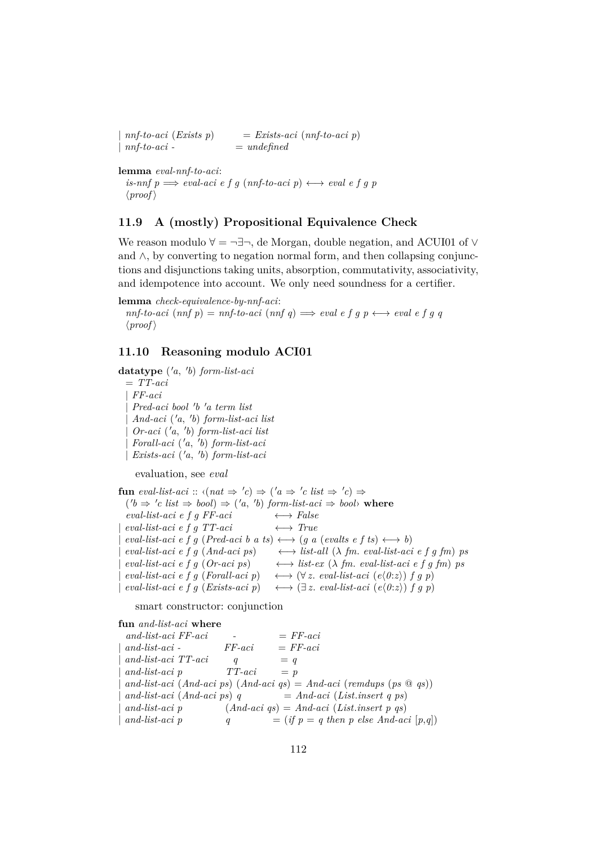$nnf-to-aci$  (*Exists p*)  $=$  *Exists-aci* ( $nnf-to-aci$  *p*) | *nnf-to-aci -* = *undefined*

**lemma** *eval-nnf-to-aci*: *is-nnf*  $p \implies eval\text{-}aci \neq f q \text{ (nnf-to-aci } p) \longleftrightarrow eval \neq f q p$  $\langle proof \rangle$ 

### **11.9 A (mostly) Propositional Equivalence Check**

We reason modulo  $\forall$  =  $\neg \exists \neg$ , de Morgan, double negation, and ACUI01 of  $\lor$ and ∧, by converting to negation normal form, and then collapsing conjunctions and disjunctions taking units, absorption, commutativity, associativity, and idempotence into account. We only need soundness for a certifier.

**lemma** *check-equivalence-by-nnf-aci*:

 $nnf-to-aci$   $(nnf p) = nf-to-aci$   $(nnf q) \implies eval e f g p \longleftrightarrow eval e f g q$  $\langle proof \rangle$ 

### **11.10 Reasoning modulo ACI01**

**datatype** ( 0*a*, 0 *b*) *form-list-aci* = *TT-aci* | *FF-aci* | *Pred-aci bool* <sup>0</sup> *b* <sup>0</sup>*a term list* | *And-aci* ( 0*a*, 0 *b*) *form-list-aci list* | *Or-aci* ( 0*a*, 0 *b*) *form-list-aci list* | *Forall-aci* ( 0*a*, 0 *b*) *form-list-aci* | *Exists-aci* ( 0*a*, 0 *b*) *form-list-aci*

evaluation, see *eval*

**fun** eval-list-aci ::  $\langle (nat \Rightarrow 'c) \Rightarrow ('a \Rightarrow 'c \text{ list } \Rightarrow 'c) \Rightarrow$  $('b \Rightarrow 'c \text{ list } \Rightarrow \text{bool}) \Rightarrow ('a, 'b) \text{ form-list-}aci \Rightarrow \text{bool} \rightarrow \text{where}$  $eval-list-aci \t f \t f \t FFaci \leftrightarrow False$ | *eval-list-aci e f g TT-aci* ←→ *True*  $eval-list-aci \, e \, f \, q \, (Pred-aci \, b \, a \, ts) \longleftrightarrow (q \, a \, (evalts \, e \, f \, ts) \longleftrightarrow b)$  $eval-list-aci \, e \, f \, g \, (And-aci \, ps) \longrightarrow list-all \, (\lambda \, fm. \, eval-list-aci \, e \, f \, g \, fm) \, ps$  $eval-list-aci \, e \, f \, g \, (Or-aci \, ps) \longrightarrow list-ex \, (\lambda \, fm. \, eval-list-aci \, e \, f \, g \, fm) \, ps$  $eval-list-aci \, e \, f \, g \, (For all-aci \, p) \quad \longleftrightarrow (\forall \, z. \, eval-list-aci \, (e\langle 0:z \rangle) \, f \, g \, p)$  $eval-list-aci \ e \ f \ g \ (Exist-aci \ p) \ \longleftrightarrow (\exists z. \ eval-list-aci \ (e(0:z)) \ f \ g \ p)$ 

smart constructor: conjunction

```
fun and-list-aci where
 and-list-aci \tFF-aci \t= FF-aci| and-list-aci - FF-aci = FF-aci
 and\text{-}list\text{-}aci \hspace{2mm} TT\text{-}aci \hspace{2mm} q = qand-list-aci p TT-aci = p
 | and-list-aci (And-aci ps) (And-aci qs) = And-aci (remdups (ps @ qs))
 and-list-aci (And-aci ps) q = And-aci (List.insert q ps)| and-list-aci p (And-aci qs) = And-aci (List.insert p qs)
 and-list-act \np q = (if \np = q \ then \np \ else \ And-act \ [p,q])
```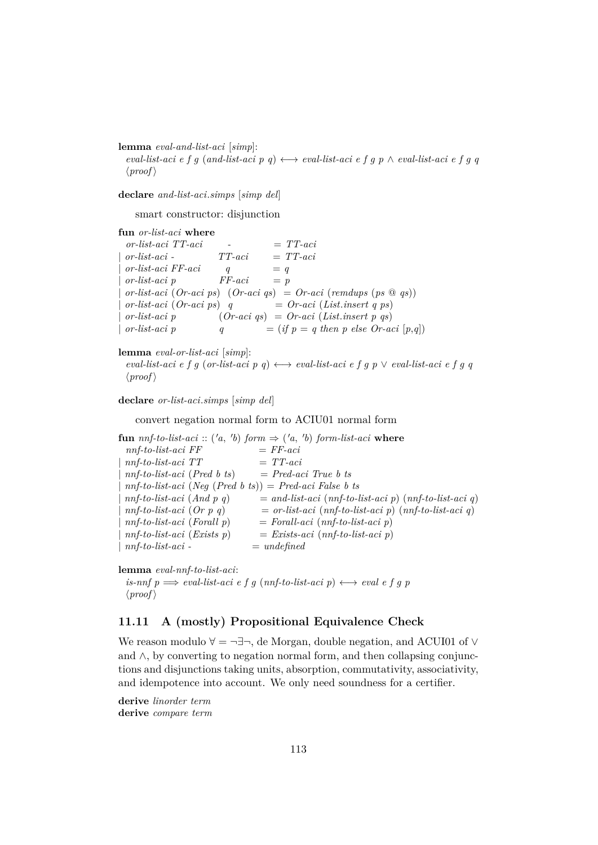**lemma** *eval-and-list-aci* [*simp*]:

 $eval-list-acci \, e \, f \, g \, (and-list-aci \, p \, q) \longleftrightarrow eval-list-aci \, e \, f \, g \, p \land eval-list-aci \, e \, f \, g \, q$  $\langle proof \rangle$ 

**declare** *and-list-aci*.*simps* [*simp del*]

smart constructor: disjunction

**fun** *or-list-aci* **where**

 $\sigma r\text{-}list\text{-}aci \quad -\quad = TT\text{-}aci$ | *or-list-aci - TT-aci* = *TT-aci*  $\textit{or-list-aci}$   $\textit{FF-aci}$   $q = q$  $or-list-aci$  *p*  $FF-aci$  = *p* | *or-list-aci* (*Or-aci ps*) (*Or-aci qs*) = *Or-aci* (*remdups* (*ps* @ *qs*))  $or-list-aci$  (*Or-aci ps*) *q* = *Or-aci* (*List.insert q ps*) | *or-list-aci p* (*Or-aci qs*) = *Or-aci* (*List*.*insert p qs*)  $\int$  *or-list-aci p*  $q = (if \, p = q \, then \, p \, else \, Or-aci \, [p,q])$ 

**lemma** *eval-or-list-aci* [*simp*]:

*eval-list-aci e f g* (*or-list-aci*  $p$  *q*)  $\longleftrightarrow$  *eval-list-aci e f g p*  $\lor$  *eval-list-aci e f g q*  $\langle proof \rangle$ 

**declare** *or-list-aci*.*simps* [*simp del*]

convert negation normal form to ACIU01 normal form

**fun**  $nnf-to-list-aci$  :: ('a, 'b)  $form \Rightarrow$  ('a, 'b)  $form-list-aci$  where  $nnf-to-list-aci FF$   $= FF-aci$  $nnf-to-list-aci$   $TT$   $=$   $TT-aci$ | *nnf-to-list-aci* (*Pred b ts*) = *Pred-aci True b ts* | *nnf-to-list-aci* (*Neg* (*Pred b ts*)) = *Pred-aci False b ts*  $m\bar{f}$ -to-list-aci (And p q)  $=$  and-list-aci ( $m\bar{f}$ -to-list-aci p) ( $m\bar{f}$ -to-list-aci q) | *nnf-to-list-aci* (*Or p q*) = *or-list-aci* (*nnf-to-list-aci p*) (*nnf-to-list-aci q*)  $=$  *Forall-aci* (*nnf-to-list-aci p*) | *nnf-to-list-aci* (*Exists p*) = *Exists-aci* (*nnf-to-list-aci p*)  $nnf-to-list-aci = undefined$ 

**lemma** *eval-nnf-to-list-aci*:

*is-nnf p*  $\implies$  *eval-list-aci e f g* (*nnf-to-list-aci p*)  $\longleftrightarrow$  *eval e f g p*  $\langle proof \rangle$ 

# **11.11 A (mostly) Propositional Equivalence Check**

We reason modulo  $\forall = \neg \exists \neg$ , de Morgan, double negation, and ACUI01 of  $\lor$ and ∧, by converting to negation normal form, and then collapsing conjunctions and disjunctions taking units, absorption, commutativity, associativity, and idempotence into account. We only need soundness for a certifier.

**derive** *linorder term* **derive** *compare term*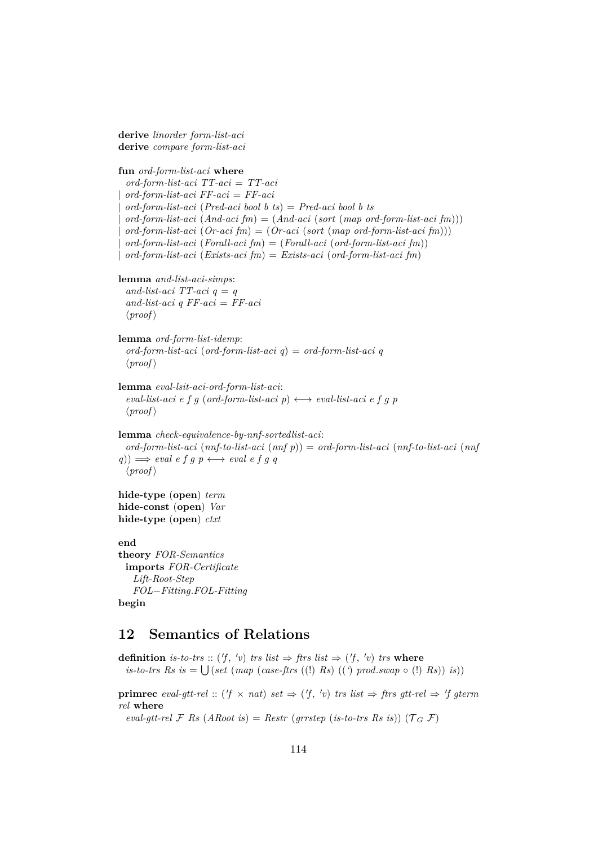**derive** *linorder form-list-aci* **derive** *compare form-list-aci*

**fun** *ord-form-list-aci* **where** *ord-form-list-aci TT-aci* = *TT-aci* | *ord-form-list-aci FF-aci* = *FF-aci* | *ord-form-list-aci* (*Pred-aci bool b ts*) = *Pred-aci bool b ts* | *ord-form-list-aci* (*And-aci fm*) = (*And-aci* (*sort* (*map ord-form-list-aci fm*))) | *ord-form-list-aci* (*Or-aci fm*) = (*Or-aci* (*sort* (*map ord-form-list-aci fm*))) | *ord-form-list-aci* (*Forall-aci fm*) = (*Forall-aci* (*ord-form-list-aci fm*)) | *ord-form-list-aci* (*Exists-aci fm*) = *Exists-aci* (*ord-form-list-aci fm*) **lemma** *and-list-aci-simps*: *and-list-aci*  $TT$ -*aci*  $q = q$ *and-list-aci q FF-aci* = *FF-aci*  $\langle proof \rangle$ **lemma** *ord-form-list-idemp*: *ord-form-list-aci* (*ord-form-list-aci q*) = *ord-form-list-aci q*  $\langle proof \rangle$ **lemma** *eval-lsit-aci-ord-form-list-aci*:  $eval-list-aci \, e \, f \, g \, (ord-form-list-aci \, p) \longleftrightarrow eval-list-aci \, e \, f \, g \, p$  $\langle proof \rangle$ **lemma** *check-equivalence-by-nnf-sortedlist-aci*: *ord-form-list-aci* (*nnf-to-list-aci* (*nnf p*)) = *ord-form-list-aci* (*nnf-to-list-aci* (*nnf*  $q$ ))  $\implies$  *eval*  $e \circ f q \circ g \longleftrightarrow$  *eval*  $e \circ f q \circ g$  $\langle proof \rangle$ **hide-type** (**open**) *term* **hide-const** (**open**) *Var* **hide-type** (**open**) *ctxt* **end**

**theory** *FOR-Semantics* **imports** *FOR-Certificate Lift-Root-Step FOL*−*Fitting*.*FOL-Fitting* **begin**

# **12 Semantics of Relations**

**definition** is-to-trs :: ('f, 'v) trs list  $\Rightarrow$  ftrs list  $\Rightarrow$  ('f, 'v) trs where  $is\text{-}to\text{-}trs\ Rs\ is = \bigcup (set\ (map\ (case\text{-}ftrs\ ((\text{!})\ Rs)\ ((\text{`})\ prod.swap \circ (\text{!})\ Rs))\ is))$ 

**primrec** eval-gtt-rel :: ( $f \times nat$ ) set  $\Rightarrow$  ( $f$ ,  $'v$ ) trs list  $\Rightarrow$  ftrs gtt-rel  $\Rightarrow$   $'f$  gterm *rel* **where**

*eval-gtt-rel*  $\mathcal{F}$  *Rs* (*ARoot is*) = *Restr* (*grrstep* (*is-to-trs Rs is*)) ( $\mathcal{T}_G$   $\mathcal{F}$ )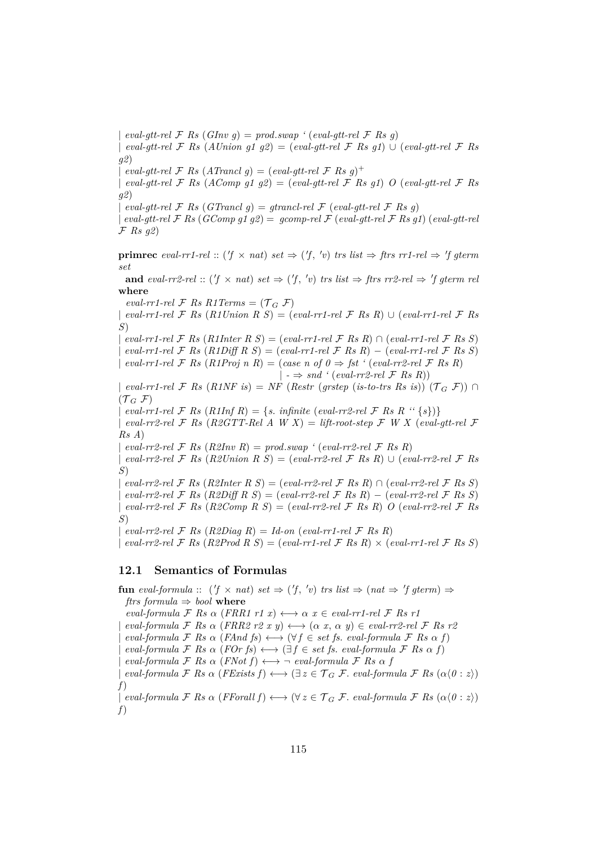$eval\text{-}gt$   $F$  *Rs*  $(GInv\ q) = prod \text{}.swap \text{'} (eval\text{-}gt\text{-}rel\ \mathcal{F} \text{ } Rs\ q)$ 

| *eval-gtt-rel* F *Rs* (*AUnion g1 g2*) = (*eval-gtt-rel* F *Rs g1*) ∪ (*eval-gtt-rel* F *Rs g2*)

 $\int \text{ } eval\text{-}gt$  *real*  $\mathcal{F}$  *Rs*  $(ATr$ *ancl*  $g) = (eval\text{-}gt$ *real*  $\mathcal{F}$  *Rs*  $g)$ <sup>+</sup>

| *eval-gtt-rel* F *Rs* (*AComp g1 g2*) = (*eval-gtt-rel* F *Rs g1*) *O* (*eval-gtt-rel* F *Rs g2*)

 $eval\text{-}qtt\text{-}rel \ F$  *Rs* (*GTrancl q*) = *gtrancl-rel*  $\mathcal F$  (*eval-gtt-rel*  $\mathcal F$  *Rs q*)

 $eval\text{-}$  *eval-gtt-rel*  $\mathcal{F}$  *Rs* (*GComp g1 g2*) = *gcomp-rel*  $\mathcal{F}$  (*eval-gtt-rel*  $\mathcal{F}$  *Rs g1*) (*eval-gtt-rel* F *Rs g2*)

**primrec** eval-rr1-rel ::  $(f \times nat)$  set  $\Rightarrow (f', 'v)$  trs list  $\Rightarrow$  ftrs rr1-rel  $\Rightarrow 'f$  gterm *set*

**and**  $eval-rr2-rel :: (f \times nat) set \Rightarrow (f, 'v) trs list \Rightarrow first rr2-rel \Rightarrow 'f gterm rel$ **where**

 $eval-rr1-rel \nF$  *Rs R1Terms* =  $(\mathcal{T}_G \nF)$ 

 $eval-rr1-rel \n\mathcal{F}$  *Rs*  $(R1Union \nR S) = (eval-rr1-rel \n\mathcal{F}$  *Rs*  $R) \cup (eval-rr1-rel \n\mathcal{F}$  *Rs S*)

 $eval-rr1-rel \mathcal{F}$  *Rs* (*R1Inter R S*) = (*eval-rr1-rel*  $\mathcal{F}$  *Rs R*)  $\cap$  (*eval-rr1-rel*  $\mathcal{F}$  *Rs S*)  $eval-rr1-rel \mathcal{F}$  *Rs*  $(R1Diff \, R \, S) = (eval-rr1-rel \mathcal{F}$  *Rs R* $) - (eval-rr1-rel \mathcal{F}$  *Rs S* $)$ | *eval-rr1-rel*  $\mathcal F$  *Rs*  $(R1Proj \, n \, R) = (case \, n \, of \, 0 \Rightarrow \, \text{fst} \, ' \, (eval-rr2-rel \, \mathcal F \, Rs \, R)$  $| \rightarrow \Rightarrow$  *snd* ' (*eval-rr2-rel* F *Rs R*)) | *eval-rr1-rel*  $\mathcal F$  *Rs*  $(R1NF$  *is*) = *NF* (*Restr* (*grstep* (*is-to-trs Rs is*))  $(\mathcal T_G \mathcal F)$ )  $\cap$ 

 $({\mathcal{T}}_G$  F)

 $eval-rr1-rel \mathcal{F}$  *Rs*  $(R1Inf R) = \{s. \text{ infinite (eval-rr2-rel } \mathcal{F} \text{ Rs } R \text{ '' }\{s\})\}$ 

 $eval-rr2\text{-}rel \ F$  *Rs* (*R2GTT-Rel A W X*) = *lift-root-step*  $\mathcal F$  *W X* (*eval-gtt-rel*  $\mathcal F$ *Rs A*)

|  $eval-rr2\text{-}rel \ F \ Rs \ (R2Inv \ R) = prod.sum \ ' \ (eval-rr2\text{-}rel \ F \ Rs \ R)$ 

| *eval-rr2-rel* F *Rs* (*R2Union R S*) = (*eval-rr2-rel* F *Rs R*) ∪ (*eval-rr2-rel* F *Rs S*)

 $\mathcal{L} = \{ \text{val-rr2-rel} \; \mathcal{F} \; \text{Rs} \; (\text{R2Inter} \; \text{R} \; \text{S}) = (\text{eval-rr2-rel} \; \mathcal{F} \; \text{Rs} \; \text{R}) \; \cap \; (\text{eval-rr2-rel} \; \mathcal{F} \; \text{Rs} \; \text{S}) \}$ | *eval-rr2-rel* F *Rs* (*R2Diff R S*) = (*eval-rr2-rel* F *Rs R*) − (*eval-rr2-rel* F *Rs S*)  $eval-rr2\text{-}rel \ F \ Rs \ (R2Comp \ R \ S) = (eval-rr2\text{-}rel \ F \ Rs \ R) \ O \ (eval-rr2\text{-}rel \ F \ Rs$ *S*)

| *eval-rr2-rel* F *Rs* (*R2Diag R*) = *Id-on* (*eval-rr1-rel* F *Rs R*)

| *eval-rr2-rel* F *Rs* (*R2Prod R S*) = (*eval-rr1-rel* F *Rs R*) × (*eval-rr1-rel* F *Rs S*)

### **12.1 Semantics of Formulas**

**fun** eval-formula ::  $(f \times nat)$  set  $\Rightarrow (f', 'v)$  trs list  $\Rightarrow (nat \Rightarrow 'f \text{ gterm}) \Rightarrow$ *ftrs formula*  $\Rightarrow$  *bool* where  $eval-formula \nsubseteq Rs \alpha$  (*FRR1 r1 x*)  $\longleftrightarrow \alpha$  *x*  $\in \text{eval-rr1-rel} \nsubseteq Rs$  *r1*  $eval-formula \nsubseteq Rs \alpha \left( FRR2 \rvert r2 \rvert x \right) \longleftrightarrow (\alpha \rvert x, \alpha \rvert y) \in eval-rr2-rel \nsubseteq Rs \rvert r2$  $eval-formula \nsubseteq Rs \n\alpha \n(FAnd fs) \n\longleftrightarrow (\forall f \in set \nfs. \text{ } eval-formula \nsubseteq Rs \n\alpha f)$  $eval-formula \nsubseteq Rs \n\alpha \n(FOr \nfs) \n\longleftrightarrow (\exists f \in set \nfs. \neval-formula \nsubseteq Rs \n\alpha f)$  $eval-formula \nsubseteq Rs \n\alpha \n(FNot f) \n\longleftrightarrow \neg \text{ } eval-formula \nsubseteq Rs \n\alpha f$  $eval-formula \nsubseteq Rs \n\alpha \n(FExists f) \n\longleftrightarrow (\exists z \in \mathcal{T}_G \nsubseteq \mathcal{F}. \neval-formula \nsubseteq \mathcal{F} \nas (\alpha \langle 0 : z \rangle)$ *f*)  $\downarrow$  *eval-formula*  $\mathcal{F}$  *Rs*  $\alpha$  (*FForall f*)  $\longleftrightarrow$  ( $\forall z \in \mathcal{T}_G$   $\mathcal{F}$ *. eval-formula*  $\mathcal{F}$  *Rs* ( $\alpha$ ( $0 : z$ )) *f*)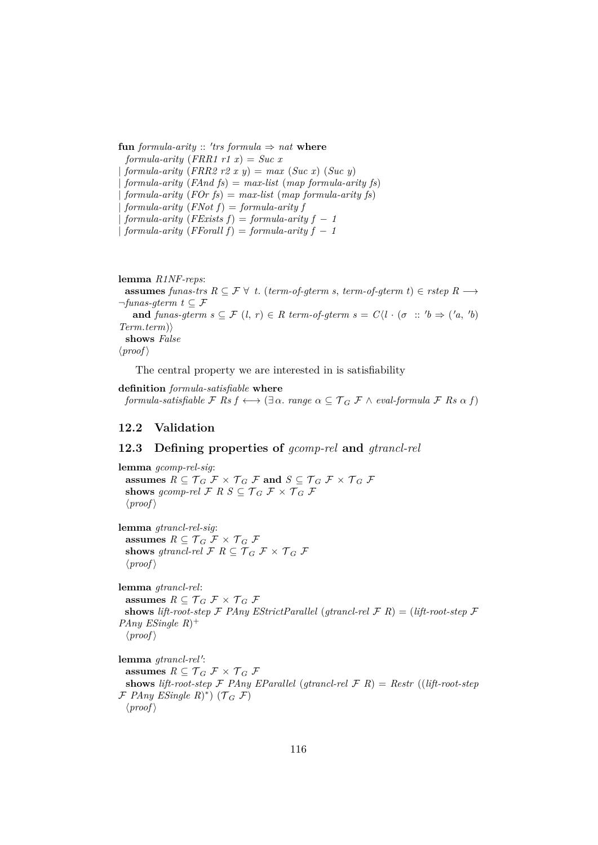${\bf fun}$  *formula-arity* :: 'trs *formula*  $\Rightarrow$  *nat* **where** *formula-arity*  $(FRR1 r1 x) = Suc x$  $formula-arity (FRR2 r2 x y) = max (Suc x) (Suc y)$ | *formula-arity* (*FAnd fs*) = *max-list* (*map formula-arity fs*) | *formula-arity* (*FOr fs*) = *max-list* (*map formula-arity fs*) | *formula-arity* (*FNot f*) = *formula-arity f*  $formula-arity$  ( $FExists f$ ) =  $formula-arity f - 1$ |  $formula-arity(FFor all f) = formula-arity f - 1$ 

**lemma** *R1NF-reps*: **assumes** *funas-trs*  $R ⊆ F ∨ t$ . (*term-of-gterm s, term-of-gterm t*) ∈ *rstep*  $R →$  $\neg$ *funas-gterm*  $t \subseteq \mathcal{F}$ **and** *funas-gterm s*  $\subseteq$   $\mathcal{F}$  (*l*, *r*)  $\in$  *R term-of-gterm s* =  $C\langle l \cdot (\sigma : 'b \Rightarrow ('a, 'b) \rangle$  $Term.$ *term*) **shows** *False*  $\langle proof \rangle$ 

The central property we are interested in is satisfiability

**definition** *formula-satisfiable* **where** *formula-satisfiable*  $\mathcal{F}$  *Rs*  $f \leftrightarrow (\exists \alpha$ *. range*  $\alpha \subseteq \mathcal{T}_G$   $\mathcal{F} \wedge \text{eval-formula } \mathcal{F}$  *Rs*  $\alpha$   $f$ )

### **12.2 Validation**

### **12.3 Defining properties of** *gcomp-rel* **and** *gtrancl-rel*

**lemma** *gcomp-rel-sig*: **assumes**  $R \subseteq \mathcal{T}_G \mathcal{F} \times \mathcal{T}_G \mathcal{F}$  and  $S \subseteq \mathcal{T}_G \mathcal{F} \times \mathcal{T}_G \mathcal{F}$ **shows** gcomp-rel F R  $S \subseteq T_G$  F  $\times$  T<sub>G</sub> F  $\langle proof \rangle$ 

**lemma** *gtrancl-rel-sig*: **assumes**  $R \subseteq \mathcal{T}_G \mathcal{F} \times \mathcal{T}_G \mathcal{F}$ **shows** *gtrancl-rel*  $\mathcal{F}$  *R*  $\subset \mathcal{T}_G$   $\mathcal{F} \times \mathcal{T}_G$   $\mathcal{F}$  $\langle proof \rangle$ 

**lemma** *gtrancl-rel*: **assumes**  $R \subseteq \mathcal{T}_G \mathcal{F} \times \mathcal{T}_G \mathcal{F}$ **shows** *lift-root-step*  $\mathcal F$  *PAny EStrictParallel* (*gtrancl-rel*  $\mathcal F$  *R*) = (*lift-root-step*  $\mathcal F$ *PAny ESingle R*) +  $\langle proof \rangle$ 

lemma *gtrancl-rel'*: **assumes**  $R \subseteq \mathcal{T}_G \mathcal{F} \times \mathcal{T}_G \mathcal{F}$ **shows** *lift-root-step* F *PAny EParallel* (*gtrancl-rel* F *R*) = *Restr* ((*lift-root-step*  $\mathcal{F}$  *PAny ESingle R* $)$ <sup>\*</sup>) ( $\mathcal{T}_G$   $\mathcal{F}$ )  $\langle proof \rangle$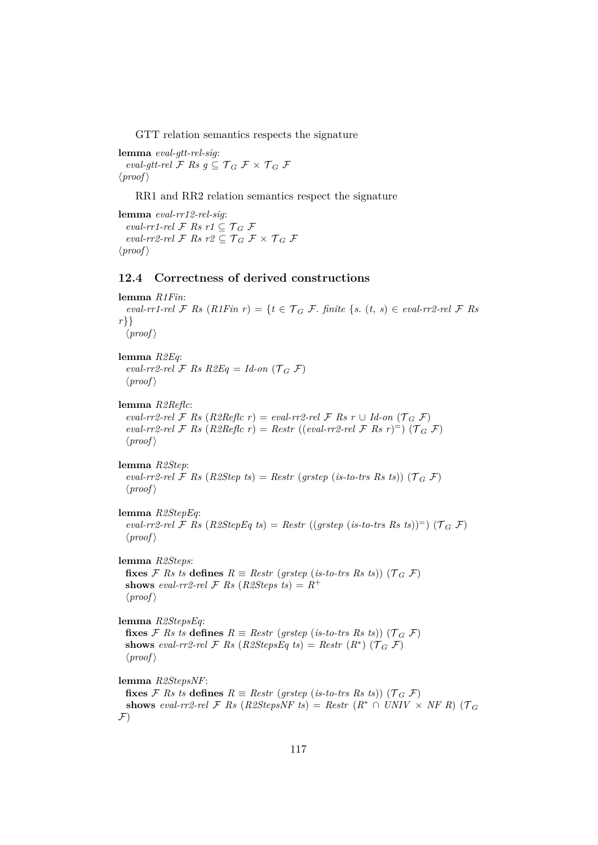GTT relation semantics respects the signature

**lemma** *eval-gtt-rel-sig*: *eval-gtt-rel*  $\mathcal{F}$  *Rs*  $g \subseteq \mathcal{T}_G$   $\mathcal{F} \times \mathcal{T}_G$   $\mathcal{F}$  $\langle proof \rangle$ 

RR1 and RR2 relation semantics respect the signature

**lemma** *eval-rr12-rel-sig*: *eval-rr1-rel*  $\mathcal{F}$  *Rs*  $r1 \subseteq \mathcal{T}_G$   $\mathcal{F}$ *eval-rr2-rel*  $\mathcal{F}$  *Rs*  $r2 \subset \mathcal{T}_G$   $\mathcal{F} \times \mathcal{T}_G$   $\mathcal{F}$  $\langle proof \rangle$ 

### **12.4 Correctness of derived constructions**

```
lemma R1Fin:
  eval-rr1-rel \mathcal F Rs (R1Fin r) = \{t \in \mathcal T_G \mathcal F \text{. finite } \{s, (t, s) \in eval-rr2-rel } \mathcal F Rs
r}}
  \langle proof \ranglelemma R2Eq:
  eval-rr2-rel \mathcal F Rs R2Eq = Id-on (\mathcal T_G \mathcal F)\langle proof \ranglelemma R2Reflc:
  eval-rr2\text{-}rel \ F \ Rs \ (R2\text{Reflc } r) = eval-rr2\text{-}rel \ F \ Rs \ r \cup Id\text{-}on \ (T_G \ F)eval-rr2-rel \mathcal F Rs (R2Reflc r) = Restr ((eval-rr2-rel \mathcal F Rs r)<sup>=</sup>) (\mathcal T_G \mathcal F)
  \langle proof \ranglelemma R2Step:
  eval-rr2-rel \mathcal F Rs (R2Step ts) = Restr (grstep (is-to-trs Rs ts)) (\mathcal T_G \mathcal F)
  \langle proof \ranglelemma R2StepEq:
  eval-rr2-rel \mathcal F Rs (R2StepEq ts) = Restr ((grstep (is-to-trs Rs ts))<sup>=</sup>) (\mathcal T_G \mathcal F)
  \langle proof \ranglelemma R2Steps:
  fixes \mathcal{F} Rs ts defines R \equiv Restr (grstep (is-to-trs Rs ts)) (\mathcal{T}_G \mathcal{F})
  shows eval-rr2-rel \mathcal{F} Rs (R2Steps ts) = R^+\langle proof \ranglelemma R2StepsEq:
  fixes \mathcal{F} Rs ts defines R \equiv Restr (grstep (is-to-trs Rs ts)) (\mathcal{T}_G \mathcal{F})
  shows eval-rr2-rel \mathcal{F} Rs (R2StepsEq ts) = Restr (R<sup>*</sup>) (\mathcal{T}_G \mathcal{F})
  \langle proof \ranglelemma R2StepsNF:
  fixes F Rs ts defines R \equiv Restr (grstep (is-to-trs Rs ts)) (T_G F)
  shows eval-rr2-rel \mathcal{F} Rs (R2StepsNF ts) = Restr (R^* \cap UNIV \times NF R) (\mathcal{T}_G\mathcal{F})
```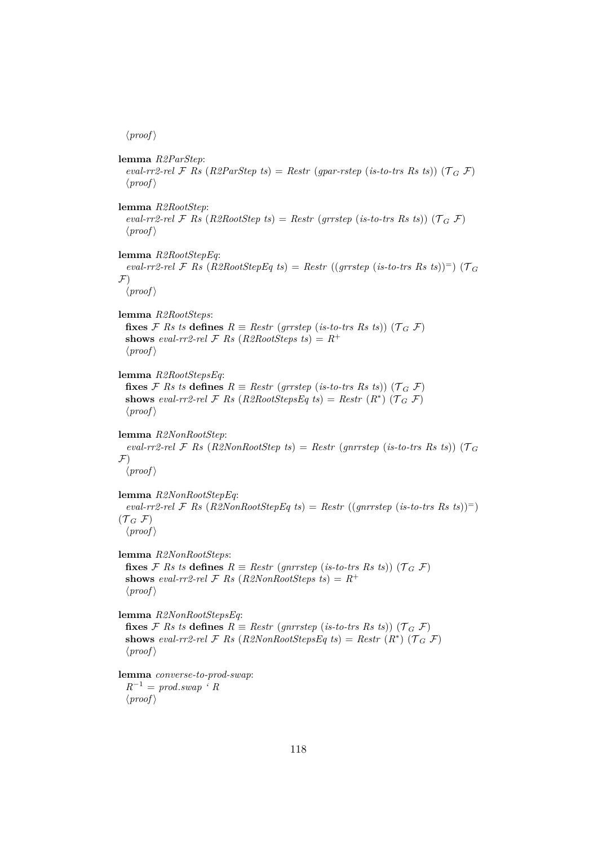$\langle proof \rangle$ 

**lemma** *R2ParStep*: *eval-rr2-rel*  $\mathcal F$  *Rs* (*R2ParStep ts*) = *Restr* (*gpar-rstep* (*is-to-trs Rs ts*)) ( $\mathcal T_G$   $\mathcal F$ )  $\langle proof \rangle$ **lemma** *R2RootStep*: *eval-rr2-rel*  $\mathcal F$  *Rs* (*R2RootStep ts*) = *Restr* (*grrstep* (*is-to-trs Rs ts*)) ( $\mathcal T_G$   $\mathcal F$ )  $\langle proof \rangle$ **lemma** *R2RootStepEq*: *eval-rr2-rel*  $\mathcal{F}$  *Rs* (*R2RootStepEq ts*) = *Restr* ((*grrstep* (*is-to-trs Rs ts*))<sup>=</sup>) ( $\mathcal{T}_G$  $\mathcal{F}$ )  $\langle proof \rangle$ **lemma** *R2RootSteps*: **fixes**  $\mathcal{F}$  *Rs ts* **defines**  $R \equiv$  *Restr* (*grrstep* (*is-to-trs Rs ts*)) ( $\mathcal{T}_G$   $\mathcal{F}$ ) **shows** *eval-rr2-rel*  $\mathcal{F}$  *Rs* (*R2RootSteps ts*) =  $R^+$  $\langle proof \rangle$ **lemma** *R2RootStepsEq*: **fixes**  $\mathcal{F}$  *Rs ts* **defines**  $R \equiv$  *Restr* (*grrstep* (*is-to-trs Rs ts*)) ( $\mathcal{T}_G$   $\mathcal{F}$ ) **shows** eval-rr2-rel  $\mathcal{F}$  *Rs* (*R2RootStepsEq ts*) = *Restr* ( $R^*$ ) ( $\mathcal{T}_G$   $\mathcal{F}$ )  $\langle proof \rangle$ **lemma** *R2NonRootStep*: *eval-rr2-rel*  $\mathcal F$  *Rs* (*R2NonRootStep ts*) = *Restr* (*gnrrstep* (*is-to-trs Rs ts*)) ( $\mathcal T_G$  $\mathcal{F}$ )  $\langle proof \rangle$ **lemma** *R2NonRootStepEq*:  $eval-rr2-rel \mathcal{F}$  *Rs* (*R2NonRootStepEq ts*) = *Restr* ((*gnrrstep* (*is-to-trs Rs ts*))<sup>=</sup>)  $({\mathcal{T}}_G \nightharpoondown {\mathcal{F}})$  $\langle proof \rangle$ **lemma** *R2NonRootSteps*: **fixes**  $\mathcal{F}$  *Rs ts* **defines**  $R \equiv$  *Restr* (*gnrrstep* (*is-to-trs Rs ts*)) ( $\mathcal{T}_G$   $\mathcal{F}$ ) **shows** *eval-rr2-rel*  $\mathcal{F}$  *Rs* (*R2NonRootSteps ts*) =  $R^+$  $\langle proof \rangle$ **lemma** *R2NonRootStepsEq*: **fixes**  $\mathcal{F}$  *Rs ts* **defines**  $R \equiv$  *Restr* (*gnrrstep* (*is-to-trs Rs ts*)) ( $\mathcal{T}_G$   $\mathcal{F}$ ) **shows** eval-rr2-rel  $\mathcal{F}$  *Rs* (*R2NonRootStepsEq ts*) = *Restr* ( $R^*$ ) ( $\mathcal{T}_G$   $\mathcal{F}$ )  $\langle proof \rangle$ **lemma** *converse-to-prod-swap*: *R*−<sup>1</sup> = *prod*.*swap ' R*  $\langle proof \rangle$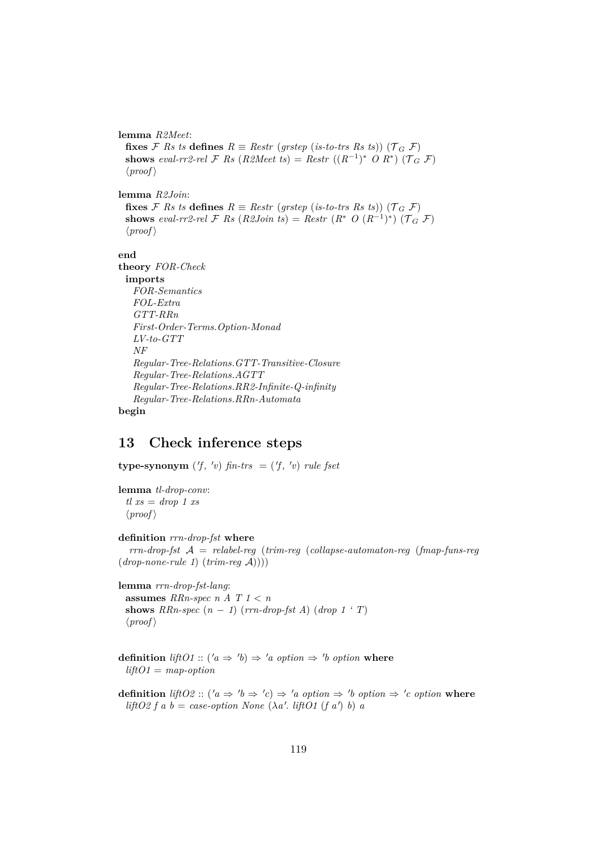#### **lemma** *R2Meet*:

**fixes**  $\mathcal{F}$  *Rs ts* **defines**  $R \equiv$  *Restr* (*grstep* (*is-to-trs Rs ts*)) ( $\mathcal{T}_G$   $\mathcal{F}$ ) **shows** eval-rr2-rel  $\mathcal{F}$  *Rs* (*R2Meet ts*) = *Restr* (( $R^{-1}$ )\* *O R*\*) ( $\mathcal{T}_G$   $\mathcal{F}$ )  $\langle proof \rangle$ 

**lemma** *R2Join*:

**fixes** F Rs ts **defines**  $R \equiv$  Restr (*grstep* (*is-to-trs Rs ts*)) ( $T_G$  F) **shows** eval-rr2-rel F Rs (R2Join ts) = Restr  $(R^*$  O  $(R^{-1})^*$ ) ( $\mathcal{T}_G$  F)  $\langle proof \rangle$ 

#### **end**

```
theory FOR-Check
 imports
  FOR-Semantics
  FOL-Extra
   GTT-RRn
   First-Order-Terms.Option-Monad
  LV-to-GTT
  NF
   Regular-Tree-Relations.GTT-Transitive-Closure
  Regular-Tree-Relations.AGTT
   Regular-Tree-Relations.RR2-Infinite-Q-infinity
   Regular-Tree-Relations.RRn-Automata
```
**begin**

# **13 Check inference steps**

**type-synonym**  $(f, 'v)$  *fin-trs* =  $(f, 'v)$  *rule fset* 

**lemma** *tl-drop-conv*: *tl xs* = *drop 1 xs*  $\langle proof \rangle$ 

**definition** *rrn-drop-fst* **where**

*rrn-drop-fst* A = *relabel-reg* (*trim-reg* (*collapse-automaton-reg* (*fmap-funs-reg* (*drop-none-rule 1*) (*trim-reg* A))))

**lemma** *rrn-drop-fst-lang*: **assumes** *RRn-spec n A T 1* < *n* **shows** *RRn-spec*  $(n-1)$  (*rrn-drop-fst A*) (*drop 1 'T*)  $\langle proof \rangle$ 

**definition** *liftO1* ::  $(a \Rightarrow 'b) \Rightarrow 'a \text{ option } \Rightarrow 'b \text{ option } \textbf{where}$ *liftO1* = *map-option*

**definition**  $liftO2 :: ('a \Rightarrow 'b \Rightarrow 'c) \Rightarrow 'a \text{ option } \Rightarrow 'b \text{ option } \Rightarrow 'c \text{ option } \textbf{where}$  $lif to 2 f a b = case-option None (\lambda a'. lift 01 (f a') b) a$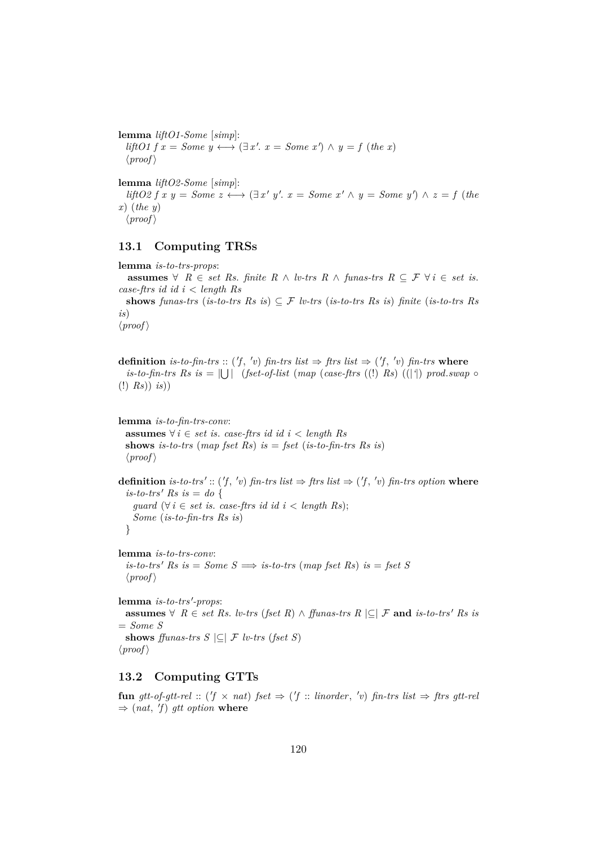**lemma** *liftO1-Some* [*simp*]:  $lif$ *l* $01 f x = Some y \longleftrightarrow (\exists x'. x = Some x') \land y = f (the x)$  $\langle proof \rangle$ **lemma** *liftO2-Some* [*simp*]:  $lif \text{102} f x y = Some \ z \longleftrightarrow (\exists x' y'. x = Some \ x' \land y = Some \ y') \land z = f (the$ *x*) (*the y*)  $\langle proof \rangle$ 

### **13.1 Computing TRSs**

**lemma** *is-to-trs-props*: **assumes** ∀  $R \in set \; Rs.$  *finite*  $R \wedge \textit{l}v\text{-}trs \; R \wedge \textit{funas\text{-}trs \;} R \subseteq \mathcal{F} \; \forall \; i \in \text{set \;} is.$ *case-ftrs id id i* < *length Rs* shows *funas-trs* (*is-to-trs Rs is*)  $\subseteq$  *F lv-trs* (*is-to-trs Rs is*) *finite* (*is-to-trs Rs is*)  $\langle proof \rangle$ 

**definition** is-to-fin-trs :: ('f, 'v) fin-trs list  $\Rightarrow$  ftrs list  $\Rightarrow$  ('f, 'v) fin-trs where  $i$ *s*-to-fin-trs Rs is =  $\bigcup \bigcup$  (fset-of-list (map (case-ftrs ((!) Rs) ((|') prod.*swap*  $\circ$ (!) *Rs*)) *is*))

**lemma** *is-to-fin-trs-conv*: **assumes** ∀ *i* ∈ *set is*. *case-ftrs id id i* < *length Rs* **shows** *is-to-trs* (*map fset Rs*) *is* = *fset* (*is-to-fin-trs Rs is*)  $\langle proof \rangle$ 

**definition** is-to-trs':: ('f, 'v) fin-trs list  $\Rightarrow$  ftrs list  $\Rightarrow$  ('f, 'v) fin-trs option where  $is-to-trs'$   $Rs$   $is = do$  { *guard* ( $\forall i \in set$  *is. case-ftrs id id i* < *length Rs*); *Some* (*is-to-fin-trs Rs is*) }

**lemma** *is-to-trs-conv*:  $is-to-trs'$  *Rs*  $is = Some$  *S*  $\implies$  *is-to-trs* (*map fset Rs*)  $is = fset$  *S*  $\langle proof \rangle$ 

 ${\bf lemma}$  *is-to-trs'-props*: **assumes**  $∀$   $R ∈ set Rs$ . *lv-trs* (*fset R*)  $∧$  *ffunas-trs*  $R \subseteq ∠$  **and** *is-to-trs' Rs is* = *Some S* shows *ffunas-trs*  $S \subseteq F$  *lv-trs* (*fset*  $S$ )  $\langle proof \rangle$ 

### **13.2 Computing GTTs**

 ${\bf fun}$   $gtt-of-gtt-rel$  :: ( $f \times nat$ )  $fset \Rightarrow$  ( $f$  :: *linorder*,  $'v$ )  $fin-trs$  *list*  $\Rightarrow$   $ftrs$   $gtt-rel$  $\Rightarrow$  (*nat*, *'f*) *gtt option* where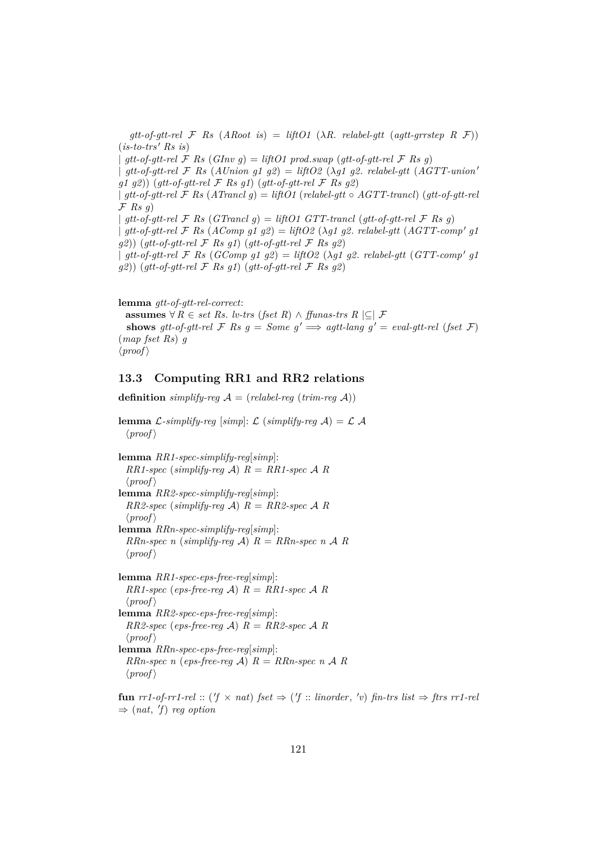$gt$ <sub>*gtt-of-gtt-rel*  $\mathcal F$  *Rs* (*ARoot is*) = *liftO1* ( $\lambda$ *R. relabel-gtt* (*agtt-grrstep R*  $\mathcal F$ ))</sub>  $(is-to-trs' Rs is)$ |  $gtt$ -of-gtt-rel F Rs  $(GInv g) = liftO1 \, prod.swap (gtt-of-gtt-rel F \, Rs \, g)$ |  $qtt-of-qt-rel$   $\mathcal F$   $Rs$   $(AUnion \t{q1} \t{q2}) = liftO2$   $(\lambda q1 \t{q2} \t{r1}$   $rel.$   $r1$   $(AGTT-union'$ *g1 g2*)) (*gtt-of-gtt-rel* F *Rs g1*) (*gtt-of-gtt-rel* F *Rs g2*) | *gtt-of-gtt-rel* F *Rs* (*ATrancl g*) = *liftO1* (*relabel-gtt* ◦ *AGTT-trancl*) (*gtt-of-gtt-rel* F *Rs g*)  $qtt-of-qtt-rel \n\mathcal{F}$  *Rs* (*GTrancl q*) = *liftO1 GTT-trancl* (*qtt-of-qtt-rel*  $\mathcal{F}$  *Rs q*)  $\int$  *gtt-of-gtt-rel*  $\mathcal{F}$  *Rs* (*AComp g1 g2*) = *liftO2* ( $\lambda$ *g1 g2. relabel-gtt* (*AGTT-comp' g1 g2*)) (*gtt-of-gtt-rel* F *Rs g1*) (*gtt-of-gtt-rel* F *Rs g2*)  $\int$  gtt-of-gtt-rel F Rs (GComp g1 g2) = liftO2 ( $\lambda$ g1 g2. relabel-gtt (GTT-comp' g1 *g2*)) (*gtt-of-gtt-rel* F *Rs g1*) (*gtt-of-gtt-rel* F *Rs g2*)

**lemma** *gtt-of-gtt-rel-correct*: **assumes**  $\forall R \in set \; Rs. \; lv-trs \; (fset \; R) \land ffunas-trs \; R \subseteq \mathcal{F}$ **shows** *gtt-of-gtt-rel*  $\mathcal F$  *Rs*  $g = Some$   $g' \implies agtt$ -lang  $g' = eval-gtt$ -rel (*fset*  $\mathcal F$ ) (*map fset Rs*) *g*  $\langle proof \rangle$ 

# **13.3 Computing RR1 and RR2 relations**

**definition** *simplify-reg*  $A = (relabel-reg (trim-reg A))$ 

**lemma** L-simplify-reg [simp]: L (simplify-reg  $\mathcal{A}$ ) = L  $\mathcal{A}$  $\langle proof \rangle$ 

```
lemma RR1-spec-simplify-reg[simp]:
  RR1-spec (simplify-reg \mathcal{A}) R = RR1-spec \mathcal{A} R\langle proof \ranglelemma RR2-spec-simplify-reg[simp]:
  RR2-spec (simplify-reg \mathcal{A}) R = RR2-spec \mathcal{A} R
  \langle proof \ranglelemma RRn-spec-simplify-reg[simp]:
  RRn-spec n (simplify-reg \mathcal{A}) R = RRn-spec n \mathcal{A} R
  \langle proof \ranglelemma RR1-spec-eps-free-reg[simp]:
  RR1-spec (eps-free-reg \mathcal{A}) R = RR1-spec \mathcal{A} R
  \langle proof \ranglelemma RR2-spec-eps-free-reg[simp]:
  RR2-spec (eps-free-reg \mathcal{A}) R = RR2-spec \mathcal{A} R\langle proof \ranglelemma RRn-spec-eps-free-reg[simp]:
  RRn-spec n (eps-free-reg \mathcal{A}) R = RRn-spec n \mathcal{A} R
  \langle proof \rangle
```
 $fun \ rrt$ -of-rr1-rel :: (' $f \times nat$ )  $fset \Rightarrow$  (' $f :: linorder, 'v$ )  $fin$ -trs list  $\Rightarrow ftrs \ rrt$ -rel  $\Rightarrow$  (*nat*, 'f) *reg option*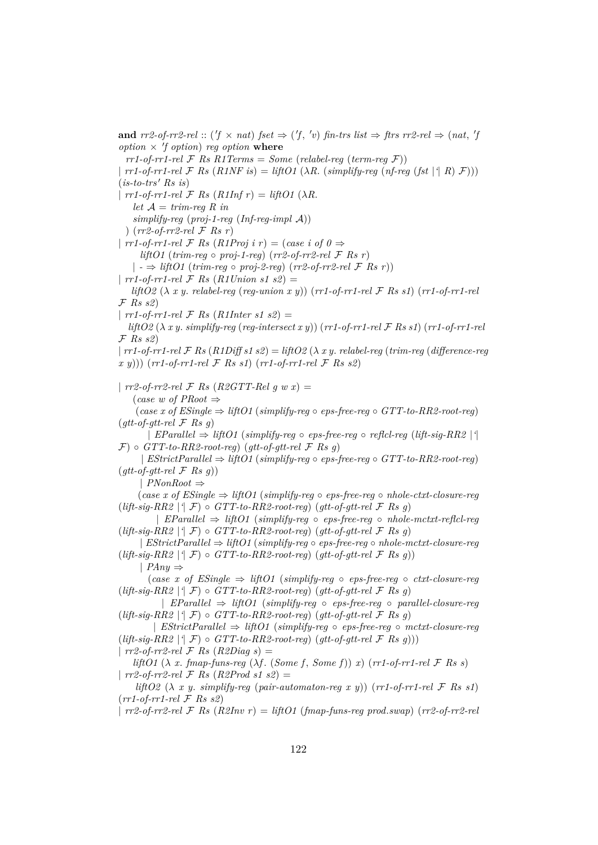**and**  $rr2$ -of-rr2-rel :: ('f  $\times$  nat) fset  $\Rightarrow$  ('f, 'v) fin-trs list  $\Rightarrow$  ftrs  $rr2$ -rel  $\Rightarrow$  (nat, 'j *option*  $\times$  *'f option*) *reg option* where  $rr1-of-rr1-rel \ F$  *Rs R1Terms* = *Some* (*relabel-reg* (*term-reg*  $\mathcal{F}$ )) |  $rr1-of-rr1-rel \n\mathcal{F}$   $Rs (R1NF is) = liftO1 (\lambda R. (simplify-reg (nf-req (fst | ^{2} R) \mathcal{F})))$  $(is-to-trs' \; Rs \; is)$  $\int r r^2 - 6r^2 - r^2 - r^2 dr$  *F Rs*  $(R1 ln f r) = l$ *iftO1* ( $\lambda R$ . *let*  $A = trim-reg R$  *in simplify-reg* (*proj-1-reg* (*Inf-reg-impl* A)) ) (*rr2-of-rr2-rel* F *Rs r*) |  $rr1$ -of- $rr1$ -rel  $\mathcal F$  *Rs*  $(R1Proj i r) = (case i of 0 \Rightarrow$  $lif$ *liftO1* (*trim-reg*  $\circ$  *proj-1-reg*) (*rr2-of-rr2-rel*  $\mathcal{F}$  *Rs r*) | *-* ⇒ *liftO1* (*trim-reg* ◦ *proj-2-reg*) (*rr2-of-rr2-rel* F *Rs r*)) |  $rr1$ -of- $rr1$ - $rel$   $\mathcal{F}$   $Rs$   $(R1$   $Union$   $sl$   $\mathcal{L}$  $)$   $=$ *liftO2* (λ *x y*. *relabel-reg* (*reg-union x y*)) (*rr1-of-rr1-rel* F *Rs s1*) (*rr1-of-rr1-rel* F *Rs s2*) |  $rr1$ -of- $rr1$ - $rel \mathcal{F}$  *Rs* (*R1Inter s1 s2*) = *liftO2* (λ *x y*. *simplify-reg* (*reg-intersect x y*)) (*rr1-of-rr1-rel* F *Rs s1*) (*rr1-of-rr1-rel* F *Rs s2*) |  $rr1$ -of- $rr1$ -rel  $\mathcal F$   $Rs$  ( $R1Diffs1$   $s2$ ) =  $liftO2$  ( $\lambda$   $xy$ , relabel-reg ( $trim$ -reg ( $difference$ -reg *x y*))) (*rr1-of-rr1-rel* F *Rs s1*) (*rr1-of-rr1-rel* F *Rs s2*) |  $rr2$ -of- $rr2$ -rel  $\mathcal F$  *Rs* (*R2GTT-Rel g w x*) = (*case w of PRoot* ⇒ (*case x of ESingle* ⇒ *liftO1* (*simplify-reg* ◦ *eps-free-reg* ◦ *GTT-to-RR2-root-reg*) (*gtt-of-gtt-rel* F *Rs g*) | *EParallel* ⇒ *liftO1* (*simplify-reg* ◦ *eps-free-reg* ◦ *reflcl-reg* (*lift-sig-RR2* |*'*|  $\mathcal{F}$ )  $\circ$  *GTT-to-RR2-root-req*) (*qtt-of-qtt-rel*  $\mathcal{F}$  *Rs q*) | *EStrictParallel* ⇒ *liftO1* (*simplify-reg* ◦ *eps-free-reg* ◦ *GTT-to-RR2-root-reg*)  $(gt-tof-qtt-rel \mathcal{F}$  *Rs q*)) | *PNonRoot* ⇒  $(\text{case } x \text{ of } ESingle \Rightarrow liftO1 \text{ (simplify-reg \space o \space eps-free-reg \space o \space whole-cut-tclose \space rege$  $(lift-sig-RR2 | ^{\dagger} \mathcal{F}) \circ GTT-to-RR2-root-reg)$   $(gt-of-gtt-rel \mathcal{F} Rsg)$ | *EParallel* ⇒ *liftO1* (*simplify-reg* ◦ *eps-free-reg* ◦ *nhole-mctxt-reflcl-reg*  $(lift-sig-RR2 | ^{4} \mathcal{F}) \circ GTT-to-RR2-root-reg) (gtt-of-gtt-rel \mathcal{F} Rs g)$ | *EStrictParallel* ⇒ *liftO1* (*simplify-reg* ◦ *eps-free-reg* ◦ *nhole-mctxt-closure-reg*  $(lift-siq-RR2 | ^{i} \mathcal{F}) \circ GTT-to-RR2-root-reg)$   $(qt-tof-qtt-rel \mathcal{F} Rs q)$ | *PAny* ⇒ (*case x of ESingle* ⇒ *liftO1* (*simplify-reg* ◦ *eps-free-reg* ◦ *ctxt-closure-reg*  $(lift-sig-RR2 | ^{\dagger} \mathcal{F}) \circ GTT-to-RR2-root-reg)$   $(gt-of-gtt-rel \mathcal{F} Rsg)$ | *EParallel* ⇒ *liftO1* (*simplify-reg* ◦ *eps-free-reg* ◦ *parallel-closure-reg*  $(lift-sig-RR2 | \hat{\mathcal{F}}) \circ GTT-to-RR2-root-reg) (gt-to-f-gtt-rel \mathcal{F} Rsg)$ | *EStrictParallel* ⇒ *liftO1* (*simplify-reg* ◦ *eps-free-reg* ◦ *mctxt-closure-reg*  $(lift-sig-RR2 | \hat{\mathcal{F}}) \circ GTT-to-RR2-root-reg) (gt-to-f-gtt-rel \mathcal{F} Rsg))$ | *rr2-of-rr2-rel* F *Rs* (*R2Diag s*) = *liftO1* ( $\lambda$  *x*. *fmap-funs-reg* ( $\lambda f$ . (*Some f*, *Some f*)) *x*) ( $rr1$ -of- $rr1$ -rel  $\mathcal F$  *Rs s*) |  $rr2$ -of- $rr2$ -rel  $\mathcal F$  *Rs* (*R2Prod s1 s2*) = *liftO2*  $(\lambda x \text{ } y \text{ } . \text{ } s$ *implify-reg* (*pair-automaton-reg x y)*) (*rr1-of-rr1-rel*  $\mathcal{F}$  *Rs s1*) (*rr1-of-rr1-rel* F *Rs s2*) | *rr2-of-rr2-rel* F *Rs* (*R2Inv r*) = *liftO1* (*fmap-funs-reg prod*.*swap*) (*rr2-of-rr2-rel*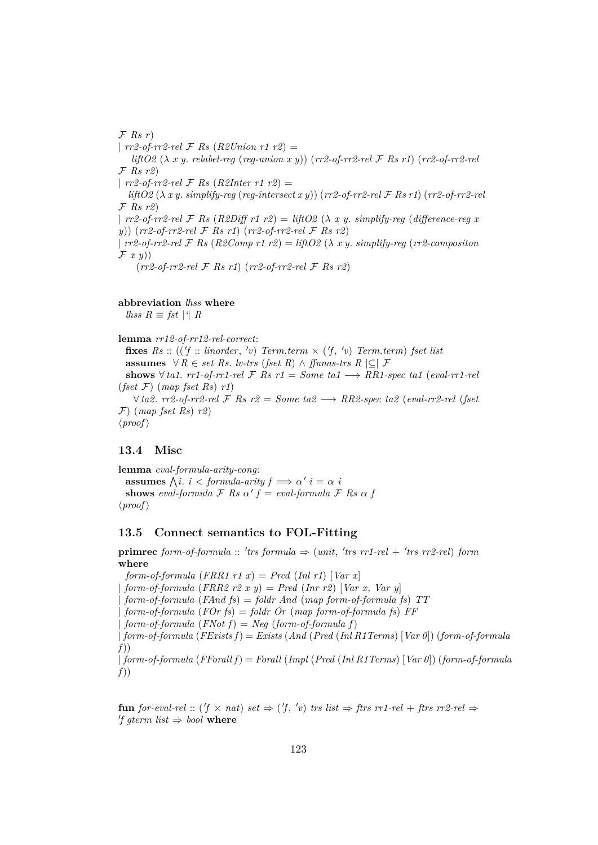F *Rs r*) | *rr2-of-rr2-rel* F *Rs* (*R2Union r1 r2*) = *liftO2* (λ *x y*. *relabel-reg* (*reg-union x y*)) (*rr2-of-rr2-rel* F *Rs r1*) (*rr2-of-rr2-rel* F *Rs r2*) | *rr2-of-rr2-rel* F *Rs* (*R2Inter r1 r2*) = *liftO2* (λ *x y*. *simplify-reg* (*reg-intersect x y*)) (*rr2-of-rr2-rel* F *Rs r1*) (*rr2-of-rr2-rel* F *Rs r2*) |  $rr2-of-rr2-rel \mathcal{F}$  *Rs*  $(R2Diff \r1 r2) = liftO2 (\lambda x y. simplify-reg (difference-reg x)$ *y*)) (*rr2-of-rr2-rel* F *Rs r1*) (*rr2-of-rr2-rel* F *Rs r2*) | *rr2-of-rr2-rel* F *Rs* (*R2Comp r1 r2*) = *liftO2* (λ *x y*. *simplify-reg* (*rr2-compositon* F *x y*)) (*rr2-of-rr2-rel* F *Rs r1*) (*rr2-of-rr2-rel* F *Rs r2*)

**abbreviation** *lhss* **where**

*lhss*  $R \equiv$  *fst* |<sup>*'*</sup>|  $R$ 

**lemma** *rr12-of-rr12-rel-correct*:

**fixes**  $Rs :: ((f :: linorder, 'v) Term. term \times (f, 'v) Term. term)$  *fset list* **assumes**  $\forall R \in set \; Rs. \; lw\text{-}trs \; (fset \; R) \land ffunas\text{-}trs \; R \subseteq \mathcal{F}$ **shows** ∀ *ta1*. *rr1-of-rr1-rel*  $\mathcal F$  *Rs*  $r1 = Some$  *ta1*  $\longrightarrow RR1$ -spec *ta1* (*eval-rr1-rel* (*fset* F) (*map fset Rs*) *r1*)  $∀ta2. rr2-of-rr2-rel F$  *Rs*  $r2 = Some ta2 → RR2-specific ta2 (eval-rr2-rel (fset$ 

# **13.4 Misc**

 $\langle proof \rangle$ 

F) (*map fset Rs*) *r2*)

**lemma** *eval-formula-arity-cong*: **assumes**  $\bigwedge i$ . *i* < *formula-arity*  $f \implies \alpha'$  *i* =  $\alpha$  *i* **shows** *eval-formula*  $\mathcal{F}$  *Rs*  $\alpha' f = eval-formula \mathcal{F}$  *Rs*  $\alpha f$  $\langle proof \rangle$ 

### **13.5 Connect semantics to FOL-Fitting**

 $\mathbf{prime} \in \mathbb{R}$  *form-of-formula* :: 'trs formula  $\Rightarrow$  (*unit*, 'trs rr1-rel + 'trs rr2-rel) form **where**

*form-of-formula*  $(FRR1 r1 x) = Pred (Inl r1) [Var x]$ | *form-of-formula* (*FRR2 r2 x y*) = *Pred* (*Inr r2*) [*Var x*, *Var y*] | *form-of-formula* (*FAnd fs*) = *foldr And* (*map form-of-formula fs*) *TT* | *form-of-formula* (*FOr fs*) = *foldr Or* (*map form-of-formula fs*) *FF*  $form-of-formula$   $(FNot f) = Neg$   $(form-of-formula f)$ | *form-of-formula* (*FExists f*) = *Exists* (*And* (*Pred* (*Inl R1Terms*) [*Var 0*]) (*form-of-formula f*)) | *form-of-formula* (*FForall f*) = *Forall* (*Impl* (*Pred* (*Inl R1Terms*) [*Var 0*]) (*form-of-formula f*))

**fun** *for-eval-rel* :: ( $f \times nat$ ) *set*  $\Rightarrow$  ( $f, 'v$ ) *trs list*  $\Rightarrow$  *ftrs rr1-rel* + *ftrs rr2-rel*  $\Rightarrow$ *f* gterm list  $\Rightarrow$  bool where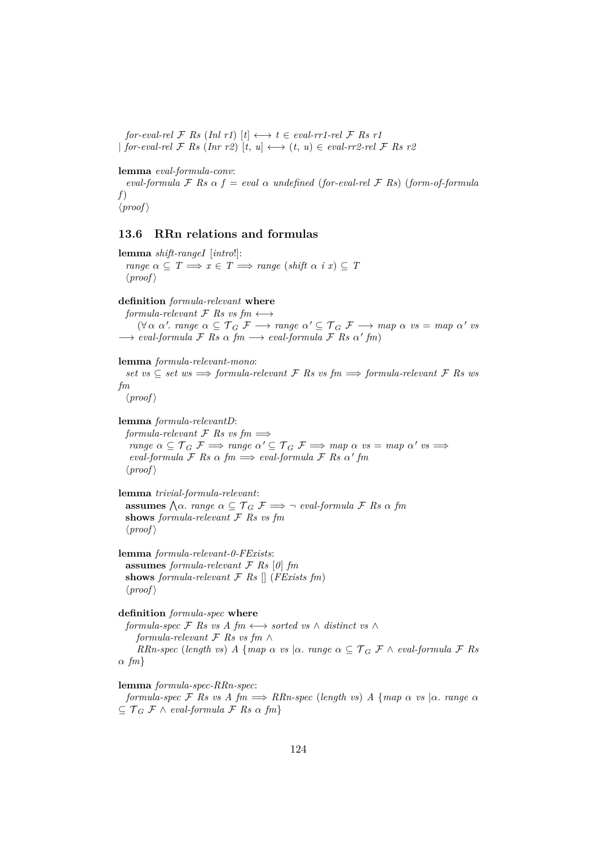*for-eval-rel*  $\mathcal F$  *Rs* (*Inl r1*)  $[t] \longleftrightarrow t \in eval\text{-}rr1\text{-}rel \mathcal F$  *Rs*  $r1$  $|$  *for-eval-rel*  $\mathcal F$  *Rs* (*Inr r2*)  $[t, u] \longleftrightarrow (t, u) \in eval-rr2-rel \mathcal F$  *Rs r2* 

**lemma** *eval-formula-conv*:

*eval-formula*  $\mathcal F$  *Rs*  $\alpha$   $f = eval \alpha$  *undefined* (*for-eval-rel*  $\mathcal F$  *Rs*) (*form-of-formula f*)  $\langle proof \rangle$ 

### **13.6 RRn relations and formulas**

**lemma** *shift-rangeI* [*intro*!]: *range*  $\alpha \subseteq T \implies x \in T \implies \text{range}(\text{shift } \alpha \text{ i } x) \subseteq T$  $\langle proof \rangle$ **definition** *formula-relevant* **where** *formula-relevant*  $\mathcal{F}$  *Rs vs fm*  $\longleftrightarrow$  $(\forall \alpha \ \alpha'. \ range \ \alpha \subseteq \mathcal{T}_G \ \mathcal{F} \longrightarrow \ range \ \alpha' \subseteq \mathcal{T}_G \ \mathcal{F} \longrightarrow \ map \ \alpha \ \ vs \ = \ map \ \alpha' \ vs \$  $\longrightarrow$  *eval-formula*  $\mathcal F$  *Rs*  $\alpha$  *fm*  $\longrightarrow$  *eval-formula*  $\mathcal F$  *Rs*  $\alpha'$  *fm*) **lemma** *formula-relevant-mono*: *set vs*  $\subseteq$  *set ws*  $\implies$  *formula-relevant*  $\mathcal F$  *Rs vs fm*  $\implies$  *formula-relevant*  $\mathcal F$  *Rs ws fm*  $\langle proof \rangle$ **lemma** *formula-relevantD*: *formula-relevant*  $\mathcal F$  *Rs vs fm*  $\implies$  $range \alpha \subseteq \mathcal{T}_G \mathcal{F} \Longrightarrow range \alpha' \subseteq \mathcal{T}_G \mathcal{F} \Longrightarrow map \alpha \text{ vs } = map \alpha' \text{ vs } \Longrightarrow$  $eval-formula \nsubseteq Rs \ntriangle fm \implies eval-formula \nsubseteq Rs \ntriangle' fm$  $\langle proof \rangle$ **lemma** *trivial-formula-relevant*:  $\alpha$  assumes  $\bigwedge \alpha$ . *range*  $\alpha \subseteq \mathcal{T}_G$   $\mathcal{F} \Longrightarrow \neg$  *eval-formula*  $\mathcal{F}$  *Rs*  $\alpha$  *fm* 

 $\langle proof \rangle$ **lemma** *formula-relevant-0-FExists*: **assumes** *formula-relevant* F *Rs* [*0*] *fm*

**shows** *formula-relevant*  $\mathcal{F}$  *Rs*  $\left[ \right]$  (*FExists fm*)  $\langle proof \rangle$ 

**shows** *formula-relevant* F *Rs vs fm*

**definition** *formula-spec* **where** *formula-spec*  $\mathcal F$  *Rs vs A fm*  $\longleftrightarrow$  *sorted vs*  $\land$  *distinct vs*  $\land$ *formula-relevant* F *Rs vs fm* ∧ *RRn-spec* (*length vs*) *A* {*map*  $\alpha$  *vs*  $|\alpha$ *. range*  $\alpha \subseteq \mathcal{T}_G \mathcal{F} \wedge \text{eval-formula } \mathcal{F}$  *Rs* α *fm*}

**lemma** *formula-spec-RRn-spec*:

*formula-spec*  $\mathcal F$  *Rs vs A fm*  $\implies$  *RRn-spec* (*length vs*) *A* {*map*  $\alpha$  *vs*  $|\alpha$ *. range*  $\alpha$  $\subseteq$   $\mathcal{T}_G$   $\mathcal{F}$   $\wedge$  *eval-formula*  $\mathcal{F}$  *Rs*  $\alpha$   $\{m\}$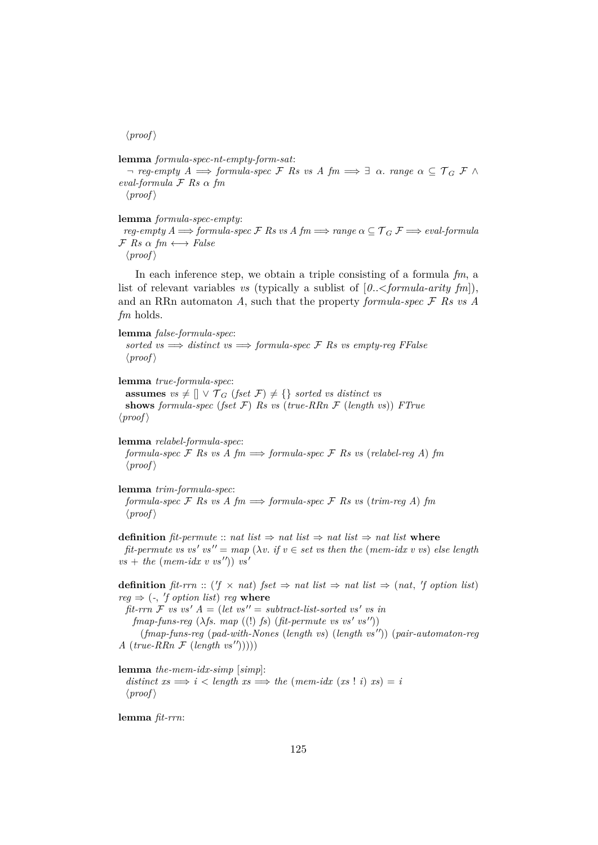#### $\langle proof \rangle$

**lemma** *formula-spec-nt-empty-form-sat*:  $\lnot$  *reg-empty A*  $\implies$  *formula-spec* F Rs vs A fm  $\implies \exists \alpha$ . *range*  $\alpha \subseteq \mathcal{T}_G$  F  $\wedge$ *eval-formula* F *Rs* α *fm*  $\langle proof \rangle$ 

### **lemma** *formula-spec-empty*:

*reg-empty A*  $\implies$  *formula-spec*  $\mathcal F$  *Rs vs A fm*  $\implies$  *range*  $\alpha \subseteq \mathcal T_G$   $\mathcal F \implies$  *eval-formula*  $\mathcal{F}$  *Rs*  $\alpha$  *fm*  $\longleftrightarrow$  *False* 

 $\langle proof \rangle$ 

In each inference step, we obtain a triple consisting of a formula *fm*, a list of relevant variables *vs* (typically a sublist of [*0*..<*formula-arity fm*]), and an RRn automaton *A*, such that the property *formula-spec* F *Rs vs A fm* holds.

**lemma** *false-formula-spec*: *sorted vs*  $\implies$  *distinct vs*  $\implies$  *formula-spec*  $\mathcal F$  *Rs vs empty-reg FFalse*  $\langle proof \rangle$ 

**lemma** *true-formula-spec*:

**assumes**  $vs \neq [] \vee \mathcal{T}_G$  (*fset*  $\mathcal{F}$ )  $\neq \{\}$  *sorted vs distinct vs* **shows** *formula-spec* (*fset* F) *Rs vs* (*true-RRn* F (*length vs*)) *FTrue*  $\langle proof \rangle$ 

**lemma** *relabel-formula-spec*: *formula-spec*  $\mathcal F$  *Rs vs*  $A$   $\mathfrak fm \implies$  *formula-spec*  $\mathcal F$  *Rs vs* (*relabel-reg A*)  $\mathfrak fm$  $\langle proof \rangle$ 

**lemma** *trim-formula-spec*:

*formula-spec*  $\mathcal F$  *Rs vs A fm*  $\implies$  *formula-spec*  $\mathcal F$  *Rs vs* (*trim-reg A*) *fm*  $\langle proof \rangle$ 

**definition**  $\hat{p}t$ -permute :: *nat list*  $\Rightarrow$  *nat list*  $\Rightarrow$  *nat list*  $\Rightarrow$  *nat list* where  $\hat{p}$  *fit-permute vs vs' vs''* =  $map \ (\lambda v \cdot \textit{if } v \in \textit{set } v \textit{s then the } (mem \cdot \textit{idx } v \textit{ vs}) \textit{else length})$  $vs + the (mem-idx v vs'')$ )  $vs'$ 

**definition**  $\text{fit-rrn} :: (\text{if} \times \text{nat}) \text{ fset} \Rightarrow \text{nat list} \Rightarrow \text{nat list} \Rightarrow (\text{nat}, \text{ if option list})$  $reg \Rightarrow (-, 'f \text{ option list}) \text{ reg where}$ 

 $\int f \cdot dV \cdot dV = \int f \cdot dV \cdot dV = \int f \cdot dV \cdot dV$  *as ' as in*  $fmap-funs-reg (\lambda fs. map ((!) fs) (fit-permite vs vs' vs'') )$ (*fmap-funs-reg* (*pad-with-Nones* (*length vs*) (*length vs* <sup>00</sup>)) (*pair-automaton-reg*

 $A \ (true-RRn \ \mathcal{F} \ (length \ vs''))))$ 

**lemma** *the-mem-idx-simp* [*simp*]:

 $distance\ x \Rightarrow i \leq length\ x \Rightarrow \ the\ (mem-idx\ (xs\ !\ i)\ x \Rightarrow \ i$  $\langle proof \rangle$ 

**lemma** *fit-rrn*: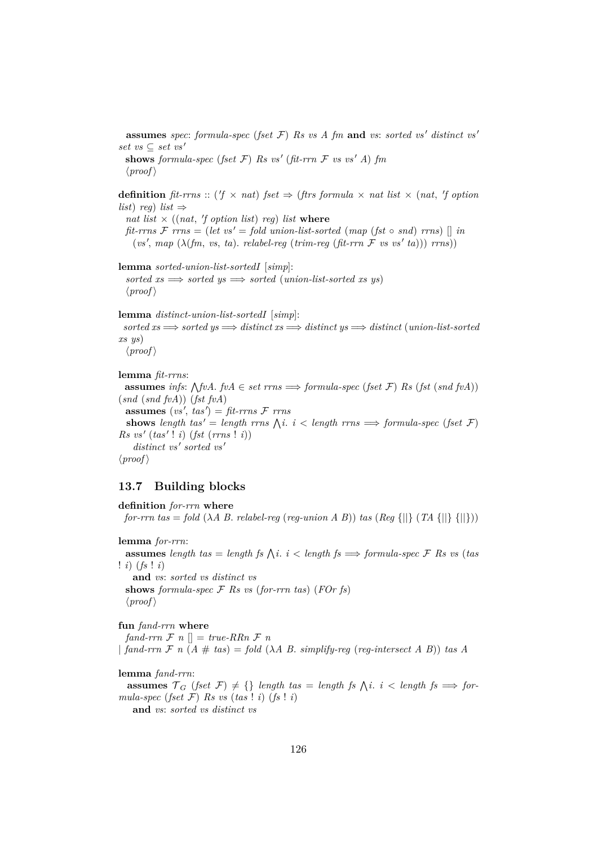**assumes** *spec*: *formula-spec* (*fset*  $F$ ) *Rs vs A fm* **and** *vs*: *sorted vs' distinct vs'*  $set\ vs\subseteq\ set\ vs'$ **shows** *formula-spec* (*fset*  $\mathcal{F}$ ) *Rs vs'* (*fit-rrn*  $\mathcal{F}$  *vs vs' A*) *fm* 

 $\langle proof \rangle$ 

**definition** fit-rrns :: (' $f \times nat$ ) fset  $\Rightarrow$  (ftrs formula  $\times nat$  list  $\times$  (nat, 'f option *list*) *reg*) *list*  $\Rightarrow$ 

nat list  $\times$  ((nat, 'f option list) reg) list where

 $fit\text{-}rms\ \mathcal{F}\ \text{rr}ns = (let\ vs' = fold\ union-list-sorted\ (map\ (fst\ \circ\ snd)\ \text{rr}ns) \ \textcolor{red}{\parallel}\ in$  $(vs', map \(\lambda(fm, vs, ta)\)$ . *relabel-reg* (*trim-reg* (*fit-rrn*  $\mathcal F$  *vs*  $vs'$  *ta*))) *rrns*))

**lemma** *sorted-union-list-sortedI* [*simp*]:

 $sorted\ xs \Longrightarrow sorted\ ys \Longrightarrow sorted\ (union-list-sorted\ xs\ ys)$  $\langle proof \rangle$ 

**lemma** *distinct-union-list-sortedI* [*simp*]:

*sorted xs* =⇒ *sorted ys* =⇒ *distinct xs* =⇒ *distinct ys* =⇒ *distinct* (*union-list-sorted xs ys*)

```
\langle proof \rangle
```
**lemma** *fit-rrns*: **assumes** *infs*:  $\Diamond$ *fvA*. *fvA* ∈ *set rrns*  $\Rightarrow$  *formula-spec* (*fset*  $\mathcal{F}$ ) *Rs* (*fst* (*snd fvA*)) (*snd* (*snd fvA*)) (*fst fvA*) **assumes**  $(vs', tas') = fit\text{-}rms\ \mathcal{F} \ rms$ **shows** length tas' = *length rrns*  $\bigwedge$ *i. i* < *length rrns*  $\Longrightarrow$  *formula-spec* (*fset* F)  $Rs\ vs'\ (tas'\, !\ i)\ (fst\ (rms\ l\ i))$ distinct vs' sorted vs'  $\langle proof \rangle$ 

### **13.7 Building blocks**

**definition** *for-rrn* **where** *for-rrn* tas = *fold* ( $\lambda A$  B. *relabel-reg* (*reg-union* A B)) *tas* ( $\text{Reg } \{||} \{TA \{||} \{||}\}\$ **lemma** *for-rrn*: **assumes** length tas = length fs  $\bigwedge i$ .  $i <$  length fs  $\implies$  formula-spec F Rs vs (tas ! *i*) (*fs* ! *i*) **and** *vs*: *sorted vs distinct vs* **shows** *formula-spec* F *Rs vs* (*for-rrn tas*) (*FOr fs*)  $\langle proof \rangle$ 

**fun** *fand-rrn* **where** *fand-rrn*  $\mathcal{F}$  *n*  $\vert\vert = \text{true-RRn } \mathcal{F}$  *n* |  $\int$  *fand-rrn*  $\mathcal{F}$  *n* ( $A \neq \text{tas}$ ) = *fold* ( $\lambda A$  B. *simplify-reg* (*reg-intersect* A B)) *tas* A

**lemma** *fand-rrn*: **assumes**  $\mathcal{T}_G$  (*fset*  $\mathcal{F}$ )  $\neq$  {} *length tas* = *length fs*  $\bigwedge$ *i*. *i* < *length fs*  $\implies$  *formula-spec* (*fset*  $\mathcal{F}$ ) *Rs vs* (*tas* ! *i*) (*fs* ! *i*) **and** *vs*: *sorted vs distinct vs*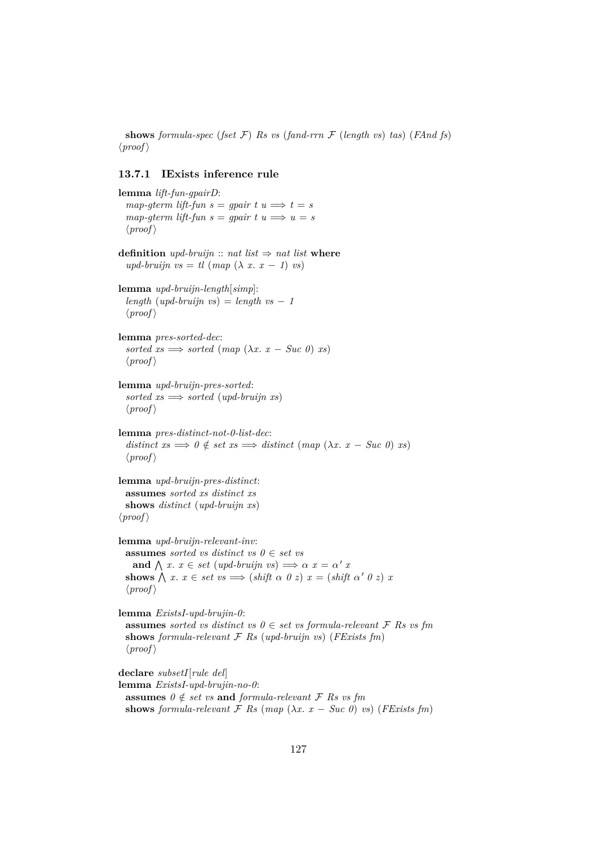**shows** *formula-spec* (*fset*  $\mathcal{F}$ ) *Rs vs* (*fand-rrn*  $\mathcal{F}$  (*length vs*) *tas*) (*FAnd fs*)  $\langle proof \rangle$ 

### **13.7.1 IExists inference rule**

```
lemma lift-fun-gpairD:
  map\text{-}gterm\text{ lift}\text{-}fun\text{ }s = qpair\text{ }t\text{ }u \Longrightarrow t = smap\text{-}gterm\text{ lift}\text{-}fun\text{ }s = \text{ }gpair\text{ }t\text{ }u \Longrightarrow u = s\langle proof \rangledefinition \textit{upd-bruijn} :: \textit{nat list} \Rightarrow \textit{nat list} where
  upd\text{-}bruijn\ vs = tl\ (map\ (\lambda\ x.\ x - 1)\ vs)lemma upd-bruijn-length[simp]:
  length (upd-bruijn vs) = length vs - 1\langle proof \ranglelemma pres-sorted-dec:
  sorted xs \implies sorted \ (map \ (\lambda x. \ x - Suc \ 0) \ xs)\langle proof \ranglelemma upd-bruijn-pres-sorted:
  sorted xs \implies sorted (upd-bruijn xs)\langle proof \ranglelemma pres-distinct-not-0-list-dec:
  distant \textit{distinct} \textit{xs} \implies 0 \notin set \textit{xs} \implies distinct \textit{(map (\lambda x. x - Suc 0 x s))})\langle proof \ranglelemma upd-bruijn-pres-distinct:
  assumes sorted xs distinct xs
  shows distinct (upd-bruijn xs)
\langle proof \ranglelemma upd-bruijn-relevant-inv:
  assumes sorted vs distinct vs 0 \in set vs
     and \bigwedge x. x \in set \ (upd\text{-}bruijn \ vs) \implies \alpha \ x = \alpha' \ xshows \bigwedge x \cdot x \in set \text{ } vs \implies (\text{shift } \alpha \ \theta \ z) \ x = (\text{shift } \alpha' \ \theta \ z) \ x\langle proof \ranglelemma ExistsI-upd-brujin-0:
  assumes sorted vs distinct vs 0 \in set vs formula-relevant \mathcal{F} Rs vs fm
  shows formula-relevant F Rs (upd-bruijn vs) (FExists fm)
  \langle proof \rangledeclare subsetI[rule del]
lemma ExistsI-upd-brujin-no-0:
  assumes 0 \notin set vs and formula-relevant \mathcal F Rs vs fm
  shows formula-relevant \mathcal F Rs (map (\lambda x. x - Suc 0) vs) (FExists fm)
```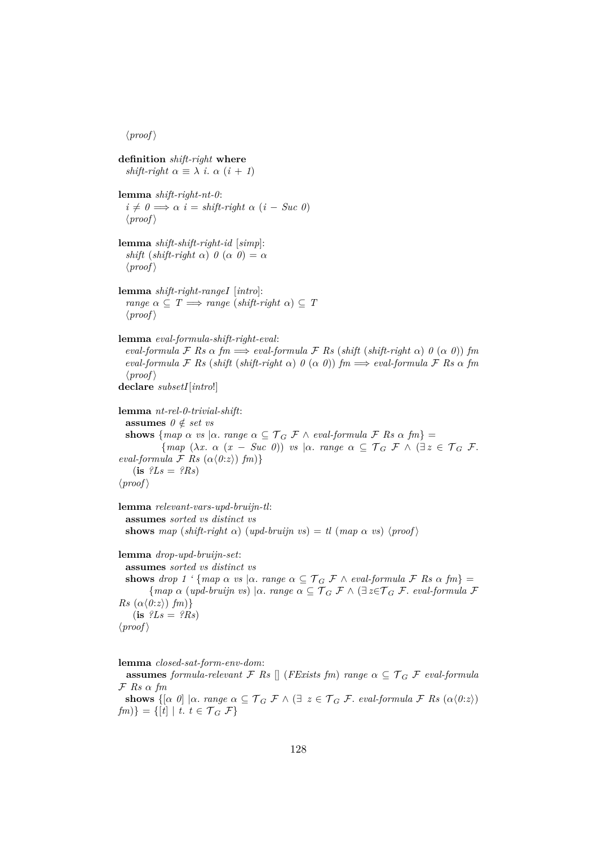$\langle proof \rangle$ 

**definition** *shift-right* **where** *shift-right*  $\alpha \equiv \lambda$  *i*.  $\alpha$  (*i* + *1*) **lemma** *shift-right-nt-0*:  $i \neq 0 \Longrightarrow \alpha$  *i* = *shift-right*  $\alpha$  (*i* − *Suc 0*)  $\langle proof \rangle$ **lemma** *shift-shift-right-id* [*simp*]: *shift* (*shift-right*  $\alpha$ )  $\theta$  ( $\alpha$   $\theta$ ) =  $\alpha$  $\langle proof \rangle$ **lemma** *shift-right-rangeI* [*intro*]: *range*  $\alpha \subseteq T \implies \text{range}(\text{shift-right } \alpha) \subseteq T$  $\langle proof \rangle$ **lemma** *eval-formula-shift-right-eval*:  $eval-formula \nsubseteq Rs \nsubseteq fm \implies eval-formula \nsubseteq Rs \nsubseteq shift \nsubseteq shift \nsubseteq a \ncup \nsubseteq a \ncup \nsubseteq a \ncup \nsubseteq a \ncup \nsubseteq a \ncup \nsubseteq a \ncup \nsubseteq a \ncup \nsubseteq a \ncup \nsubseteq a \ncup \nsubseteq a \ncup \nsubseteq a \ncup \nsubseteq a \ncup \nsubseteq a \ncup \nsubseteq a \ncup \nsubseteq a \ncup \nsubseteq a \ncup \nsubseteq a \ncup \nsubseteq a \ncup \nsubseteq a \ncup \nsubseteq a \ncup \nsubseteq a \ncup \nsubseteq a \ncup \nsubseteq a \ncup \nsubseteq a \ncup \nsubseteq a \ncup \nsubseteq a \ncup \nsubseteq a \ncup$  $eval-formula \nsubseteq Rs$  (*shift* (*shift-right*  $\alpha$ )  $0 \ (\alpha \ 0)$ )  $fm \implies eval-formula \nsubseteq Rs$   $\alpha$   $fm$  $\langle proof \rangle$ **declare** *subsetI*[*intro*!] **lemma** *nt-rel-0-trivial-shift*: **assumes**  $0 \notin set$  *vs* **shows** {*map*  $\alpha$  *vs*  $|\alpha$ *. range*  $\alpha \subseteq \mathcal{T}_G$   $\mathcal{F} \wedge \text{eval-formula } \mathcal{F}$  *Rs*  $\alpha$  *fm*} =  ${ \{map (\lambda x. \alpha (x - Suc \theta)) \text{ } vs \mid \alpha \text{ } range \alpha \subseteq \mathcal{T}_{G} \text{ } \mathcal{F} \wedge (\exists z \in \mathcal{T}_{G} \text{ } \mathcal{F} \}.$ *eval-formula*  $\mathcal{F}$  *Rs* ( $\alpha$  $\langle 0:z \rangle$ )  $\{m\}$ }  $(i\mathbf{s}$   $?Ls = ?Rs$  $\langle proof \rangle$ **lemma** *relevant-vars-upd-bruijn-tl*: **assumes** *sorted vs distinct vs* **shows** *map* (*shift-right*  $\alpha$ ) (*upd-bruijn vs*) = *tl* (*map*  $\alpha$  *vs*) (*proof*) **lemma** *drop-upd-bruijn-set*: **assumes** *sorted vs distinct vs* **shows** *drop* 1 ' {*map*  $\alpha$  *vs*  $\alpha$ . *range*  $\alpha \subseteq \mathcal{T}_G$   $\mathcal{F} \wedge$  *eval-formula*  $\mathcal{F}$  *Rs*  $\alpha$  *fm*}  ${map \alpha \ (upd-bruijn \ vs)} \alpha$ . *range*  $\alpha \subseteq \mathcal{T}_G \ \mathcal{F} \wedge (\exists z \in \mathcal{T}_G \ \mathcal{F}.$  *eval-formula*  $\mathcal{F}$  $Rs \left( \alpha \langle 0: z \rangle \right) fm)$ }  $(i\mathbf{s}$   $?Ls = ?Rs$  $\langle proof \rangle$ **lemma** *closed-sat-form-env-dom*:

**assumes** *formula-relevant*  $\mathcal{F}$  *Rs*  $\vert \vert$  (*FExists fm*) *range*  $\alpha \subseteq \mathcal{T}_G$   $\mathcal{F}$  *eval-formula* F *Rs* α *fm*

**shows**  $\{[\alpha \ 0] \mid \alpha \dots \text{range } \alpha \subseteq \mathcal{T}_G \ \mathcal{F} \land (\exists \ z \in \mathcal{T}_G \ \mathcal{F} \dots \text{eval-formula } \mathcal{F} \ \text{Rs } (\alpha \langle 0:z) \})$ *fm*)} = { $[t] | t, t \in \mathcal{T}_G \mathcal{F}$ }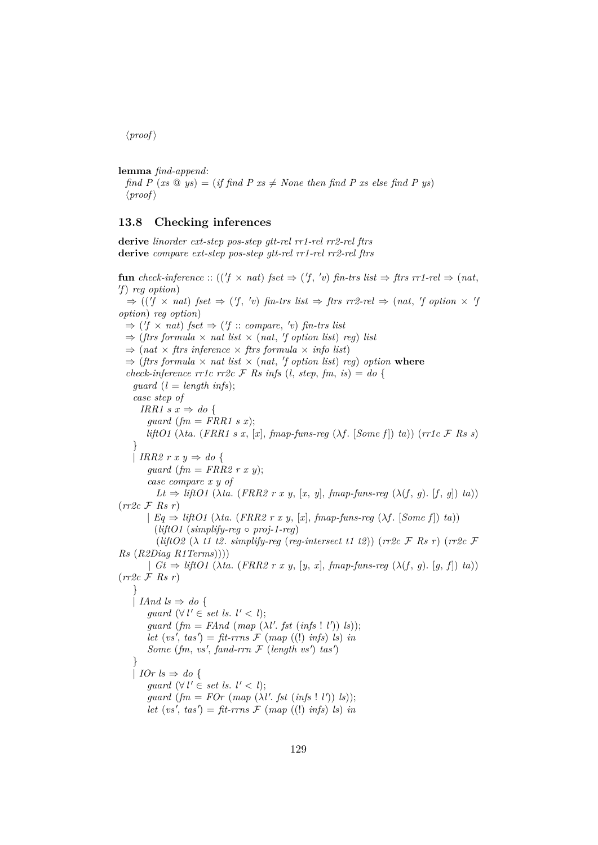$\langle proof \rangle$ 

**lemma** *find-append*:

*find P* (*xs*  $\circledcirc$  *ys*) = (*if find P xs*  $\neq$  *None then find P xs else find P ys*)  $\langle proof \rangle$ 

### **13.8 Checking inferences**

**derive** *linorder ext-step pos-step gtt-rel rr1-rel rr2-rel ftrs* **derive** *compare ext-step pos-step gtt-rel rr1-rel rr2-rel ftrs*

 ${\bf fun} \; check\text{-}inference:: ((\text{if } \times \text{nat}) \; \text{fset} \Rightarrow (\text{f}, \text{'v}) \; \text{fin\text{-}trs} \; \text{list} \Rightarrow \text{ftrs} \; \text{rr1-rel} \Rightarrow (\text{nat}, \text{fiv})$ 0 *f*) *reg option*)  $\Rightarrow (('f \times nat) \text{ fset } \Rightarrow (f', 'v) \text{ fin-trs list } \Rightarrow \text{ ftrs rr2-rel } \Rightarrow (nat, 'f \text{ option } \times 'f$ *option*) *reg option*)  $\Rightarrow$  ('f  $\times$  *nat*) fset  $\Rightarrow$  ('f :: *compare*, 'v) fin-trs list  $\Rightarrow$  (*ftrs formula*  $\times$  *nat list*  $\times$  (*nat, 'f option list*) *reg*) *list*  $\Rightarrow$  (*nat*  $\times$  *ftrs inference*  $\times$  *ftrs formula*  $\times$  *info list*)  $\Rightarrow$  (*ftrs formula*  $\times$  *nat list*  $\times$  (*nat, 'f option list*) *reg*) *option* where *check-inference rr1c rr2c*  $\mathcal{F}$  *Rs infs* (*l, step, fm, is*) = *do* {  $guard (l = length infs);$ *case step of IRR1*  $s x \Rightarrow do$  { *guard*  $(fm = FRR1 s x);$ *liftO1* ( $\lambda ta$ . (*FRR1 s x*, [*x*], *fmap-funs-reg* ( $\lambda f$ . [*Some f*]) *ta*)) (*rr1c* F *Rs s*) }  $\vert$  *IRR2 r x y*  $\Rightarrow$  *do { guard* (*fm* = *FRR2 r x y*); *case compare x y of*  $Lt \Rightarrow \text{liftO1} (\lambda \text{ta.} (FRR2 \text{ r x y}, [x, y], \text{fmap-funs-reg } (\lambda \text{f}, q), [f, q]) \text{ta}))$ (*rr2c* F *Rs r*)  $| Eq \Rightarrow \text{liftO1} (\lambda \text{ta.} (FRR2 \text{ r} x y, [x], \text{fmap-funs-reg } (\lambda \text{f.} [Some f]) \text{ ta}))$ (*liftO1* (*simplify-reg* ◦ *proj-1-reg*) (*liftO2* (λ *t1 t2*. *simplify-reg* (*reg-intersect t1 t2*)) (*rr2c* F *Rs r*) (*rr2c* F *Rs* (*R2Diag R1Terms*)))) |  $Gt \Rightarrow \text{liftO1} (\lambda \text{ta.} (\text{FRR2} r x y, [y, x], \text{fmap-funs-reg } (\lambda \text{f}, q), [q, f]) \text{ta}))$ (*rr2c* F *Rs r*) } | *IAnd ls*  $\Rightarrow$  *do* { *guard*  $(\forall l' \in set \text{ls. } l' < l);$ *guard*  $(fm = FAnd (map (\lambda l'. \; \text{fst} \; (\text{infs} \; ! \; l')) \; \text{ls}));$  $let (vs', tas') = fit-rms \mathcal{F} (map ((!) infs) ls) in$ *Some* (*fm, vs', fand-rrn*  $F$  (*length vs'*) *tas'*) } | *IOr ls*  $\Rightarrow$  *do* { *guard*  $(\forall l' \in set \text{ls. } l' < l);$ *guard*  $(fm = FOr \ (map \ (\lambda l'.\ fst \ (infs \perp l')) \ ls));$  $let (vs', tas') = fit-rms \mathcal{F} (map ((!) infs) ls) in$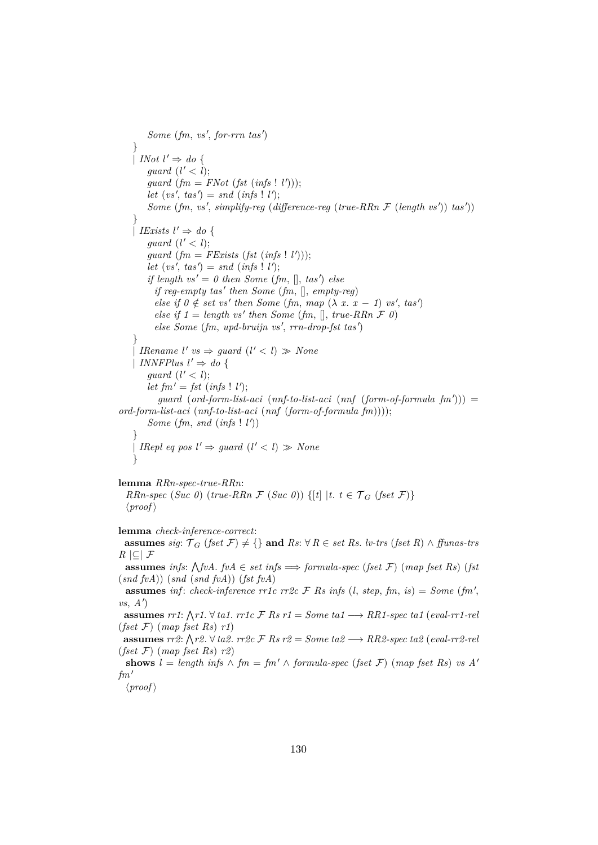$Some (fm, vs', for-rrn, tas')$ }  $\mid$  *INot*  $l' \Rightarrow$  *do* { *guard*  $(l' < l);$ guard  $(fm = FNot (fst (infs ! l')));$  $let (vs', tas') = snd (ints ! l');$ *Some* (*fm*, *vs'*, *simplify-reg* (*difference-reg* (*true-RRn*  $\mathcal{F}$  (*length vs'*)) *tas'*)) } | *IExists*  $l' \Rightarrow do$  { *guard*  $(l' < l);$ *guard*  $(fm = FExists (fst (infs ! l')));$  $let (vs', tas') = snd (infs' ! l');$ *if length vs'* = 0 *then Some* (*fm*,  $[$ ], *tas'*) *else if reg-empty tas' then Some* (*fm*, [], *empty-reg*) *else if*  $0 \notin set \text{ vs'}$  *then Some* (*fm*, *map* ( $\lambda$  *x*. *x* − *1*) *vs'*, *tas'*) *else if*  $1 = length vs' then Some (fm, [], true-RRn F 0)$ *else Some* (*fm*, *upd-bruijn vs'*, *rrn-drop-fst tas'*) } | *IRename*  $l'$  *vs*  $\Rightarrow$  *guard*  $(l' < l) \gg None$ | *INNFPlus*  $l' \Rightarrow do$  { *guard*  $(l' < l);$ *let*  $fm' = fst$  (*infs* ! *l'*);  $guard (ord-form-list-aci (nnf-to-list-aci (nnf (form-of-formula fm))) =$ *ord-form-list-aci* (*nnf-to-list-aci* (*nnf* (*form-of-formula fm*)))); *Some*  $(fm, \text{ and } (\text{infs} \mid l'))$ } | *IRepl eq pos l'*  $\Rightarrow$  *guard* (*l'* < *l*)  $\gg$  *None* }

**lemma** *RRn-spec-true-RRn*: *RRn-spec* (*Suc 0*) (*true-RRn*  $\mathcal{F}$  (*Suc 0*)) {[*t*] |*t*.  $t \in \mathcal{T}_G$  (*fset*  $\mathcal{F}$ )}  $\langle proof \rangle$ 

**lemma** *check-inference-correct*:

**assumes** *sig*:  $T_G$  (*fset*  $\mathcal{F}$ )  $\neq$  {} **and**  $Rs$ : ∀  $R \in set R$ *s. lv-trs* (*fset*  $R$ ) ∧ *ffunas-trs R* |⊆| F

**assumes** *infs*:  $\bigwedge$  *fvA*. *fvA*  $\in$  *set infs*  $\implies$  *formula-spec* (*fset* F) (*map fset* Rs) (*fst* (*snd fvA*)) (*snd* (*snd fvA*)) (*fst fvA*)

**assumes** inf: *check-inference rr1c rr2c*  $\mathcal{F}$  *Rs infs* (*l, step, fm, is*) = *Some* (*fm'*,  $vs, A'$ 

**assumes**  $rr1$ :  $\bigwedge r1$ . ∀ *ta1*.  $rr1c$  *F Rs*  $r1 = Some$  *ta1*  $\longrightarrow RR1$ -spec *ta1*  $(eval-rr1-rei)$ (*fset* F) (*map fset Rs*) *r1*)

**assumes**  $rr2$ :  $\bigwedge r2$ . ∀  $ta2$ .  $rr2c$   $\mathcal{F}$   $Rs$   $r2 = Some$   $ta2 \longrightarrow RR2\text{-}spec$   $ta2$  ( $eval\text{-}rr2\text{-}rel$ (*fset* F) (*map fset Rs*) *r2*)

**shows**  $l = length \inf s \wedge fm = fm' \wedge formula\text{-}spec (fset \mathcal{F}) (map \text{ }fset \text{ }Rs) \text{ } vs \text{ } A'$  $fm'$ 

 $\langle proof \rangle$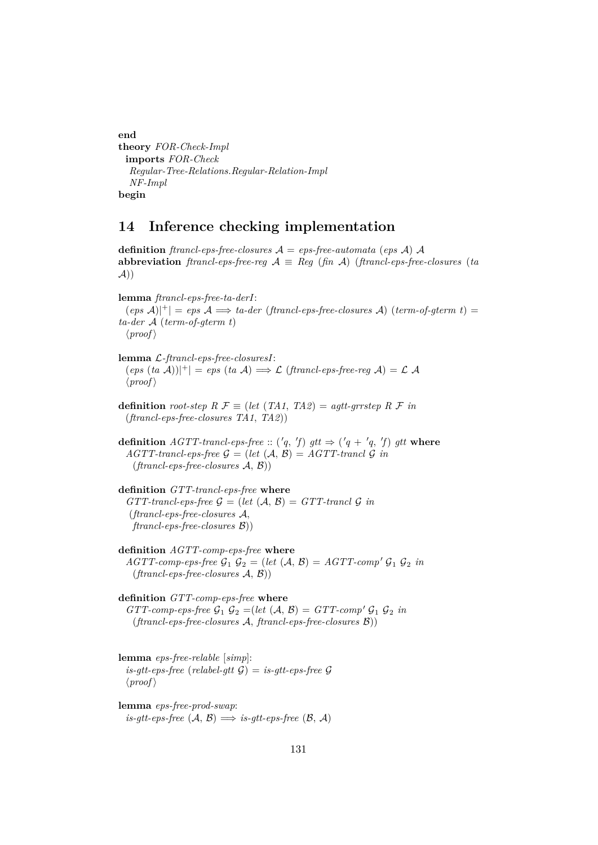**end theory** *FOR-Check-Impl* **imports** *FOR-Check Regular-Tree-Relations*.*Regular-Relation-Impl NF-Impl* **begin**

# **14 Inference checking implementation**

**definition** *ftrancl-eps-free-closures*  $A = eps$ -*free-automata* (*eps* A) A **abbreviation** *ftrancl-eps-free-reg*  $A \equiv Reg (fin A) (francl-eps-free-closure (ta))$  $A))$ 

**lemma** *ftrancl-eps-free-ta-derI*:  $(\textit{eps A})|^{+}| = \textit{eps A} \Longrightarrow \textit{ta-der (francl-eps-free-closure A) (term-of-germ t)} =$ *ta-der* A (*term-of-gterm t*)  $\langle proof \rangle$ 

**lemma** L*-ftrancl-eps-free-closuresI*:  $(\text{eps } (ta \mathcal{A}))|^{+}| = \text{eps } (ta \mathcal{A}) \Longrightarrow \mathcal{L} (\text{francl-eps-free-reg } \mathcal{A}) = \mathcal{L} \mathcal{A}$  $\langle proof \rangle$ 

**definition** *root-step*  $R \mathcal{F} \equiv (let (TA1, TA2) = agtt-grrstep R \mathcal{F} in$ (*ftrancl-eps-free-closures TA1*, *TA2*))

**definition**  $AGTT$ -trancl-eps-free ::  $({}^{\prime}q, {}^{\prime}f)$  gtt  $\Rightarrow$   $({}^{\prime}q + {}^{\prime}q, {}^{\prime}f)$  gtt where  $AGTT$ -trancl-eps-free  $\mathcal{G} = (let (\mathcal{A}, \mathcal{B}) = AGTT$ -trancl  $\mathcal{G}$  *in* (*ftrancl-eps-free-closures* A, B))

**definition** *GTT-trancl-eps-free* **where**  $GTT\text{-}trancl\text{-}eps\text{-}free \mathcal{G} = (let (\mathcal{A}, \mathcal{B}) = GTT\text{-}trancl \mathcal{G} in$ (*ftrancl-eps-free-closures* A, *ftrancl-eps-free-closures* B))

**definition** *AGTT-comp-eps-free* **where**  $AGTT$ -comp-eps-free  $G_1$   $G_2$  = (*let*  $(A, B) = AGTT$ -comp'  $G_1$   $G_2$  *in* (*ftrancl-eps-free-closures* A, B))

**definition** *GTT-comp-eps-free* **where**  $GTT$ -comp-eps-free  $\mathcal{G}_1$   $\mathcal{G}_2$  =(*let*  $(\mathcal{A}, \mathcal{B}) = GTT$ -comp'  $\mathcal{G}_1$   $\mathcal{G}_2$  *in* (*ftrancl-eps-free-closures* A, *ftrancl-eps-free-closures* B))

**lemma** *eps-free-relable* [*simp*]: *is-gtt-eps-free* (*relabel-gtt*  $\mathcal{G}$ ) = *is-gtt-eps-free*  $\mathcal{G}$  $\langle proof \rangle$ 

**lemma** *eps-free-prod-swap*: *is-gtt-eps-free*  $(A, B) \implies$  *is-gtt-eps-free*  $(B, A)$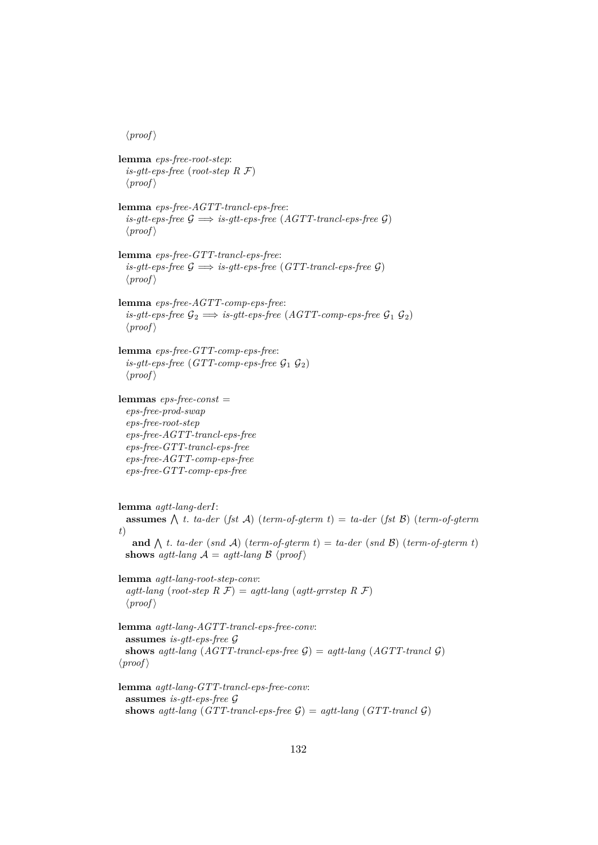$\langle proof \rangle$ 

**lemma** *eps-free-root-step*: *is-gtt-eps-free* (*root-step R* F)  $\langle proof \rangle$ **lemma** *eps-free-AGTT-trancl-eps-free*:  $is\text{-}qt\text{-}eps\text{-}free \mathcal{G} \implies is\text{-}qt\text{-}eps\text{-}free (AGTT\text{-}trancl\text{-}eps\text{-}free \mathcal{G})$  $\langle proof \rangle$ **lemma** *eps-free-GTT-trancl-eps-free*: *is-gtt-eps-free*  $\mathcal{G} \implies$  *is-gtt-eps-free* (*GTT-trancl-eps-free*  $\mathcal{G}$ )  $\langle proof \rangle$ **lemma** *eps-free-AGTT-comp-eps-free*: *is-gtt-eps-free*  $\mathcal{G}_2 \implies$  *is-gtt-eps-free* (*AGTT-comp-eps-free*  $\mathcal{G}_1$   $\mathcal{G}_2$ )  $\langle proof \rangle$ **lemma** *eps-free-GTT-comp-eps-free*: *is-gtt-eps-free*  $(TTT\text{-}comp\text{-}eps\text{-}free \mathcal{G}_1 \mathcal{G}_2)$  $\langle proof \rangle$ **lemmas** *eps-free-const* = *eps-free-prod-swap eps-free-root-step eps-free-AGTT-trancl-eps-free eps-free-GTT-trancl-eps-free eps-free-AGTT-comp-eps-free eps-free-GTT-comp-eps-free* **lemma** *agtt-lang-derI*: **assumes**  $\bigwedge$  *t. ta-der* (*fst*  $\mathcal{A}$ ) (*term-of-gterm t*) = *ta-der* (*fst*  $\mathcal{B}$ ) (*term-of-gterm t*) **and**  $\Lambda$  *t. ta-der* (*snd*  $\mathcal{A}$ ) (*term-of-gterm t*) = *ta-der* (*snd*  $\mathcal{B}$ ) (*term-of-gterm t*) **shows** *agtt-lang*  $A = aqt$ -*lang*  $B \langle proof \rangle$ **lemma** *agtt-lang-root-step-conv*:  $agtt$ -lang (root-step  $R \mathcal{F}$ ) =  $agtt$ -lang ( $agtt$ -grrstep  $R \mathcal{F}$ )  $\langle proof \rangle$ **lemma** *agtt-lang-AGTT-trancl-eps-free-conv*: **assumes** *is-gtt-eps-free* G **shows** *agtt-lang*  $(AGTT\text{-}tranc\text{-}eps\text{-}free \mathcal{G}) = aqt\text{-}lang (AGTT\text{-}trancl \mathcal{G})$  $\langle proof \rangle$ **lemma** *agtt-lang-GTT-trancl-eps-free-conv*: **assumes** *is-gtt-eps-free* G **shows** *agtt-lang* (*GTT-trancl-eps-free*  $\mathcal{G}$ ) = *agtt-lang* (*GTT-trancl*  $\mathcal{G}$ )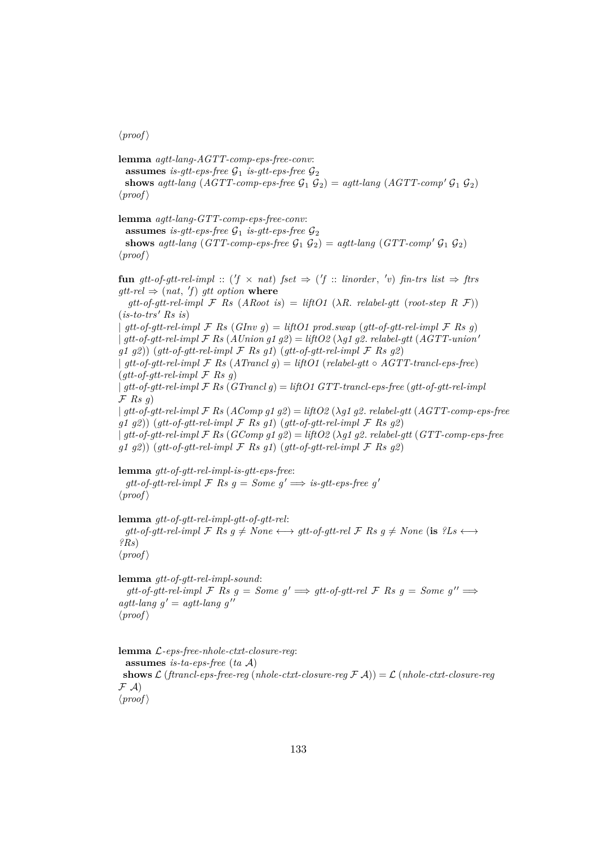#### $\langle proof \rangle$

**lemma** *agtt-lang-AGTT-comp-eps-free-conv*: **assumes** *is-gtt-eps-free*  $\mathcal{G}_1$  *is-gtt-eps-free*  $\mathcal{G}_2$ **shows** *agtt-lang* (*AGTT-comp-eps-free*  $\mathcal{G}_1$   $\mathcal{G}_2$ ) = *agtt-lang* (*AGTT-comp*<sup>'</sup>  $\mathcal{G}_1$   $\mathcal{G}_2$ )  $\langle proof \rangle$ **lemma** *agtt-lang-GTT-comp-eps-free-conv*: **assumes** *is-gtt-eps-free*  $\mathcal{G}_1$  *is-gtt-eps-free*  $\mathcal{G}_2$ **shows** *agtt-lang* (*GTT-comp-eps-free*  $\mathcal{G}_1$   $\mathcal{G}_2$ ) = *agtt-lang* (*GTT-comp*<sup>'</sup>  $\mathcal{G}_1$   $\mathcal{G}_2$ )  $\langle proof \rangle$  ${\bf fun}$   $gtt-of-gtt-rel-impl$  :: ( $f \times nat$ )  $fset \Rightarrow$  ( $f$ ): *linorder*,  $'v$ )  $fin-trs$  *list*  $\Rightarrow$   $ftrs$  $gtt$ *-rel*  $\Rightarrow$   $(nat, 'f)$  *gtt option* where  $gt-t-f-gt-t$ -*rel-impl*  $\mathcal F$  *Rs* (*ARoot is*) = *liftO1* ( $\lambda$ *R. relabel-gtt* (*root-step R F*))  $(is-to-trs' Rs is)$  $\int$  *gtt-of-gtt-rel-impl*  $\mathcal{F}$  *Rs* (*GInv g*) = *liftO1 prod.swap* (*gtt-of-gtt-rel-impl*  $\mathcal{F}$  *Rs g*)  $\int$  *gtt-of-gtt-rel-impl*  $\mathcal{F}$  *Rs* (*AUnion g1 g2*) = *liftO2* ( $\lambda$ *g1 g2*. *relabel-gtt* (*AGTT-union' g1 g2*)) (*gtt-of-gtt-rel-impl* F *Rs g1*) (*gtt-of-gtt-rel-impl* F *Rs g2*) | *gtt-of-gtt-rel-impl* F *Rs* (*ATrancl g*) = *liftO1* (*relabel-gtt* ◦ *AGTT-trancl-eps-free*) (*gtt-of-gtt-rel-impl* F *Rs g*) | *gtt-of-gtt-rel-impl* F *Rs* (*GTrancl g*) = *liftO1 GTT-trancl-eps-free* (*gtt-of-gtt-rel-impl* F *Rs g*) | *gtt-of-gtt-rel-impl* F *Rs* (*AComp g1 g2*) = *liftO2* (λ*g1 g2*. *relabel-gtt* (*AGTT-comp-eps-free g1 g2*)) (*gtt-of-gtt-rel-impl* F *Rs g1*) (*gtt-of-gtt-rel-impl* F *Rs g2*) | *gtt-of-gtt-rel-impl* F *Rs* (*GComp g1 g2*) = *liftO2* (λ*g1 g2*. *relabel-gtt* (*GTT-comp-eps-free g1 g2*)) (*gtt-of-gtt-rel-impl* F *Rs g1*) (*gtt-of-gtt-rel-impl* F *Rs g2*)

**lemma** *gtt-of-gtt-rel-impl-is-gtt-eps-free*: *gtt-of-gtt-rel-impl*  $\mathcal{F}$  *Rs g = Some g'*  $\implies$  *is-gtt-eps-free g'*  $\langle proof \rangle$ 

**lemma** *gtt-of-gtt-rel-impl-gtt-of-gtt-rel*:  $gt$ -*gtt-of-gtt-rel-impl*  $\mathcal{F}$  *Rs*  $g \neq None \longleftrightarrow gtt$ -*of-gtt-rel*  $\mathcal{F}$  *Rs*  $g \neq None$  (is  $?Ls \longleftrightarrow$ *?Rs*)  $\langle proof \rangle$ 

**lemma** *gtt-of-gtt-rel-impl-sound*:  $gt-$ *gtt-of-gtt-rel-impl*  $\mathcal F$  *Rs*  $g = Some$   $g' \implies gtt-$ *of-gtt-rel*  $\mathcal F$  *Rs*  $g = Some$   $g'' \implies$  $agtt$ -lang  $g' = agtt$ -lang  $g''$  $\langle proof \rangle$ 

**lemma** L*-eps-free-nhole-ctxt-closure-reg*: **assumes** *is-ta-eps-free* (*ta* A) **shows**  $\mathcal{L}$  (*ftrancl-eps-free-reg* (*nhole-ctxt-closure-reg*  $\mathcal{F}(\mathcal{A})$ ) =  $\mathcal{L}$  (*nhole-ctxt-closure-reg*  $F(A)$  $\langle proof \rangle$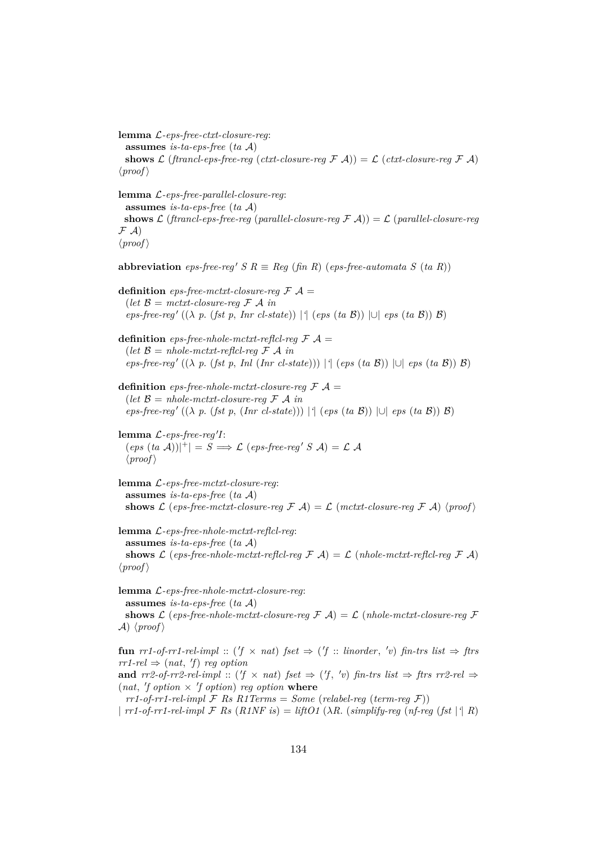**lemma** L*-eps-free-ctxt-closure-reg*: **assumes** *is-ta-eps-free* (*ta* A) **shows**  $\mathcal{L}$  (*ftrancl-eps-free-reg* (*ctxt-closure-reg*  $\mathcal{F}(\mathcal{A})) = \mathcal{L}(\mathit{ctxt-closure}\text{-reg}\mathcal{F}(\mathcal{A}))$  $\langle proof \rangle$ **lemma** L*-eps-free-parallel-closure-reg*: **assumes** *is-ta-eps-free* (*ta* A) **shows**  $\mathcal{L}$  (*ftrancl-eps-free-reg* (*parallel-closure-reg*  $\mathcal{F}(\mathcal{A})) = \mathcal{L}(\text{parallel-closure-req})$  $F(A)$  $\langle proof \rangle$ **abbreviation**  $eps-free-reg' S R \equiv Reg (fin R) (eps-free-automata S (ta R))$ **definition** *eps-free-mctxt-closure-reg*  $\mathcal{F}$   $\mathcal{A}$  =  $(\text{let } \mathcal{B} = \text{m} \text{c} \text{t} \text{t} \text{t} - \text{closure} \text{t} \text{e} \text{t} \mathcal{F} \text{A} \text{in}$  $eps-free-reg' ((\lambda p. (fst p, Inc1-state)) | { (eps (ta \mathcal{B})) | \cup {eps (ta \mathcal{B})} \mathcal{B})}$ **definition** *eps-free-nhole-mctxt-reflcl-reg*  $\mathcal{F}$   $\mathcal{A}$  = (*let*  $\mathcal{B} = nhole-mctxt-reflcl-reg \mathcal{F} \mathcal{A}$  *in*  $eps-free-reg' ((\lambda p. (fst p. Inl (Inr cl-state))) |$ <sup>{</sup> (*eps* (*ta* B)) |∪| *eps* (*ta* B)) B) **definition** *eps-free-nhole-mctxt-closure-reg*  $\mathcal{F}$   $\mathcal{A}$  = (*let*  $\mathcal{B} = nhole-mctxt-closure-reg \mathcal{F} \mathcal{A}$  *in eps-free-reg* <sup>0</sup> ((λ *p*. (*fst p*, (*Inr cl-state*))) |*'*| (*eps* (*ta* B)) |∪| *eps* (*ta* B)) B)  $l$ emma  $L$ -eps-free-reg'I:  $(\textit{eps}(ta \mathcal{A}))|^{+}| = S \Longrightarrow \mathcal{L}(\textit{eps-free-reg}' S \mathcal{A}) = \mathcal{L} \mathcal{A}$  $\langle proof \rangle$ **lemma** L*-eps-free-mctxt-closure-reg*: **assumes** *is-ta-eps-free* (*ta* A) shows  $\mathcal L$  (*eps-free-mctxt-closure-reg*  $\mathcal F$   $\mathcal A$ ) =  $\mathcal L$  (*mctxt-closure-reg*  $\mathcal F$   $\mathcal A$ ) (*proof*) **lemma** L*-eps-free-nhole-mctxt-reflcl-reg*: **assumes** *is-ta-eps-free* (*ta* A) **shows**  $\mathcal{L}$  (*eps-free-nhole-mctxt-reflcl-reg*  $\mathcal{F}(\mathcal{A}) = \mathcal{L}(\mathit{nhole-mctxt}\text{-reflcl-reg}\mathcal{F}(\mathcal{A}))$  $\langle proof \rangle$ 

**lemma** L*-eps-free-nhole-mctxt-closure-reg*: **assumes** *is-ta-eps-free* (*ta* A) **shows**  $\mathcal{L}$  (*eps-free-nhole-mctxt-closure-reg*  $\mathcal{F}(\mathcal{A}) = \mathcal{L}(\mathcal{A})$  *nhole-mctxt-closure-reg*  $\mathcal{F}(\mathcal{A}) = \mathcal{L}(\mathcal{A})$  $\mathcal{A}$ )  $\langle proof \rangle$ 

**fun**  $rr1$ -of-rr1-rel-impl :: ( $'f \times nat$ )  $fset \Rightarrow ('f :: \text{linorder}, 'v)$   $fin-trs$   $list \Rightarrow ftrs$  $rr1$ -rel  $\Rightarrow$   $(nat, 'f)$  *reg option* **and**  $rr2$ -of-rr2-rel-impl :: ( $f \times nat$ )  $fset \Rightarrow (f', 'v)$   $fin-trs$   $list \Rightarrow ftrs$   $rr2$ -rel  $\Rightarrow$  $(nat, 'f option \times 'f option)$  *reg option* where

 $rr1-of-rr1-rel-impl \mathcal{F}$  *Rs R1Terms* = *Some* (*relabel-req* (*term-req*  $\mathcal{F}$ ))

|  $rr1$ -of- $rr1$ - $rel$ - $impl$   $\mathcal F$   $Rs$   $(R1NF$   $is) = liftO1$   $(\lambda R$ . ( $simplify$ - $reg$  ( $nf$ - $reg$  ( $fst$  |<sup>*'*</sup>|  $R$ )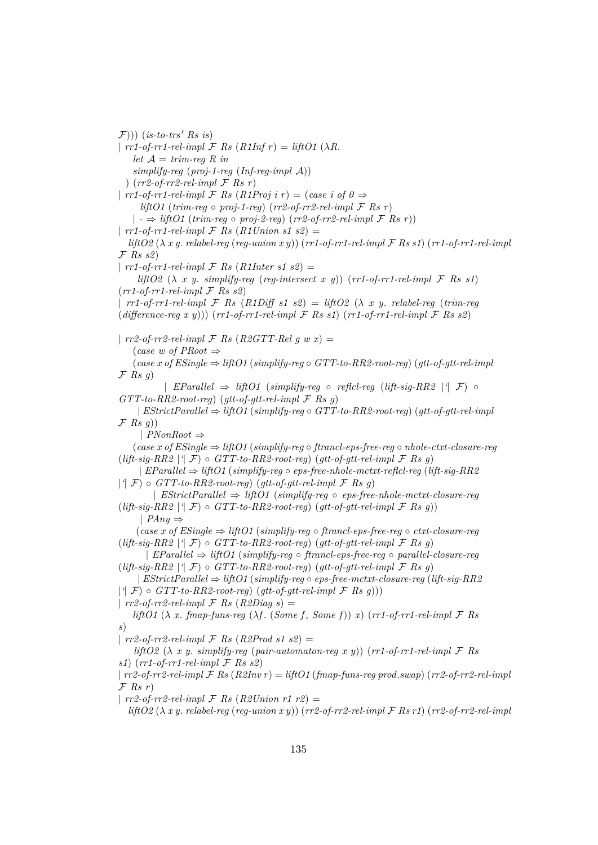$(F))$ ) (*is-to-trs' Rs is*) |  $rr1$ -of- $rr1$ - $rel$ - $impl$   $\mathcal F$   $Rs$   $(R1Inf r) = liftO1$   $(\lambda R)$ . *let*  $A = trim-reg R$  *in simplify-reg* (*proj-1-reg* (*Inf-reg-impl* A)) ) (*rr2-of-rr2-rel-impl* F *Rs r*) |  $rr1$ -of- $rr1$ -rel-impl  $\mathcal F$  *Rs* (*R1Proj i r*) = (*case i of 0*  $\Rightarrow$  $lif *l* f(t)$  (*trim-reg*  $\circ$  *proj-1-reg*) (*rr2-of-rr2-rel-impl*  $\mathcal F$  *Rs r*)  $| \rightarrow \frac{1}{2}$  *liftO1* (*trim-reg*  $\circ$  *proj-2-reg*) (*rr2-of-rr2-rel-impl*  $\mathcal{F}$  *Rs r*)) |  $rr1$ -of- $rr1$ - $rel$ - $impl \tF$  *Rs*  $(R1$ *Union s1 s2*) = *liftO2* (λ *x y*. *relabel-reg* (*reg-union x y*)) (*rr1-of-rr1-rel-impl* F *Rs s1*) (*rr1-of-rr1-rel-impl* F *Rs s2*) |  $rr1$ -of- $rr1$ - $rel$ - $impl$   $\mathcal{F}$  *Rs* (*R1Inter s1 s2*) = *liftO2*  $(\lambda \ x \ y \ \ \text{simplify-reg} \ (reg-intersect \ x \ y)) \ (rr1-of-rr1-rel-impl F \ Rs \ s1)$  $(rr1-of-rr1-rel-impl \mathcal{F}$  *Rs s2*)  $\int r^{1}$ -of-rr1-rel-impl  $\mathcal{F}$  *Rs*  $(R1Diffs1 s2) = lift02 (\lambda x y$ . relabel-reg (trim-reg (*difference-reg x y*))) (*rr1-of-rr1-rel-impl* F *Rs s1*) (*rr1-of-rr1-rel-impl* F *Rs s2*) |  $rr2$ -of- $rr2$ -rel-impl  $\mathcal F$  *Rs* (*R2GTT-Rel q w x*) = (*case w of PRoot* ⇒ (*case x of ESingle* ⇒ *liftO1* (*simplify-reg* ◦ *GTT-to-RR2-root-reg*) (*gtt-of-gtt-rel-impl* F *Rs g*) | *EParallel* ⇒ *liftO1* (*simplify-reg* ◦ *reflcl-reg* (*lift-sig-RR2* |*'*| F) ◦ *GTT-to-RR2-root-reg*) (*gtt-of-gtt-rel-impl* F *Rs g*) | *EStrictParallel* ⇒ *liftO1* (*simplify-reg* ◦ *GTT-to-RR2-root-reg*) (*gtt-of-gtt-rel-impl*  $\mathcal{F}$  *Rs g*)) | *PNonRoot* ⇒ (*case x of ESingle* ⇒ *liftO1* (*simplify-reg* ◦ *ftrancl-eps-free-reg* ◦ *nhole-ctxt-closure-reg*  $(lift-siq-RR2 | \hat{\mathcal{F}}) \circ GTT-to-RR2-root-reg)$  (qtt-of-qtt-rel-impl  $\mathcal F$  *Rs q*) | *EParallel* ⇒ *liftO1* (*simplify-reg* ◦ *eps-free-nhole-mctxt-reflcl-reg* (*lift-sig-RR2*  $|$ <sup>'</sup> $|$   $\mathcal{F}$ )  $\circ$  *GTT-to-RR2-root-reg*) (*gtt-of-gtt-rel-impl*  $\mathcal{F}$  *Rs g*) | *EStrictParallel* ⇒ *liftO1* (*simplify-reg* ◦ *eps-free-nhole-mctxt-closure-reg*  $(lift-sig-RR2 | ^{\dagger}F) \circ GTT-to-RR2-root-reg) (gtt-of-gtt-rel-impl F Rs q)$ | *PAny* ⇒ (*case x of ESingle* ⇒ *liftO1* (*simplify-reg* ◦ *ftrancl-eps-free-reg* ◦ *ctxt-closure-reg*  $(lift-sig-RR2 | ^{\dagger}F) \circ GTT-to-RR2-root-reg)$  (*gtt-of-gtt-rel-impl*  $F$  *Rs q*) | *EParallel* ⇒ *liftO1* (*simplify-reg* ◦ *ftrancl-eps-free-reg* ◦ *parallel-closure-reg*  $(lift-sig-RR2 | ^{\dagger}F) \circ GTT-to-RR2-root-reg) (gtt-of-gtt-rel-impl F Rs q)$ | *EStrictParallel* ⇒ *liftO1* (*simplify-reg* ◦ *eps-free-mctxt-closure-reg* (*lift-sig-RR2*  $| \hat{f}(\mathcal{F}) \circ \mathit{GTT-to-RR2-root-reg}(\mathit{gtt-of-gtt-rel-impl} \mathcal{F} \mathit{Rs} \mathit{g}))|$ |  $rr2$ -of- $rr2$ -rel-impl  $\mathcal F$  *Rs* (*R2Diag s*) = *liftO1* ( $\lambda$  *x*. *fmap-funs-reg* ( $\lambda f$ . (*Some f*, *Some f*)) *x*) ( $rr1$ -of- $rr1$ - $rel$ - $impl$   $\mathcal{F}$  *Rs s*) | *rr2-of-rr2-rel-impl* F *Rs* (*R2Prod s1 s2*) = *liftO2* (λ *x y*. *simplify-reg* (*pair-automaton-reg x y*)) (*rr1-of-rr1-rel-impl* F *Rs s1*)  $(rr1-of-rr1-rel-impl \nF$  *Rs s2*) | *rr2-of-rr2-rel-impl* F *Rs* (*R2Inv r*) = *liftO1* (*fmap-funs-reg prod*.*swap*) (*rr2-of-rr2-rel-impl*  $\mathcal{F}$  *Rs r*) | *rr2-of-rr2-rel-impl* F *Rs* (*R2Union r1 r2*) = *liftO2* (λ *x y*. *relabel-reg* (*reg-union x y*)) (*rr2-of-rr2-rel-impl* F *Rs r1*) (*rr2-of-rr2-rel-impl*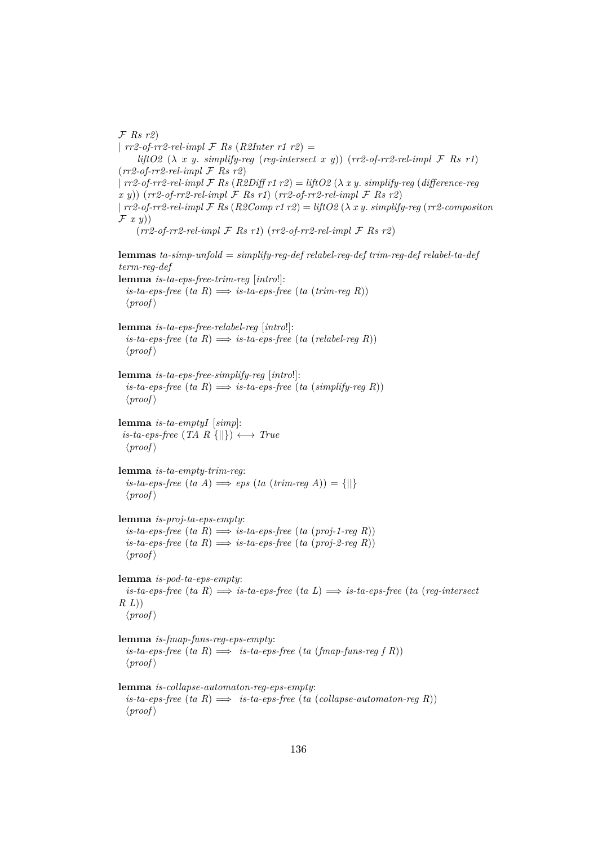F *Rs r2*) | *rr2-of-rr2-rel-impl* F *Rs* (*R2Inter r1 r2*) = *liftO2* (λ *x y*. *simplify-reg* (*reg-intersect x y*)) (*rr2-of-rr2-rel-impl* F *Rs r1*) (*rr2-of-rr2-rel-impl* F *Rs r2*) | *rr2-of-rr2-rel-impl* F *Rs* (*R2Diff r1 r2*) = *liftO2* (λ *x y*. *simplify-reg* (*difference-reg x y*)) (*rr2-of-rr2-rel-impl* F *Rs r1*) (*rr2-of-rr2-rel-impl* F *Rs r2*) | *rr2-of-rr2-rel-impl* F *Rs* (*R2Comp r1 r2*) = *liftO2* (λ *x y*. *simplify-reg* (*rr2-compositon*  $\mathcal{F}$  x y))  $(rr2-of-rr2-rel-impl$   $\mathcal F$  *Rs r1* $(rr2-of-rr2-rel-impl$   $\mathcal F$  *Rs r2* $)$ **lemmas** *ta-simp-unfold* = *simplify-reg-def relabel-reg-def trim-reg-def relabel-ta-def term-reg-def* **lemma** *is-ta-eps-free-trim-reg* [*intro*!]:  $is-ta-eps-free$   $(ta \ R) \Longrightarrow is-ta-eps-free$   $(ta \ (trim-reg \ R))$  $\langle proof \rangle$ **lemma** *is-ta-eps-free-relabel-reg* [*intro*!]:  $is-ta-eps-free$   $(ta \ R) \Longrightarrow is-ta-eps-free$   $(ta \ (relabel-reg \ R))$  $\langle proof \rangle$ **lemma** *is-ta-eps-free-simplify-reg* [*intro*!]:  $is-ta-eps-free$   $(ta \ R) \Longrightarrow is-ta-eps-free$   $(ta (simplify-reg \ R))$  $\langle proof \rangle$ **lemma** *is-ta-emptyI* [*simp*]:  $is-ta-eps-free$  (*TA R* {||})  $\longleftrightarrow True$  $\langle proof \rangle$ **lemma** *is-ta-empty-trim-reg*:  $is-ta-eps-free$   $(ta \ A) \Longrightarrow eps$   $(ta \ (trim-reg \ A)) = \{||\}$  $\langle proof \rangle$ **lemma** *is-proj-ta-eps-empty*:  $is-ta-eps-free$   $(ta \ R) \Longrightarrow is-ta-eps-free$   $(ta (proj-1-reg R))$  $is-ta-eps-free$   $(ta \ R) \Longrightarrow is-ta-eps-free$   $(ta (proj-2-req \ R))$  $\langle proof \rangle$ **lemma** *is-pod-ta-eps-empty*:  $i$ *s-ta-eps-free* (*ta R*)  $\implies$  *is-ta-eps-free* (*ta L*)  $\implies$  *is-ta-eps-free* (*ta (reg-intersect*) *R L*))  $\langle proof \rangle$ **lemma** *is-fmap-funs-reg-eps-empty*:  $is-ta-eps-free$   $(ta \ R) \implies is-ta-eps-free$   $(ta \ (fmap-funs-reg f R))$  $\langle proof \rangle$ **lemma** *is-collapse-automaton-reg-eps-empty*:  $is-ta-eps-free$   $(ta \ R) \implies is-ta-eps-free$   $(ta \ (collapse-automaton-rea \ R))$ 

 $\langle proof \rangle$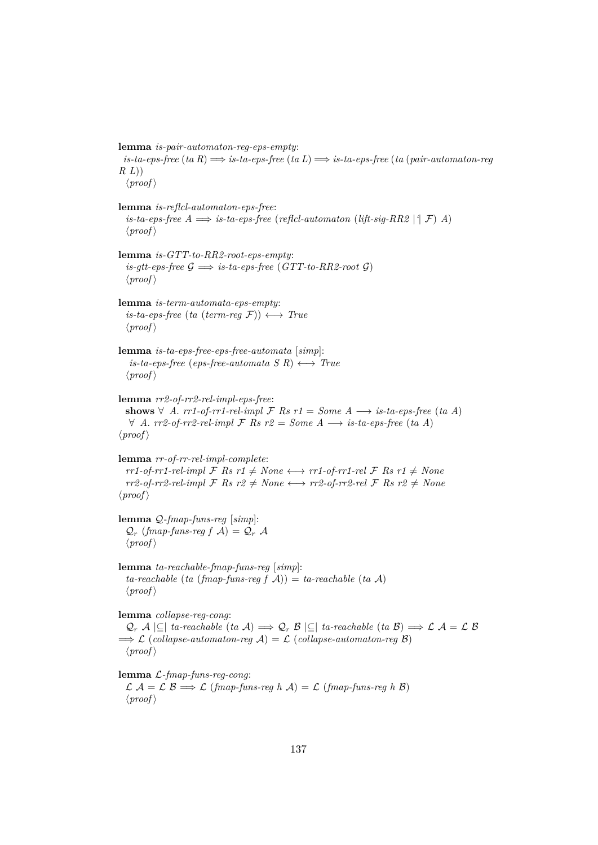**lemma** *is-pair-automaton-reg-eps-empty*: *is-ta-eps-free* (*ta R*) =⇒ *is-ta-eps-free* (*ta L*) =⇒ *is-ta-eps-free* (*ta* (*pair-automaton-reg R L*))  $\langle proof \rangle$ **lemma** *is-reflcl-automaton-eps-free*: *is-ta-eps-free*  $A \implies$  *is-ta-eps-free* (*reflcl-automaton* (*lift-sig-RR2* |<sup>*'*</sup>| *F*) *A*)  $\langle proof \rangle$ **lemma** *is-GTT-to-RR2-root-eps-empty*:  $is\text{-}gt\text{-}eps\text{-}free \mathcal{G} \implies is\text{-}ta\text{-}eps\text{-}free (GTT\text{-}to\text{-}RR2\text{-}root \mathcal{G})$  $\langle proof \rangle$ **lemma** *is-term-automata-eps-empty*:  $is-ta-eps-free$  (*ta* (*term-req*  $\mathcal{F}$ ))  $\longleftrightarrow$  *True*  $\langle proof \rangle$ **lemma** *is-ta-eps-free-eps-free-automata* [*simp*]:  $is-ta-eps-free$  (*eps-free-automata S R*)  $\longleftrightarrow$  *True*  $\langle proof \rangle$ **lemma** *rr2-of-rr2-rel-impl-eps-free*: **shows** ∀ *A*. *rr1-of-rr1-rel-impl*  $\mathcal F$  *Rs*  $r1 = Some$  *A*  $\longrightarrow$  *is-ta-eps-free* (*ta A*) ∀ *A*. *rr2-of-rr2-rel-impl* F *Rs r2* = *Some A* −→ *is-ta-eps-free* (*ta A*)  $\langle proof \rangle$ **lemma** *rr-of-rr-rel-impl-complete*:  $rr1-of-rr1-rel-impl$   $\mathcal{F}$  *Rs*  $r1 \neq None \longleftrightarrow rr1-of-rr1-rel$   $\mathcal{F}$  *Rs*  $r1 \neq None$  $rr2-of-rr2-rel-impl$  **F**  $Rs \, r2 \neq None \longleftrightarrow rr2-of-rr2-rel$  **F**  $Rs \, r2 \neq None$  $\langle proof \rangle$ **lemma** Q*-fmap-funs-reg* [*simp*]:  $\mathcal{Q}_r$  (*fmap-funs-reg f*  $\mathcal{A}$ ) =  $\mathcal{Q}_r$   $\mathcal{A}$  $\langle proof \rangle$ **lemma** *ta-reachable-fmap-funs-reg* [*simp*]:  $ta$ -reachable (*ta* (*fmap-funs-reg f*  $\mathcal{A}$ )) = *ta-reachable* (*ta*  $\mathcal{A}$ )  $\langle proof \rangle$ **lemma** *collapse-reg-cong*:  $\mathcal{Q}_r$  A |⊆| *ta-reachable* (*ta* A)  $\implies$   $\mathcal{Q}_r$  B |⊆| *ta-reachable* (*ta* B)  $\implies$   $\mathcal{L}$  A =  $\mathcal{L}$  B  $\implies$  L (*collapse-automaton-reg*  $\mathcal{A}$ ) = L (*collapse-automaton-reg*  $\mathcal{B}$ )  $\langle proof \rangle$ **lemma** L*-fmap-funs-reg-cong*:  $\mathcal{L} \mathcal{A} = \mathcal{L} \mathcal{B} \Longrightarrow \mathcal{L} \ ( \text{fmap-funs-} \text{req } h \ \mathcal{A} ) = \mathcal{L} \ ( \text{fmap-funs-} \text{req } h \ \mathcal{B} )$ 

 $\langle proof \rangle$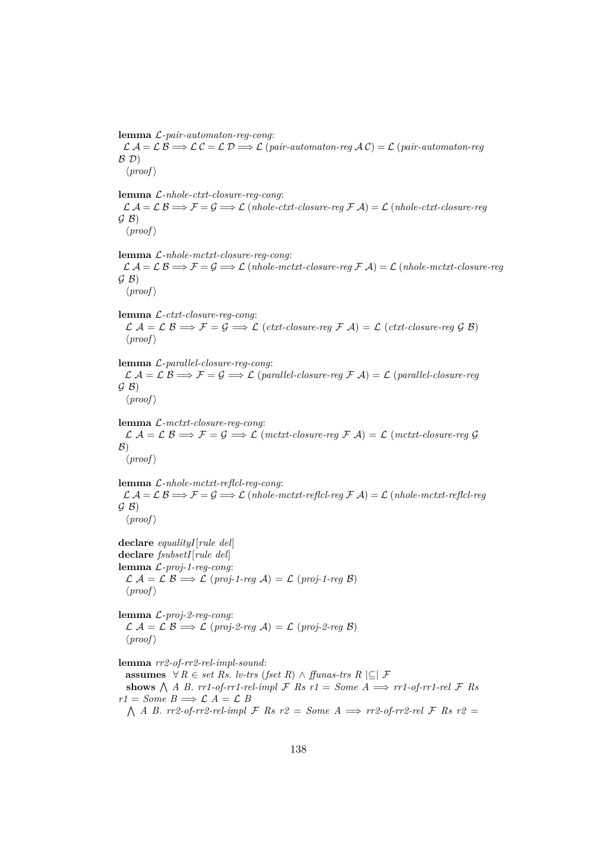**lemma** L*-pair-automaton-reg-cong*:

L A = L B =⇒ L C = L D =⇒ L (*pair-automaton-reg* A C) = L (*pair-automaton-reg*  $\mathcal{B}(\mathcal{D})$  $\langle proof \rangle$ 

**lemma** L*-nhole-ctxt-closure-reg-cong*:

 $\mathcal{L} \mathcal{A} = \mathcal{L} \mathcal{B} \Longrightarrow \mathcal{F} = \mathcal{G} \Longrightarrow \mathcal{L}$  (*nhole-ctxt-closure-reg*  $\mathcal{F} \mathcal{A}$ ) =  $\mathcal{L}$  (*nhole-ctxt-closure-reg*  $G(B)$  $\langle proof \rangle$ 

**lemma** L*-nhole-mctxt-closure-reg-cong*: L A = L B =⇒ F = G =⇒ L (*nhole-mctxt-closure-reg* F A) = L (*nhole-mctxt-closure-reg*  $G(B)$  $\langle proof \rangle$ 

**lemma** L*-ctxt-closure-reg-cong*:  $\mathcal{L} \mathcal{A} = \mathcal{L} \mathcal{B} \Longrightarrow \mathcal{F} = \mathcal{G} \Longrightarrow \mathcal{L} \ ( \text{ctxt-closure-reg} \ \mathcal{F} \ \mathcal{A} ) = \mathcal{L} \ ( \text{ctxt-closure-reg} \ \mathcal{G} \ \mathcal{B} )$  $\langle proof \rangle$ 

**lemma** L*-parallel-closure-reg-cong*: L A = L B =⇒ F = G =⇒ L (*parallel-closure-reg* F A) = L (*parallel-closure-reg*  $G(B)$  $\langle proof \rangle$ 

**lemma** L*-mctxt-closure-reg-cong*:  $\mathcal{L} \mathcal{A} = \mathcal{L} \mathcal{B} \Longrightarrow \mathcal{F} = \mathcal{G} \Longrightarrow \mathcal{L} \ (metxt\text{-}closure\text{-}reg \ \mathcal{F} \ \mathcal{A}) = \mathcal{L} \ (metxt\text{-}closure\text{-}reg \ \mathcal{G} \ \mathcal{A})$  $\mathcal{B}$ )  $\langle proof \rangle$ 

**lemma** L*-nhole-mctxt-reflcl-reg-cong*:  $\mathcal{L} \mathcal{A} = \mathcal{L} \mathcal{B} \Longrightarrow \mathcal{F} = \mathcal{G} \Longrightarrow \mathcal{L} \ (nhole-mctxt-reflcl-reg \ \mathcal{F} \ \mathcal{A}) = \mathcal{L} \ (nhole-mctxt-reflcl-reg \ \mathcal{F} \ \mathcal{A})$  $G(B)$  $\langle proof \rangle$ 

**declare** *equalityI*[*rule del*] **declare** *fsubsetI*[*rule del*] **lemma** L*-proj-1-reg-cong*: L A = L B =⇒ L (*proj-1-reg* A) = L (*proj-1-reg* B)  $\langle proof \rangle$ 

**lemma** L*-proj-2-reg-cong*: L A = L B =⇒ L (*proj-2-reg* A) = L (*proj-2-reg* B)  $\langle proof \rangle$ 

**lemma** *rr2-of-rr2-rel-impl-sound*: **assumes**  $∀ R ∈ set Rs. l*v*-trs (fset R) ∧ ffunas-trs R |⊆ | F$ shows  $\bigwedge A$  *B*. *rr1-of-rr1-rel-impl*  $\mathcal F$  *Rs*  $r1 = Some$   $A \implies rr1$ -of-rr1-rel  $\mathcal F$  *Rs*  $r1 = Some$   $B \Longrightarrow \mathcal{L} A = \mathcal{L} B$  $\Lambda$  *A B. rr2-of-rr2-rel-impl F Rs r2* = *Some A*  $\implies$  *rr2-of-rr2-rel F Rs r2* =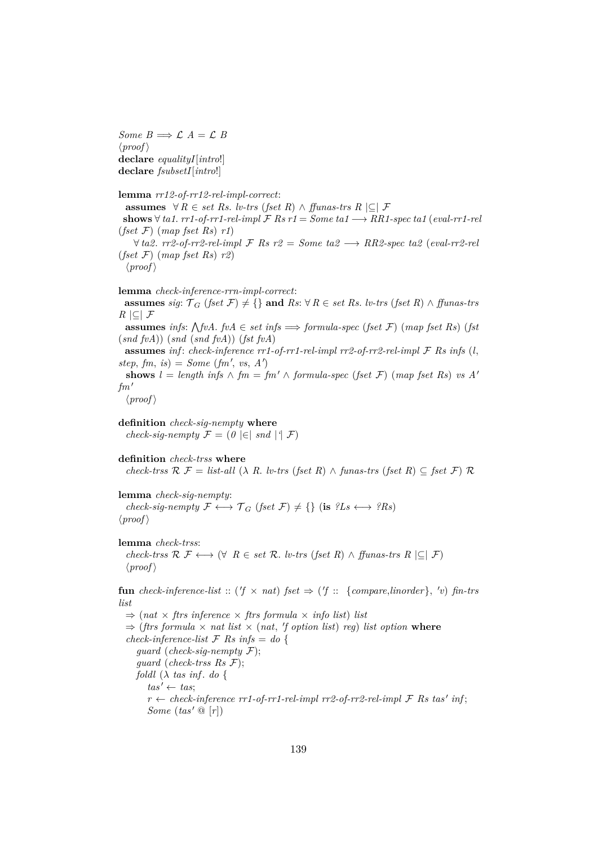*Some*  $B \implies \mathcal{L} A = \mathcal{L} B$  $\langle proof \rangle$ **declare** *equalityI*[*intro*!] **declare** *fsubsetI*[*intro*!]

**lemma** *rr12-of-rr12-rel-impl-correct*: **assumes**  $\forall R \in set \; Rs. \; l \cdot trs \; (f set \; R) \land f \cdot l \cdot trs \; R \in \mathcal{F}$ **shows**  $∀ t a1. rr1-of-rr1-rel-impl F Rs r1 = Some t a1 → RR1-specific t a1 (eval-rr1-rel$ (*fset* F) (*map fset Rs*) *r1*)  $∀ ta2. rr2-of-rr2-rel-impl F$  *Rs*  $r2 = Some ta2 → RR2-specific ta2 (eval-rr2-rel$ (*fset* F) (*map fset Rs*) *r2*)  $\langle proof \rangle$ 

**lemma** *check-inference-rrn-impl-correct*:

**assumes** *sig*:  $T_G$  (*fset*  $\mathcal{F}$ )  $\neq$  {} **and**  $Rs$ : ∀  $R \in set R$ *s. lv-trs* (*fset*  $R$ ) ∧ *ffunas-trs R* |⊆| F

**assumes** *infs*:  $\bigwedge$  *fvA*. *fvA*  $\in$  *set infs*  $\implies$  *formula-spec* (*fset* F) (*map fset* Rs) (*fst* (*snd fvA*)) (*snd* (*snd fvA*)) (*fst fvA*)

**assumes** *inf* : *check-inference rr1-of-rr1-rel-impl rr2-of-rr2-rel-impl* F *Rs infs* (*l*,  $step, fm, is) = Some (fm', vs, A')$ 

**shows**  $l = length \inf s \wedge fm = fm' \wedge formula\text{-}spec (fset \mathcal{F}) (map \text{fset} Rs) \text{ vs } A'$  $fm'$ 

 $\langle proof \rangle$ 

**definition** *check-sig-nempty* **where** *check-sig-nempty*  $\mathcal{F} = (0 \in ]$  *snd*  $| \in ]$ 

**definition** *check-trss* **where** *check-trss*  $\mathcal{R} \mathcal{F} =$  *list-all* ( $\lambda$  *R*. *lv-trs* (*fset R*)  $\wedge$  *funas-trs* (*fset R*)  $\subseteq$  *fset*  $\mathcal{F}$ )  $\mathcal{R}$ 

**lemma** *check-sig-nempty*: *check-sig-nempty*  $\mathcal{F} \longleftrightarrow \mathcal{T}_G$  (*fset*  $\mathcal{F}$ )  $\neq$  {} (**is**  $^2Ls \longleftrightarrow ^2Rs$ )  $\langle proof \rangle$ 

**lemma** *check-trss*:

*check-trss*  $\mathcal{R}$   $\mathcal{F}$  ←  $\rightarrow$   $(\forall$  *R* ∈ *set*  $\mathcal{R}$ . *lv-trs* (*fset R*) ∧ *ffunas-trs R*  $|\subseteq|$   $\mathcal{F}$ )  $\langle proof \rangle$ 

**fun** *check-inference-list* :: ( $f \times nat$ )  $fset \Rightarrow$  ( $f$  :: {*compare,linorder*},  $'v$ )  $fin-trs$ *list*

 $\Rightarrow$  (*nat*  $\times$  *ftrs inference*  $\times$  *ftrs formula*  $\times$  *info list*) *list*  $\Rightarrow$  (*ftrs formula*  $\times$  *nat list*  $\times$  (*nat, 'f option list*) *reg*) *list option* where *check-inference-list*  $\mathcal{F}$  *Rs infs* = *do* { *guard* (*check-sig-nempty* F); *guard* (*check-trss Rs* F); *foldl* (λ *tas inf* . *do* {  $tas' \leftarrow tas$  $r \leftarrow$  *check-inference rr1-of-rr1-rel-impl rr2-of-rr2-rel-impl*  $\mathcal F$  *Rs tas' inf*; *Some*  $(tas' \mathcal{Q} [r])$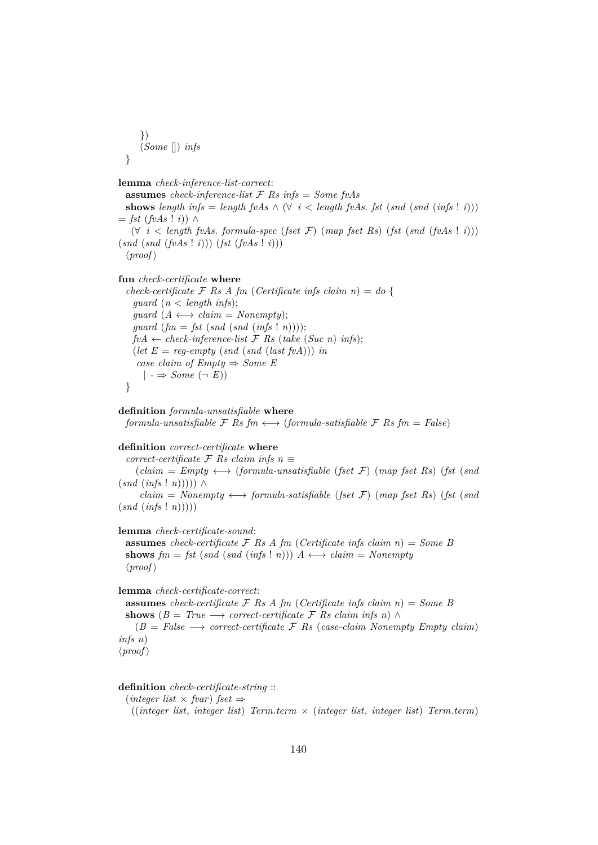```
})
   (Some []) infs
}
```

```
lemma check-inference-list-correct:
```
**assumes** *check-inference-list* F *Rs infs* = *Some fvAs* **shows** length infs = length fvAs  $\wedge$   $(\forall i \leq length$  fvAs. *fst* (*snd* (*snd* (*infs* ! *i*)))  $=$  *fst* (*fvAs* ! *i*)) ∧ (∀ *i* < *length fvAs*. *formula-spec* (*fset* F) (*map fset Rs*) (*fst* (*snd* (*fvAs* ! *i*))) (*snd* (*snd* (*fvAs* ! *i*))) (*fst* (*fvAs* ! *i*)))  $\langle proof \rangle$ 

```
fun check-certificate where
```
*check-certificate*  $\mathcal{F}$  *Rs A fm* (*Certificate infs claim n*) = *do* { *guard* (*n* < *length infs*);  $quard (A \leftrightarrow claim = Nonempty);$ *guard* (*fm* = *fst* (*snd* (*snd* (*infs* ! *n*))));  $fvA \leftarrow check\text{-}inference\text{-}list \, \mathcal{F} \, Rs \, (take \, (Suc \, n) \, infs);$ (*let*  $E = reg\text{-}empty (snd (last fvA))) in$ *case claim of Empty*  $\Rightarrow$  *Some E*  $| \rightarrow$  *Some*  $(\neg E)$ }

**definition** *formula-unsatisfiable* **where** *formula-unsatisfiable*  $\mathcal{F}$  *Rs fm*  $\longleftrightarrow$  (*formula-satisfiable*  $\mathcal{F}$  *Rs fm* = *False*)

#### **definition** *correct-certificate* **where**

 $correct\text{-}certificance \neq Rs \text{ } claim \text{ } ins \text{ } n \equiv$ 

 $(claim = Empty \leftrightarrow (formula-unsatisfiable (fset F) (map fset Rs) (fst (snd$  $(snd (infs! n)))) \wedge$ 

 $claim = Nonempty \longleftrightarrow formula-satisfiable (fset \mathcal{F}) (map fset Rs) (fst (snd$  $(snd (infs : n))))$ 

### **lemma** *check-certificate-sound*:

**assumes** *check-certificate*  $\mathcal{F}$  *Rs A fm* (*Certificate infs claim n*) = *Some B* **shows**  $\mathit{fm} = \mathit{fst} \, (\mathit{snd} \, (\mathit{infs} \, ! \, n))$   $A \leftrightarrow \mathit{claim} = \mathit{Nonempty}$  $\langle proof \rangle$ 

**lemma** *check-certificate-correct*:

**assumes** *check-certificate*  $\mathcal{F}$  *Rs A fm* (*Certificate infs claim n*) = *Some B* shows  $(B = True \longrightarrow correct\text{-}certificance \mathcal{F}$  *Rs claim infs n*) ∧

 $(B = False \longrightarrow correct-certificate \mathcal{F}$  *Rs* (*case-claim Nonempty Empty claim*) *infs n*)  $\langle proof \rangle$ 

#### **definition** *check-certificate-string* ::

 $(integer list \times fvar)$  *fset*  $\Rightarrow$ 

((*integer list*, *integer list*) *Term*.*term* × (*integer list*, *integer list*) *Term*.*term*)